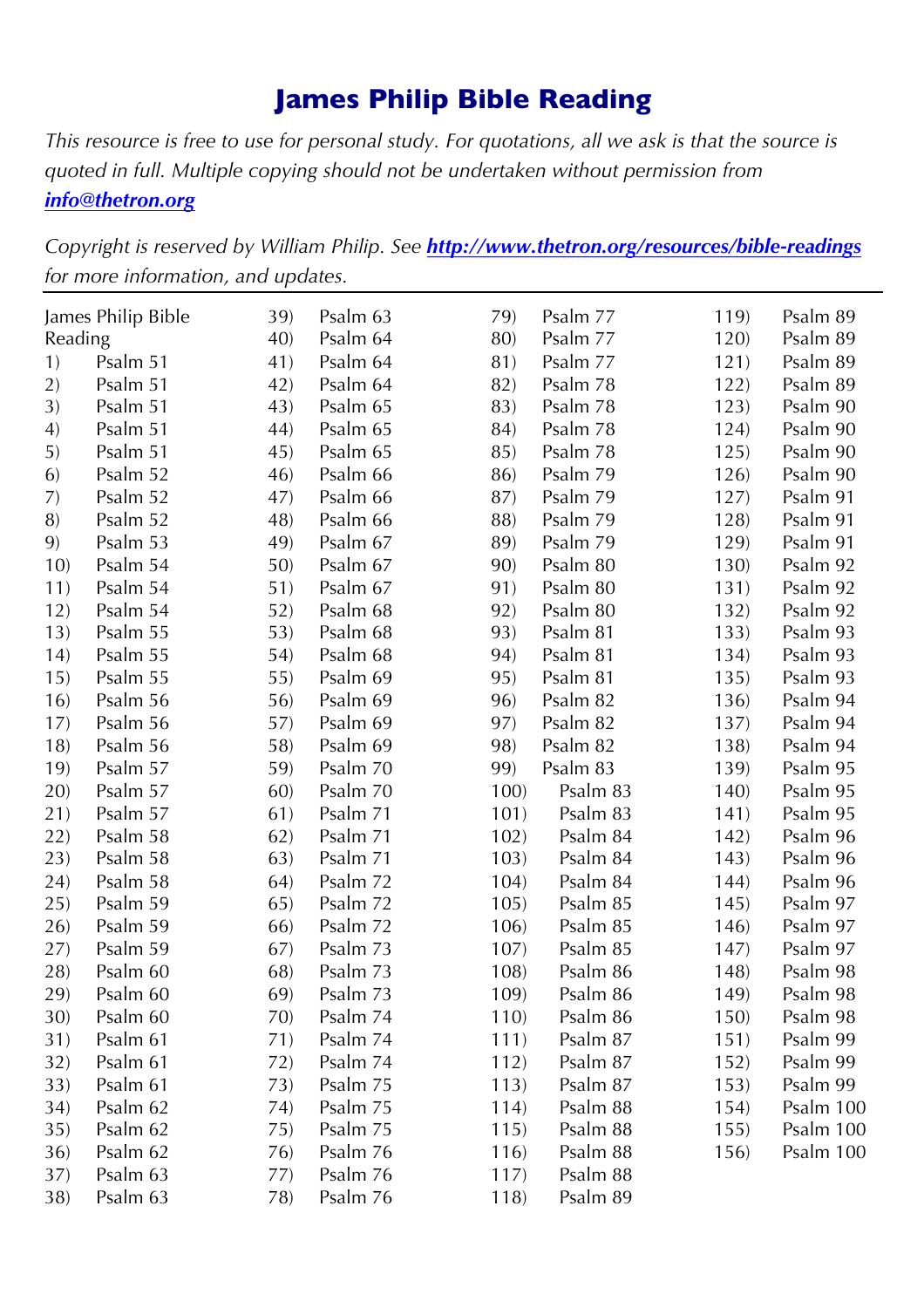# **James Philip Bible Reading**

*This resource is free to use for personal study. For quotations, all we ask is that the source is quoted in full. Multiple copying should not be undertaken without permission from info@thetron.org*

*Copyright is reserved by William Philip. See http://www.thetron.org/resources/bible-readings for more information, and updates.*

|                | James Philip Bible | 39) | Psalm 63 | 79)  | Psalm 77 | 119) | Psalm 89  |
|----------------|--------------------|-----|----------|------|----------|------|-----------|
| Reading<br>40) |                    |     | Psalm 64 | 80)  | Psalm 77 | 120) | Psalm 89  |
| 1)             | Psalm 51           | 41) | Psalm 64 | 81)  | Psalm 77 | 121) | Psalm 89  |
| 2)             | Psalm 51           | 42) | Psalm 64 | 82)  | Psalm 78 | 122) | Psalm 89  |
| 3)             | Psalm 51           | 43) | Psalm 65 | 83)  | Psalm 78 | 123) | Psalm 90  |
| 4)             | Psalm 51           | 44) | Psalm 65 | 84)  | Psalm 78 | 124) | Psalm 90  |
| 5)             | Psalm 51           | 45) | Psalm 65 | 85)  | Psalm 78 | 125) | Psalm 90  |
| 6)             | Psalm 52           | 46) | Psalm 66 | 86)  | Psalm 79 | 126) | Psalm 90  |
| 7)             | Psalm 52           | 47) | Psalm 66 | 87)  | Psalm 79 | 127) | Psalm 91  |
| 8)             | Psalm 52           | 48) | Psalm 66 | 88)  | Psalm 79 | 128) | Psalm 91  |
| 9)             | Psalm 53           | 49) | Psalm 67 | 89)  | Psalm 79 | 129) | Psalm 91  |
| 10)            | Psalm 54           | 50) | Psalm 67 | 90)  | Psalm 80 | 130) | Psalm 92  |
| 11)            | Psalm 54           | 51) | Psalm 67 | 91)  | Psalm 80 | 131) | Psalm 92  |
| 12)            | Psalm 54           | 52) | Psalm 68 | 92)  | Psalm 80 | 132) | Psalm 92  |
| 13)            | Psalm 55           | 53) | Psalm 68 | 93)  | Psalm 81 | 133) | Psalm 93  |
| (14)           | Psalm 55           | 54) | Psalm 68 | 94)  | Psalm 81 | 134) | Psalm 93  |
| 15)            | Psalm 55           | 55) | Psalm 69 | 95)  | Psalm 81 | 135) | Psalm 93  |
| 16)            | Psalm 56           | 56) | Psalm 69 | 96)  | Psalm 82 | 136) | Psalm 94  |
| 17)            | Psalm 56           | 57) | Psalm 69 | 97)  | Psalm 82 | 137) | Psalm 94  |
| 18)            | Psalm 56           | 58) | Psalm 69 | 98)  | Psalm 82 | 138) | Psalm 94  |
| 19)            | Psalm 57           | 59) | Psalm 70 | 99)  | Psalm 83 | 139) | Psalm 95  |
| 20)            | Psalm 57           | 60) | Psalm 70 | 100  | Psalm 83 | 140) | Psalm 95  |
| 21)            | Psalm 57           | 61) | Psalm 71 | 101) | Psalm 83 | 141) | Psalm 95  |
| 22)            | Psalm 58           | 62) | Psalm 71 | 102) | Psalm 84 | 142) | Psalm 96  |
| 23)            | Psalm 58           | 63) | Psalm 71 | 103) | Psalm 84 | 143) | Psalm 96  |
| 24)            | Psalm 58           | 64) | Psalm 72 | 104) | Psalm 84 | 144) | Psalm 96  |
| 25)            | Psalm 59           | 65) | Psalm 72 | 105) | Psalm 85 | 145) | Psalm 97  |
| 26)            | Psalm 59           | 66) | Psalm 72 | 106) | Psalm 85 | 146) | Psalm 97  |
| 27)            | Psalm 59           | 67) | Psalm 73 | 107) | Psalm 85 | 147) | Psalm 97  |
| 28)            | Psalm 60           | 68) | Psalm 73 | 108) | Psalm 86 | 148) | Psalm 98  |
| 29)            | Psalm 60           | 69) | Psalm 73 | 109) | Psalm 86 | 149) | Psalm 98  |
| 30)            | Psalm 60           | 70) | Psalm 74 | 110) | Psalm 86 | 150) | Psalm 98  |
| 31)            | Psalm 61           | 71) | Psalm 74 | 111) | Psalm 87 | 151) | Psalm 99  |
| 32)            | Psalm 61           | 72) | Psalm 74 | 112) | Psalm 87 | 152) | Psalm 99  |
| 33)            | Psalm 61           | 73) | Psalm 75 | 113) | Psalm 87 | 153) | Psalm 99  |
| 34)            | Psalm 62           | 74) | Psalm 75 | 114) | Psalm 88 | 154) | Psalm 100 |
| 35)            | Psalm 62           | 75) | Psalm 75 | 115) | Psalm 88 | 155) | Psalm 100 |
| 36)            | Psalm 62           | 76) | Psalm 76 | 116) | Psalm 88 | 156) | Psalm 100 |
| 37)            | Psalm 63           | 77) | Psalm 76 | 117) | Psalm 88 |      |           |
| 38)            | Psalm 63           | 78) | Psalm 76 | 118) | Psalm 89 |      |           |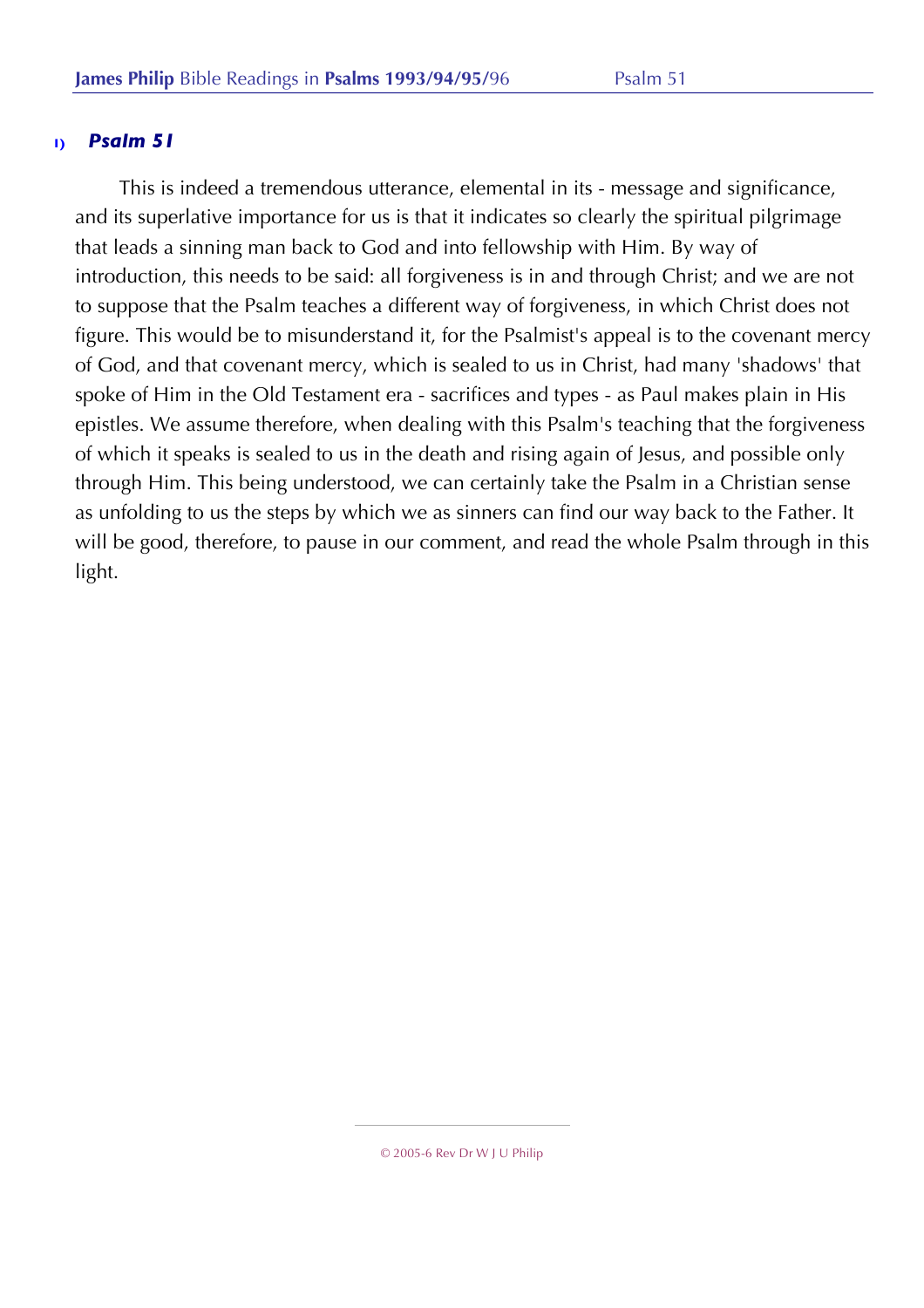This is indeed a tremendous utterance, elemental in its - message and significance, and its superlative importance for us is that it indicates so clearly the spiritual pilgrimage that leads a sinning man back to God and into fellowship with Him. By way of introduction, this needs to be said: all forgiveness is in and through Christ; and we are not to suppose that the Psalm teaches a different way of forgiveness, in which Christ does not figure. This would be to misunderstand it, for the Psalmist's appeal is to the covenant mercy of God, and that covenant mercy, which is sealed to us in Christ, had many 'shadows' that spoke of Him in the Old Testament era - sacrifices and types - as Paul makes plain in His epistles. We assume therefore, when dealing with this Psalm's teaching that the forgiveness of which it speaks is sealed to us in the death and rising again of Jesus, and possible only through Him. This being understood, we can certainly take the Psalm in a Christian sense as unfolding to us the steps by which we as sinners can find our way back to the Father. It will be good, therefore, to pause in our comment, and read the whole Psalm through in this light.

<sup>© 2005-6</sup> Rev Dr W J U Philip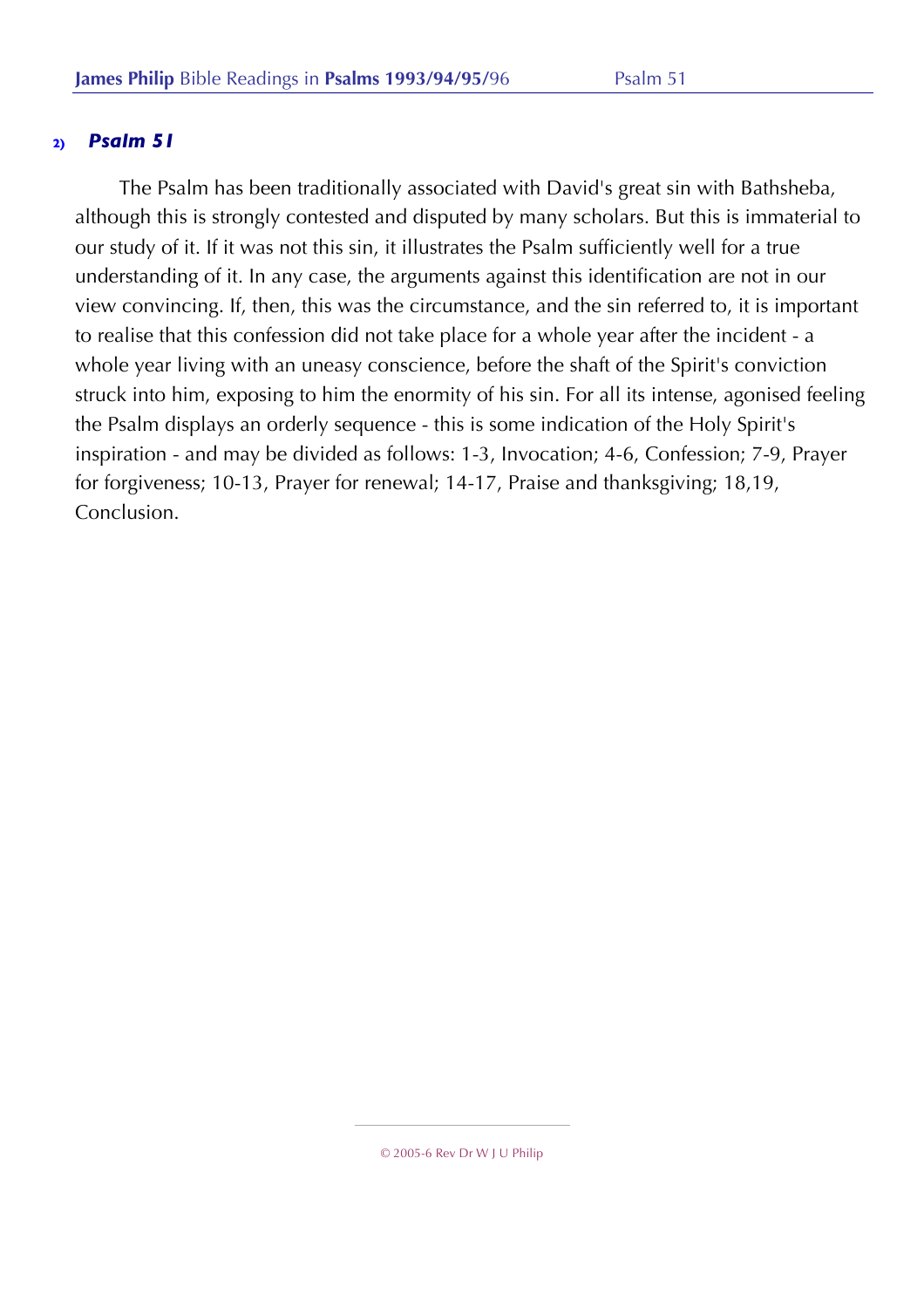The Psalm has been traditionally associated with David's great sin with Bathsheba, although this is strongly contested and disputed by many scholars. But this is immaterial to our study of it. If it was not this sin, it illustrates the Psalm sufficiently well for a true understanding of it. In any case, the arguments against this identification are not in our view convincing. If, then, this was the circumstance, and the sin referred to, it is important to realise that this confession did not take place for a whole year after the incident - a whole year living with an uneasy conscience, before the shaft of the Spirit's conviction struck into him, exposing to him the enormity of his sin. For all its intense, agonised feeling the Psalm displays an orderly sequence - this is some indication of the Holy Spirit's inspiration - and may be divided as follows: 1-3, Invocation; 4-6, Confession; 7-9, Prayer for forgiveness; 10-13, Prayer for renewal; 14-17, Praise and thanksgiving; 18,19, Conclusion.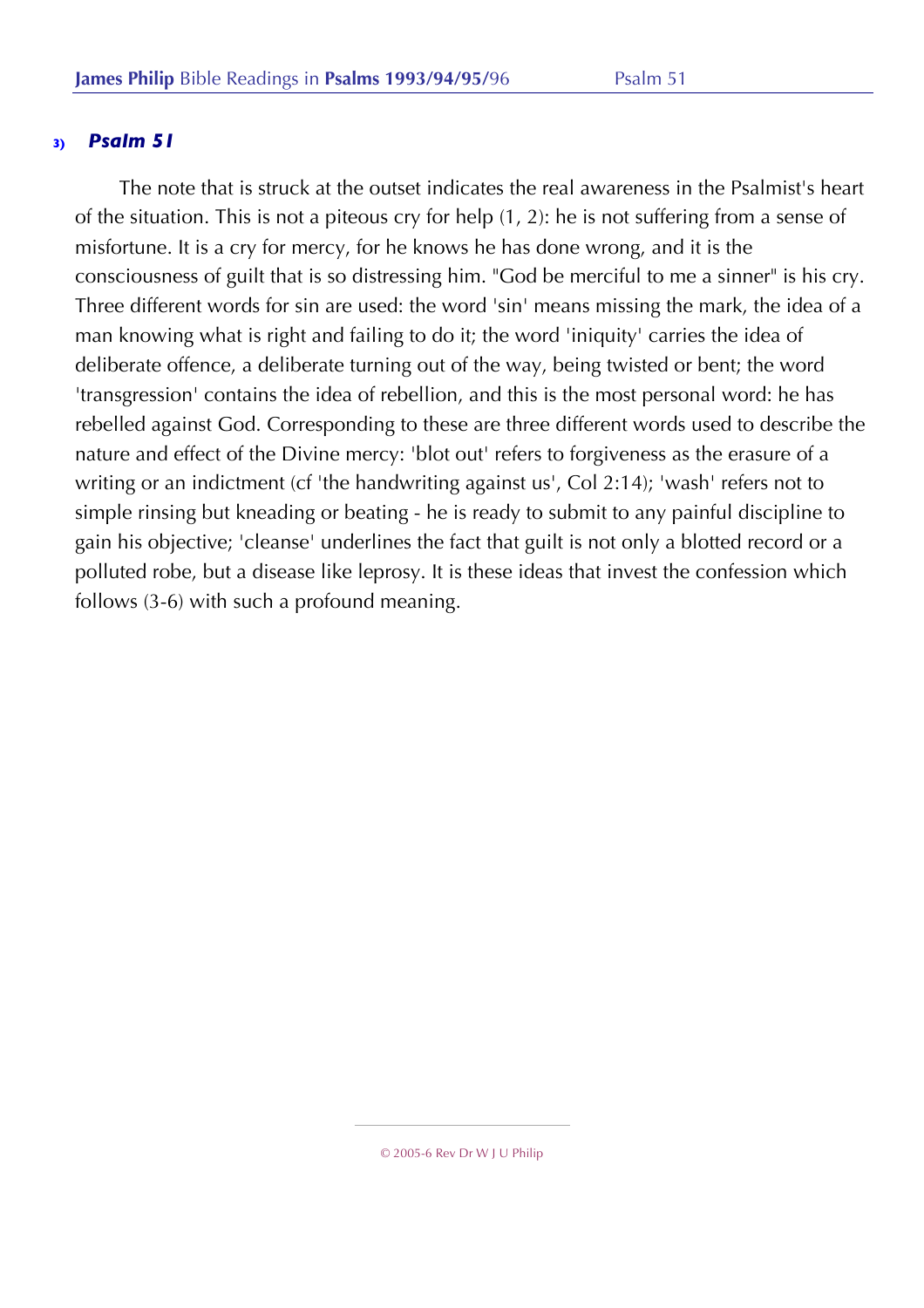The note that is struck at the outset indicates the real awareness in the Psalmist's heart of the situation. This is not a piteous cry for help (1, 2): he is not suffering from a sense of misfortune. It is a cry for mercy, for he knows he has done wrong, and it is the consciousness of guilt that is so distressing him. "God be merciful to me a sinner" is his cry. Three different words for sin are used: the word 'sin' means missing the mark, the idea of a man knowing what is right and failing to do it; the word 'iniquity' carries the idea of deliberate offence, a deliberate turning out of the way, being twisted or bent; the word 'transgression' contains the idea of rebellion, and this is the most personal word: he has rebelled against God. Corresponding to these are three different words used to describe the nature and effect of the Divine mercy: 'blot out' refers to forgiveness as the erasure of a writing or an indictment (cf 'the handwriting against us', Col 2:14); 'wash' refers not to simple rinsing but kneading or beating - he is ready to submit to any painful discipline to gain his objective; 'cleanse' underlines the fact that guilt is not only a blotted record or a polluted robe, but a disease like leprosy. It is these ideas that invest the confession which follows (3-6) with such a profound meaning.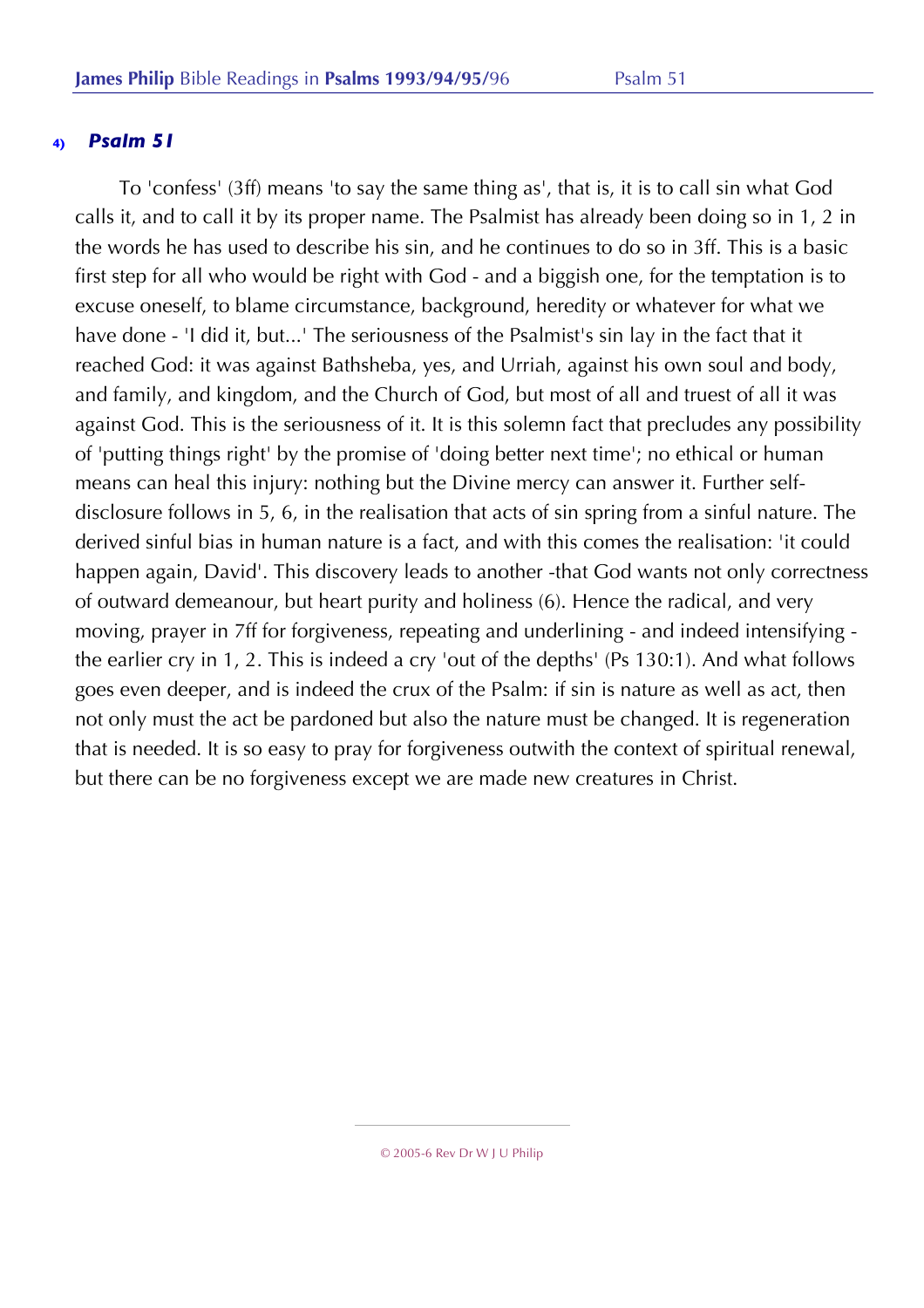To 'confess' (3ff) means 'to say the same thing as', that is, it is to call sin what God calls it, and to call it by its proper name. The Psalmist has already been doing so in 1, 2 in the words he has used to describe his sin, and he continues to do so in 3ff. This is a basic first step for all who would be right with God - and a biggish one, for the temptation is to excuse oneself, to blame circumstance, background, heredity or whatever for what we have done - 'I did it, but...' The seriousness of the Psalmist's sin lay in the fact that it reached God: it was against Bathsheba, yes, and Urriah, against his own soul and body, and family, and kingdom, and the Church of God, but most of all and truest of all it was against God. This is the seriousness of it. It is this solemn fact that precludes any possibility of 'putting things right' by the promise of 'doing better next time'; no ethical or human means can heal this injury: nothing but the Divine mercy can answer it. Further selfdisclosure follows in 5, 6, in the realisation that acts of sin spring from a sinful nature. The derived sinful bias in human nature is a fact, and with this comes the realisation: 'it could happen again, David'. This discovery leads to another -that God wants not only correctness of outward demeanour, but heart purity and holiness (6). Hence the radical, and very moving, prayer in 7ff for forgiveness, repeating and underlining - and indeed intensifying the earlier cry in 1, 2. This is indeed a cry 'out of the depths' (Ps 130:1). And what follows goes even deeper, and is indeed the crux of the Psalm: if sin is nature as well as act, then not only must the act be pardoned but also the nature must be changed. It is regeneration that is needed. It is so easy to pray for forgiveness outwith the context of spiritual renewal, but there can be no forgiveness except we are made new creatures in Christ.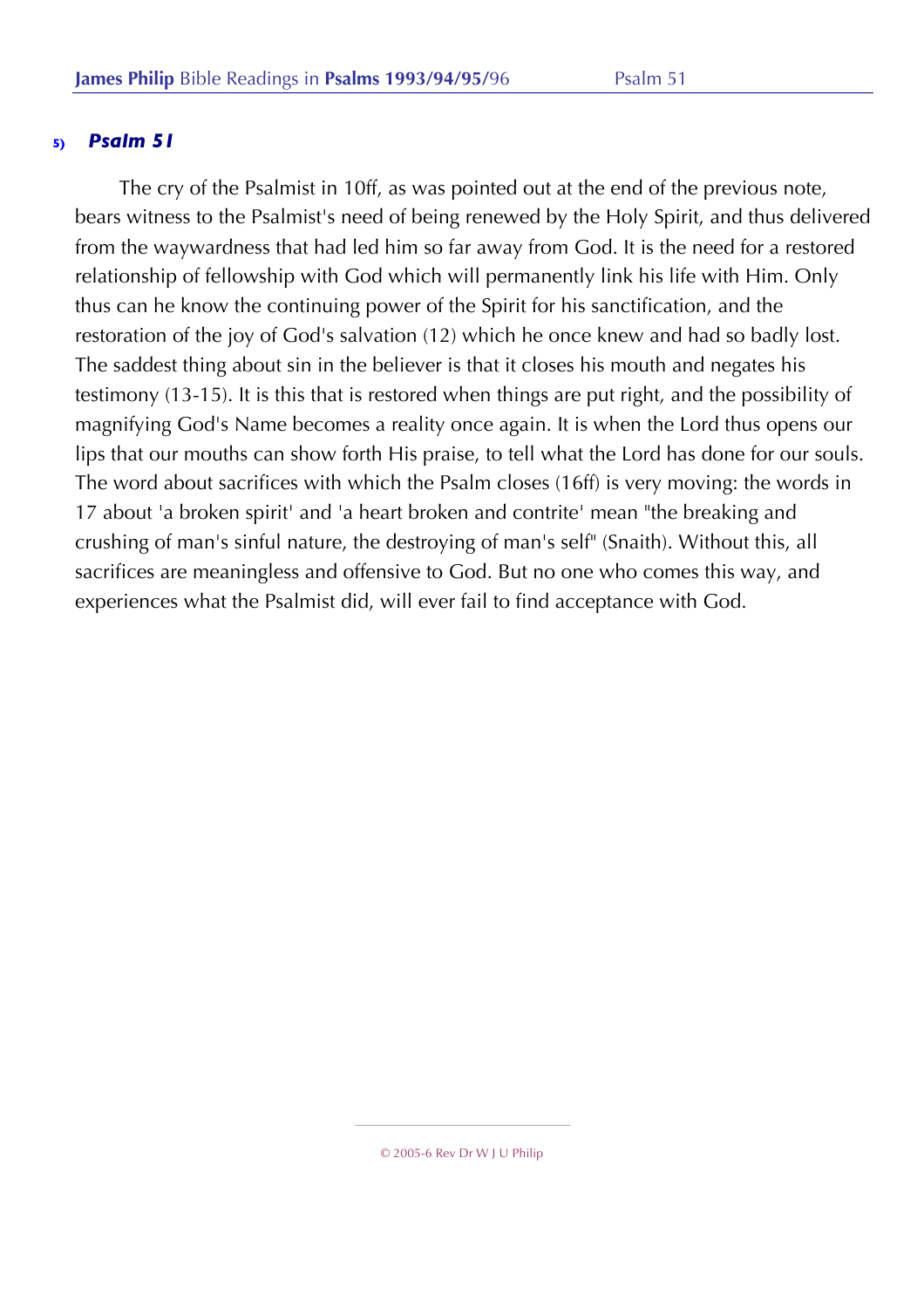The cry of the Psalmist in 10ff, as was pointed out at the end of the previous note, bears witness to the Psalmist's need of being renewed by the Holy Spirit, and thus delivered from the waywardness that had led him so far away from God. It is the need for a restored relationship of fellowship with God which will permanently link his life with Him. Only thus can he know the continuing power of the Spirit for his sanctification, and the restoration of the joy of God's salvation (12) which he once knew and had so badly lost. The saddest thing about sin in the believer is that it closes his mouth and negates his testimony (13-15). It is this that is restored when things are put right, and the possibility of magnifying God's Name becomes a reality once again. It is when the Lord thus opens our lips that our mouths can show forth His praise, to tell what the Lord has done for our souls. The word about sacrifices with which the Psalm closes (16ff) is very moving: the words in 17 about 'a broken spirit' and 'a heart broken and contrite' mean "the breaking and crushing of man's sinful nature, the destroying of man's self" (Snaith). Without this, all sacrifices are meaningless and offensive to God. But no one who comes this way, and experiences what the Psalmist did, will ever fail to find acceptance with God.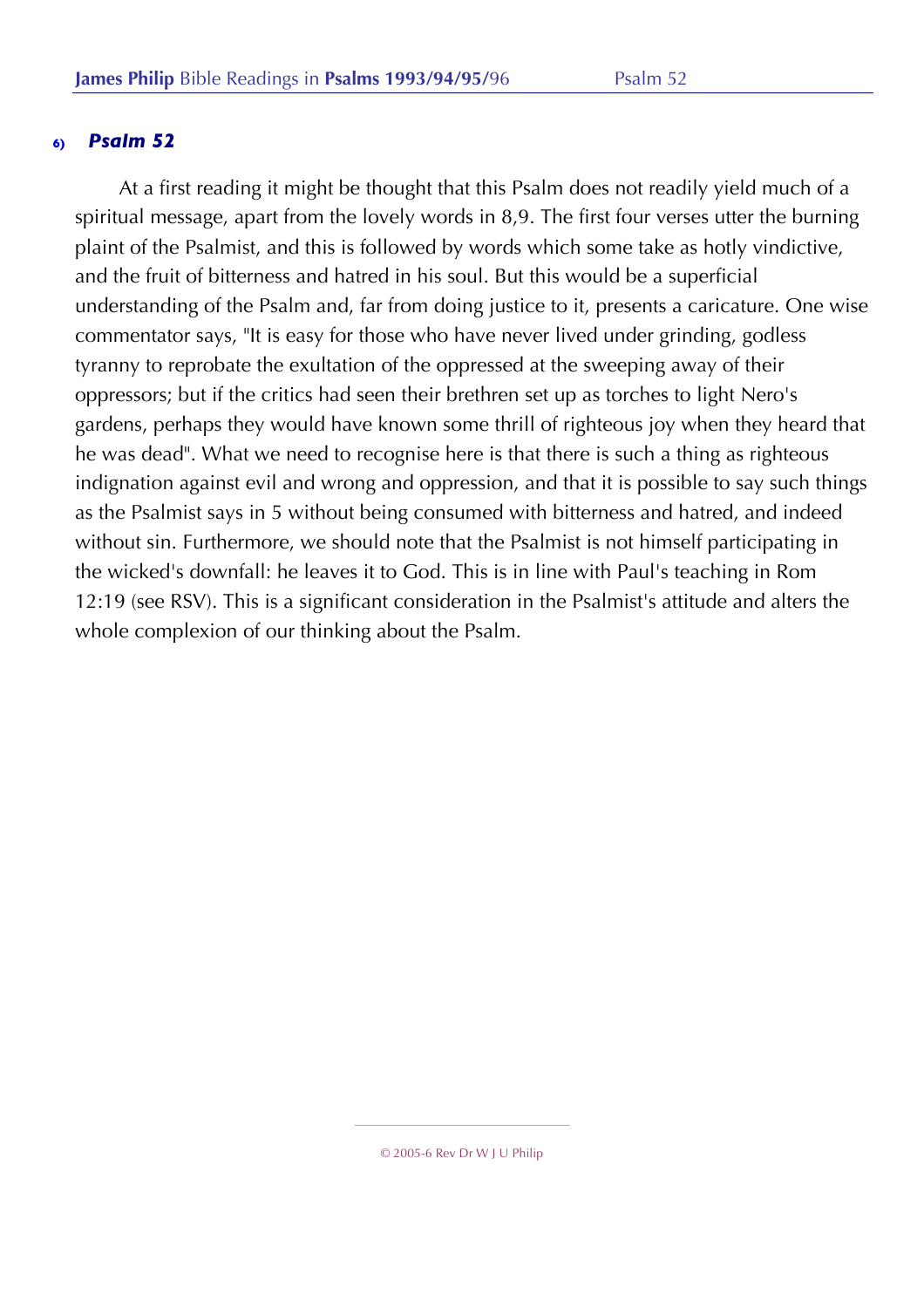At a first reading it might be thought that this Psalm does not readily yield much of a spiritual message, apart from the lovely words in 8,9. The first four verses utter the burning plaint of the Psalmist, and this is followed by words which some take as hotly vindictive, and the fruit of bitterness and hatred in his soul. But this would be a superficial understanding of the Psalm and, far from doing justice to it, presents a caricature. One wise commentator says, "It is easy for those who have never lived under grinding, godless tyranny to reprobate the exultation of the oppressed at the sweeping away of their oppressors; but if the critics had seen their brethren set up as torches to light Nero's gardens, perhaps they would have known some thrill of righteous joy when they heard that he was dead". What we need to recognise here is that there is such a thing as righteous indignation against evil and wrong and oppression, and that it is possible to say such things as the Psalmist says in 5 without being consumed with bitterness and hatred, and indeed without sin. Furthermore, we should note that the Psalmist is not himself participating in the wicked's downfall: he leaves it to God. This is in line with Paul's teaching in Rom 12:19 (see RSV). This is a significant consideration in the Psalmist's attitude and alters the whole complexion of our thinking about the Psalm.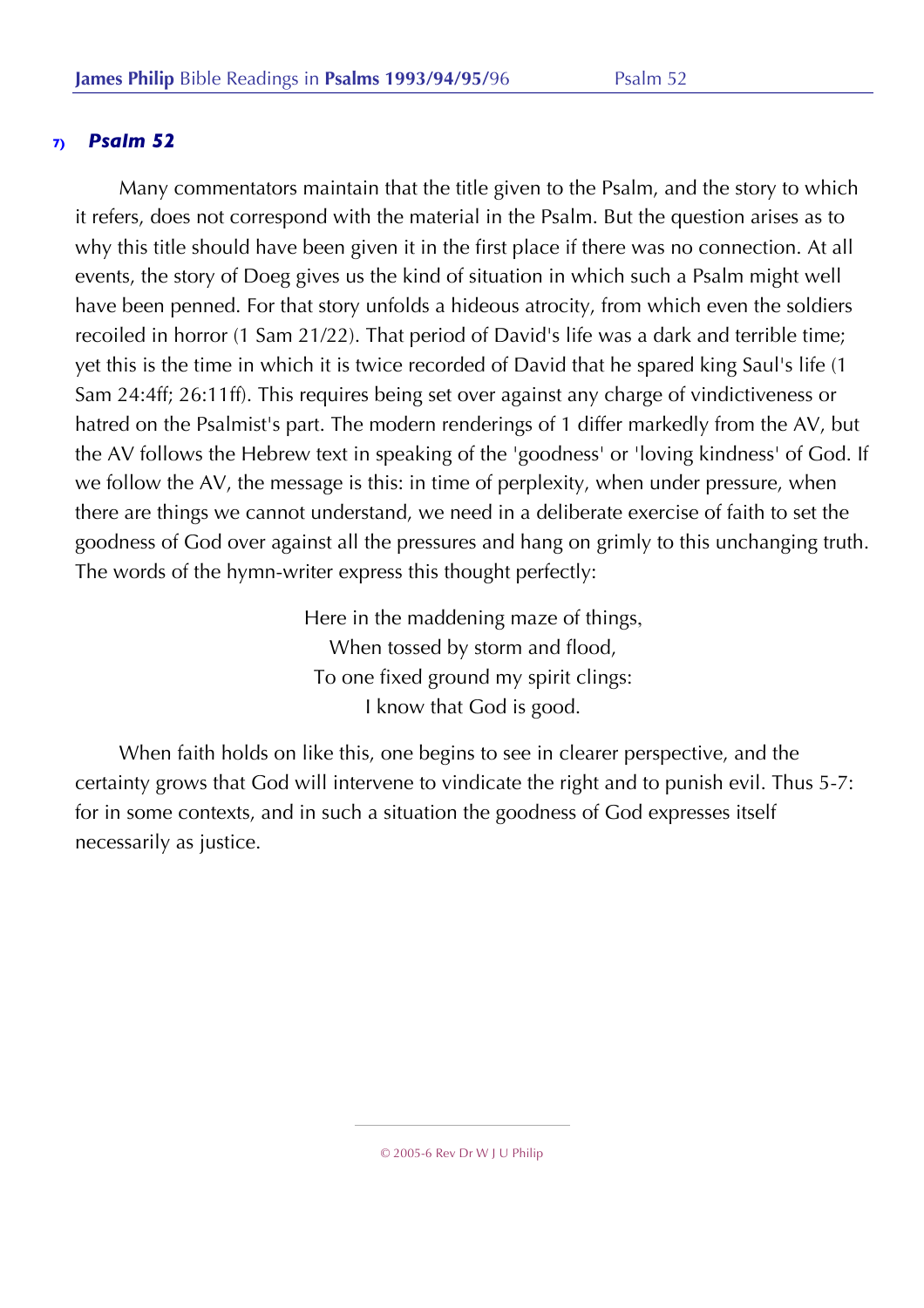Many commentators maintain that the title given to the Psalm, and the story to which it refers, does not correspond with the material in the Psalm. But the question arises as to why this title should have been given it in the first place if there was no connection. At all events, the story of Doeg gives us the kind of situation in which such a Psalm might well have been penned. For that story unfolds a hideous atrocity, from which even the soldiers recoiled in horror (1 Sam 21/22). That period of David's life was a dark and terrible time; yet this is the time in which it is twice recorded of David that he spared king Saul's life (1 Sam 24:4ff; 26:11ff). This requires being set over against any charge of vindictiveness or hatred on the Psalmist's part. The modern renderings of 1 differ markedly from the AV, but the AV follows the Hebrew text in speaking of the 'goodness' or 'loving kindness' of God. If we follow the AV, the message is this: in time of perplexity, when under pressure, when there are things we cannot understand, we need in a deliberate exercise of faith to set the goodness of God over against all the pressures and hang on grimly to this unchanging truth. The words of the hymn-writer express this thought perfectly:

> Here in the maddening maze of things, When tossed by storm and flood, To one fixed ground my spirit clings: I know that God is good.

When faith holds on like this, one begins to see in clearer perspective, and the certainty grows that God will intervene to vindicate the right and to punish evil. Thus 5-7: for in some contexts, and in such a situation the goodness of God expresses itself necessarily as justice.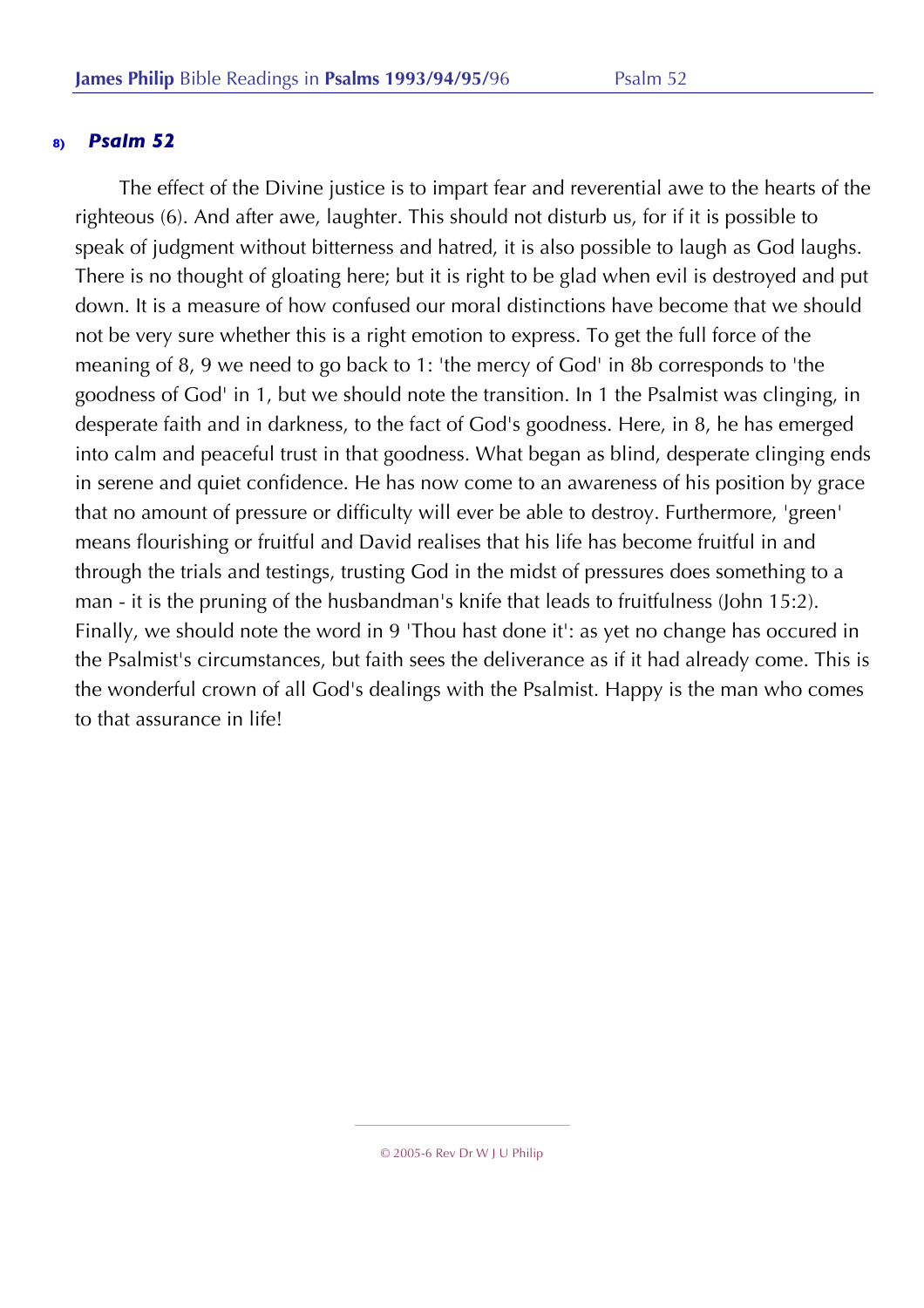The effect of the Divine justice is to impart fear and reverential awe to the hearts of the righteous (6). And after awe, laughter. This should not disturb us, for if it is possible to speak of judgment without bitterness and hatred, it is also possible to laugh as God laughs. There is no thought of gloating here; but it is right to be glad when evil is destroyed and put down. It is a measure of how confused our moral distinctions have become that we should not be very sure whether this is a right emotion to express. To get the full force of the meaning of 8, 9 we need to go back to 1: 'the mercy of God' in 8b corresponds to 'the goodness of God' in 1, but we should note the transition. In 1 the Psalmist was clinging, in desperate faith and in darkness, to the fact of God's goodness. Here, in 8, he has emerged into calm and peaceful trust in that goodness. What began as blind, desperate clinging ends in serene and quiet confidence. He has now come to an awareness of his position by grace that no amount of pressure or difficulty will ever be able to destroy. Furthermore, 'green' means flourishing or fruitful and David realises that his life has become fruitful in and through the trials and testings, trusting God in the midst of pressures does something to a man - it is the pruning of the husbandman's knife that leads to fruitfulness (John 15:2). Finally, we should note the word in 9 'Thou hast done it': as yet no change has occured in the Psalmist's circumstances, but faith sees the deliverance as if it had already come. This is the wonderful crown of all God's dealings with the Psalmist. Happy is the man who comes to that assurance in life!

<sup>© 2005-6</sup> Rev Dr W J U Philip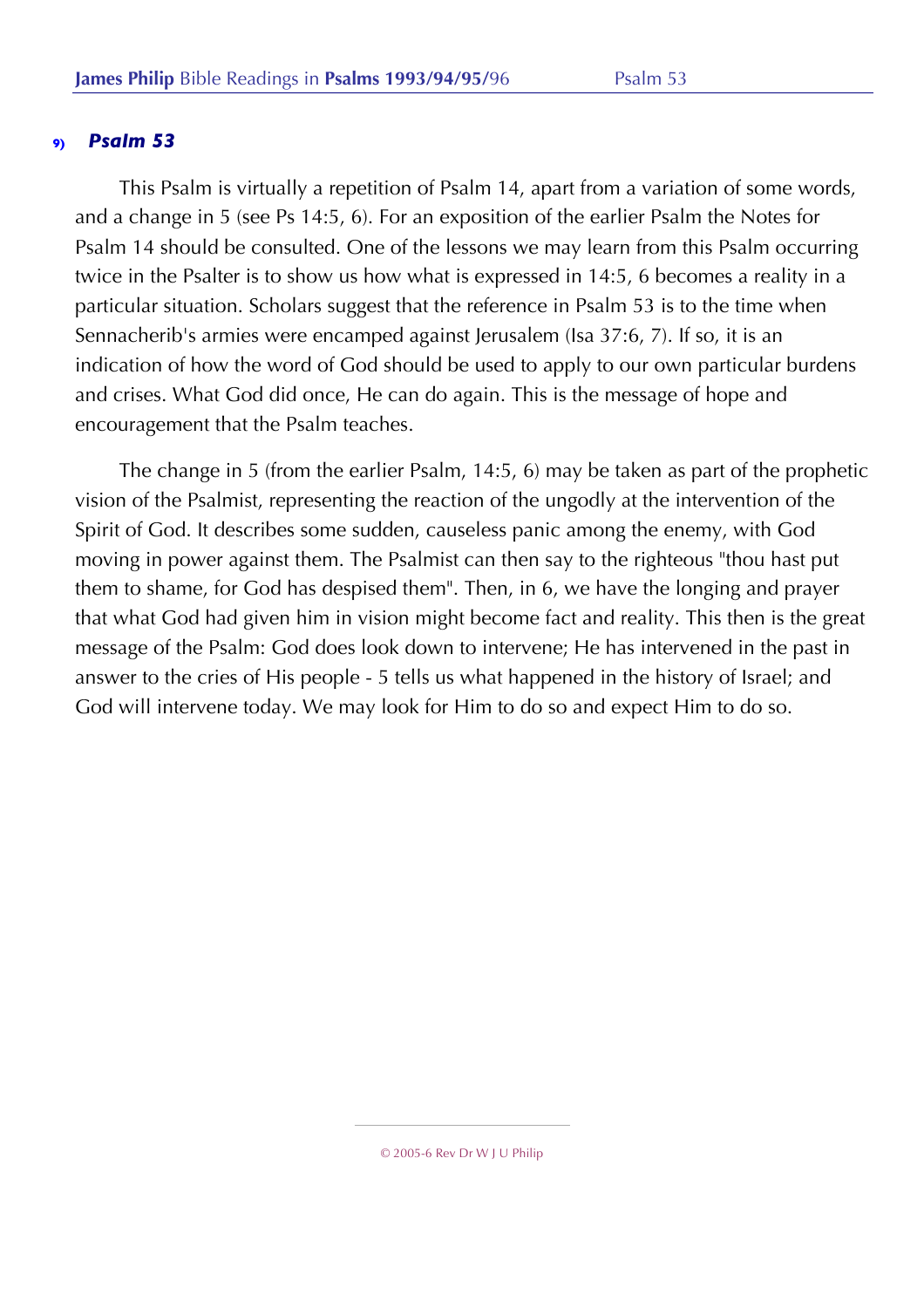This Psalm is virtually a repetition of Psalm 14, apart from a variation of some words, and a change in 5 (see Ps 14:5, 6). For an exposition of the earlier Psalm the Notes for Psalm 14 should be consulted. One of the lessons we may learn from this Psalm occurring twice in the Psalter is to show us how what is expressed in 14:5, 6 becomes a reality in a particular situation. Scholars suggest that the reference in Psalm 53 is to the time when Sennacherib's armies were encamped against Jerusalem (Isa 37:6, 7). If so, it is an indication of how the word of God should be used to apply to our own particular burdens and crises. What God did once, He can do again. This is the message of hope and encouragement that the Psalm teaches.

The change in 5 (from the earlier Psalm, 14:5, 6) may be taken as part of the prophetic vision of the Psalmist, representing the reaction of the ungodly at the intervention of the Spirit of God. It describes some sudden, causeless panic among the enemy, with God moving in power against them. The Psalmist can then say to the righteous "thou hast put them to shame, for God has despised them". Then, in 6, we have the longing and prayer that what God had given him in vision might become fact and reality. This then is the great message of the Psalm: God does look down to intervene; He has intervened in the past in answer to the cries of His people - 5 tells us what happened in the history of Israel; and God will intervene today. We may look for Him to do so and expect Him to do so.

<sup>© 2005-6</sup> Rev Dr W J U Philip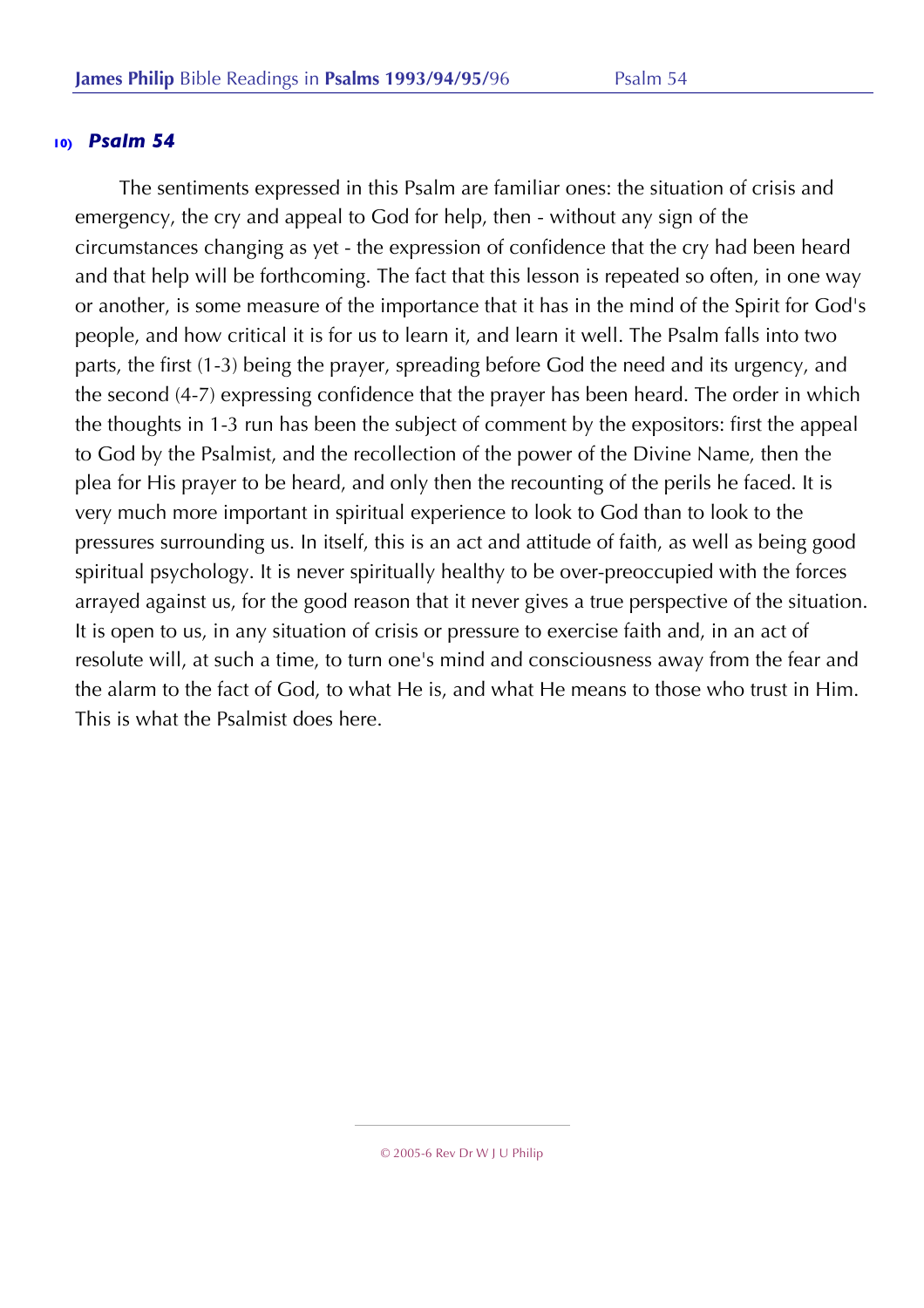The sentiments expressed in this Psalm are familiar ones: the situation of crisis and emergency, the cry and appeal to God for help, then - without any sign of the circumstances changing as yet - the expression of confidence that the cry had been heard and that help will be forthcoming. The fact that this lesson is repeated so often, in one way or another, is some measure of the importance that it has in the mind of the Spirit for God's people, and how critical it is for us to learn it, and learn it well. The Psalm falls into two parts, the first (1-3) being the prayer, spreading before God the need and its urgency, and the second (4-7) expressing confidence that the prayer has been heard. The order in which the thoughts in 1-3 run has been the subject of comment by the expositors: first the appeal to God by the Psalmist, and the recollection of the power of the Divine Name, then the plea for His prayer to be heard, and only then the recounting of the perils he faced. It is very much more important in spiritual experience to look to God than to look to the pressures surrounding us. In itself, this is an act and attitude of faith, as well as being good spiritual psychology. It is never spiritually healthy to be over-preoccupied with the forces arrayed against us, for the good reason that it never gives a true perspective of the situation. It is open to us, in any situation of crisis or pressure to exercise faith and, in an act of resolute will, at such a time, to turn one's mind and consciousness away from the fear and the alarm to the fact of God, to what He is, and what He means to those who trust in Him. This is what the Psalmist does here.

<sup>© 2005-6</sup> Rev Dr W J U Philip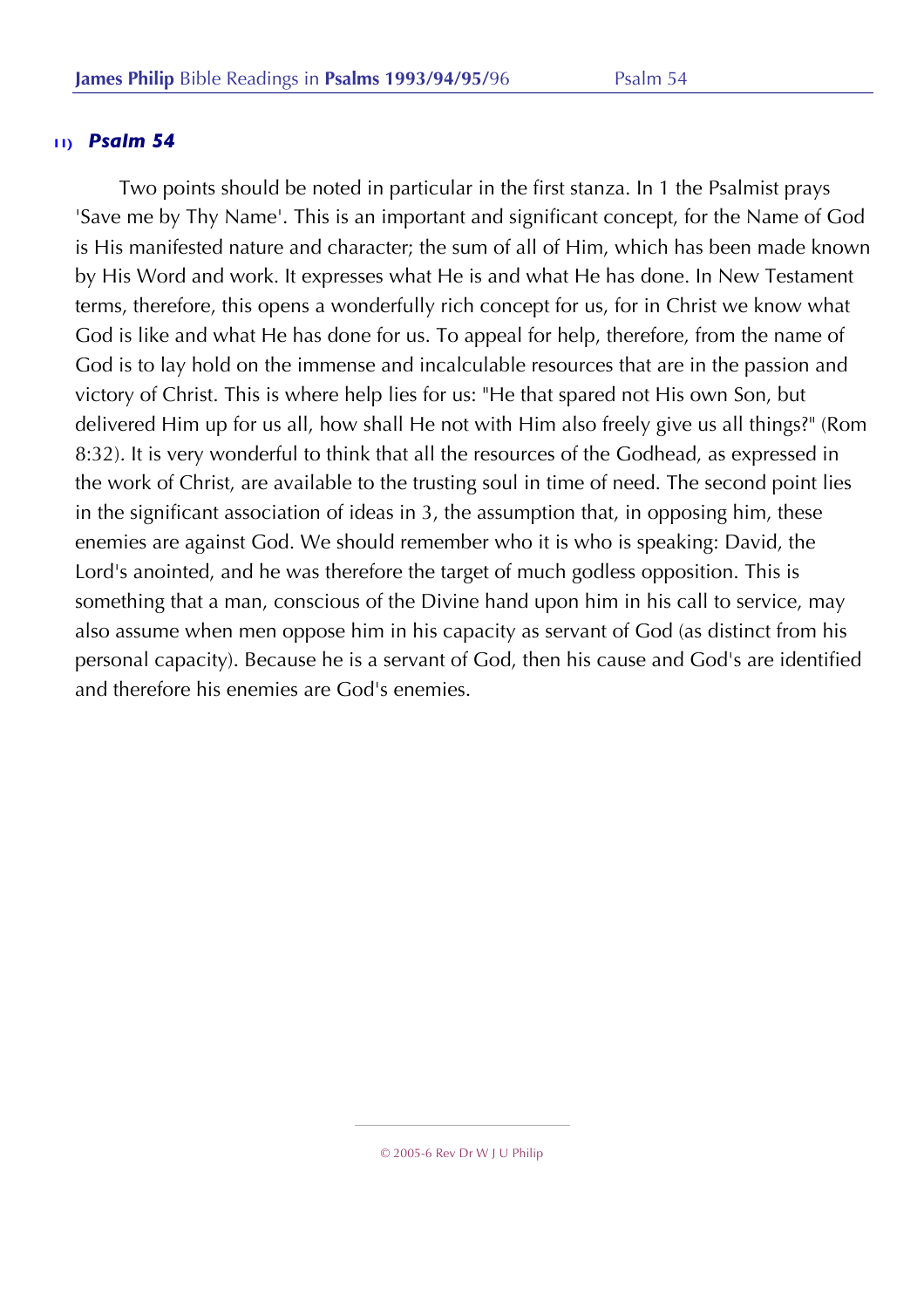Two points should be noted in particular in the first stanza. In 1 the Psalmist prays 'Save me by Thy Name'. This is an important and significant concept, for the Name of God is His manifested nature and character; the sum of all of Him, which has been made known by His Word and work. It expresses what He is and what He has done. In New Testament terms, therefore, this opens a wonderfully rich concept for us, for in Christ we know what God is like and what He has done for us. To appeal for help, therefore, from the name of God is to lay hold on the immense and incalculable resources that are in the passion and victory of Christ. This is where help lies for us: "He that spared not His own Son, but delivered Him up for us all, how shall He not with Him also freely give us all things?" (Rom 8:32). It is very wonderful to think that all the resources of the Godhead, as expressed in the work of Christ, are available to the trusting soul in time of need. The second point lies in the significant association of ideas in 3, the assumption that, in opposing him, these enemies are against God. We should remember who it is who is speaking: David, the Lord's anointed, and he was therefore the target of much godless opposition. This is something that a man, conscious of the Divine hand upon him in his call to service, may also assume when men oppose him in his capacity as servant of God (as distinct from his personal capacity). Because he is a servant of God, then his cause and God's are identified and therefore his enemies are God's enemies.

<sup>© 2005-6</sup> Rev Dr W J U Philip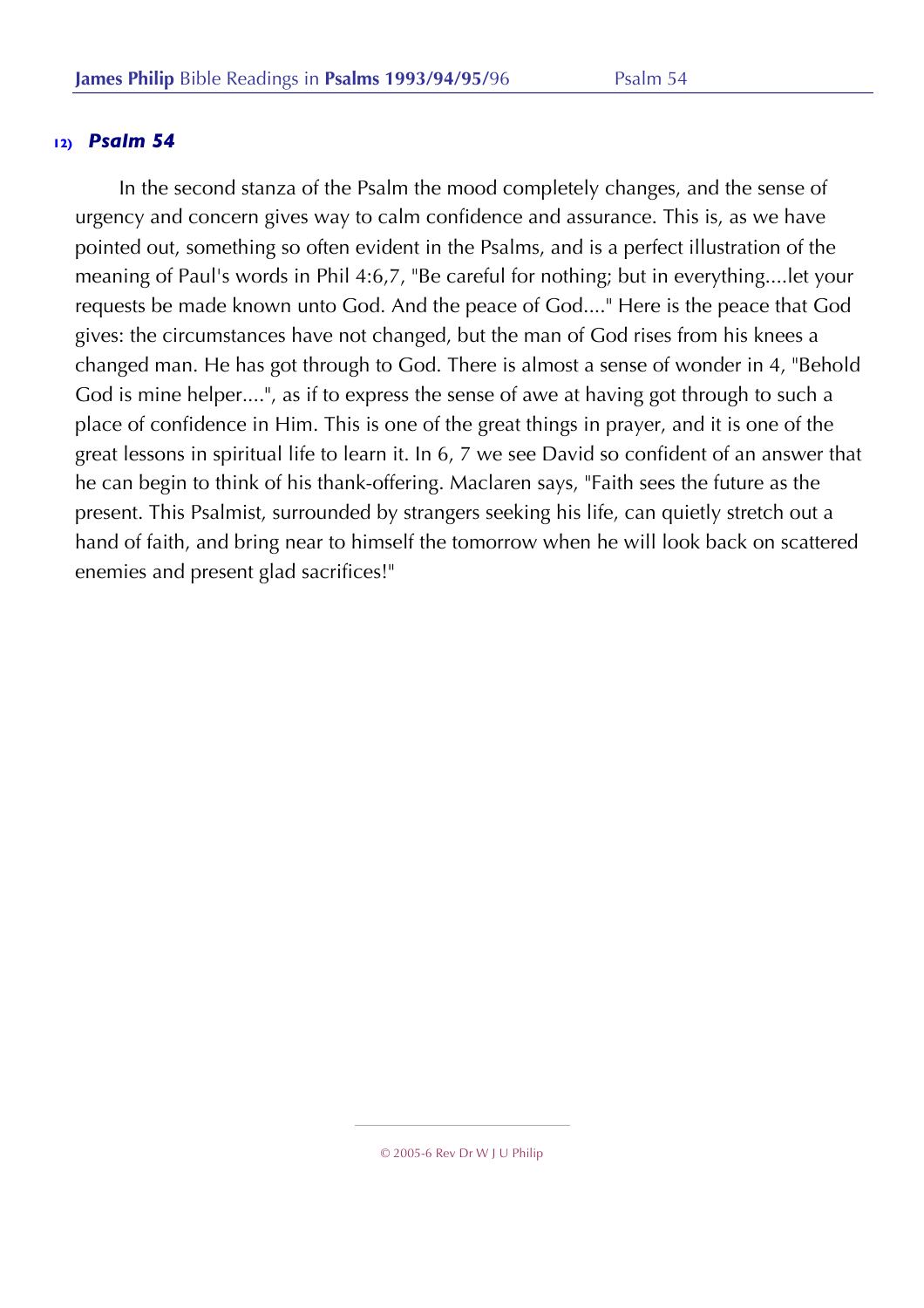In the second stanza of the Psalm the mood completely changes, and the sense of urgency and concern gives way to calm confidence and assurance. This is, as we have pointed out, something so often evident in the Psalms, and is a perfect illustration of the meaning of Paul's words in Phil 4:6,7, "Be careful for nothing; but in everything....let your requests be made known unto God. And the peace of God...." Here is the peace that God gives: the circumstances have not changed, but the man of God rises from his knees a changed man. He has got through to God. There is almost a sense of wonder in 4, "Behold God is mine helper....", as if to express the sense of awe at having got through to such a place of confidence in Him. This is one of the great things in prayer, and it is one of the great lessons in spiritual life to learn it. In 6, 7 we see David so confident of an answer that he can begin to think of his thank-offering. Maclaren says, "Faith sees the future as the present. This Psalmist, surrounded by strangers seeking his life, can quietly stretch out a hand of faith, and bring near to himself the tomorrow when he will look back on scattered enemies and present glad sacrifices!"

<sup>© 2005-6</sup> Rev Dr W J U Philip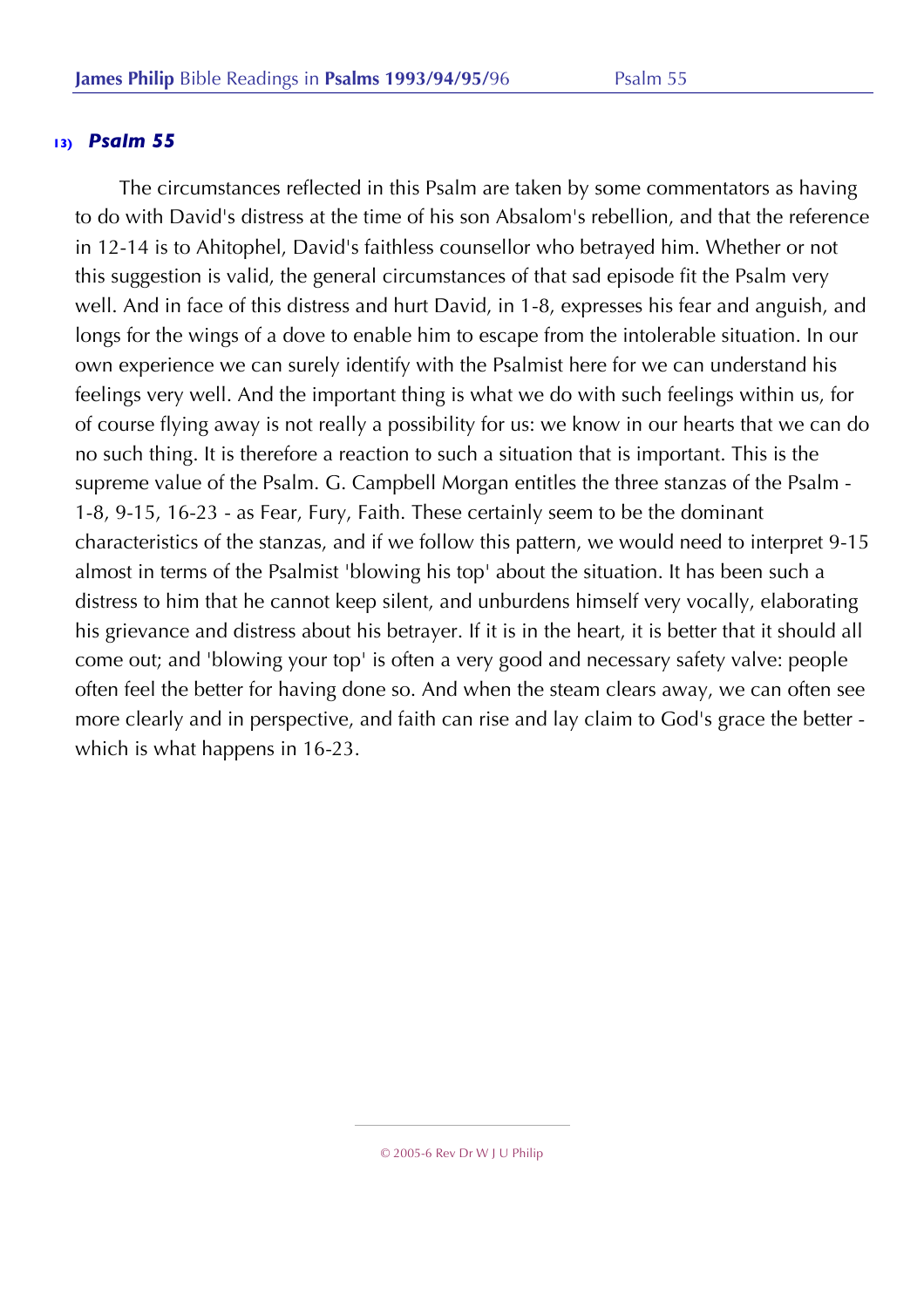The circumstances reflected in this Psalm are taken by some commentators as having to do with David's distress at the time of his son Absalom's rebellion, and that the reference in 12-14 is to Ahitophel, David's faithless counsellor who betrayed him. Whether or not this suggestion is valid, the general circumstances of that sad episode fit the Psalm very well. And in face of this distress and hurt David, in 1-8, expresses his fear and anguish, and longs for the wings of a dove to enable him to escape from the intolerable situation. In our own experience we can surely identify with the Psalmist here for we can understand his feelings very well. And the important thing is what we do with such feelings within us, for of course flying away is not really a possibility for us: we know in our hearts that we can do no such thing. It is therefore a reaction to such a situation that is important. This is the supreme value of the Psalm. G. Campbell Morgan entitles the three stanzas of the Psalm - 1-8, 9-15, 16-23 - as Fear, Fury, Faith. These certainly seem to be the dominant characteristics of the stanzas, and if we follow this pattern, we would need to interpret 9-15 almost in terms of the Psalmist 'blowing his top' about the situation. It has been such a distress to him that he cannot keep silent, and unburdens himself very vocally, elaborating his grievance and distress about his betrayer. If it is in the heart, it is better that it should all come out; and 'blowing your top' is often a very good and necessary safety valve: people often feel the better for having done so. And when the steam clears away, we can often see more clearly and in perspective, and faith can rise and lay claim to God's grace the better which is what happens in 16-23.

<sup>© 2005-6</sup> Rev Dr W J U Philip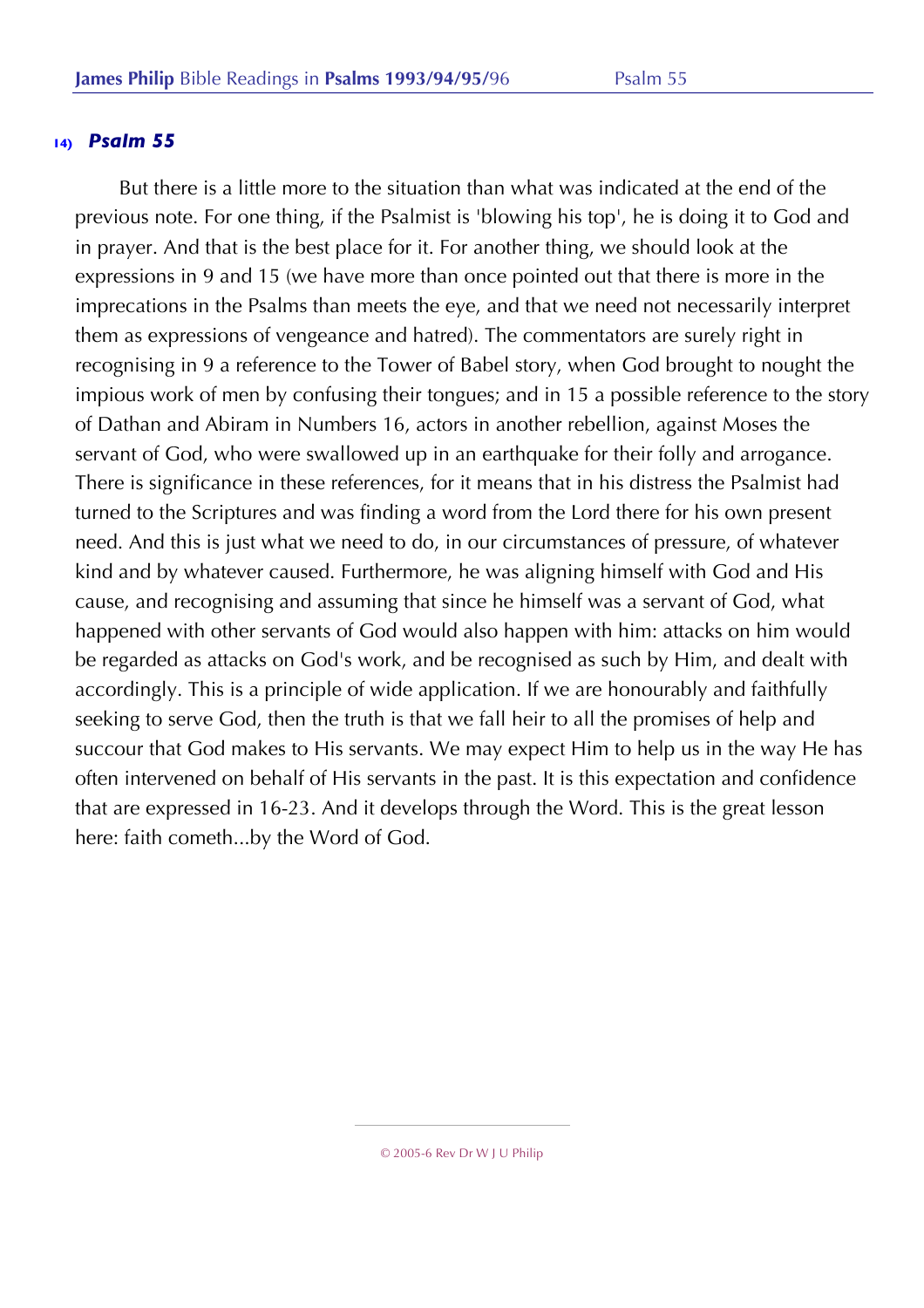But there is a little more to the situation than what was indicated at the end of the previous note. For one thing, if the Psalmist is 'blowing his top', he is doing it to God and in prayer. And that is the best place for it. For another thing, we should look at the expressions in 9 and 15 (we have more than once pointed out that there is more in the imprecations in the Psalms than meets the eye, and that we need not necessarily interpret them as expressions of vengeance and hatred). The commentators are surely right in recognising in 9 a reference to the Tower of Babel story, when God brought to nought the impious work of men by confusing their tongues; and in 15 a possible reference to the story of Dathan and Abiram in Numbers 16, actors in another rebellion, against Moses the servant of God, who were swallowed up in an earthquake for their folly and arrogance. There is significance in these references, for it means that in his distress the Psalmist had turned to the Scriptures and was finding a word from the Lord there for his own present need. And this is just what we need to do, in our circumstances of pressure, of whatever kind and by whatever caused. Furthermore, he was aligning himself with God and His cause, and recognising and assuming that since he himself was a servant of God, what happened with other servants of God would also happen with him: attacks on him would be regarded as attacks on God's work, and be recognised as such by Him, and dealt with accordingly. This is a principle of wide application. If we are honourably and faithfully seeking to serve God, then the truth is that we fall heir to all the promises of help and succour that God makes to His servants. We may expect Him to help us in the way He has often intervened on behalf of His servants in the past. It is this expectation and confidence that are expressed in 16-23. And it develops through the Word. This is the great lesson here: faith cometh...by the Word of God.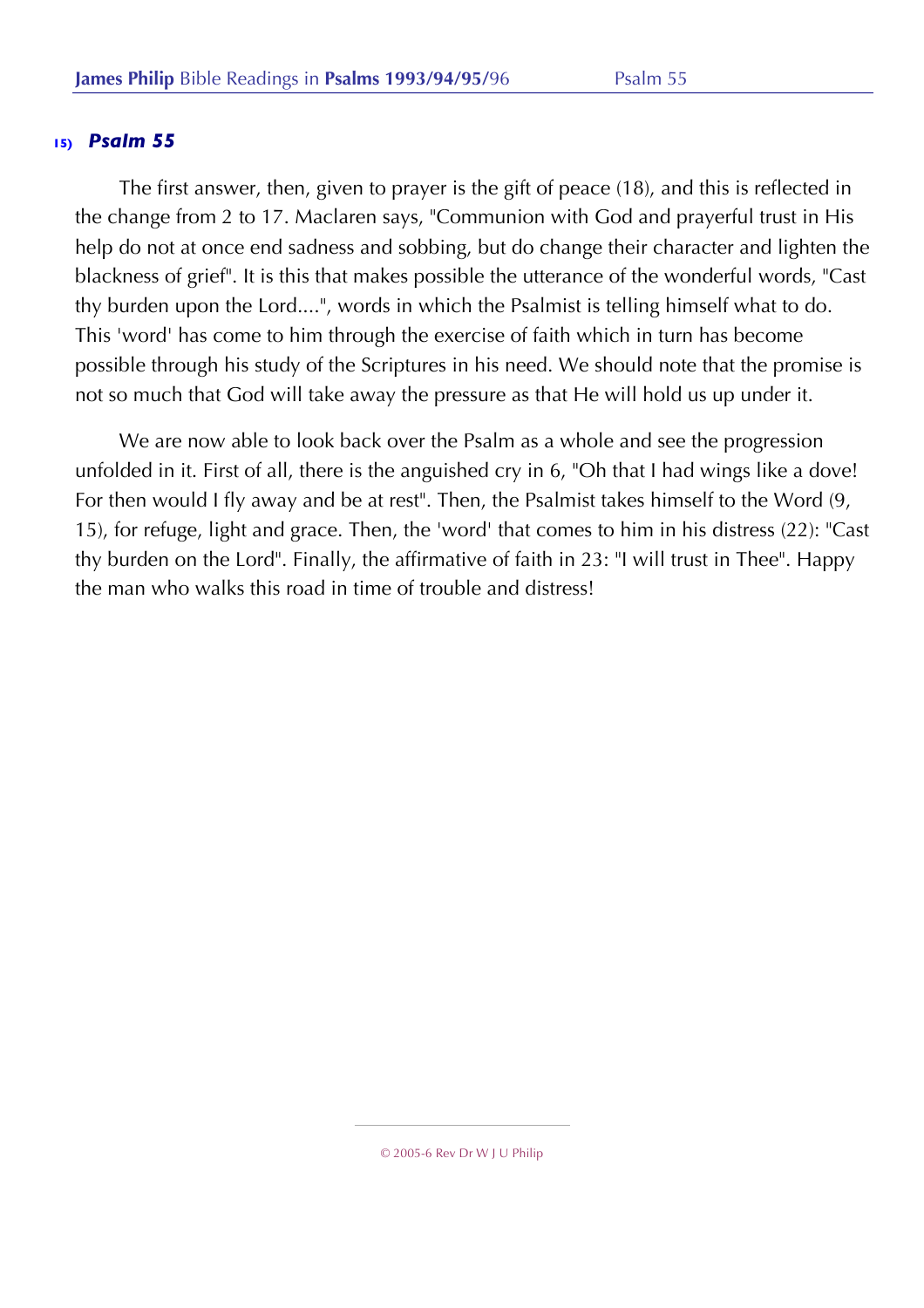The first answer, then, given to prayer is the gift of peace (18), and this is reflected in the change from 2 to 17. Maclaren says, "Communion with God and prayerful trust in His help do not at once end sadness and sobbing, but do change their character and lighten the blackness of grief". It is this that makes possible the utterance of the wonderful words, "Cast thy burden upon the Lord....", words in which the Psalmist is telling himself what to do. This 'word' has come to him through the exercise of faith which in turn has become possible through his study of the Scriptures in his need. We should note that the promise is not so much that God will take away the pressure as that He will hold us up under it.

We are now able to look back over the Psalm as a whole and see the progression unfolded in it. First of all, there is the anguished cry in 6, "Oh that I had wings like a dove! For then would I fly away and be at rest". Then, the Psalmist takes himself to the Word (9, 15), for refuge, light and grace. Then, the 'word' that comes to him in his distress (22): "Cast thy burden on the Lord". Finally, the affirmative of faith in 23: "I will trust in Thee". Happy the man who walks this road in time of trouble and distress!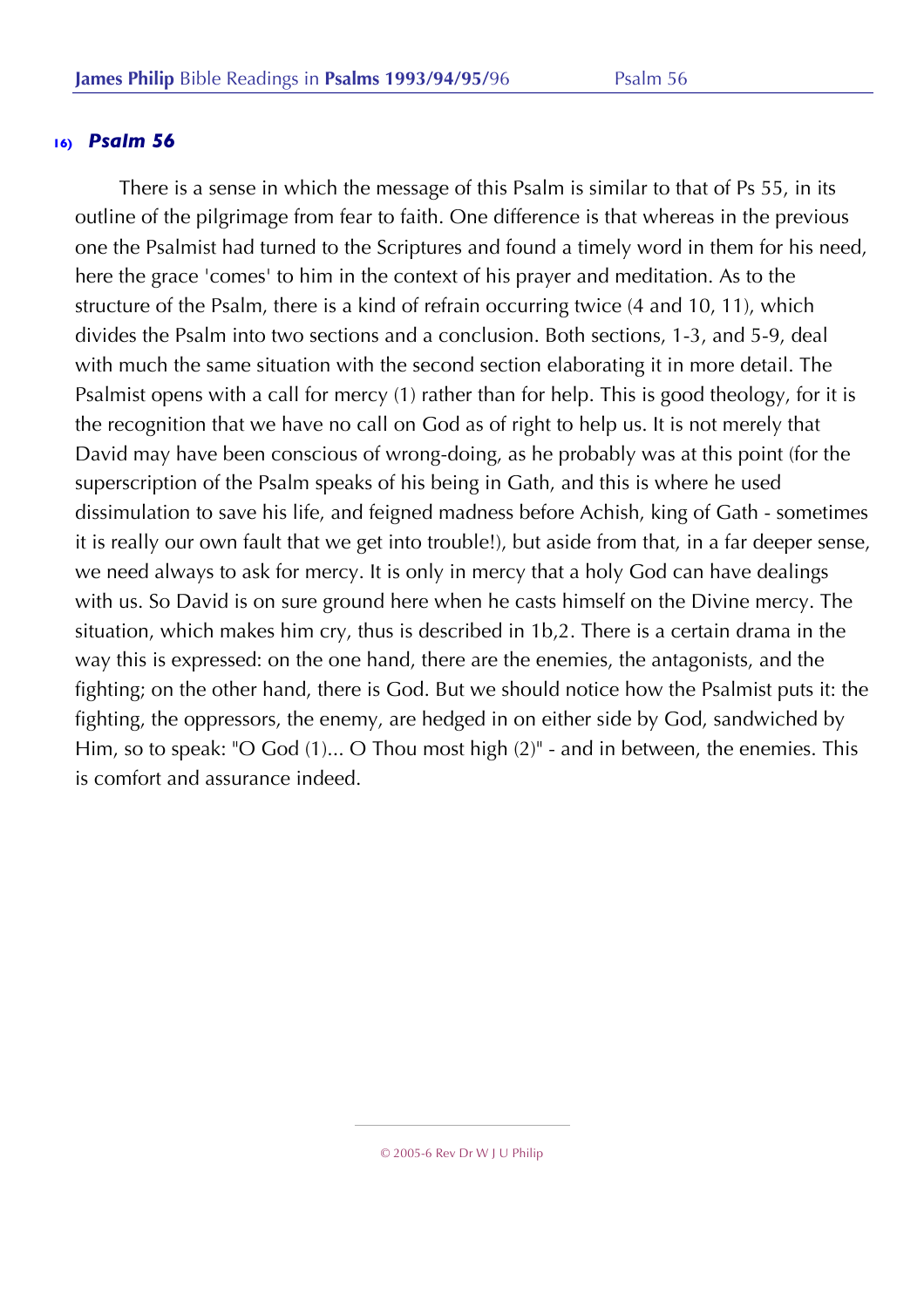There is a sense in which the message of this Psalm is similar to that of Ps 55, in its outline of the pilgrimage from fear to faith. One difference is that whereas in the previous one the Psalmist had turned to the Scriptures and found a timely word in them for his need, here the grace 'comes' to him in the context of his prayer and meditation. As to the structure of the Psalm, there is a kind of refrain occurring twice (4 and 10, 11), which divides the Psalm into two sections and a conclusion. Both sections, 1-3, and 5-9, deal with much the same situation with the second section elaborating it in more detail. The Psalmist opens with a call for mercy (1) rather than for help. This is good theology, for it is the recognition that we have no call on God as of right to help us. It is not merely that David may have been conscious of wrong-doing, as he probably was at this point (for the superscription of the Psalm speaks of his being in Gath, and this is where he used dissimulation to save his life, and feigned madness before Achish, king of Gath - sometimes it is really our own fault that we get into trouble!), but aside from that, in a far deeper sense, we need always to ask for mercy. It is only in mercy that a holy God can have dealings with us. So David is on sure ground here when he casts himself on the Divine mercy. The situation, which makes him cry, thus is described in 1b,2. There is a certain drama in the way this is expressed: on the one hand, there are the enemies, the antagonists, and the fighting; on the other hand, there is God. But we should notice how the Psalmist puts it: the fighting, the oppressors, the enemy, are hedged in on either side by God, sandwiched by Him, so to speak: "O God (1)... O Thou most high (2)" - and in between, the enemies. This is comfort and assurance indeed.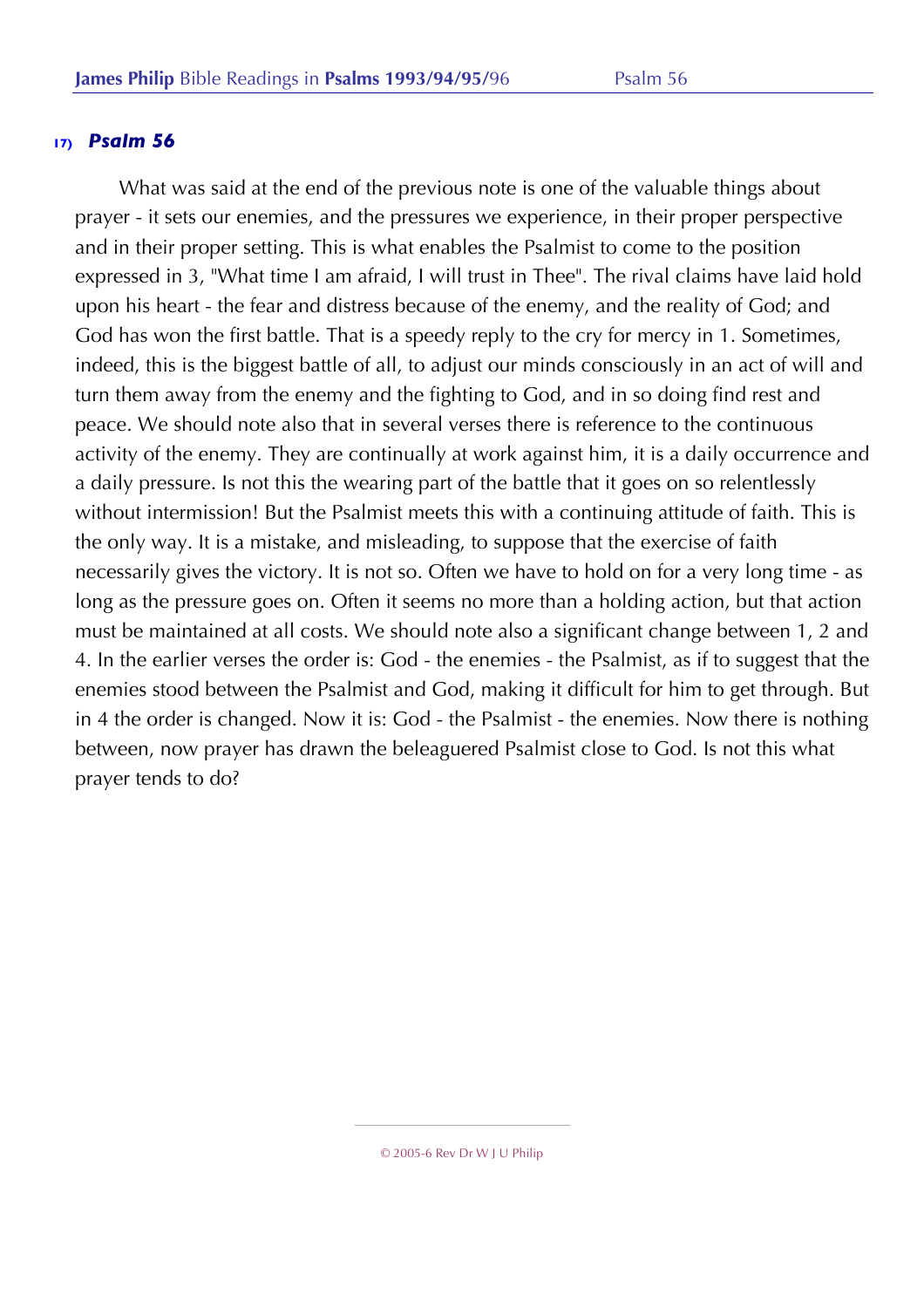What was said at the end of the previous note is one of the valuable things about prayer - it sets our enemies, and the pressures we experience, in their proper perspective and in their proper setting. This is what enables the Psalmist to come to the position expressed in 3, "What time I am afraid, I will trust in Thee". The rival claims have laid hold upon his heart - the fear and distress because of the enemy, and the reality of God; and God has won the first battle. That is a speedy reply to the cry for mercy in 1. Sometimes, indeed, this is the biggest battle of all, to adjust our minds consciously in an act of will and turn them away from the enemy and the fighting to God, and in so doing find rest and peace. We should note also that in several verses there is reference to the continuous activity of the enemy. They are continually at work against him, it is a daily occurrence and a daily pressure. Is not this the wearing part of the battle that it goes on so relentlessly without intermission! But the Psalmist meets this with a continuing attitude of faith. This is the only way. It is a mistake, and misleading, to suppose that the exercise of faith necessarily gives the victory. It is not so. Often we have to hold on for a very long time - as long as the pressure goes on. Often it seems no more than a holding action, but that action must be maintained at all costs. We should note also a significant change between 1, 2 and 4. In the earlier verses the order is: God - the enemies - the Psalmist, as if to suggest that the enemies stood between the Psalmist and God, making it difficult for him to get through. But in 4 the order is changed. Now it is: God - the Psalmist - the enemies. Now there is nothing between, now prayer has drawn the beleaguered Psalmist close to God. Is not this what prayer tends to do?

<sup>© 2005-6</sup> Rev Dr W J U Philip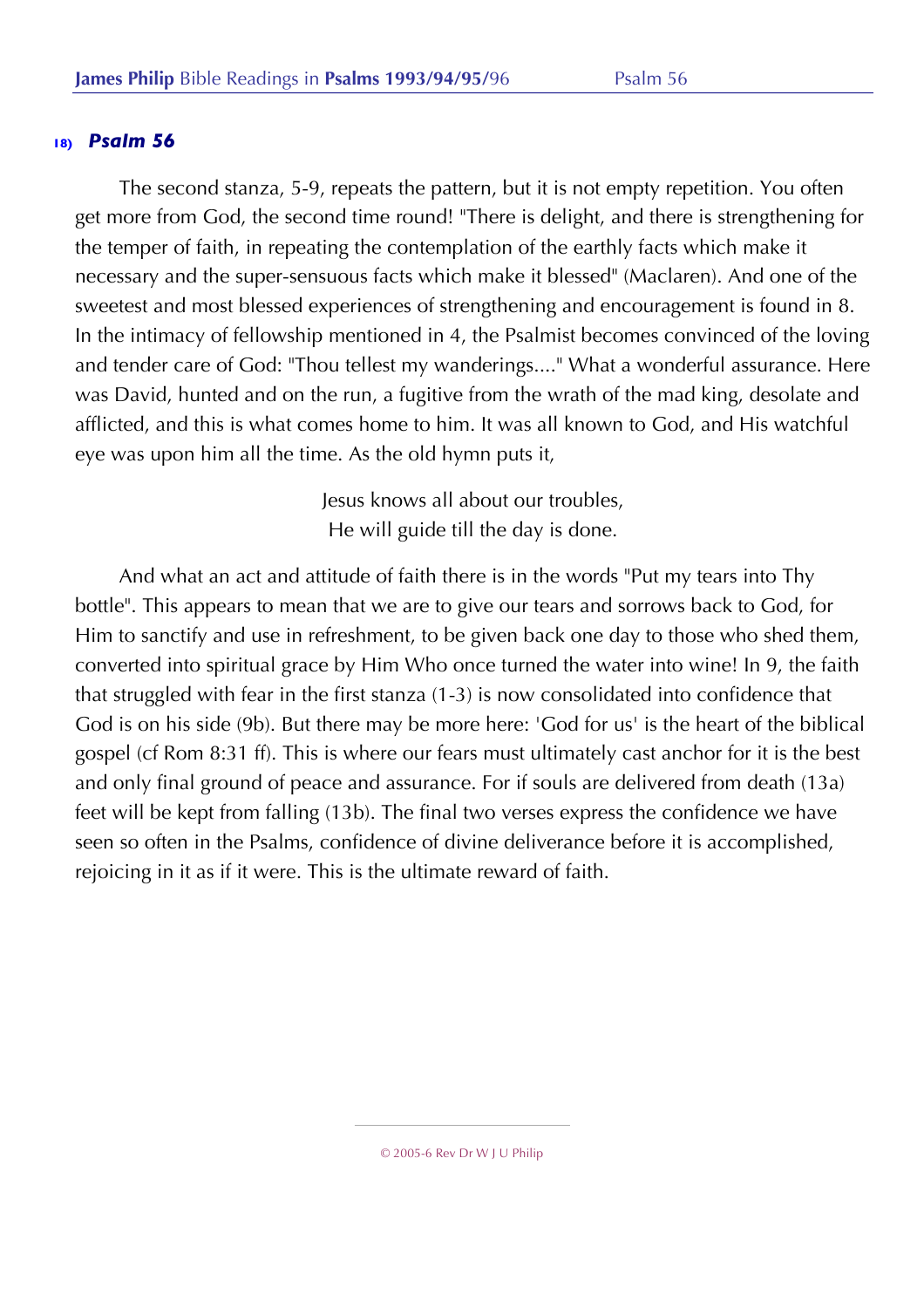The second stanza, 5-9, repeats the pattern, but it is not empty repetition. You often get more from God, the second time round! "There is delight, and there is strengthening for the temper of faith, in repeating the contemplation of the earthly facts which make it necessary and the super-sensuous facts which make it blessed" (Maclaren). And one of the sweetest and most blessed experiences of strengthening and encouragement is found in 8. In the intimacy of fellowship mentioned in 4, the Psalmist becomes convinced of the loving and tender care of God: "Thou tellest my wanderings...." What a wonderful assurance. Here was David, hunted and on the run, a fugitive from the wrath of the mad king, desolate and afflicted, and this is what comes home to him. It was all known to God, and His watchful eye was upon him all the time. As the old hymn puts it,

> Jesus knows all about our troubles, He will guide till the day is done.

And what an act and attitude of faith there is in the words "Put my tears into Thy bottle". This appears to mean that we are to give our tears and sorrows back to God, for Him to sanctify and use in refreshment, to be given back one day to those who shed them, converted into spiritual grace by Him Who once turned the water into wine! In 9, the faith that struggled with fear in the first stanza (1-3) is now consolidated into confidence that God is on his side (9b). But there may be more here: 'God for us' is the heart of the biblical gospel (cf Rom 8:31 ff). This is where our fears must ultimately cast anchor for it is the best and only final ground of peace and assurance. For if souls are delivered from death (13a) feet will be kept from falling (13b). The final two verses express the confidence we have seen so often in the Psalms, confidence of divine deliverance before it is accomplished, rejoicing in it as if it were. This is the ultimate reward of faith.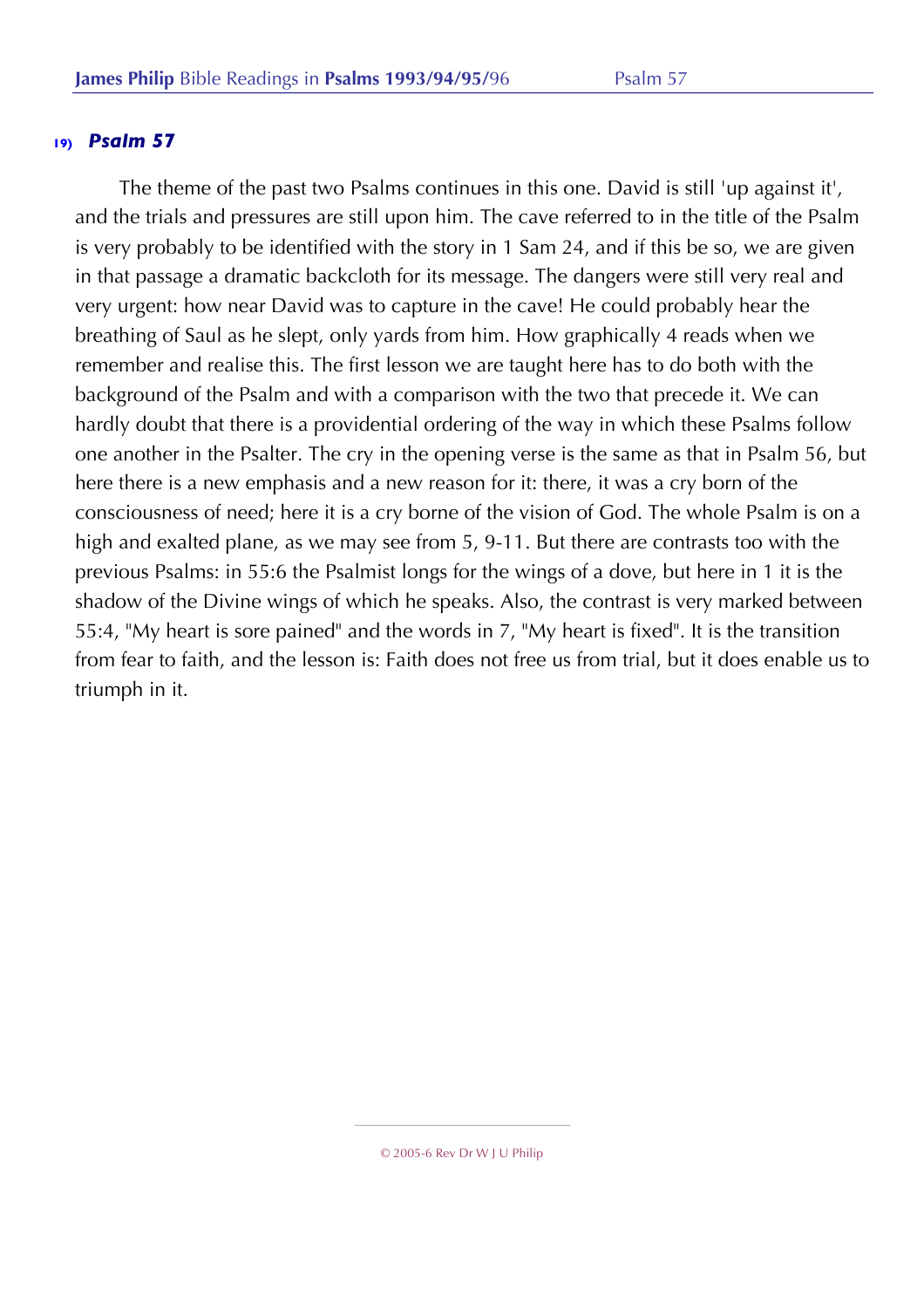The theme of the past two Psalms continues in this one. David is still 'up against it', and the trials and pressures are still upon him. The cave referred to in the title of the Psalm is very probably to be identified with the story in 1 Sam 24, and if this be so, we are given in that passage a dramatic backcloth for its message. The dangers were still very real and very urgent: how near David was to capture in the cave! He could probably hear the breathing of Saul as he slept, only yards from him. How graphically 4 reads when we remember and realise this. The first lesson we are taught here has to do both with the background of the Psalm and with a comparison with the two that precede it. We can hardly doubt that there is a providential ordering of the way in which these Psalms follow one another in the Psalter. The cry in the opening verse is the same as that in Psalm 56, but here there is a new emphasis and a new reason for it: there, it was a cry born of the consciousness of need; here it is a cry borne of the vision of God. The whole Psalm is on a high and exalted plane, as we may see from 5, 9-11. But there are contrasts too with the previous Psalms: in 55:6 the Psalmist longs for the wings of a dove, but here in 1 it is the shadow of the Divine wings of which he speaks. Also, the contrast is very marked between 55:4, "My heart is sore pained" and the words in 7, "My heart is fixed". It is the transition from fear to faith, and the lesson is: Faith does not free us from trial, but it does enable us to triumph in it.

<sup>© 2005-6</sup> Rev Dr W J U Philip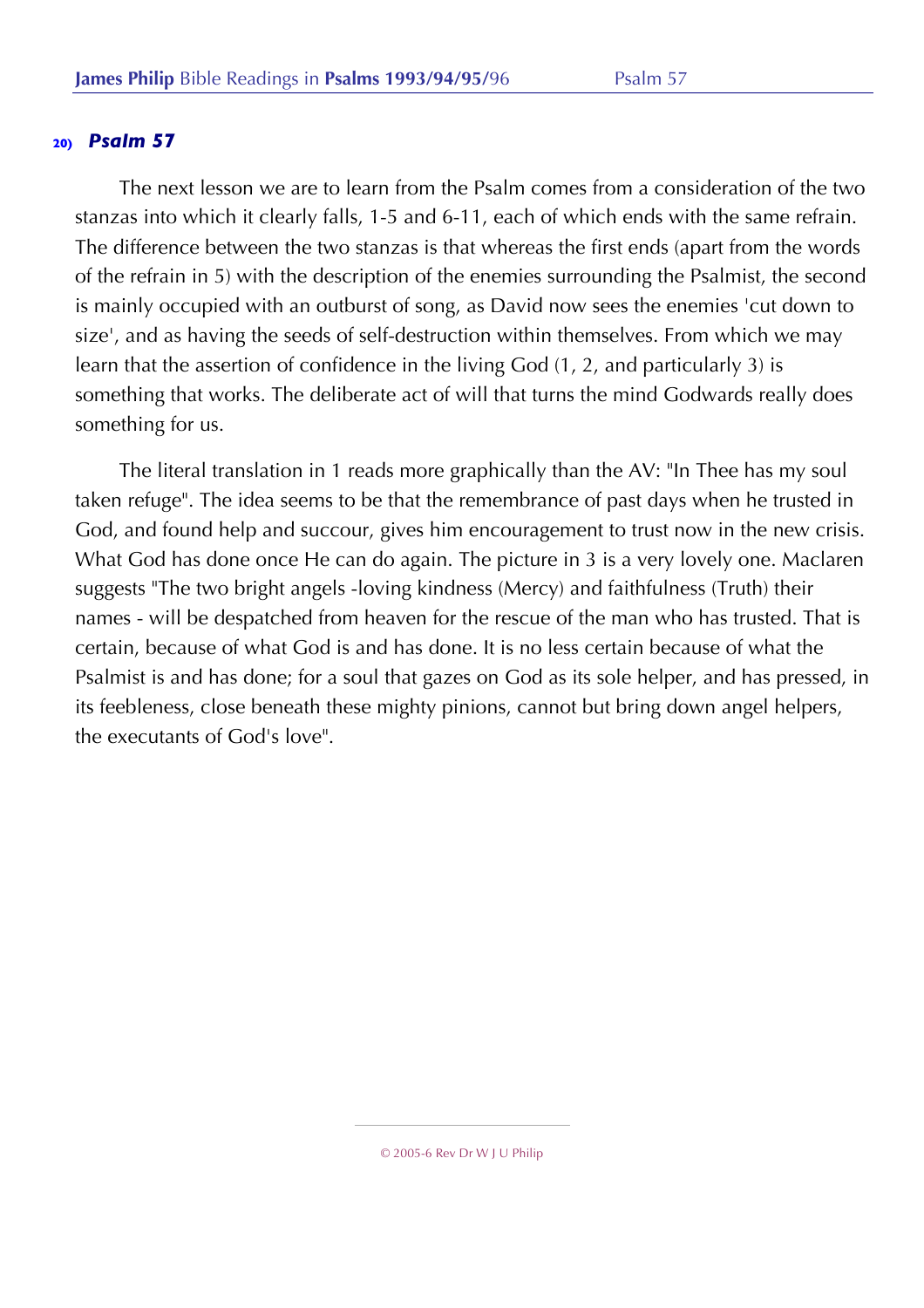The next lesson we are to learn from the Psalm comes from a consideration of the two stanzas into which it clearly falls, 1-5 and 6-11, each of which ends with the same refrain. The difference between the two stanzas is that whereas the first ends (apart from the words of the refrain in 5) with the description of the enemies surrounding the Psalmist, the second is mainly occupied with an outburst of song, as David now sees the enemies 'cut down to size', and as having the seeds of self-destruction within themselves. From which we may learn that the assertion of confidence in the living God (1, 2, and particularly 3) is something that works. The deliberate act of will that turns the mind Godwards really does something for us.

The literal translation in 1 reads more graphically than the AV: "In Thee has my soul taken refuge". The idea seems to be that the remembrance of past days when he trusted in God, and found help and succour, gives him encouragement to trust now in the new crisis. What God has done once He can do again. The picture in 3 is a very lovely one. Maclaren suggests "The two bright angels -loving kindness (Mercy) and faithfulness (Truth) their names - will be despatched from heaven for the rescue of the man who has trusted. That is certain, because of what God is and has done. It is no less certain because of what the Psalmist is and has done; for a soul that gazes on God as its sole helper, and has pressed, in its feebleness, close beneath these mighty pinions, cannot but bring down angel helpers, the executants of God's love".

<sup>© 2005-6</sup> Rev Dr W J U Philip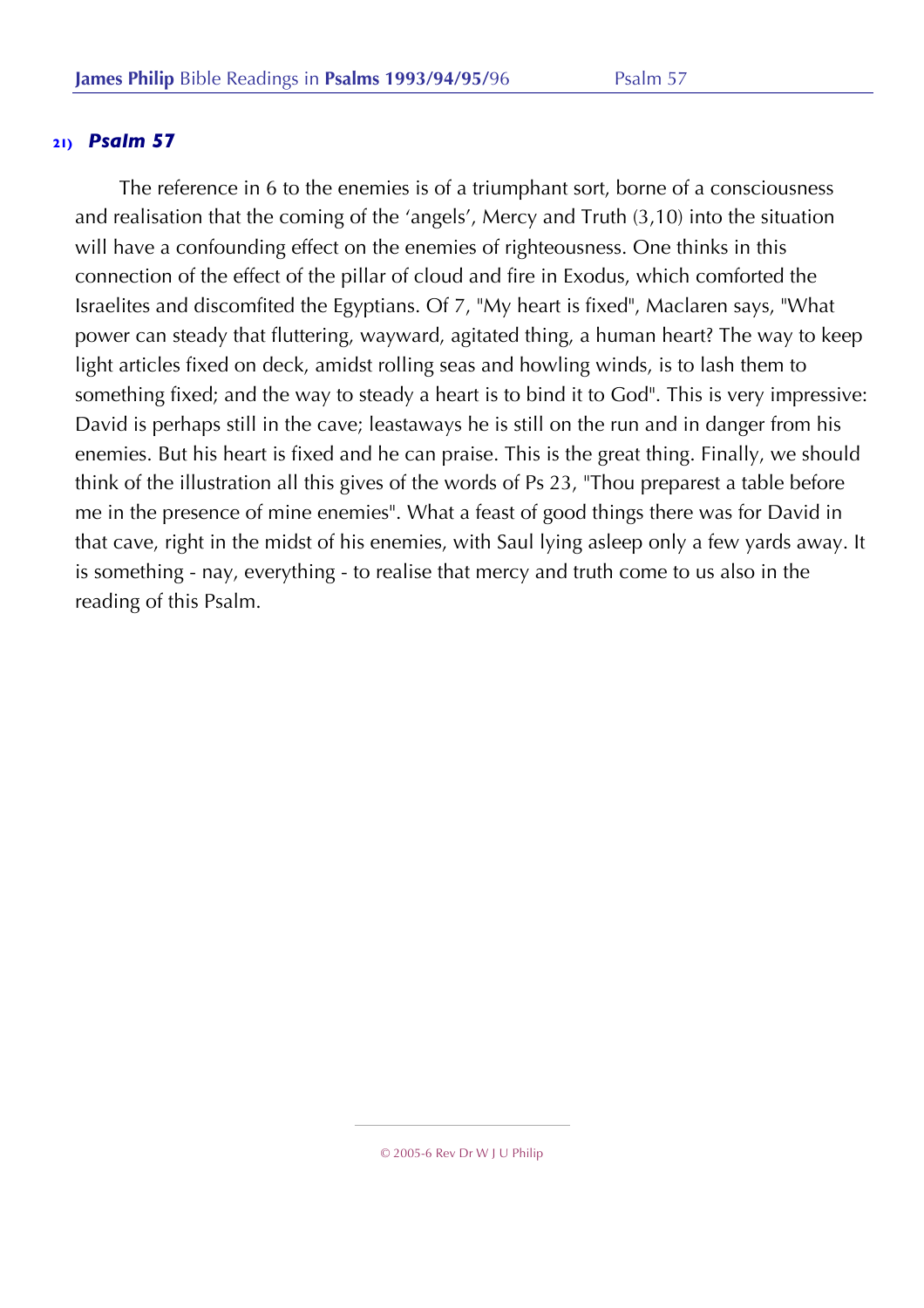The reference in 6 to the enemies is of a triumphant sort, borne of a consciousness and realisation that the coming of the 'angels', Mercy and Truth (3,10) into the situation will have a confounding effect on the enemies of righteousness. One thinks in this connection of the effect of the pillar of cloud and fire in Exodus, which comforted the Israelites and discomfited the Egyptians. Of 7, "My heart is fixed", Maclaren says, "What power can steady that fluttering, wayward, agitated thing, a human heart? The way to keep light articles fixed on deck, amidst rolling seas and howling winds, is to lash them to something fixed; and the way to steady a heart is to bind it to God". This is very impressive: David is perhaps still in the cave; leastaways he is still on the run and in danger from his enemies. But his heart is fixed and he can praise. This is the great thing. Finally, we should think of the illustration all this gives of the words of Ps 23, "Thou preparest a table before me in the presence of mine enemies". What a feast of good things there was for David in that cave, right in the midst of his enemies, with Saul lying asleep only a few yards away. It is something - nay, everything - to realise that mercy and truth come to us also in the reading of this Psalm.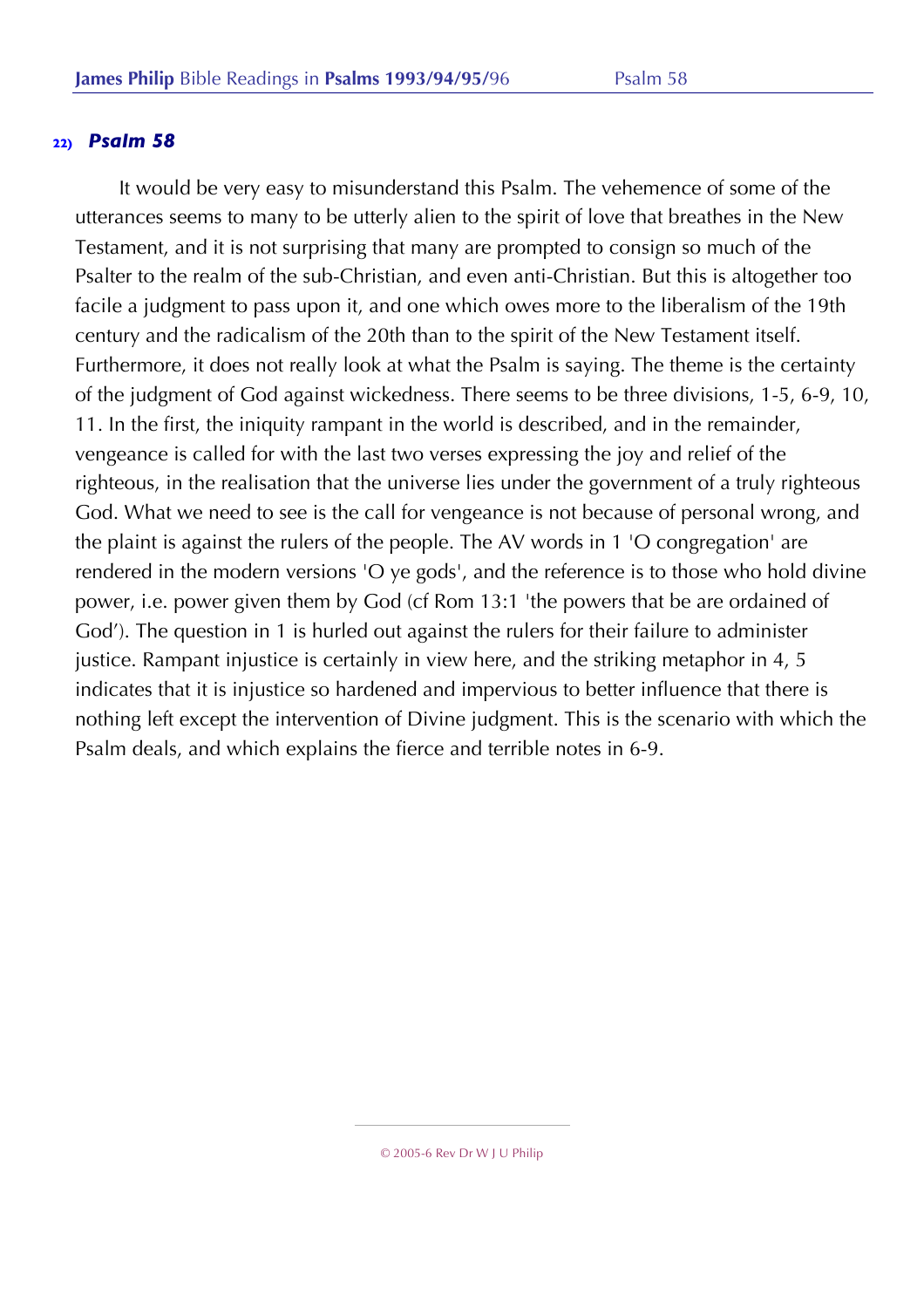It would be very easy to misunderstand this Psalm. The vehemence of some of the utterances seems to many to be utterly alien to the spirit of love that breathes in the New Testament, and it is not surprising that many are prompted to consign so much of the Psalter to the realm of the sub-Christian, and even anti-Christian. But this is altogether too facile a judgment to pass upon it, and one which owes more to the liberalism of the 19th century and the radicalism of the 20th than to the spirit of the New Testament itself. Furthermore, it does not really look at what the Psalm is saying. The theme is the certainty of the judgment of God against wickedness. There seems to be three divisions, 1-5, 6-9, 10, 11. In the first, the iniquity rampant in the world is described, and in the remainder, vengeance is called for with the last two verses expressing the joy and relief of the righteous, in the realisation that the universe lies under the government of a truly righteous God. What we need to see is the call for vengeance is not because of personal wrong, and the plaint is against the rulers of the people. The AV words in 1 'O congregation' are rendered in the modern versions 'O ye gods', and the reference is to those who hold divine power, i.e. power given them by God (cf Rom 13:1 'the powers that be are ordained of God'). The question in 1 is hurled out against the rulers for their failure to administer justice. Rampant injustice is certainly in view here, and the striking metaphor in 4, 5 indicates that it is injustice so hardened and impervious to better influence that there is nothing left except the intervention of Divine judgment. This is the scenario with which the Psalm deals, and which explains the fierce and terrible notes in 6-9.

<sup>© 2005-6</sup> Rev Dr W J U Philip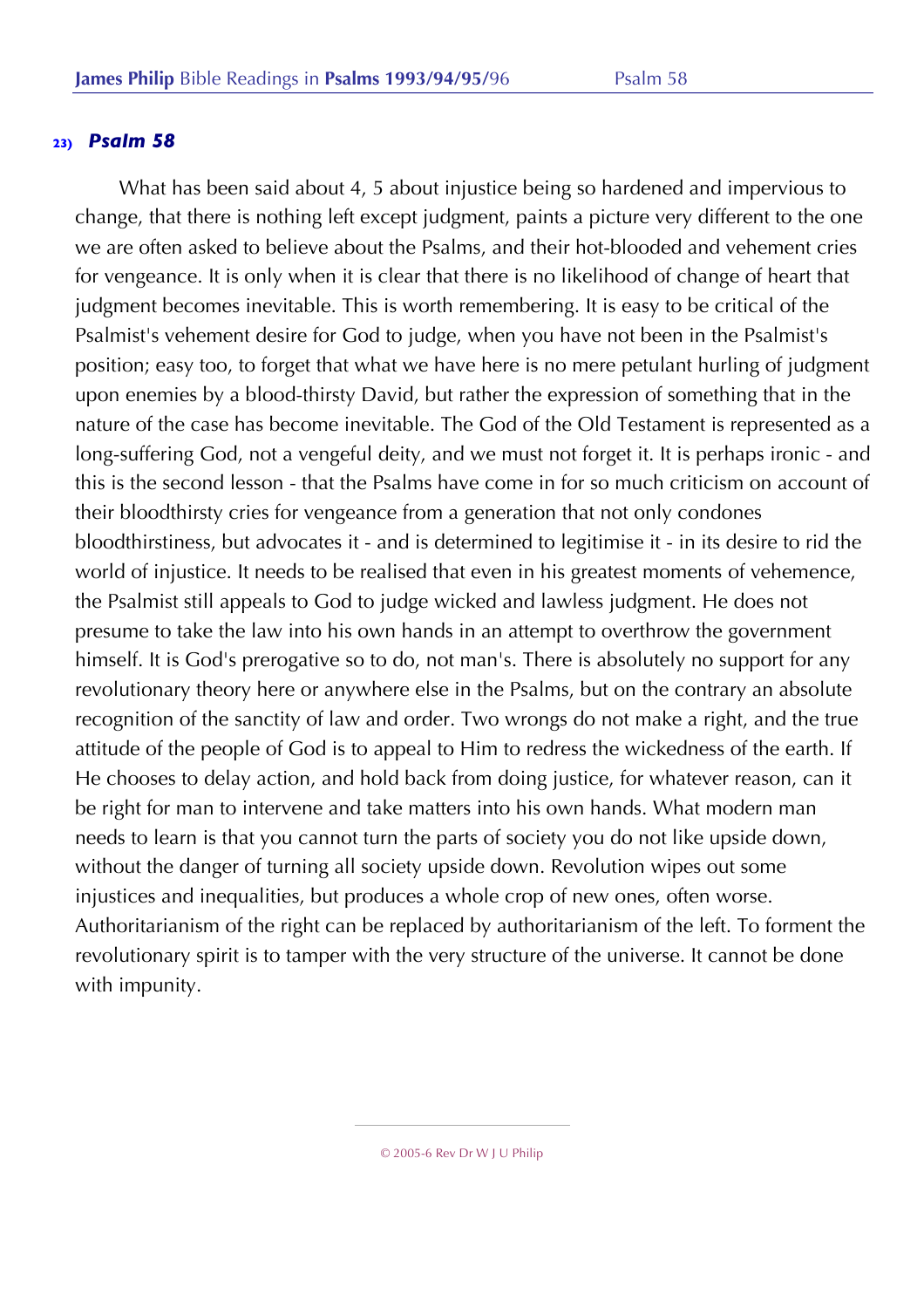What has been said about 4, 5 about injustice being so hardened and impervious to change, that there is nothing left except judgment, paints a picture very different to the one we are often asked to believe about the Psalms, and their hot-blooded and vehement cries for vengeance. It is only when it is clear that there is no likelihood of change of heart that judgment becomes inevitable. This is worth remembering. It is easy to be critical of the Psalmist's vehement desire for God to judge, when you have not been in the Psalmist's position; easy too, to forget that what we have here is no mere petulant hurling of judgment upon enemies by a blood-thirsty David, but rather the expression of something that in the nature of the case has become inevitable. The God of the Old Testament is represented as a long-suffering God, not a vengeful deity, and we must not forget it. It is perhaps ironic - and this is the second lesson - that the Psalms have come in for so much criticism on account of their bloodthirsty cries for vengeance from a generation that not only condones bloodthirstiness, but advocates it - and is determined to legitimise it - in its desire to rid the world of injustice. It needs to be realised that even in his greatest moments of vehemence, the Psalmist still appeals to God to judge wicked and lawless judgment. He does not presume to take the law into his own hands in an attempt to overthrow the government himself. It is God's prerogative so to do, not man's. There is absolutely no support for any revolutionary theory here or anywhere else in the Psalms, but on the contrary an absolute recognition of the sanctity of law and order. Two wrongs do not make a right, and the true attitude of the people of God is to appeal to Him to redress the wickedness of the earth. If He chooses to delay action, and hold back from doing justice, for whatever reason, can it be right for man to intervene and take matters into his own hands. What modern man needs to learn is that you cannot turn the parts of society you do not like upside down, without the danger of turning all society upside down. Revolution wipes out some injustices and inequalities, but produces a whole crop of new ones, often worse. Authoritarianism of the right can be replaced by authoritarianism of the left. To forment the revolutionary spirit is to tamper with the very structure of the universe. It cannot be done with impunity.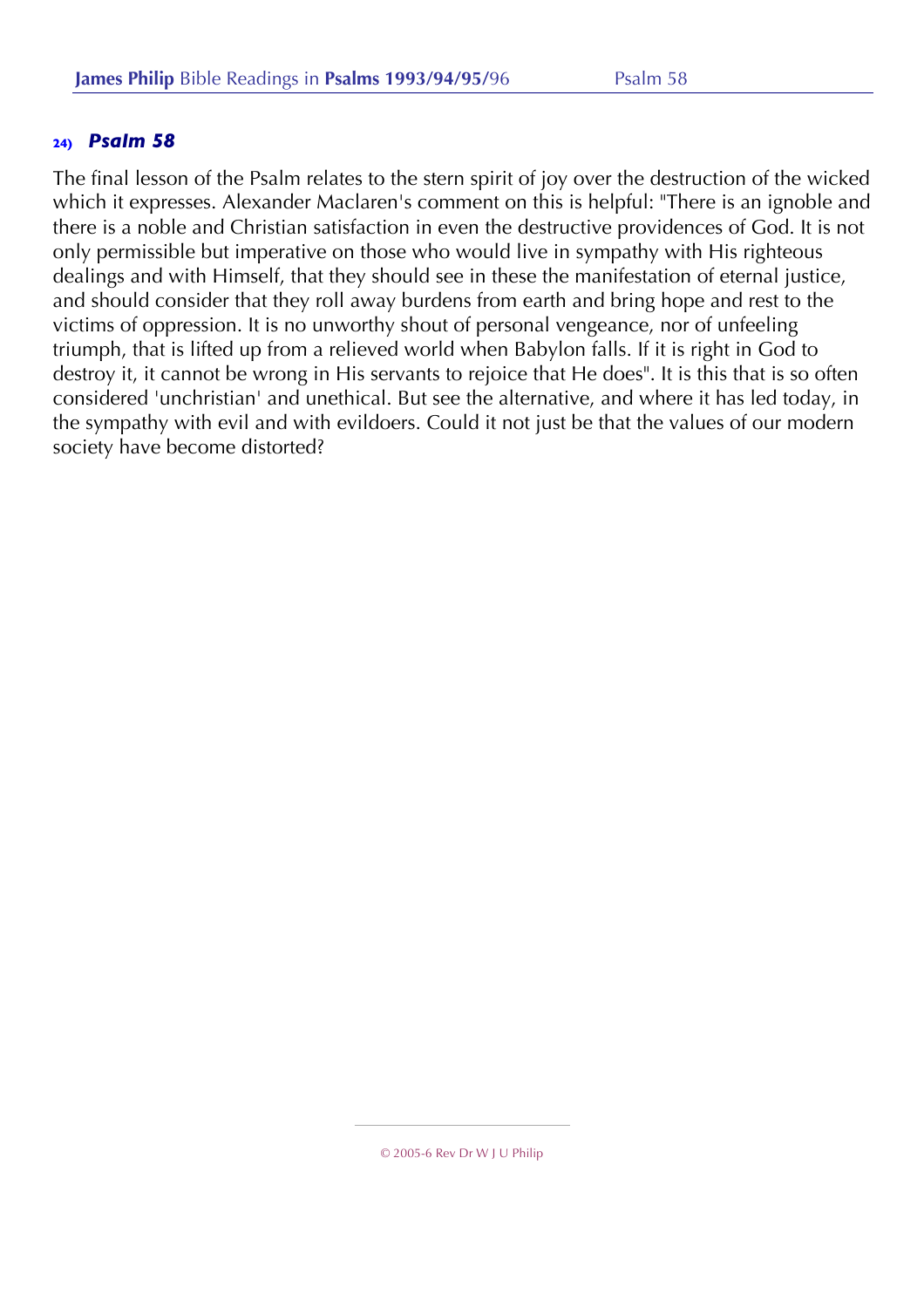The final lesson of the Psalm relates to the stern spirit of joy over the destruction of the wicked which it expresses. Alexander Maclaren's comment on this is helpful: "There is an ignoble and there is a noble and Christian satisfaction in even the destructive providences of God. It is not only permissible but imperative on those who would live in sympathy with His righteous dealings and with Himself, that they should see in these the manifestation of eternal justice, and should consider that they roll away burdens from earth and bring hope and rest to the victims of oppression. It is no unworthy shout of personal vengeance, nor of unfeeling triumph, that is lifted up from a relieved world when Babylon falls. If it is right in God to destroy it, it cannot be wrong in His servants to rejoice that He does". It is this that is so often considered 'unchristian' and unethical. But see the alternative, and where it has led today, in the sympathy with evil and with evildoers. Could it not just be that the values of our modern society have become distorted?

<sup>© 2005-6</sup> Rev Dr W J U Philip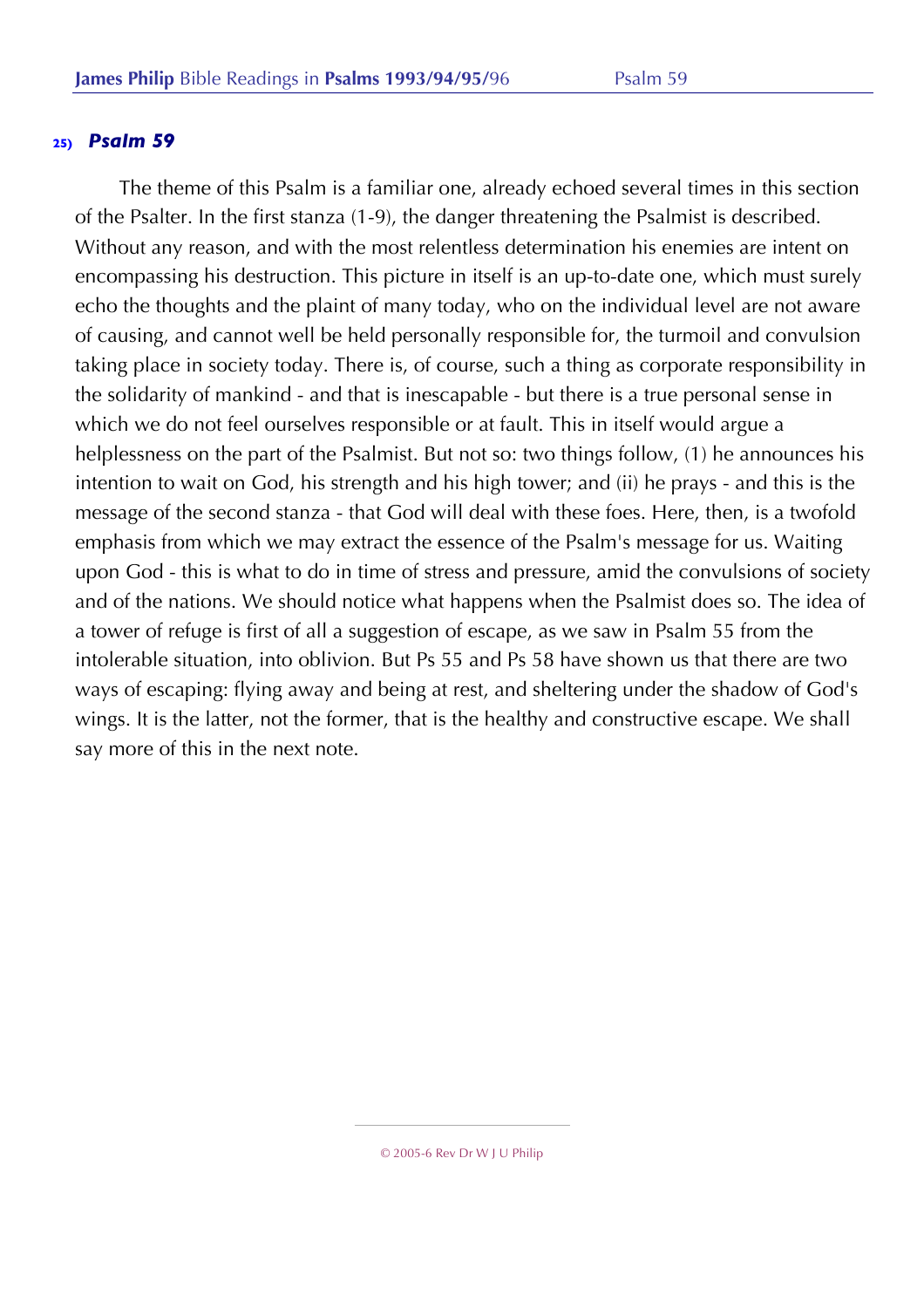The theme of this Psalm is a familiar one, already echoed several times in this section of the Psalter. In the first stanza (1-9), the danger threatening the Psalmist is described. Without any reason, and with the most relentless determination his enemies are intent on encompassing his destruction. This picture in itself is an up-to-date one, which must surely echo the thoughts and the plaint of many today, who on the individual level are not aware of causing, and cannot well be held personally responsible for, the turmoil and convulsion taking place in society today. There is, of course, such a thing as corporate responsibility in the solidarity of mankind - and that is inescapable - but there is a true personal sense in which we do not feel ourselves responsible or at fault. This in itself would argue a helplessness on the part of the Psalmist. But not so: two things follow, (1) he announces his intention to wait on God, his strength and his high tower; and (ii) he prays - and this is the message of the second stanza - that God will deal with these foes. Here, then, is a twofold emphasis from which we may extract the essence of the Psalm's message for us. Waiting upon God - this is what to do in time of stress and pressure, amid the convulsions of society and of the nations. We should notice what happens when the Psalmist does so. The idea of a tower of refuge is first of all a suggestion of escape, as we saw in Psalm 55 from the intolerable situation, into oblivion. But Ps 55 and Ps 58 have shown us that there are two ways of escaping: flying away and being at rest, and sheltering under the shadow of God's wings. It is the latter, not the former, that is the healthy and constructive escape. We shall say more of this in the next note.

<sup>© 2005-6</sup> Rev Dr W J U Philip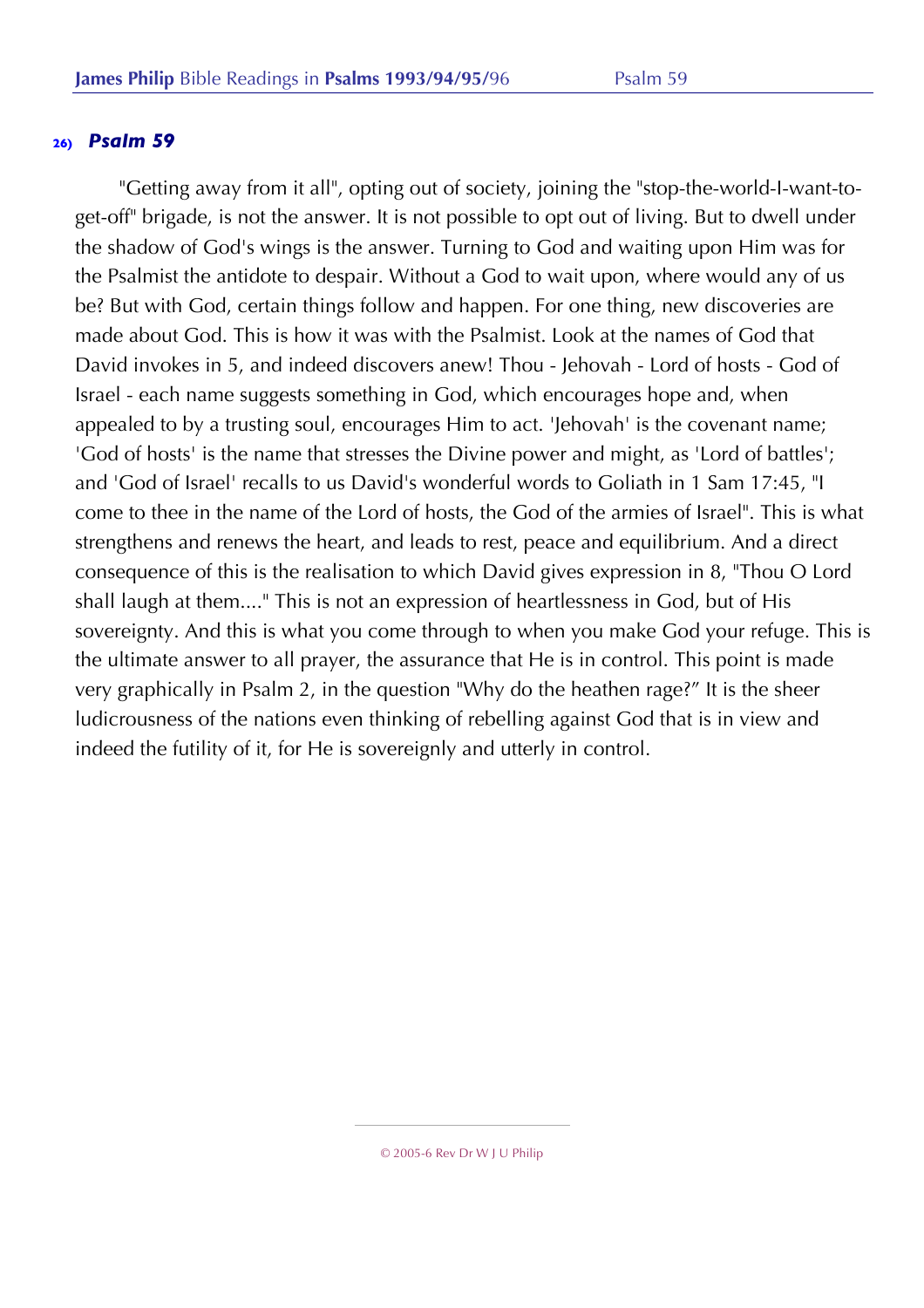"Getting away from it all", opting out of society, joining the "stop-the-world-I-want-toget-off" brigade, is not the answer. It is not possible to opt out of living. But to dwell under the shadow of God's wings is the answer. Turning to God and waiting upon Him was for the Psalmist the antidote to despair. Without a God to wait upon, where would any of us be? But with God, certain things follow and happen. For one thing, new discoveries are made about God. This is how it was with the Psalmist. Look at the names of God that David invokes in 5, and indeed discovers anew! Thou - Jehovah - Lord of hosts - God of Israel - each name suggests something in God, which encourages hope and, when appealed to by a trusting soul, encourages Him to act. 'Jehovah' is the covenant name; 'God of hosts' is the name that stresses the Divine power and might, as 'Lord of battles'; and 'God of Israel' recalls to us David's wonderful words to Goliath in 1 Sam 17:45, "I come to thee in the name of the Lord of hosts, the God of the armies of Israel". This is what strengthens and renews the heart, and leads to rest, peace and equilibrium. And a direct consequence of this is the realisation to which David gives expression in 8, "Thou O Lord shall laugh at them...." This is not an expression of heartlessness in God, but of His sovereignty. And this is what you come through to when you make God your refuge. This is the ultimate answer to all prayer, the assurance that He is in control. This point is made very graphically in Psalm 2, in the question "Why do the heathen rage?" It is the sheer ludicrousness of the nations even thinking of rebelling against God that is in view and indeed the futility of it, for He is sovereignly and utterly in control.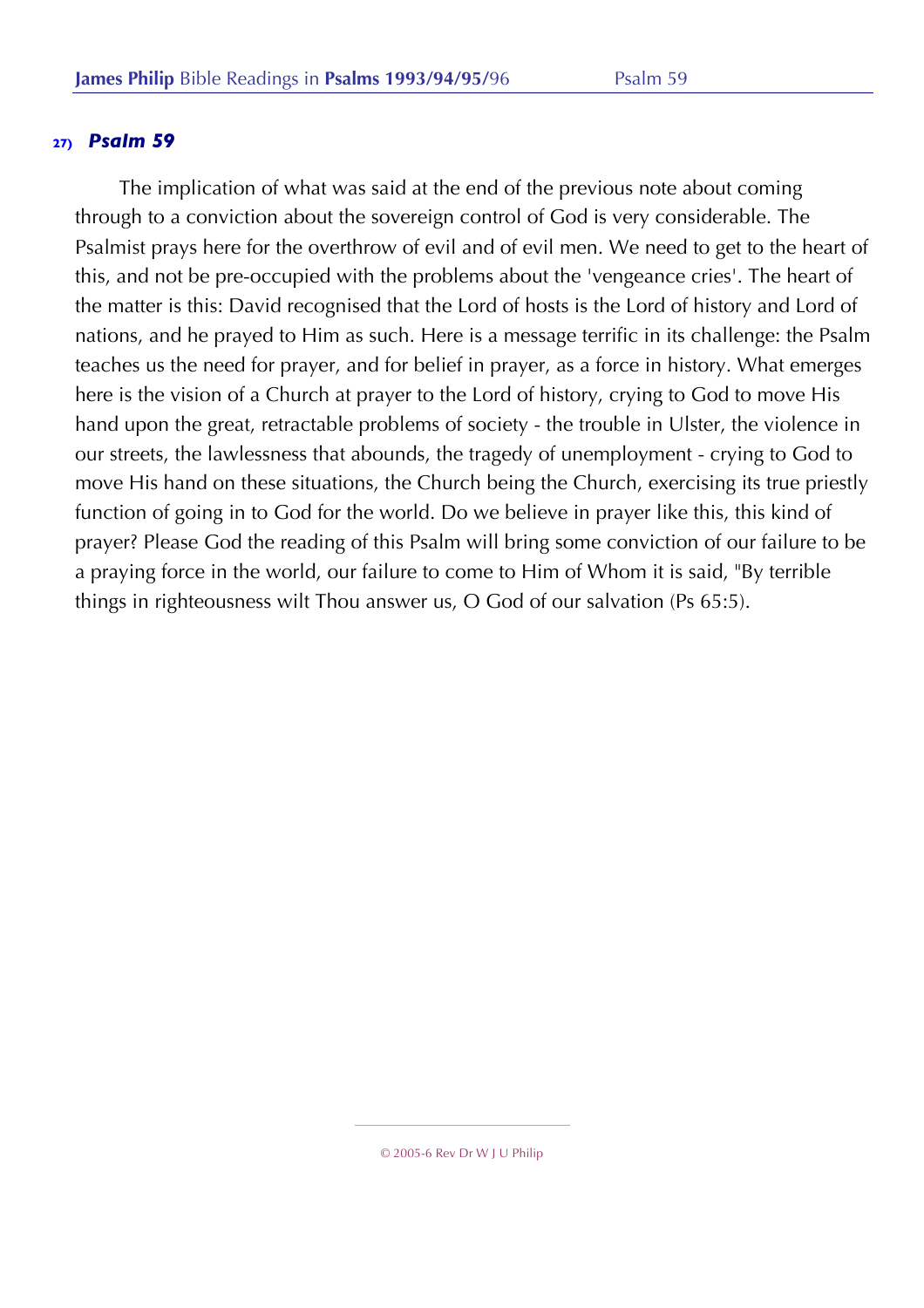The implication of what was said at the end of the previous note about coming through to a conviction about the sovereign control of God is very considerable. The Psalmist prays here for the overthrow of evil and of evil men. We need to get to the heart of this, and not be pre-occupied with the problems about the 'vengeance cries'. The heart of the matter is this: David recognised that the Lord of hosts is the Lord of history and Lord of nations, and he prayed to Him as such. Here is a message terrific in its challenge: the Psalm teaches us the need for prayer, and for belief in prayer, as a force in history. What emerges here is the vision of a Church at prayer to the Lord of history, crying to God to move His hand upon the great, retractable problems of society - the trouble in Ulster, the violence in our streets, the lawlessness that abounds, the tragedy of unemployment - crying to God to move His hand on these situations, the Church being the Church, exercising its true priestly function of going in to God for the world. Do we believe in prayer like this, this kind of prayer? Please God the reading of this Psalm will bring some conviction of our failure to be a praying force in the world, our failure to come to Him of Whom it is said, "By terrible things in righteousness wilt Thou answer us, O God of our salvation (Ps 65:5).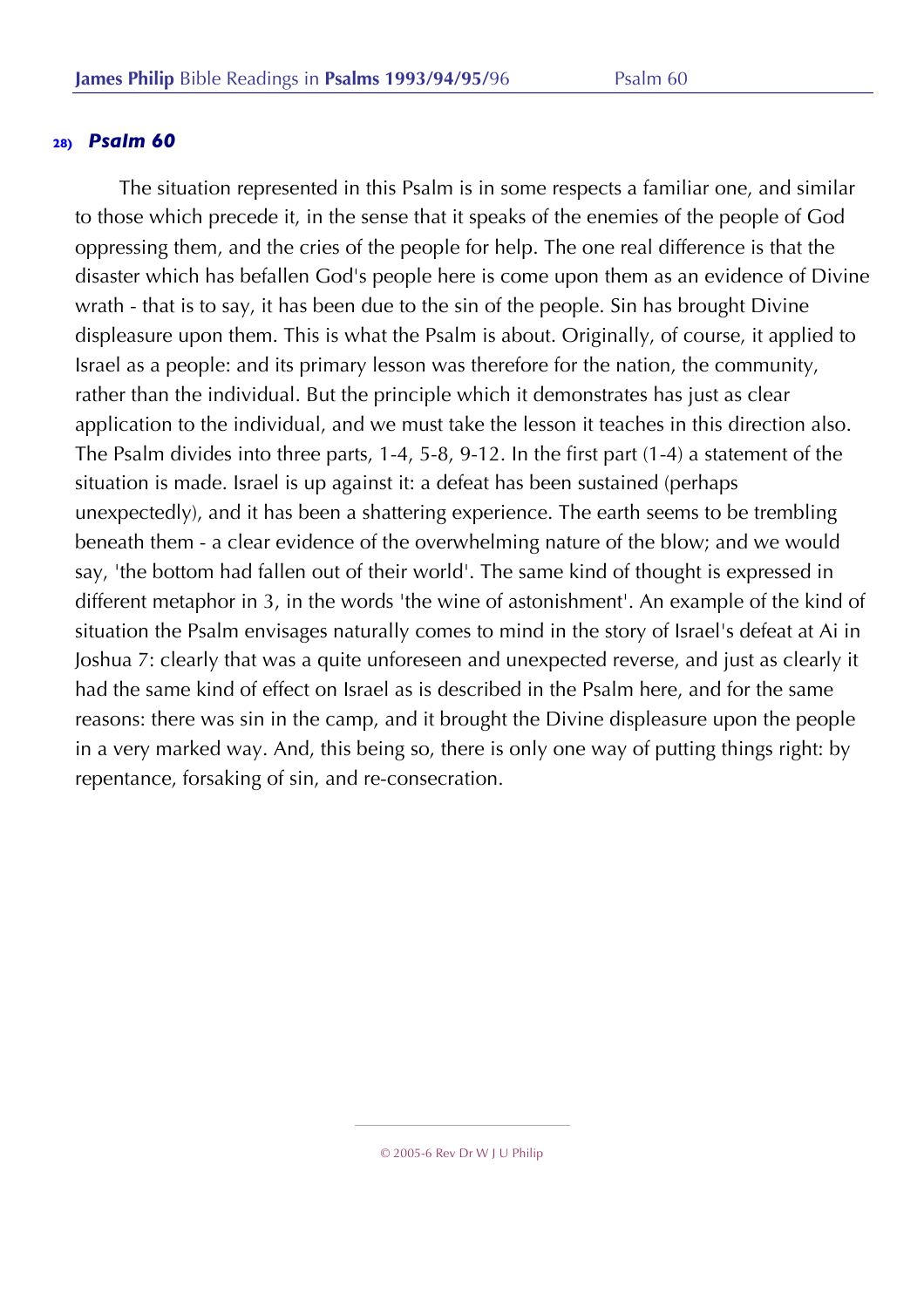The situation represented in this Psalm is in some respects a familiar one, and similar to those which precede it, in the sense that it speaks of the enemies of the people of God oppressing them, and the cries of the people for help. The one real difference is that the disaster which has befallen God's people here is come upon them as an evidence of Divine wrath - that is to say, it has been due to the sin of the people. Sin has brought Divine displeasure upon them. This is what the Psalm is about. Originally, of course, it applied to Israel as a people: and its primary lesson was therefore for the nation, the community, rather than the individual. But the principle which it demonstrates has just as clear application to the individual, and we must take the lesson it teaches in this direction also. The Psalm divides into three parts, 1-4, 5-8, 9-12. In the first part (1-4) a statement of the situation is made. Israel is up against it: a defeat has been sustained (perhaps unexpectedly), and it has been a shattering experience. The earth seems to be trembling beneath them - a clear evidence of the overwhelming nature of the blow; and we would say, 'the bottom had fallen out of their world'. The same kind of thought is expressed in different metaphor in 3, in the words 'the wine of astonishment'. An example of the kind of situation the Psalm envisages naturally comes to mind in the story of Israel's defeat at Ai in Joshua 7: clearly that was a quite unforeseen and unexpected reverse, and just as clearly it had the same kind of effect on Israel as is described in the Psalm here, and for the same reasons: there was sin in the camp, and it brought the Divine displeasure upon the people in a very marked way. And, this being so, there is only one way of putting things right: by repentance, forsaking of sin, and re-consecration.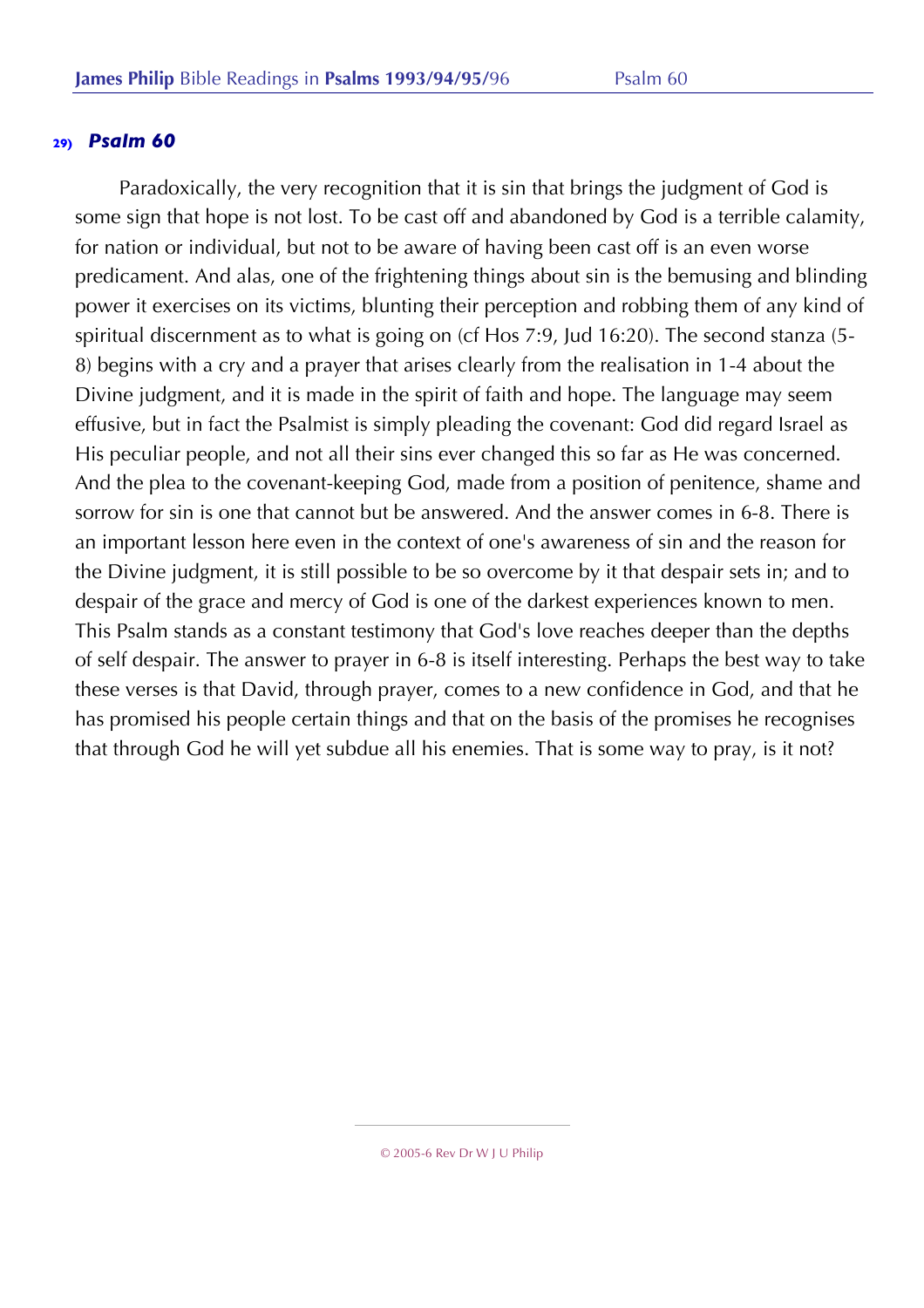Paradoxically, the very recognition that it is sin that brings the judgment of God is some sign that hope is not lost. To be cast off and abandoned by God is a terrible calamity, for nation or individual, but not to be aware of having been cast off is an even worse predicament. And alas, one of the frightening things about sin is the bemusing and blinding power it exercises on its victims, blunting their perception and robbing them of any kind of spiritual discernment as to what is going on (cf Hos 7:9, Jud 16:20). The second stanza (5- 8) begins with a cry and a prayer that arises clearly from the realisation in 1-4 about the Divine judgment, and it is made in the spirit of faith and hope. The language may seem effusive, but in fact the Psalmist is simply pleading the covenant: God did regard Israel as His peculiar people, and not all their sins ever changed this so far as He was concerned. And the plea to the covenant-keeping God, made from a position of penitence, shame and sorrow for sin is one that cannot but be answered. And the answer comes in 6-8. There is an important lesson here even in the context of one's awareness of sin and the reason for the Divine judgment, it is still possible to be so overcome by it that despair sets in; and to despair of the grace and mercy of God is one of the darkest experiences known to men. This Psalm stands as a constant testimony that God's love reaches deeper than the depths of self despair. The answer to prayer in 6-8 is itself interesting. Perhaps the best way to take these verses is that David, through prayer, comes to a new confidence in God, and that he has promised his people certain things and that on the basis of the promises he recognises that through God he will yet subdue all his enemies. That is some way to pray, is it not?

<sup>© 2005-6</sup> Rev Dr W J U Philip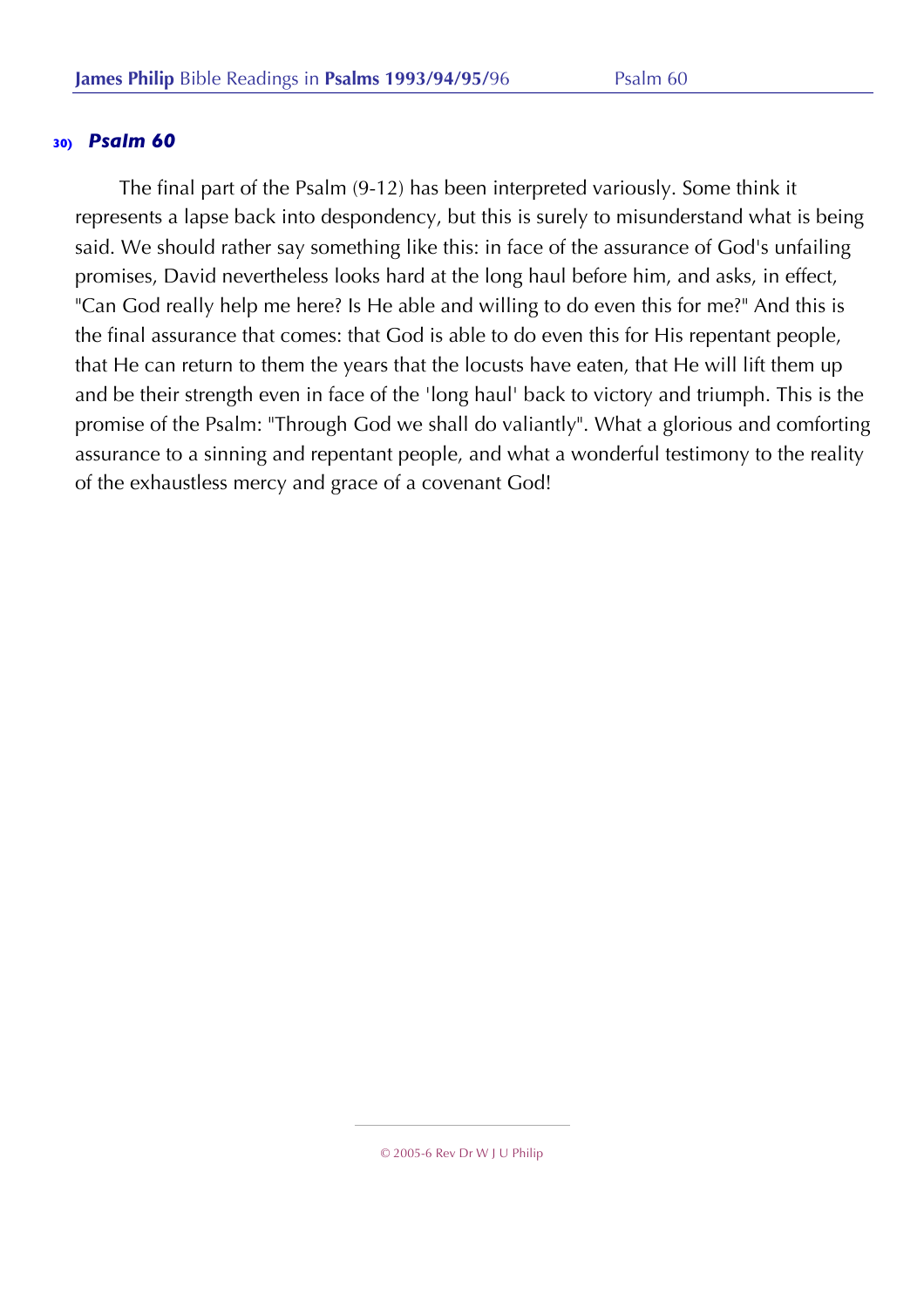The final part of the Psalm (9-12) has been interpreted variously. Some think it represents a lapse back into despondency, but this is surely to misunderstand what is being said. We should rather say something like this: in face of the assurance of God's unfailing promises, David nevertheless looks hard at the long haul before him, and asks, in effect, "Can God really help me here? Is He able and willing to do even this for me?" And this is the final assurance that comes: that God is able to do even this for His repentant people, that He can return to them the years that the locusts have eaten, that He will lift them up and be their strength even in face of the 'long haul' back to victory and triumph. This is the promise of the Psalm: "Through God we shall do valiantly". What a glorious and comforting assurance to a sinning and repentant people, and what a wonderful testimony to the reality of the exhaustless mercy and grace of a covenant God!

<sup>© 2005-6</sup> Rev Dr W J U Philip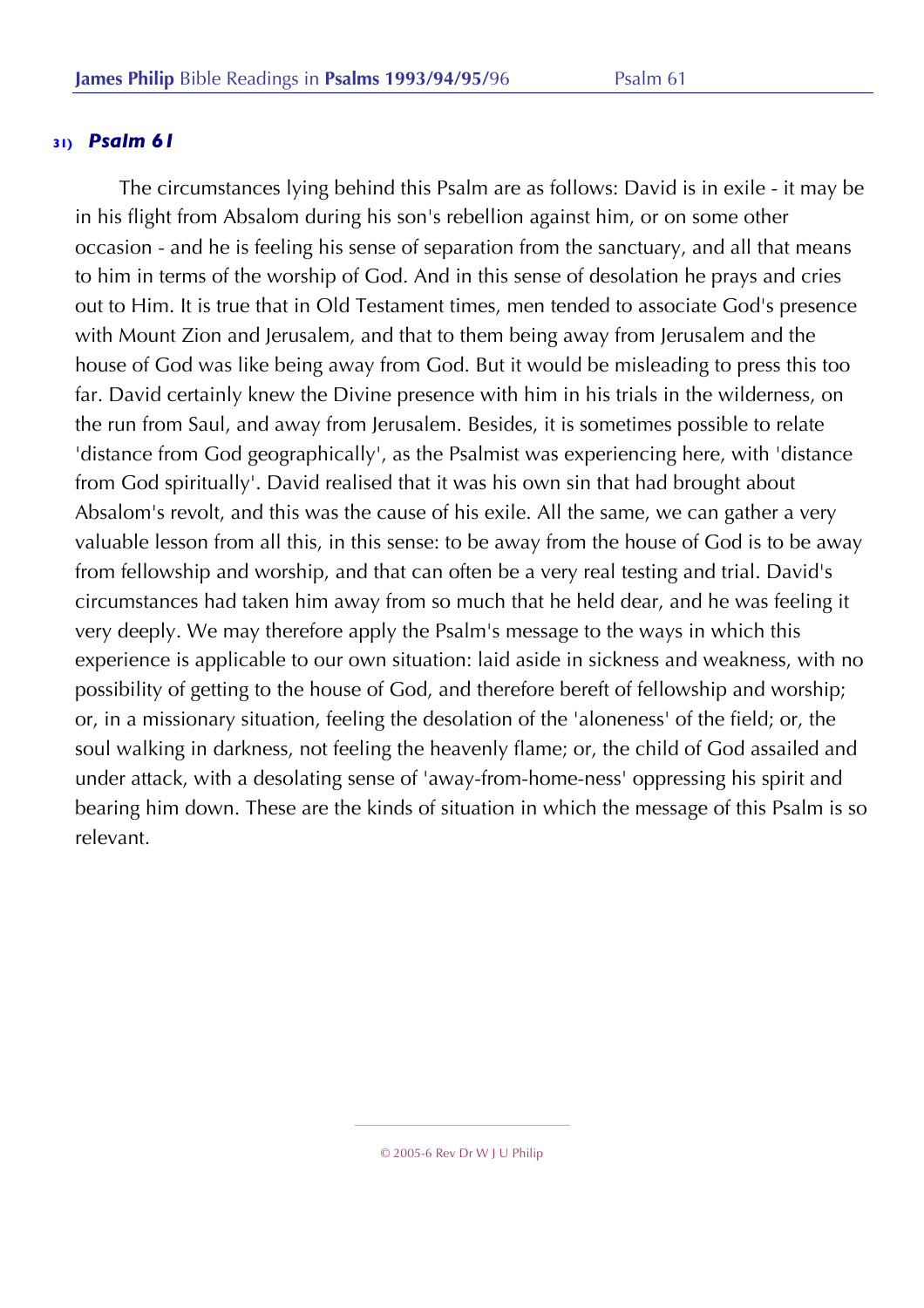The circumstances lying behind this Psalm are as follows: David is in exile - it may be in his flight from Absalom during his son's rebellion against him, or on some other occasion - and he is feeling his sense of separation from the sanctuary, and all that means to him in terms of the worship of God. And in this sense of desolation he prays and cries out to Him. It is true that in Old Testament times, men tended to associate God's presence with Mount Zion and Jerusalem, and that to them being away from Jerusalem and the house of God was like being away from God. But it would be misleading to press this too far. David certainly knew the Divine presence with him in his trials in the wilderness, on the run from Saul, and away from Jerusalem. Besides, it is sometimes possible to relate 'distance from God geographically', as the Psalmist was experiencing here, with 'distance from God spiritually'. David realised that it was his own sin that had brought about Absalom's revolt, and this was the cause of his exile. All the same, we can gather a very valuable lesson from all this, in this sense: to be away from the house of God is to be away from fellowship and worship, and that can often be a very real testing and trial. David's circumstances had taken him away from so much that he held dear, and he was feeling it very deeply. We may therefore apply the Psalm's message to the ways in which this experience is applicable to our own situation: laid aside in sickness and weakness, with no possibility of getting to the house of God, and therefore bereft of fellowship and worship; or, in a missionary situation, feeling the desolation of the 'aloneness' of the field; or, the soul walking in darkness, not feeling the heavenly flame; or, the child of God assailed and under attack, with a desolating sense of 'away-from-home-ness' oppressing his spirit and bearing him down. These are the kinds of situation in which the message of this Psalm is so relevant.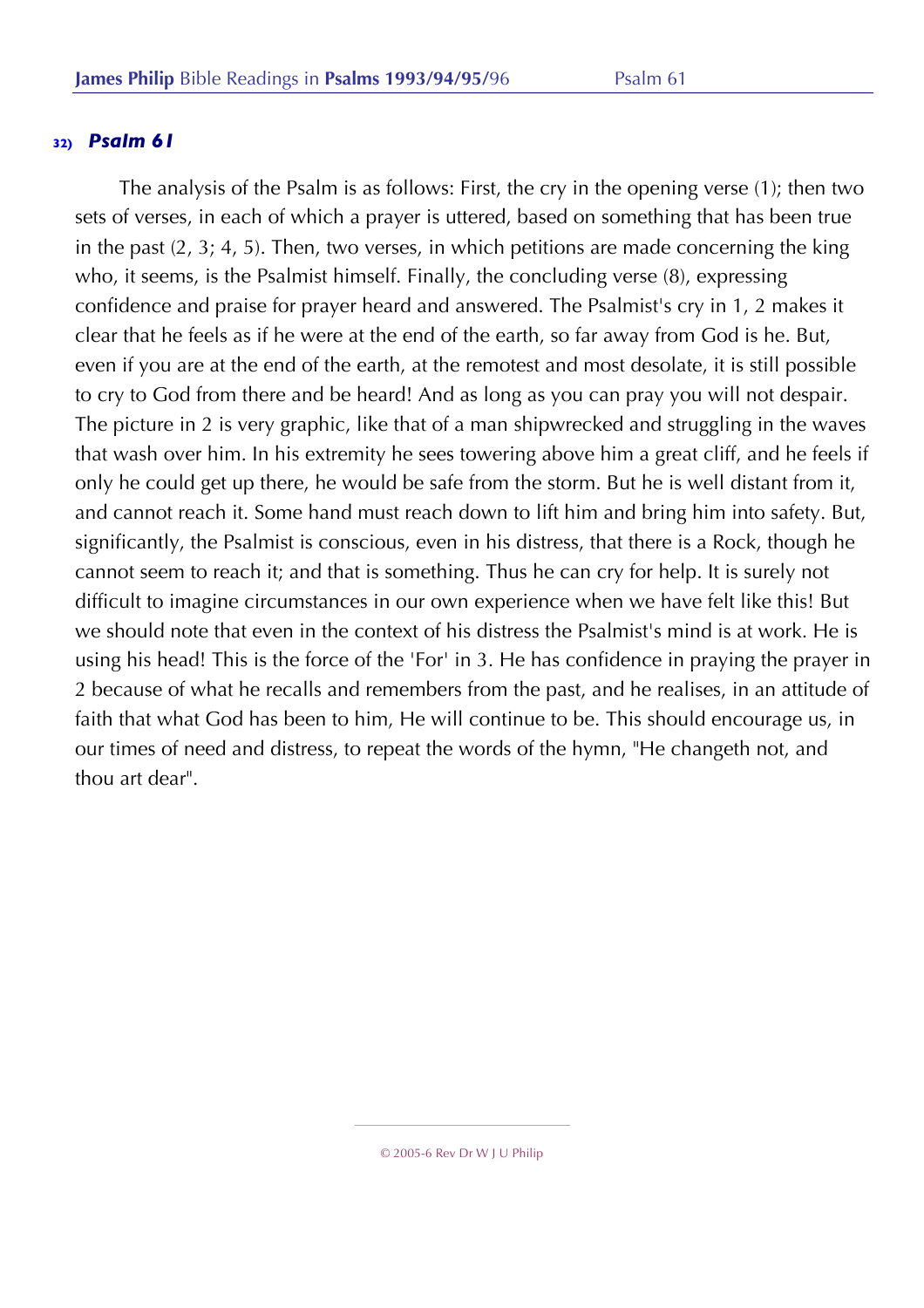The analysis of the Psalm is as follows: First, the cry in the opening verse (1); then two sets of verses, in each of which a prayer is uttered, based on something that has been true in the past (2, 3; 4, 5). Then, two verses, in which petitions are made concerning the king who, it seems, is the Psalmist himself. Finally, the concluding verse (8), expressing confidence and praise for prayer heard and answered. The Psalmist's cry in 1, 2 makes it clear that he feels as if he were at the end of the earth, so far away from God is he. But, even if you are at the end of the earth, at the remotest and most desolate, it is still possible to cry to God from there and be heard! And as long as you can pray you will not despair. The picture in 2 is very graphic, like that of a man shipwrecked and struggling in the waves that wash over him. In his extremity he sees towering above him a great cliff, and he feels if only he could get up there, he would be safe from the storm. But he is well distant from it, and cannot reach it. Some hand must reach down to lift him and bring him into safety. But, significantly, the Psalmist is conscious, even in his distress, that there is a Rock, though he cannot seem to reach it; and that is something. Thus he can cry for help. It is surely not difficult to imagine circumstances in our own experience when we have felt like this! But we should note that even in the context of his distress the Psalmist's mind is at work. He is using his head! This is the force of the 'For' in 3. He has confidence in praying the prayer in 2 because of what he recalls and remembers from the past, and he realises, in an attitude of faith that what God has been to him, He will continue to be. This should encourage us, in our times of need and distress, to repeat the words of the hymn, "He changeth not, and thou art dear".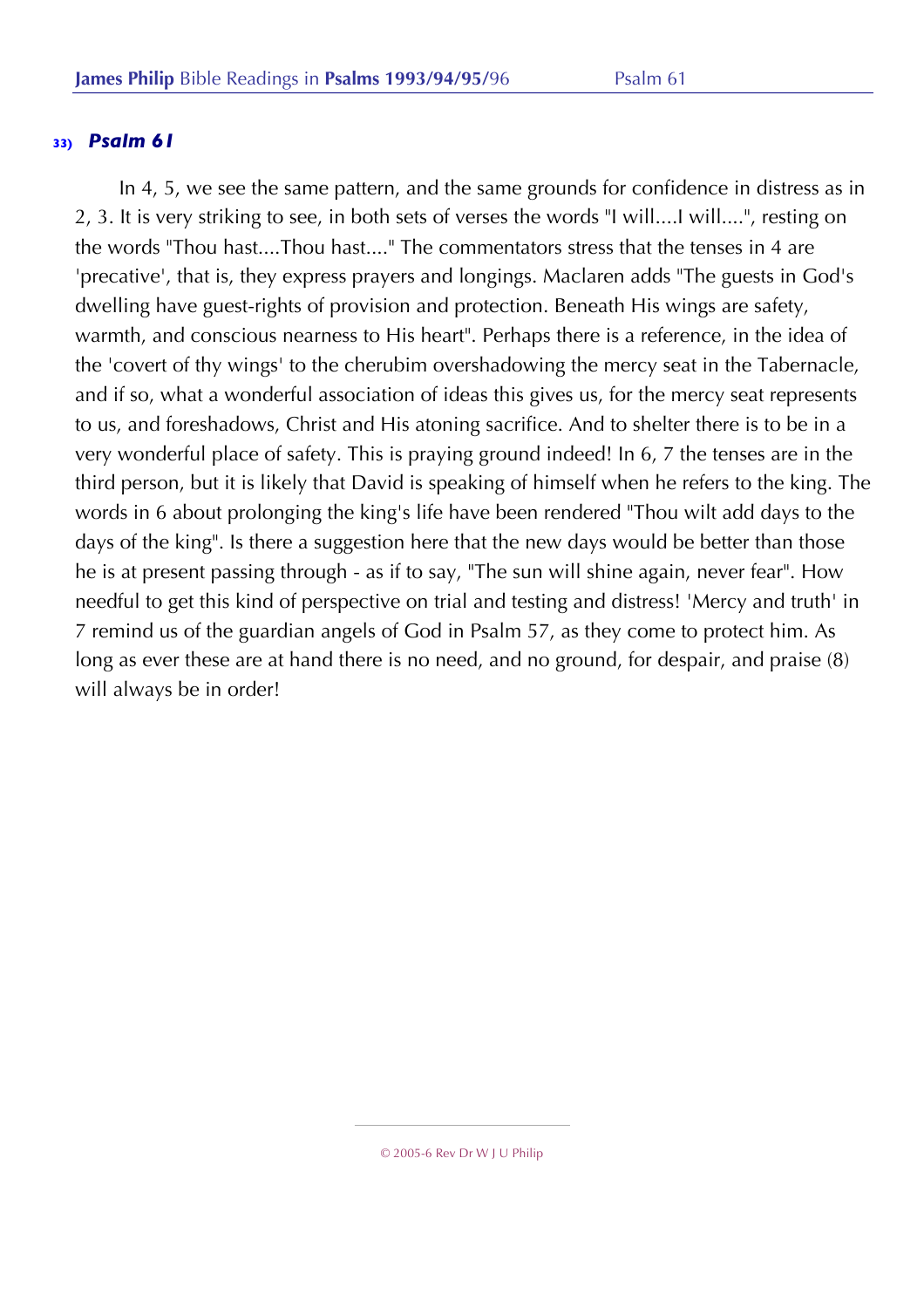In 4, 5, we see the same pattern, and the same grounds for confidence in distress as in 2, 3. It is very striking to see, in both sets of verses the words "I will....I will....", resting on the words "Thou hast....Thou hast...." The commentators stress that the tenses in 4 are 'precative', that is, they express prayers and longings. Maclaren adds "The guests in God's dwelling have guest-rights of provision and protection. Beneath His wings are safety, warmth, and conscious nearness to His heart". Perhaps there is a reference, in the idea of the 'covert of thy wings' to the cherubim overshadowing the mercy seat in the Tabernacle, and if so, what a wonderful association of ideas this gives us, for the mercy seat represents to us, and foreshadows, Christ and His atoning sacrifice. And to shelter there is to be in a very wonderful place of safety. This is praying ground indeed! In 6, 7 the tenses are in the third person, but it is likely that David is speaking of himself when he refers to the king. The words in 6 about prolonging the king's life have been rendered "Thou wilt add days to the days of the king". Is there a suggestion here that the new days would be better than those he is at present passing through - as if to say, "The sun will shine again, never fear". How needful to get this kind of perspective on trial and testing and distress! 'Mercy and truth' in 7 remind us of the guardian angels of God in Psalm 57, as they come to protect him. As long as ever these are at hand there is no need, and no ground, for despair, and praise (8) will always be in order!

<sup>© 2005-6</sup> Rev Dr W J U Philip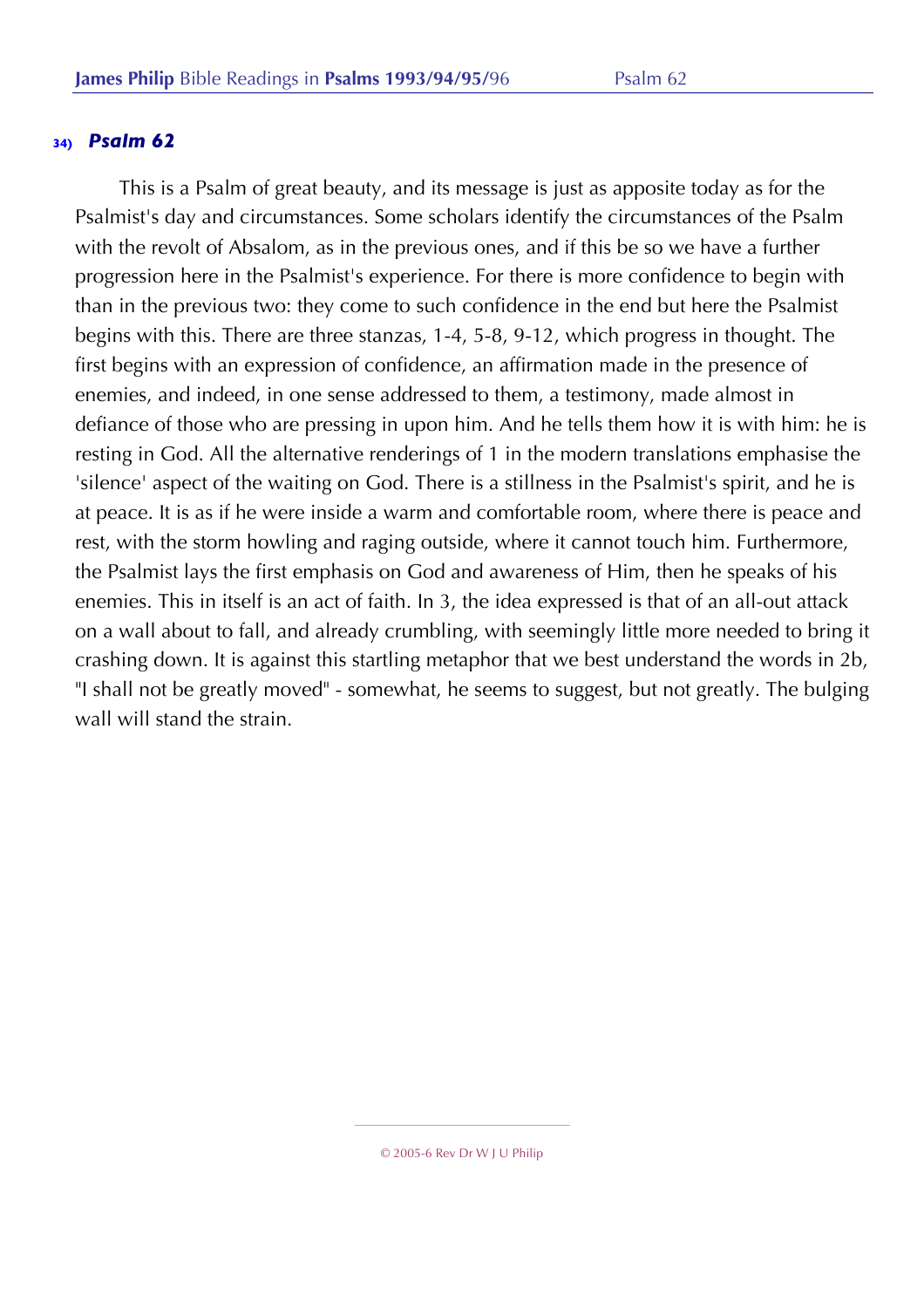This is a Psalm of great beauty, and its message is just as apposite today as for the Psalmist's day and circumstances. Some scholars identify the circumstances of the Psalm with the revolt of Absalom, as in the previous ones, and if this be so we have a further progression here in the Psalmist's experience. For there is more confidence to begin with than in the previous two: they come to such confidence in the end but here the Psalmist begins with this. There are three stanzas, 1-4, 5-8, 9-12, which progress in thought. The first begins with an expression of confidence, an affirmation made in the presence of enemies, and indeed, in one sense addressed to them, a testimony, made almost in defiance of those who are pressing in upon him. And he tells them how it is with him: he is resting in God. All the alternative renderings of 1 in the modern translations emphasise the 'silence' aspect of the waiting on God. There is a stillness in the Psalmist's spirit, and he is at peace. It is as if he were inside a warm and comfortable room, where there is peace and rest, with the storm howling and raging outside, where it cannot touch him. Furthermore, the Psalmist lays the first emphasis on God and awareness of Him, then he speaks of his enemies. This in itself is an act of faith. In 3, the idea expressed is that of an all-out attack on a wall about to fall, and already crumbling, with seemingly little more needed to bring it crashing down. It is against this startling metaphor that we best understand the words in 2b, "I shall not be greatly moved" - somewhat, he seems to suggest, but not greatly. The bulging wall will stand the strain.

<sup>© 2005-6</sup> Rev Dr W J U Philip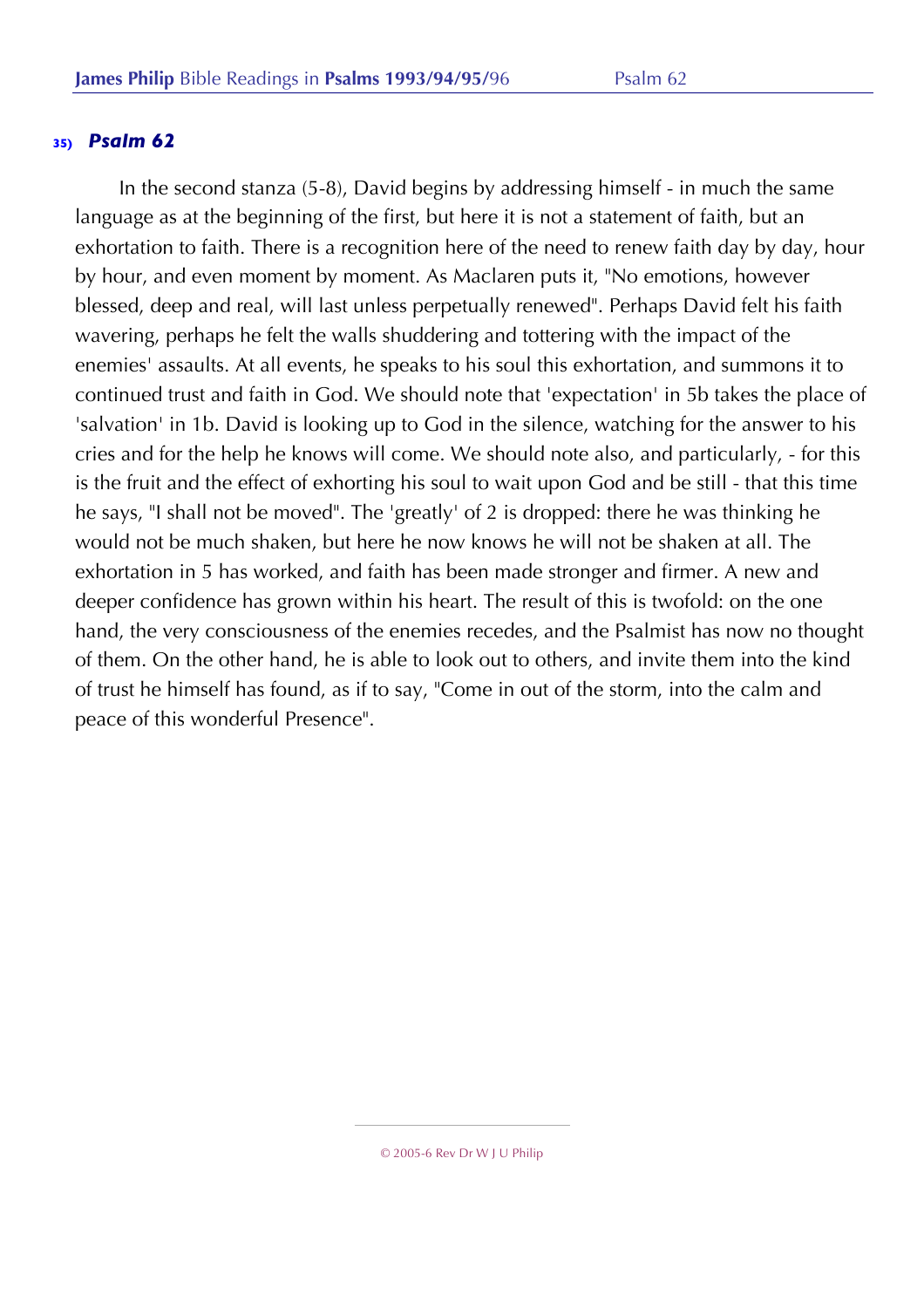In the second stanza (5-8), David begins by addressing himself - in much the same language as at the beginning of the first, but here it is not a statement of faith, but an exhortation to faith. There is a recognition here of the need to renew faith day by day, hour by hour, and even moment by moment. As Maclaren puts it, "No emotions, however blessed, deep and real, will last unless perpetually renewed". Perhaps David felt his faith wavering, perhaps he felt the walls shuddering and tottering with the impact of the enemies' assaults. At all events, he speaks to his soul this exhortation, and summons it to continued trust and faith in God. We should note that 'expectation' in 5b takes the place of 'salvation' in 1b. David is looking up to God in the silence, watching for the answer to his cries and for the help he knows will come. We should note also, and particularly, - for this is the fruit and the effect of exhorting his soul to wait upon God and be still - that this time he says, "I shall not be moved". The 'greatly' of 2 is dropped: there he was thinking he would not be much shaken, but here he now knows he will not be shaken at all. The exhortation in 5 has worked, and faith has been made stronger and firmer. A new and deeper confidence has grown within his heart. The result of this is twofold: on the one hand, the very consciousness of the enemies recedes, and the Psalmist has now no thought of them. On the other hand, he is able to look out to others, and invite them into the kind of trust he himself has found, as if to say, "Come in out of the storm, into the calm and peace of this wonderful Presence".

<sup>© 2005-6</sup> Rev Dr W J U Philip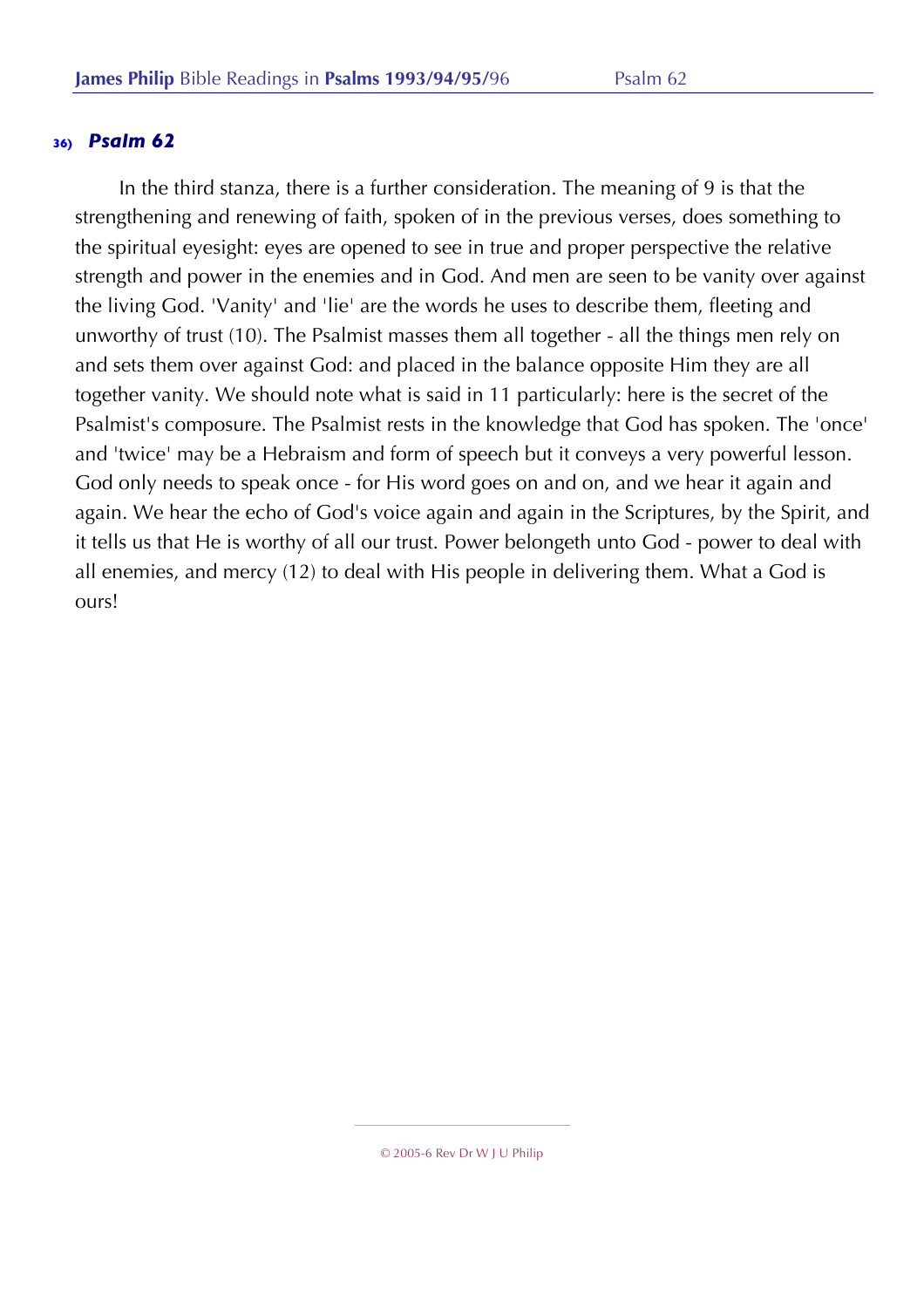In the third stanza, there is a further consideration. The meaning of 9 is that the strengthening and renewing of faith, spoken of in the previous verses, does something to the spiritual eyesight: eyes are opened to see in true and proper perspective the relative strength and power in the enemies and in God. And men are seen to be vanity over against the living God. 'Vanity' and 'lie' are the words he uses to describe them, fleeting and unworthy of trust (10). The Psalmist masses them all together - all the things men rely on and sets them over against God: and placed in the balance opposite Him they are all together vanity. We should note what is said in 11 particularly: here is the secret of the Psalmist's composure. The Psalmist rests in the knowledge that God has spoken. The 'once' and 'twice' may be a Hebraism and form of speech but it conveys a very powerful lesson. God only needs to speak once - for His word goes on and on, and we hear it again and again. We hear the echo of God's voice again and again in the Scriptures, by the Spirit, and it tells us that He is worthy of all our trust. Power belongeth unto God - power to deal with all enemies, and mercy (12) to deal with His people in delivering them. What a God is ours!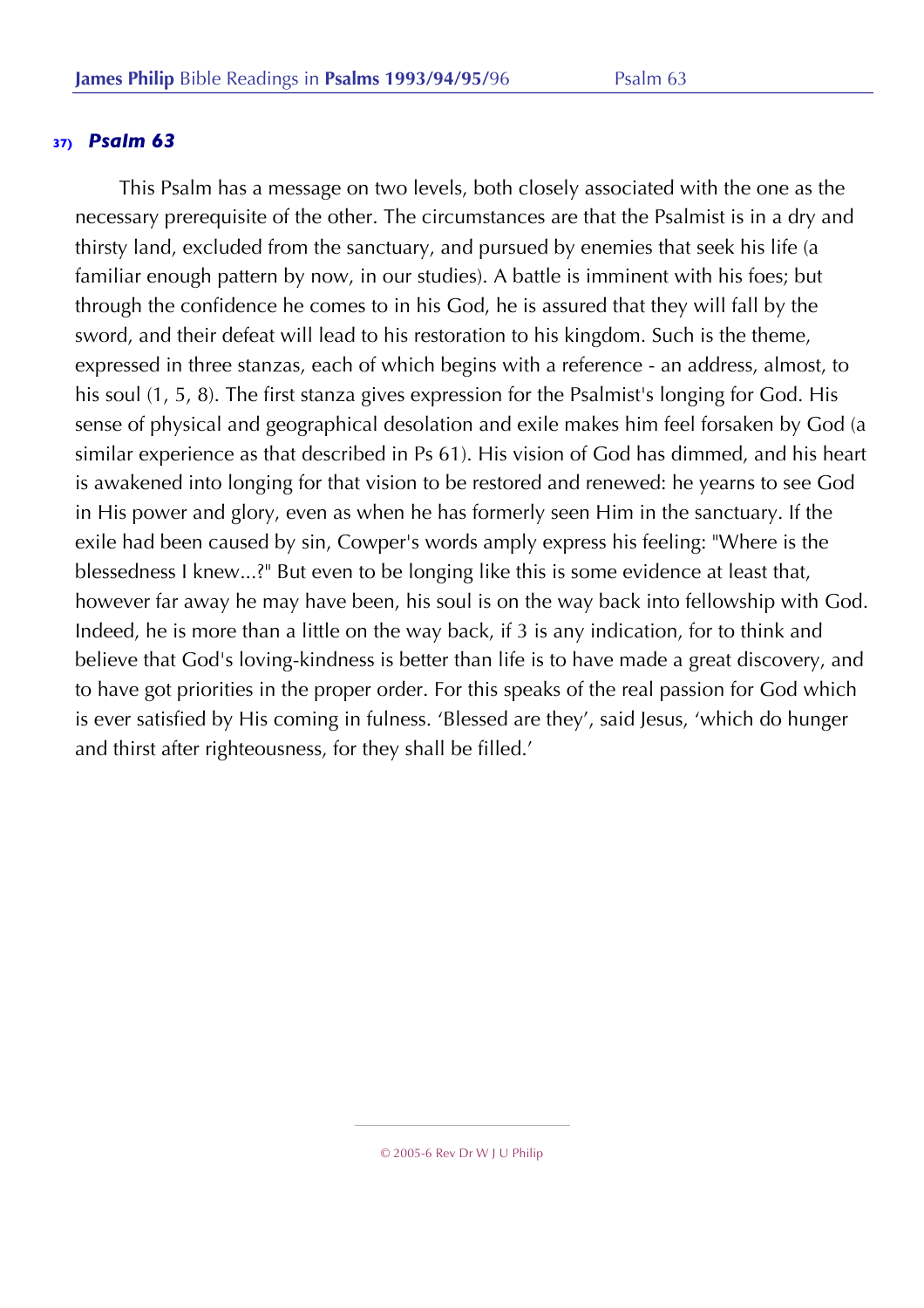This Psalm has a message on two levels, both closely associated with the one as the necessary prerequisite of the other. The circumstances are that the Psalmist is in a dry and thirsty land, excluded from the sanctuary, and pursued by enemies that seek his life (a familiar enough pattern by now, in our studies). A battle is imminent with his foes; but through the confidence he comes to in his God, he is assured that they will fall by the sword, and their defeat will lead to his restoration to his kingdom. Such is the theme, expressed in three stanzas, each of which begins with a reference - an address, almost, to his soul (1, 5, 8). The first stanza gives expression for the Psalmist's longing for God. His sense of physical and geographical desolation and exile makes him feel forsaken by God (a similar experience as that described in Ps 61). His vision of God has dimmed, and his heart is awakened into longing for that vision to be restored and renewed: he yearns to see God in His power and glory, even as when he has formerly seen Him in the sanctuary. If the exile had been caused by sin, Cowper's words amply express his feeling: "Where is the blessedness I knew...?" But even to be longing like this is some evidence at least that, however far away he may have been, his soul is on the way back into fellowship with God. Indeed, he is more than a little on the way back, if 3 is any indication, for to think and believe that God's loving-kindness is better than life is to have made a great discovery, and to have got priorities in the proper order. For this speaks of the real passion for God which is ever satisfied by His coming in fulness. 'Blessed are they', said Jesus, 'which do hunger and thirst after righteousness, for they shall be filled.'

<sup>© 2005-6</sup> Rev Dr W J U Philip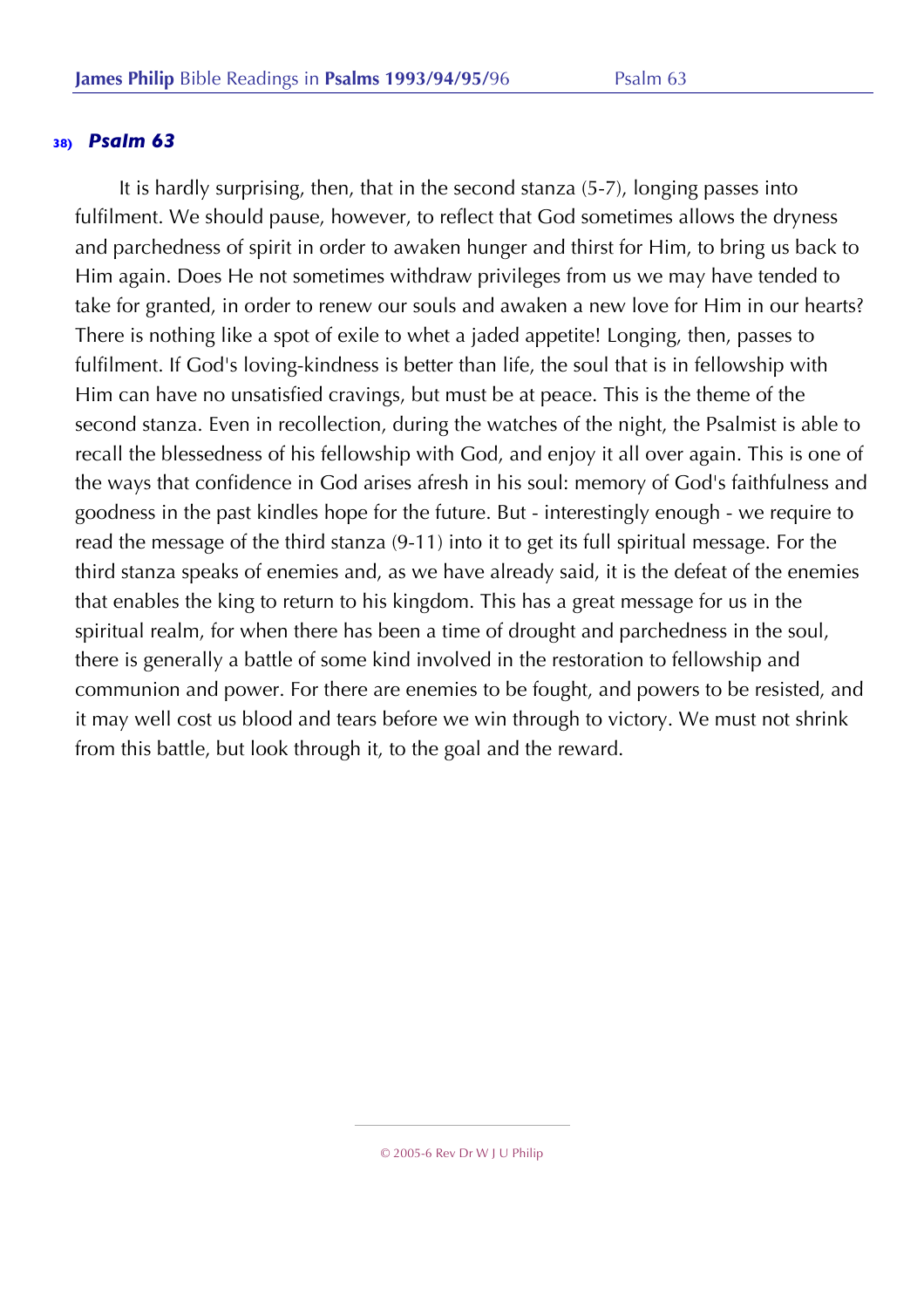It is hardly surprising, then, that in the second stanza (5-7), longing passes into fulfilment. We should pause, however, to reflect that God sometimes allows the dryness and parchedness of spirit in order to awaken hunger and thirst for Him, to bring us back to Him again. Does He not sometimes withdraw privileges from us we may have tended to take for granted, in order to renew our souls and awaken a new love for Him in our hearts? There is nothing like a spot of exile to whet a jaded appetite! Longing, then, passes to fulfilment. If God's loving-kindness is better than life, the soul that is in fellowship with Him can have no unsatisfied cravings, but must be at peace. This is the theme of the second stanza. Even in recollection, during the watches of the night, the Psalmist is able to recall the blessedness of his fellowship with God, and enjoy it all over again. This is one of the ways that confidence in God arises afresh in his soul: memory of God's faithfulness and goodness in the past kindles hope for the future. But - interestingly enough - we require to read the message of the third stanza (9-11) into it to get its full spiritual message. For the third stanza speaks of enemies and, as we have already said, it is the defeat of the enemies that enables the king to return to his kingdom. This has a great message for us in the spiritual realm, for when there has been a time of drought and parchedness in the soul, there is generally a battle of some kind involved in the restoration to fellowship and communion and power. For there are enemies to be fought, and powers to be resisted, and it may well cost us blood and tears before we win through to victory. We must not shrink from this battle, but look through it, to the goal and the reward.

<sup>© 2005-6</sup> Rev Dr W J U Philip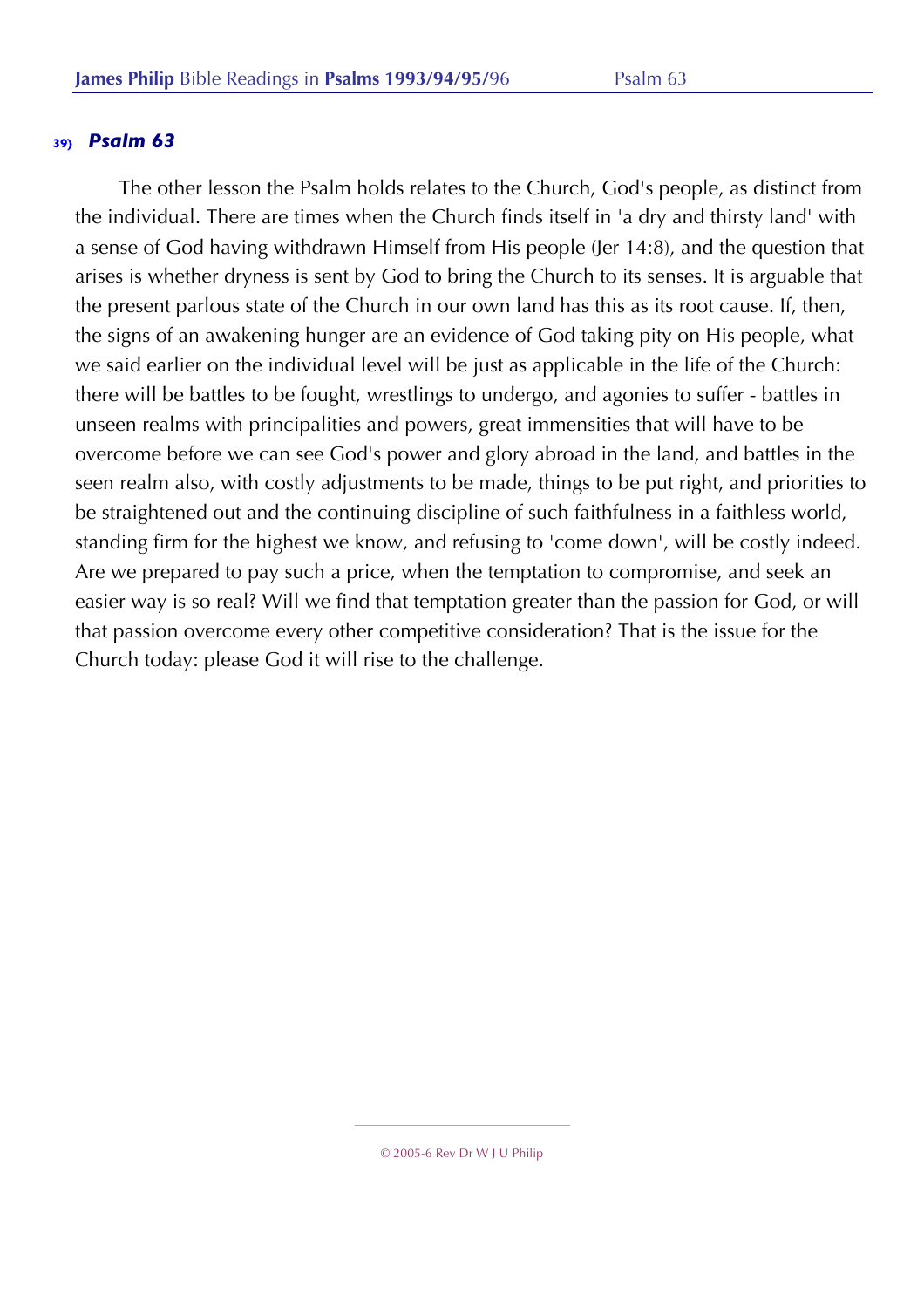The other lesson the Psalm holds relates to the Church, God's people, as distinct from the individual. There are times when the Church finds itself in 'a dry and thirsty land' with a sense of God having withdrawn Himself from His people (Jer 14:8), and the question that arises is whether dryness is sent by God to bring the Church to its senses. It is arguable that the present parlous state of the Church in our own land has this as its root cause. If, then, the signs of an awakening hunger are an evidence of God taking pity on His people, what we said earlier on the individual level will be just as applicable in the life of the Church: there will be battles to be fought, wrestlings to undergo, and agonies to suffer - battles in unseen realms with principalities and powers, great immensities that will have to be overcome before we can see God's power and glory abroad in the land, and battles in the seen realm also, with costly adjustments to be made, things to be put right, and priorities to be straightened out and the continuing discipline of such faithfulness in a faithless world, standing firm for the highest we know, and refusing to 'come down', will be costly indeed. Are we prepared to pay such a price, when the temptation to compromise, and seek an easier way is so real? Will we find that temptation greater than the passion for God, or will that passion overcome every other competitive consideration? That is the issue for the Church today: please God it will rise to the challenge.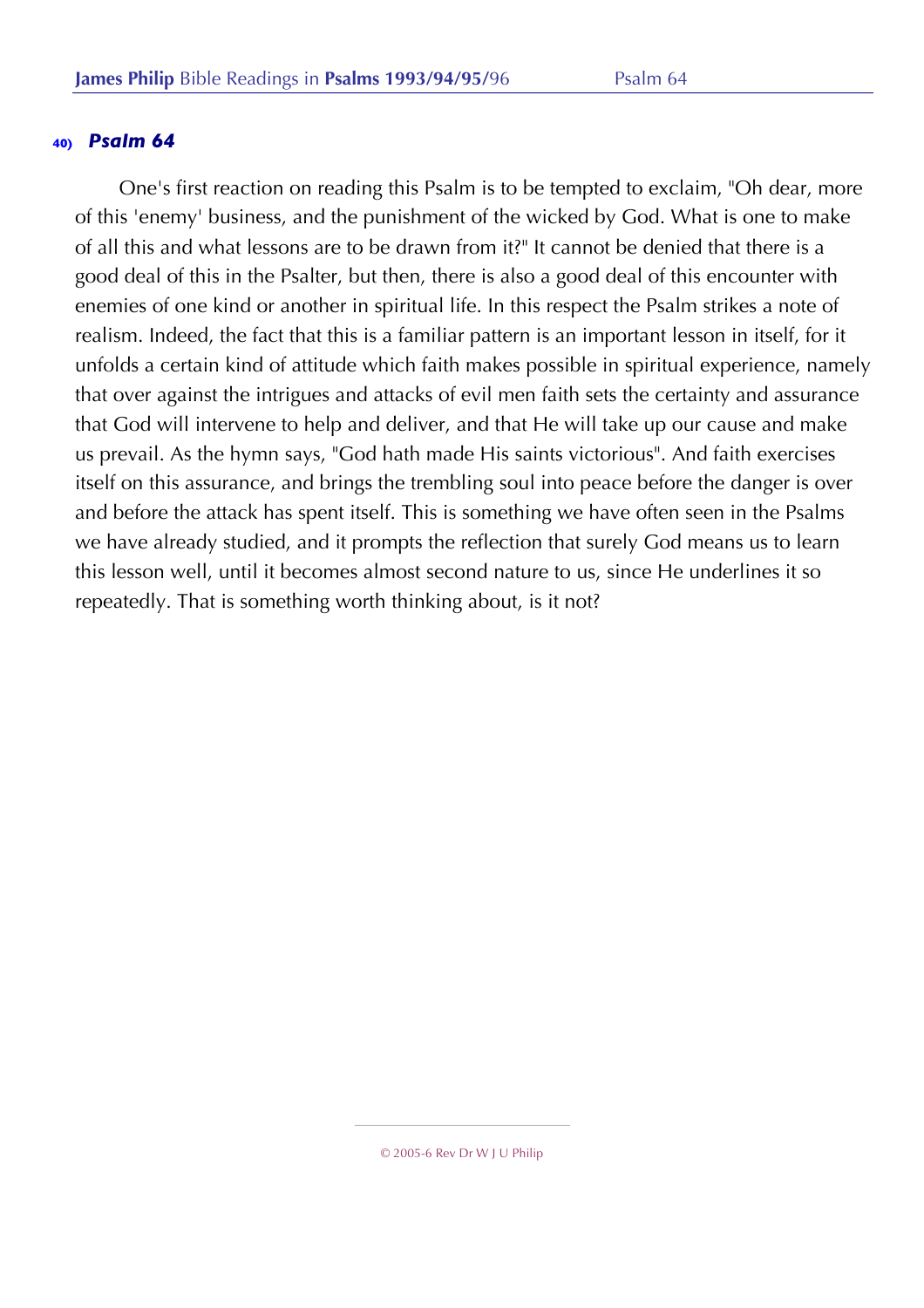One's first reaction on reading this Psalm is to be tempted to exclaim, "Oh dear, more of this 'enemy' business, and the punishment of the wicked by God. What is one to make of all this and what lessons are to be drawn from it?" It cannot be denied that there is a good deal of this in the Psalter, but then, there is also a good deal of this encounter with enemies of one kind or another in spiritual life. In this respect the Psalm strikes a note of realism. Indeed, the fact that this is a familiar pattern is an important lesson in itself, for it unfolds a certain kind of attitude which faith makes possible in spiritual experience, namely that over against the intrigues and attacks of evil men faith sets the certainty and assurance that God will intervene to help and deliver, and that He will take up our cause and make us prevail. As the hymn says, "God hath made His saints victorious". And faith exercises itself on this assurance, and brings the trembling soul into peace before the danger is over and before the attack has spent itself. This is something we have often seen in the Psalms we have already studied, and it prompts the reflection that surely God means us to learn this lesson well, until it becomes almost second nature to us, since He underlines it so repeatedly. That is something worth thinking about, is it not?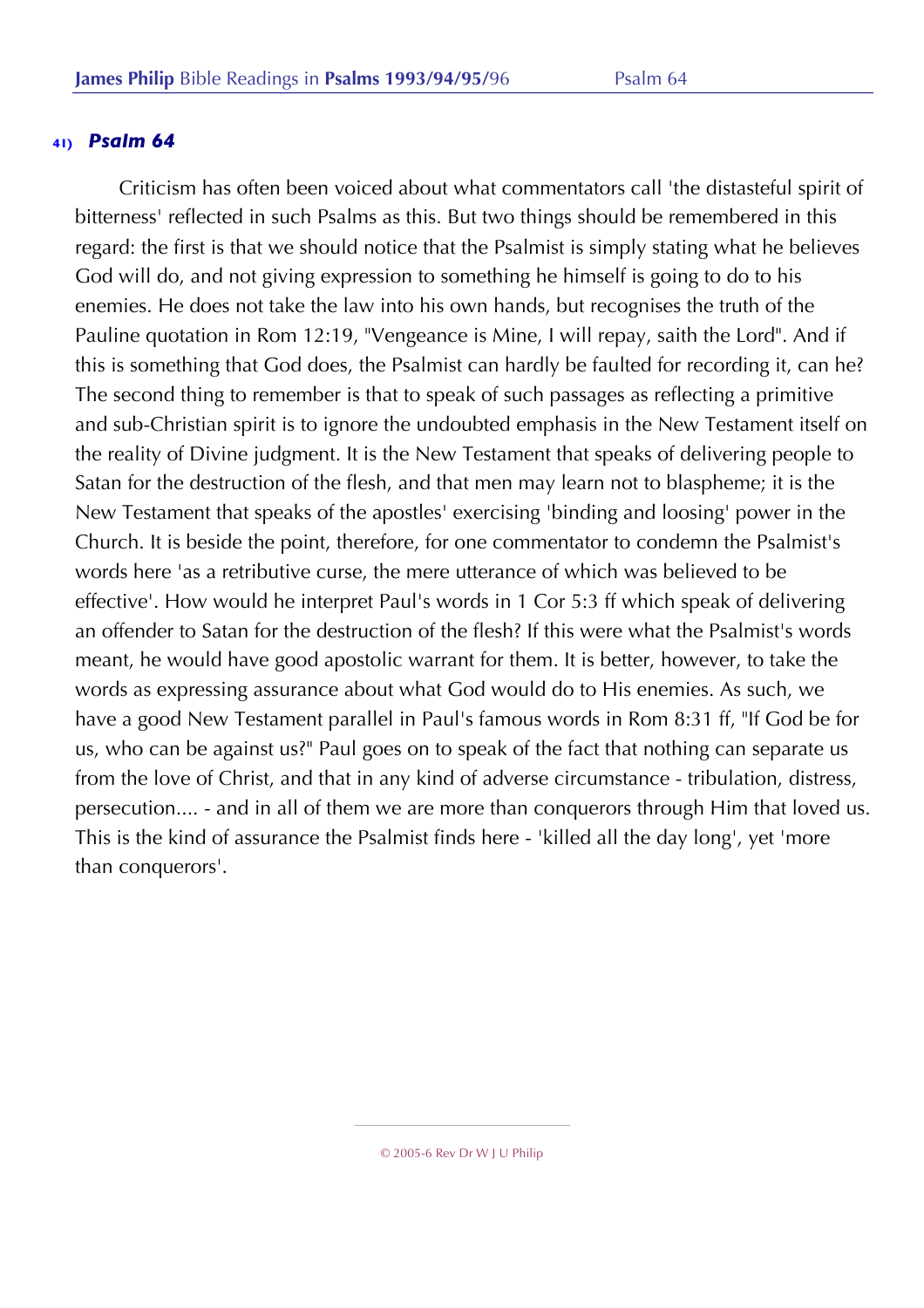Criticism has often been voiced about what commentators call 'the distasteful spirit of bitterness' reflected in such Psalms as this. But two things should be remembered in this regard: the first is that we should notice that the Psalmist is simply stating what he believes God will do, and not giving expression to something he himself is going to do to his enemies. He does not take the law into his own hands, but recognises the truth of the Pauline quotation in Rom 12:19, "Vengeance is Mine, I will repay, saith the Lord". And if this is something that God does, the Psalmist can hardly be faulted for recording it, can he? The second thing to remember is that to speak of such passages as reflecting a primitive and sub-Christian spirit is to ignore the undoubted emphasis in the New Testament itself on the reality of Divine judgment. It is the New Testament that speaks of delivering people to Satan for the destruction of the flesh, and that men may learn not to blaspheme; it is the New Testament that speaks of the apostles' exercising 'binding and loosing' power in the Church. It is beside the point, therefore, for one commentator to condemn the Psalmist's words here 'as a retributive curse, the mere utterance of which was believed to be effective'. How would he interpret Paul's words in 1 Cor 5:3 ff which speak of delivering an offender to Satan for the destruction of the flesh? If this were what the Psalmist's words meant, he would have good apostolic warrant for them. It is better, however, to take the words as expressing assurance about what God would do to His enemies. As such, we have a good New Testament parallel in Paul's famous words in Rom 8:31 ff, "If God be for us, who can be against us?" Paul goes on to speak of the fact that nothing can separate us from the love of Christ, and that in any kind of adverse circumstance - tribulation, distress, persecution.... - and in all of them we are more than conquerors through Him that loved us. This is the kind of assurance the Psalmist finds here - 'killed all the day long', yet 'more than conquerors'.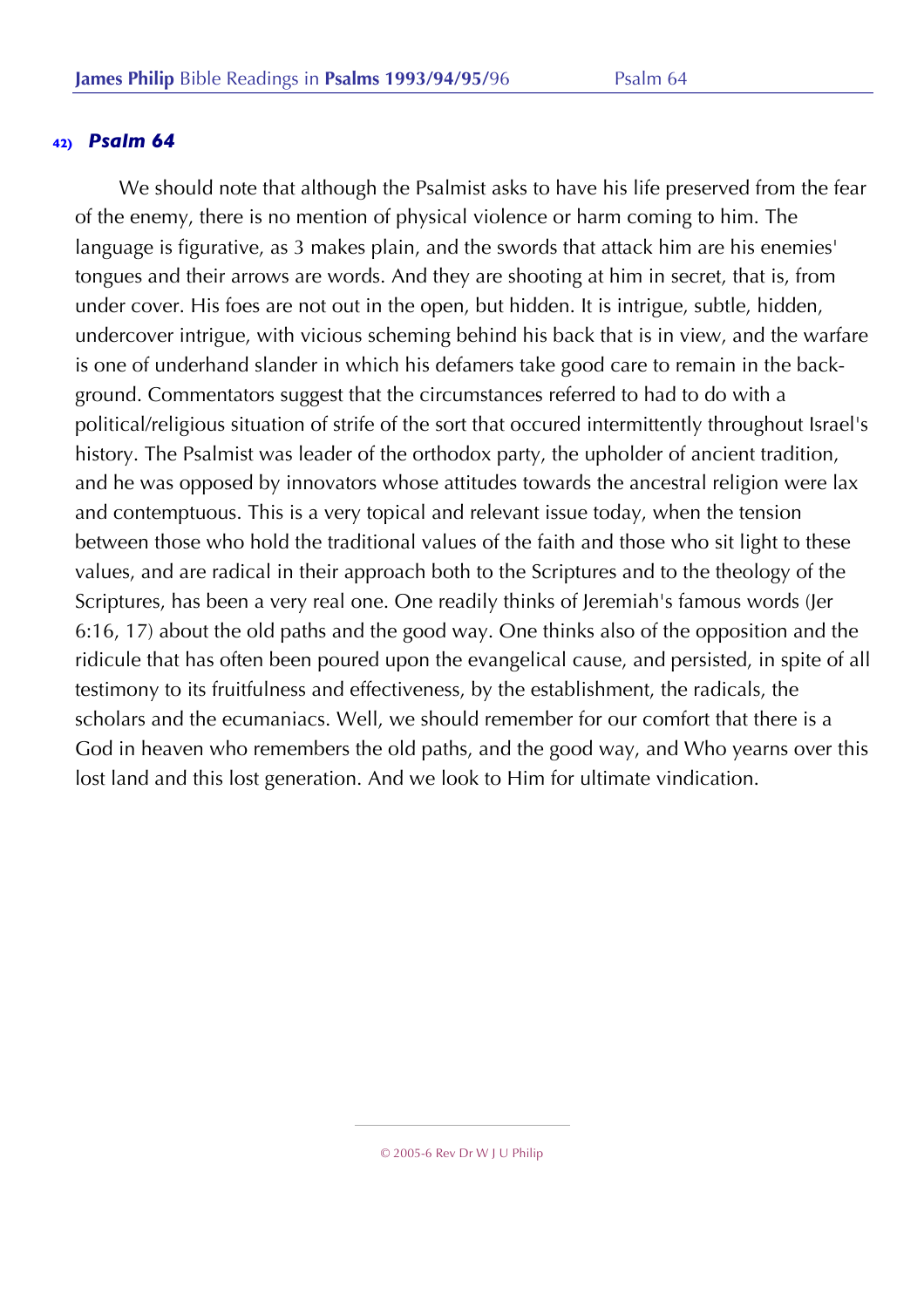We should note that although the Psalmist asks to have his life preserved from the fear of the enemy, there is no mention of physical violence or harm coming to him. The language is figurative, as 3 makes plain, and the swords that attack him are his enemies' tongues and their arrows are words. And they are shooting at him in secret, that is, from under cover. His foes are not out in the open, but hidden. It is intrigue, subtle, hidden, undercover intrigue, with vicious scheming behind his back that is in view, and the warfare is one of underhand slander in which his defamers take good care to remain in the background. Commentators suggest that the circumstances referred to had to do with a political/religious situation of strife of the sort that occured intermittently throughout Israel's history. The Psalmist was leader of the orthodox party, the upholder of ancient tradition, and he was opposed by innovators whose attitudes towards the ancestral religion were lax and contemptuous. This is a very topical and relevant issue today, when the tension between those who hold the traditional values of the faith and those who sit light to these values, and are radical in their approach both to the Scriptures and to the theology of the Scriptures, has been a very real one. One readily thinks of Jeremiah's famous words (Jer 6:16, 17) about the old paths and the good way. One thinks also of the opposition and the ridicule that has often been poured upon the evangelical cause, and persisted, in spite of all testimony to its fruitfulness and effectiveness, by the establishment, the radicals, the scholars and the ecumaniacs. Well, we should remember for our comfort that there is a God in heaven who remembers the old paths, and the good way, and Who yearns over this lost land and this lost generation. And we look to Him for ultimate vindication.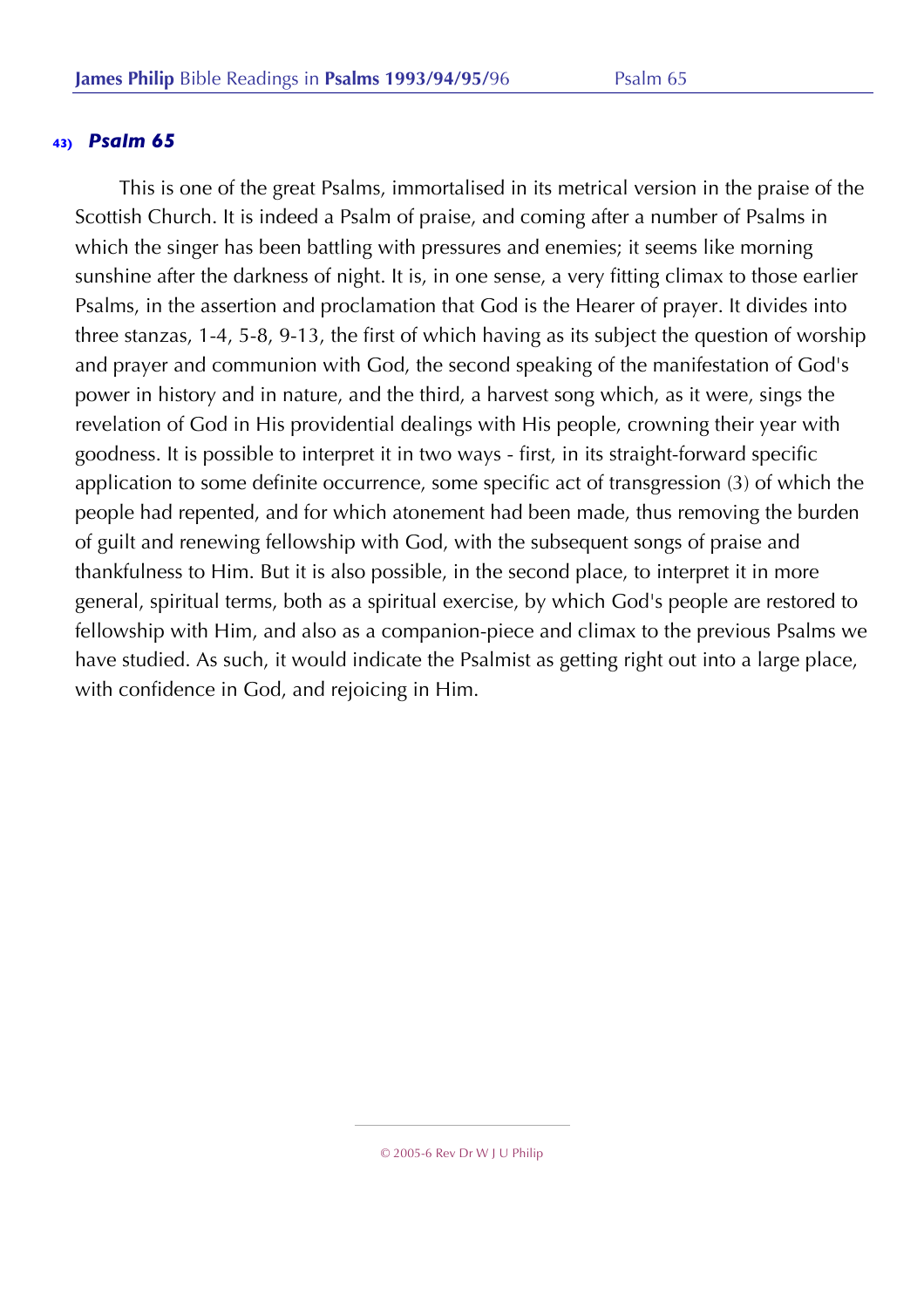This is one of the great Psalms, immortalised in its metrical version in the praise of the Scottish Church. It is indeed a Psalm of praise, and coming after a number of Psalms in which the singer has been battling with pressures and enemies; it seems like morning sunshine after the darkness of night. It is, in one sense, a very fitting climax to those earlier Psalms, in the assertion and proclamation that God is the Hearer of prayer. It divides into three stanzas, 1-4, 5-8, 9-13, the first of which having as its subject the question of worship and prayer and communion with God, the second speaking of the manifestation of God's power in history and in nature, and the third, a harvest song which, as it were, sings the revelation of God in His providential dealings with His people, crowning their year with goodness. It is possible to interpret it in two ways - first, in its straight-forward specific application to some definite occurrence, some specific act of transgression (3) of which the people had repented, and for which atonement had been made, thus removing the burden of guilt and renewing fellowship with God, with the subsequent songs of praise and thankfulness to Him. But it is also possible, in the second place, to interpret it in more general, spiritual terms, both as a spiritual exercise, by which God's people are restored to fellowship with Him, and also as a companion-piece and climax to the previous Psalms we have studied. As such, it would indicate the Psalmist as getting right out into a large place, with confidence in God, and rejoicing in Him.

<sup>© 2005-6</sup> Rev Dr W J U Philip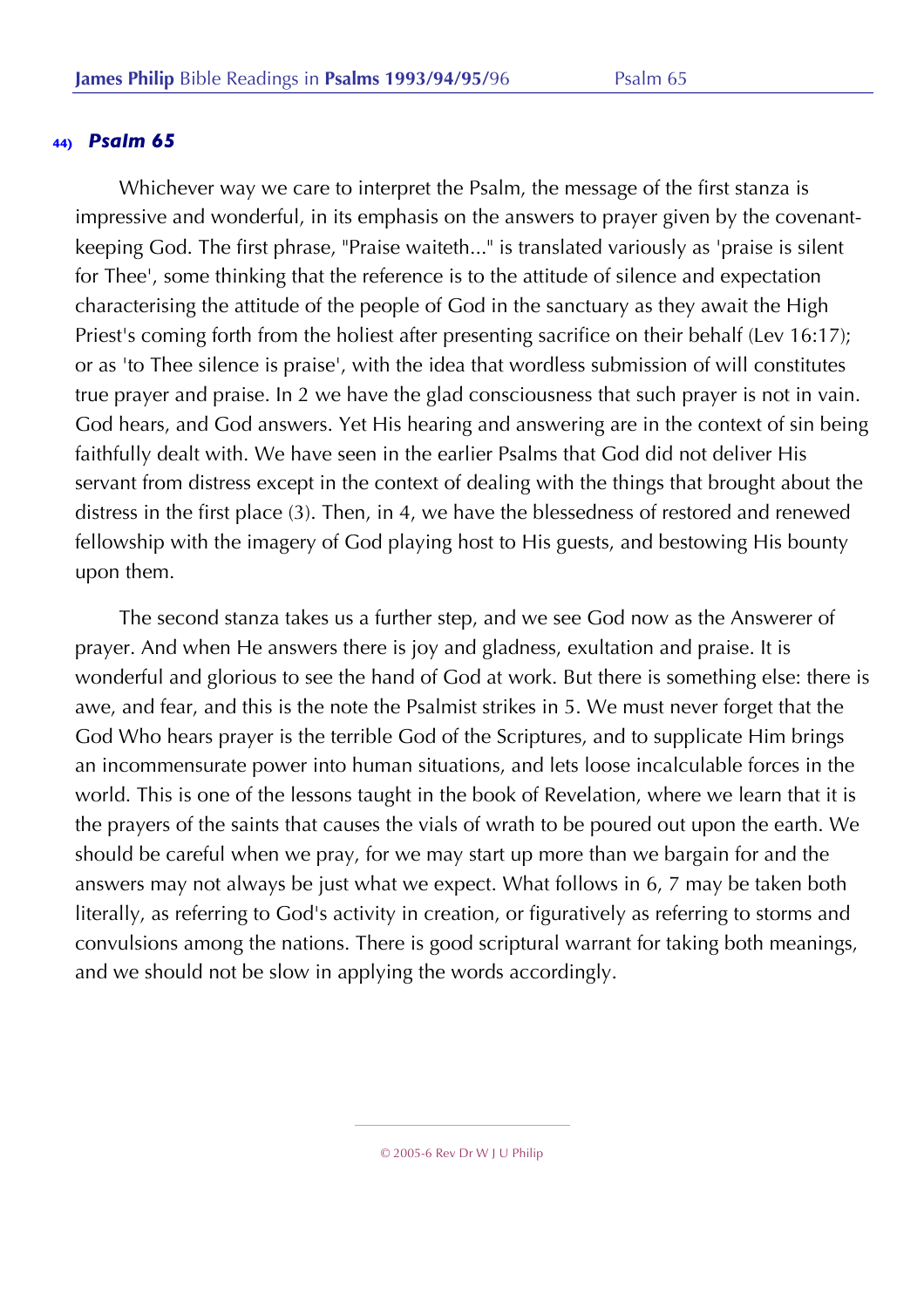Whichever way we care to interpret the Psalm, the message of the first stanza is impressive and wonderful, in its emphasis on the answers to prayer given by the covenantkeeping God. The first phrase, "Praise waiteth..." is translated variously as 'praise is silent for Thee', some thinking that the reference is to the attitude of silence and expectation characterising the attitude of the people of God in the sanctuary as they await the High Priest's coming forth from the holiest after presenting sacrifice on their behalf (Lev 16:17); or as 'to Thee silence is praise', with the idea that wordless submission of will constitutes true prayer and praise. In 2 we have the glad consciousness that such prayer is not in vain. God hears, and God answers. Yet His hearing and answering are in the context of sin being faithfully dealt with. We have seen in the earlier Psalms that God did not deliver His servant from distress except in the context of dealing with the things that brought about the distress in the first place (3). Then, in 4, we have the blessedness of restored and renewed fellowship with the imagery of God playing host to His guests, and bestowing His bounty upon them.

The second stanza takes us a further step, and we see God now as the Answerer of prayer. And when He answers there is joy and gladness, exultation and praise. It is wonderful and glorious to see the hand of God at work. But there is something else: there is awe, and fear, and this is the note the Psalmist strikes in 5. We must never forget that the God Who hears prayer is the terrible God of the Scriptures, and to supplicate Him brings an incommensurate power into human situations, and lets loose incalculable forces in the world. This is one of the lessons taught in the book of Revelation, where we learn that it is the prayers of the saints that causes the vials of wrath to be poured out upon the earth. We should be careful when we pray, for we may start up more than we bargain for and the answers may not always be just what we expect. What follows in 6, 7 may be taken both literally, as referring to God's activity in creation, or figuratively as referring to storms and convulsions among the nations. There is good scriptural warrant for taking both meanings, and we should not be slow in applying the words accordingly.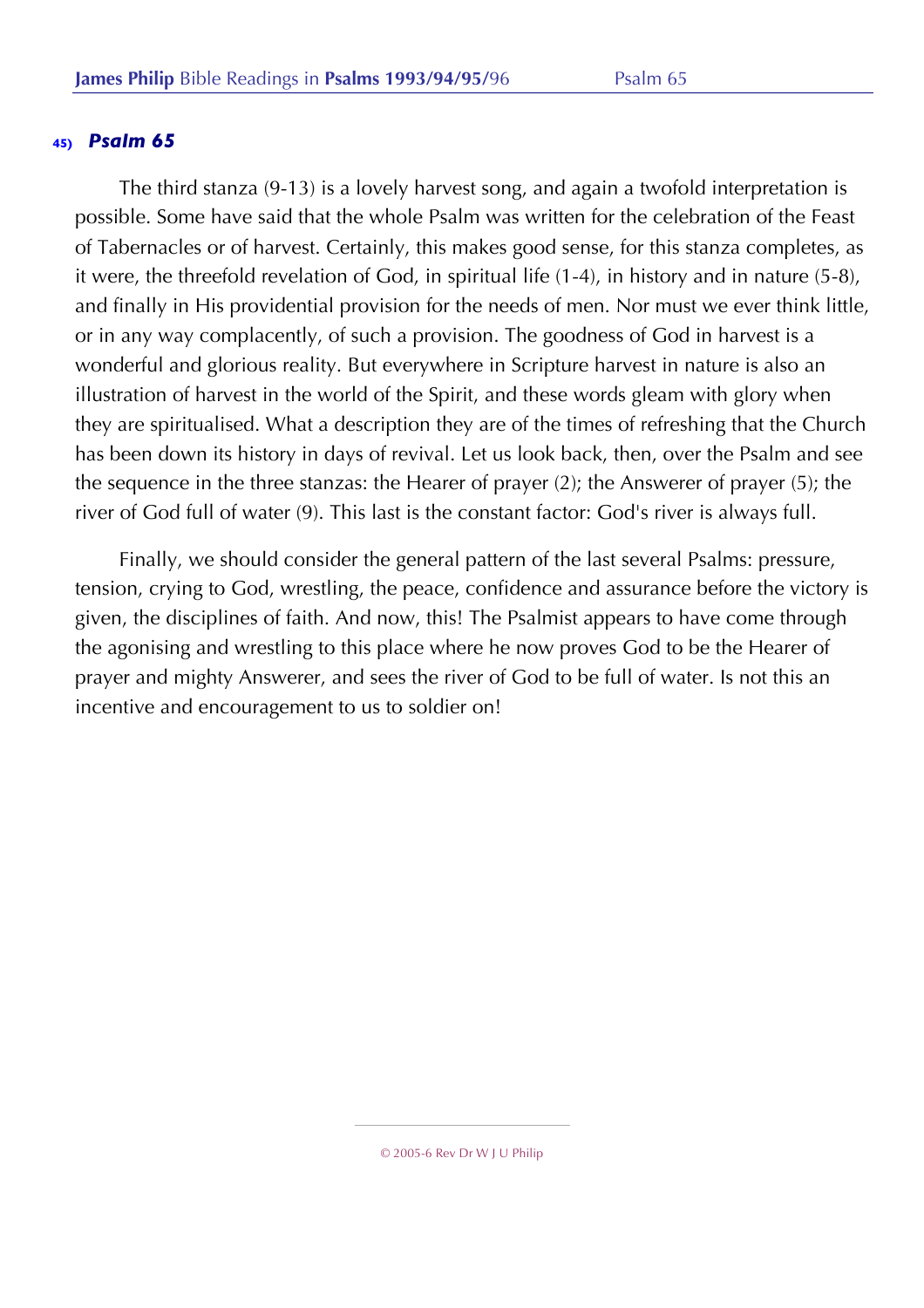The third stanza (9-13) is a lovely harvest song, and again a twofold interpretation is possible. Some have said that the whole Psalm was written for the celebration of the Feast of Tabernacles or of harvest. Certainly, this makes good sense, for this stanza completes, as it were, the threefold revelation of God, in spiritual life (1-4), in history and in nature (5-8), and finally in His providential provision for the needs of men. Nor must we ever think little, or in any way complacently, of such a provision. The goodness of God in harvest is a wonderful and glorious reality. But everywhere in Scripture harvest in nature is also an illustration of harvest in the world of the Spirit, and these words gleam with glory when they are spiritualised. What a description they are of the times of refreshing that the Church has been down its history in days of revival. Let us look back, then, over the Psalm and see the sequence in the three stanzas: the Hearer of prayer (2); the Answerer of prayer (5); the river of God full of water (9). This last is the constant factor: God's river is always full.

Finally, we should consider the general pattern of the last several Psalms: pressure, tension, crying to God, wrestling, the peace, confidence and assurance before the victory is given, the disciplines of faith. And now, this! The Psalmist appears to have come through the agonising and wrestling to this place where he now proves God to be the Hearer of prayer and mighty Answerer, and sees the river of God to be full of water. Is not this an incentive and encouragement to us to soldier on!

<sup>© 2005-6</sup> Rev Dr W J U Philip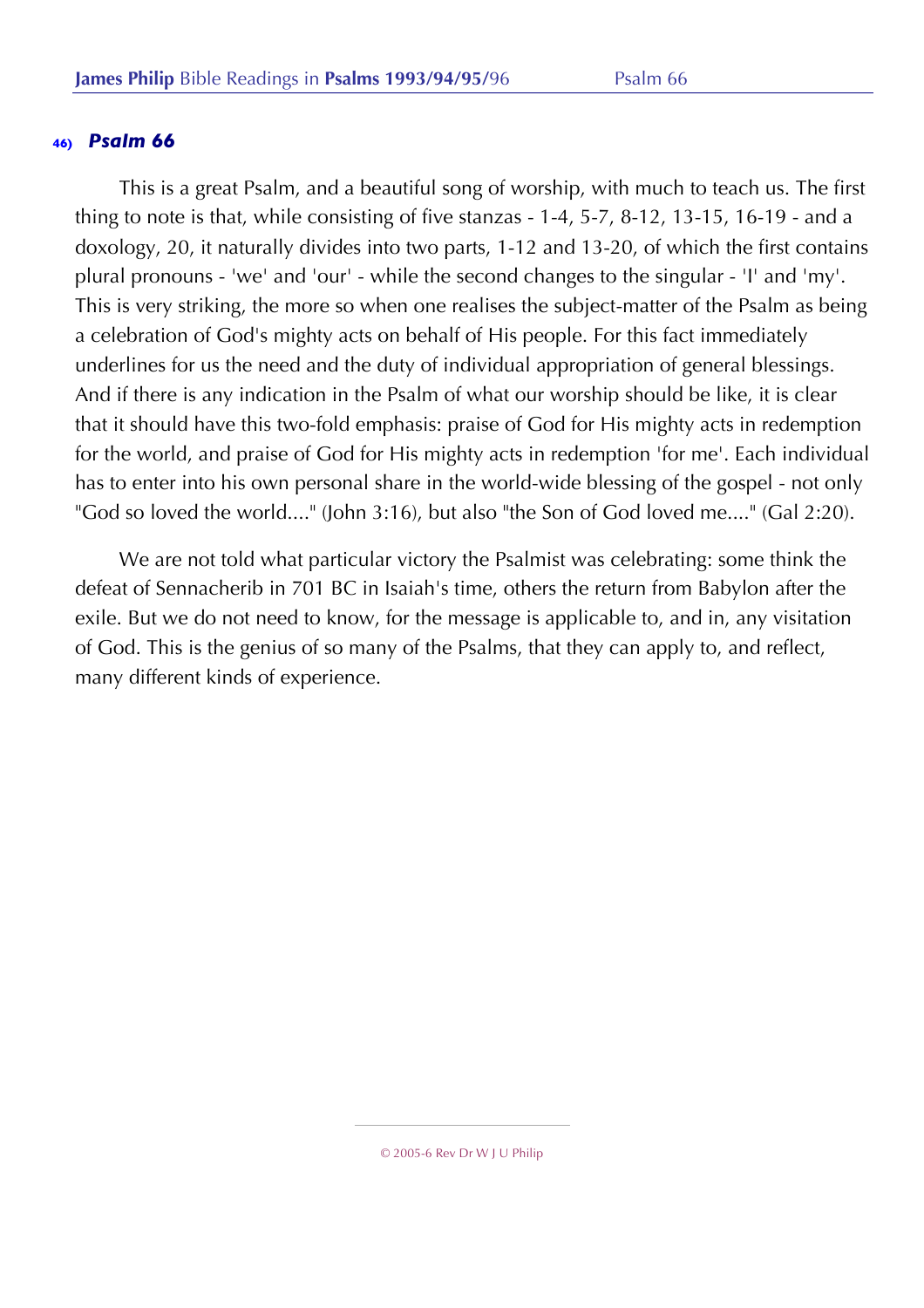This is a great Psalm, and a beautiful song of worship, with much to teach us. The first thing to note is that, while consisting of five stanzas - 1-4, 5-7, 8-12, 13-15, 16-19 - and a doxology, 20, it naturally divides into two parts, 1-12 and 13-20, of which the first contains plural pronouns - 'we' and 'our' - while the second changes to the singular - 'I' and 'my'. This is very striking, the more so when one realises the subject-matter of the Psalm as being a celebration of God's mighty acts on behalf of His people. For this fact immediately underlines for us the need and the duty of individual appropriation of general blessings. And if there is any indication in the Psalm of what our worship should be like, it is clear that it should have this two-fold emphasis: praise of God for His mighty acts in redemption for the world, and praise of God for His mighty acts in redemption 'for me'. Each individual has to enter into his own personal share in the world-wide blessing of the gospel - not only "God so loved the world...." (John 3:16), but also "the Son of God loved me...." (Gal 2:20).

We are not told what particular victory the Psalmist was celebrating: some think the defeat of Sennacherib in 701 BC in Isaiah's time, others the return from Babylon after the exile. But we do not need to know, for the message is applicable to, and in, any visitation of God. This is the genius of so many of the Psalms, that they can apply to, and reflect, many different kinds of experience.

<sup>© 2005-6</sup> Rev Dr W J U Philip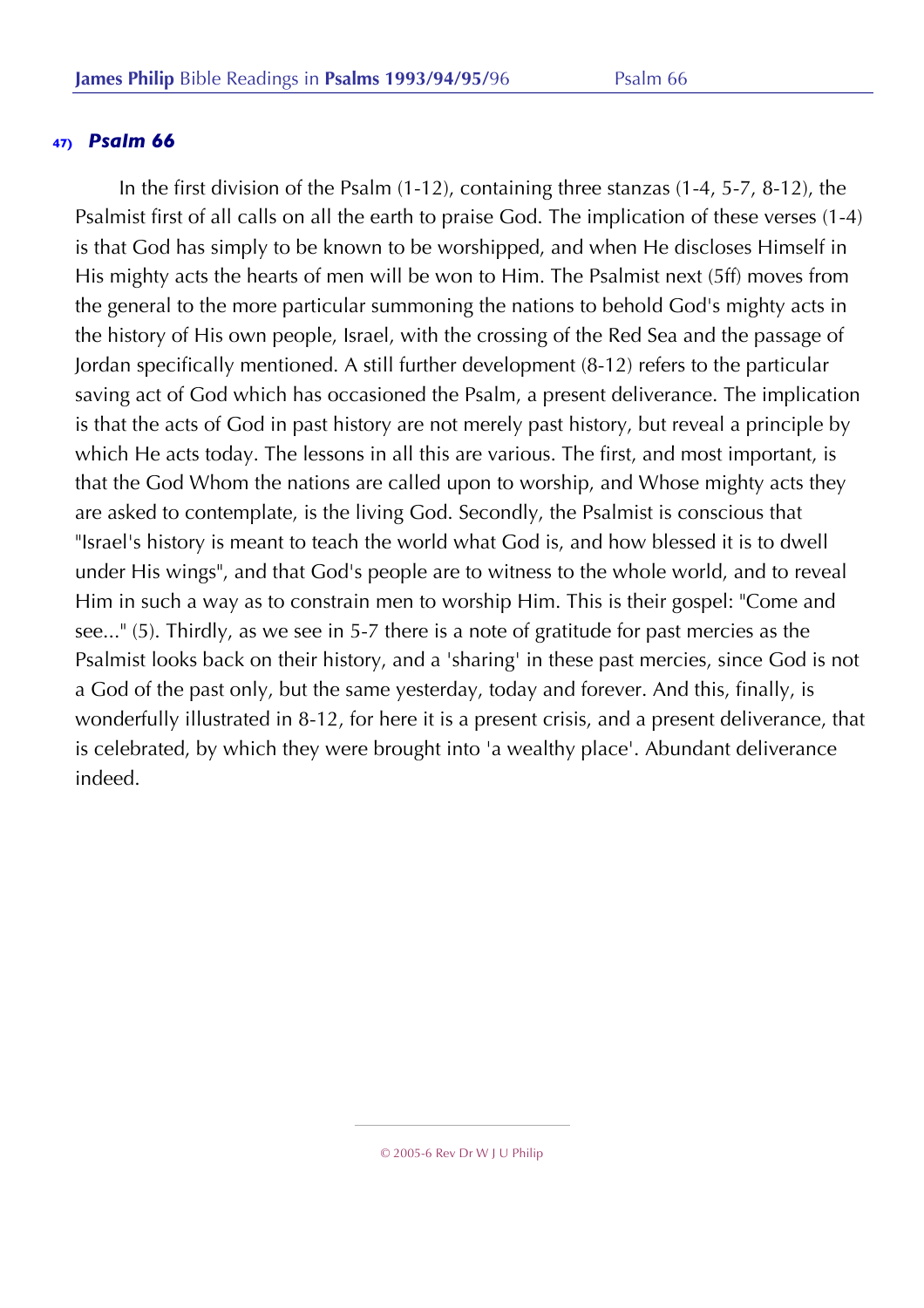In the first division of the Psalm (1-12), containing three stanzas (1-4, 5-7, 8-12), the Psalmist first of all calls on all the earth to praise God. The implication of these verses (1-4) is that God has simply to be known to be worshipped, and when He discloses Himself in His mighty acts the hearts of men will be won to Him. The Psalmist next (5ff) moves from the general to the more particular summoning the nations to behold God's mighty acts in the history of His own people, Israel, with the crossing of the Red Sea and the passage of Jordan specifically mentioned. A still further development (8-12) refers to the particular saving act of God which has occasioned the Psalm, a present deliverance. The implication is that the acts of God in past history are not merely past history, but reveal a principle by which He acts today. The lessons in all this are various. The first, and most important, is that the God Whom the nations are called upon to worship, and Whose mighty acts they are asked to contemplate, is the living God. Secondly, the Psalmist is conscious that "Israel's history is meant to teach the world what God is, and how blessed it is to dwell under His wings", and that God's people are to witness to the whole world, and to reveal Him in such a way as to constrain men to worship Him. This is their gospel: "Come and see..." (5). Thirdly, as we see in 5-7 there is a note of gratitude for past mercies as the Psalmist looks back on their history, and a 'sharing' in these past mercies, since God is not a God of the past only, but the same yesterday, today and forever. And this, finally, is wonderfully illustrated in 8-12, for here it is a present crisis, and a present deliverance, that is celebrated, by which they were brought into 'a wealthy place'. Abundant deliverance indeed.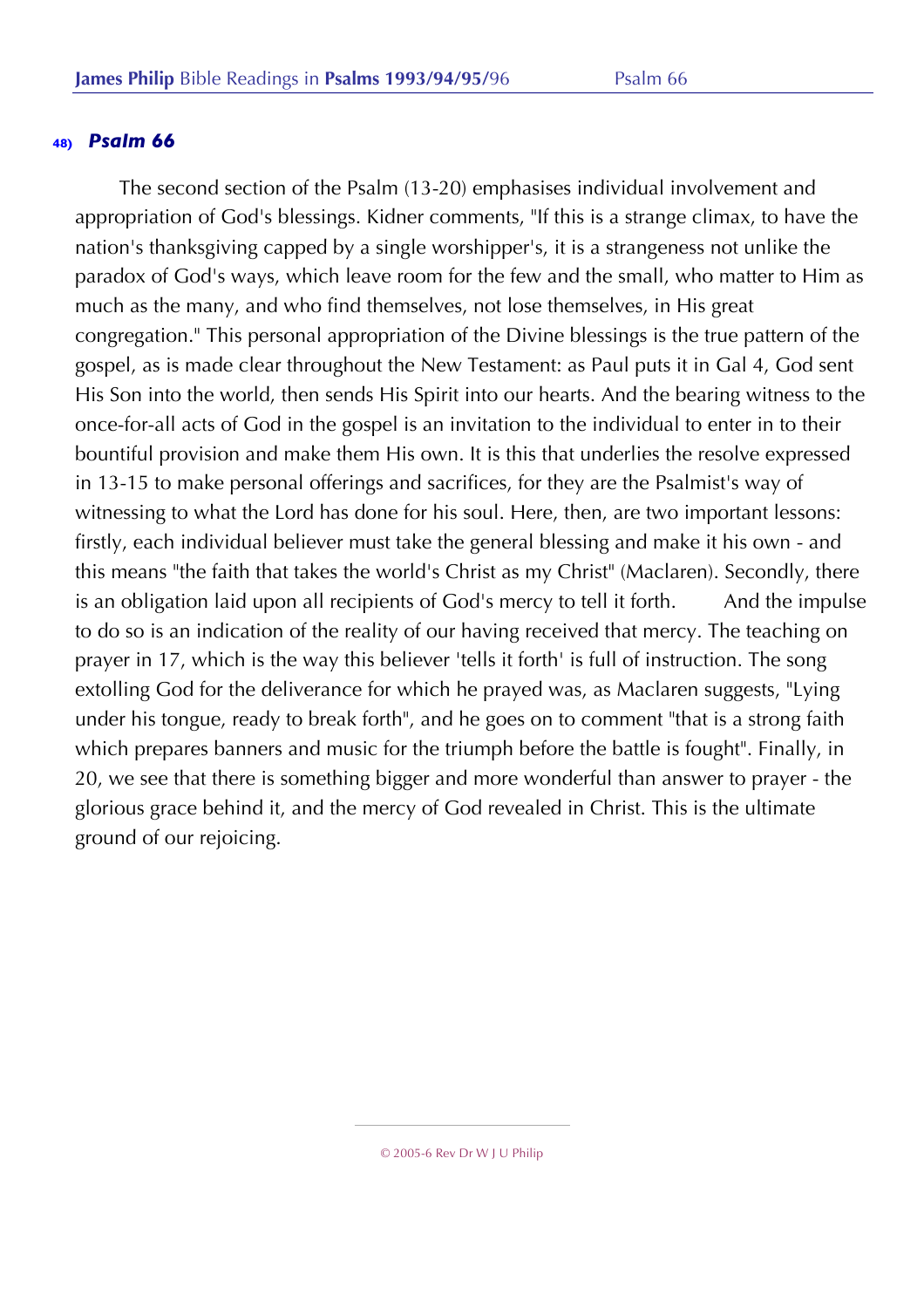The second section of the Psalm (13-20) emphasises individual involvement and appropriation of God's blessings. Kidner comments, "If this is a strange climax, to have the nation's thanksgiving capped by a single worshipper's, it is a strangeness not unlike the paradox of God's ways, which leave room for the few and the small, who matter to Him as much as the many, and who find themselves, not lose themselves, in His great congregation." This personal appropriation of the Divine blessings is the true pattern of the gospel, as is made clear throughout the New Testament: as Paul puts it in Gal 4, God sent His Son into the world, then sends His Spirit into our hearts. And the bearing witness to the once-for-all acts of God in the gospel is an invitation to the individual to enter in to their bountiful provision and make them His own. It is this that underlies the resolve expressed in 13-15 to make personal offerings and sacrifices, for they are the Psalmist's way of witnessing to what the Lord has done for his soul. Here, then, are two important lessons: firstly, each individual believer must take the general blessing and make it his own - and this means "the faith that takes the world's Christ as my Christ" (Maclaren). Secondly, there is an obligation laid upon all recipients of God's mercy to tell it forth. And the impulse to do so is an indication of the reality of our having received that mercy. The teaching on prayer in 17, which is the way this believer 'tells it forth' is full of instruction. The song extolling God for the deliverance for which he prayed was, as Maclaren suggests, "Lying under his tongue, ready to break forth", and he goes on to comment "that is a strong faith which prepares banners and music for the triumph before the battle is fought". Finally, in 20, we see that there is something bigger and more wonderful than answer to prayer - the glorious grace behind it, and the mercy of God revealed in Christ. This is the ultimate ground of our rejoicing.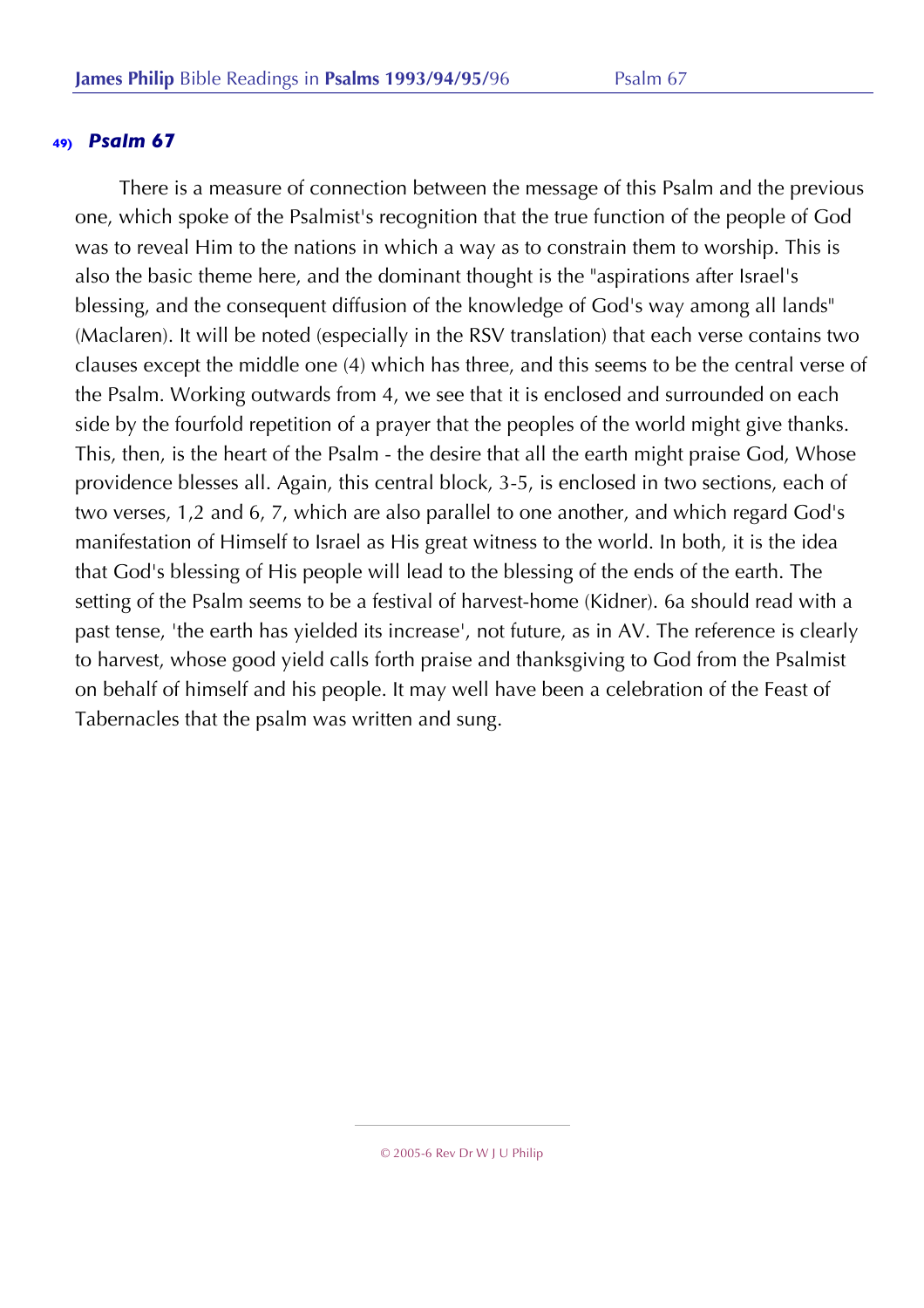There is a measure of connection between the message of this Psalm and the previous one, which spoke of the Psalmist's recognition that the true function of the people of God was to reveal Him to the nations in which a way as to constrain them to worship. This is also the basic theme here, and the dominant thought is the "aspirations after Israel's blessing, and the consequent diffusion of the knowledge of God's way among all lands" (Maclaren). It will be noted (especially in the RSV translation) that each verse contains two clauses except the middle one (4) which has three, and this seems to be the central verse of the Psalm. Working outwards from 4, we see that it is enclosed and surrounded on each side by the fourfold repetition of a prayer that the peoples of the world might give thanks. This, then, is the heart of the Psalm - the desire that all the earth might praise God, Whose providence blesses all. Again, this central block, 3-5, is enclosed in two sections, each of two verses, 1,2 and 6, 7, which are also parallel to one another, and which regard God's manifestation of Himself to Israel as His great witness to the world. In both, it is the idea that God's blessing of His people will lead to the blessing of the ends of the earth. The setting of the Psalm seems to be a festival of harvest-home (Kidner). 6a should read with a past tense, 'the earth has yielded its increase', not future, as in AV. The reference is clearly to harvest, whose good yield calls forth praise and thanksgiving to God from the Psalmist on behalf of himself and his people. It may well have been a celebration of the Feast of Tabernacles that the psalm was written and sung.

<sup>© 2005-6</sup> Rev Dr W J U Philip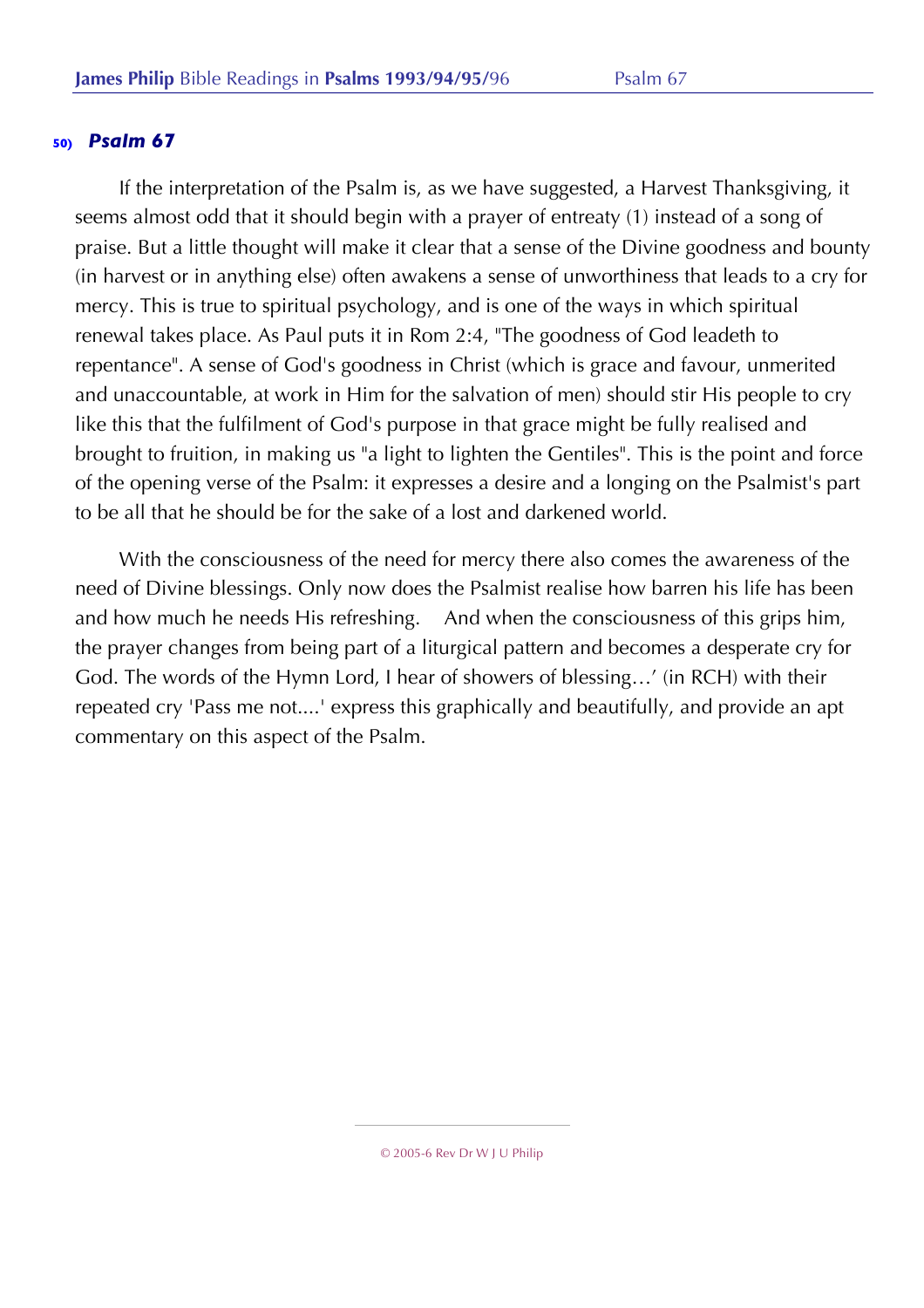If the interpretation of the Psalm is, as we have suggested, a Harvest Thanksgiving, it seems almost odd that it should begin with a prayer of entreaty (1) instead of a song of praise. But a little thought will make it clear that a sense of the Divine goodness and bounty (in harvest or in anything else) often awakens a sense of unworthiness that leads to a cry for mercy. This is true to spiritual psychology, and is one of the ways in which spiritual renewal takes place. As Paul puts it in Rom 2:4, "The goodness of God leadeth to repentance". A sense of God's goodness in Christ (which is grace and favour, unmerited and unaccountable, at work in Him for the salvation of men) should stir His people to cry like this that the fulfilment of God's purpose in that grace might be fully realised and brought to fruition, in making us "a light to lighten the Gentiles". This is the point and force of the opening verse of the Psalm: it expresses a desire and a longing on the Psalmist's part to be all that he should be for the sake of a lost and darkened world.

With the consciousness of the need for mercy there also comes the awareness of the need of Divine blessings. Only now does the Psalmist realise how barren his life has been and how much he needs His refreshing. And when the consciousness of this grips him, the prayer changes from being part of a liturgical pattern and becomes a desperate cry for God. The words of the Hymn Lord, I hear of showers of blessing…' (in RCH) with their repeated cry 'Pass me not....' express this graphically and beautifully, and provide an apt commentary on this aspect of the Psalm.

<sup>© 2005-6</sup> Rev Dr W J U Philip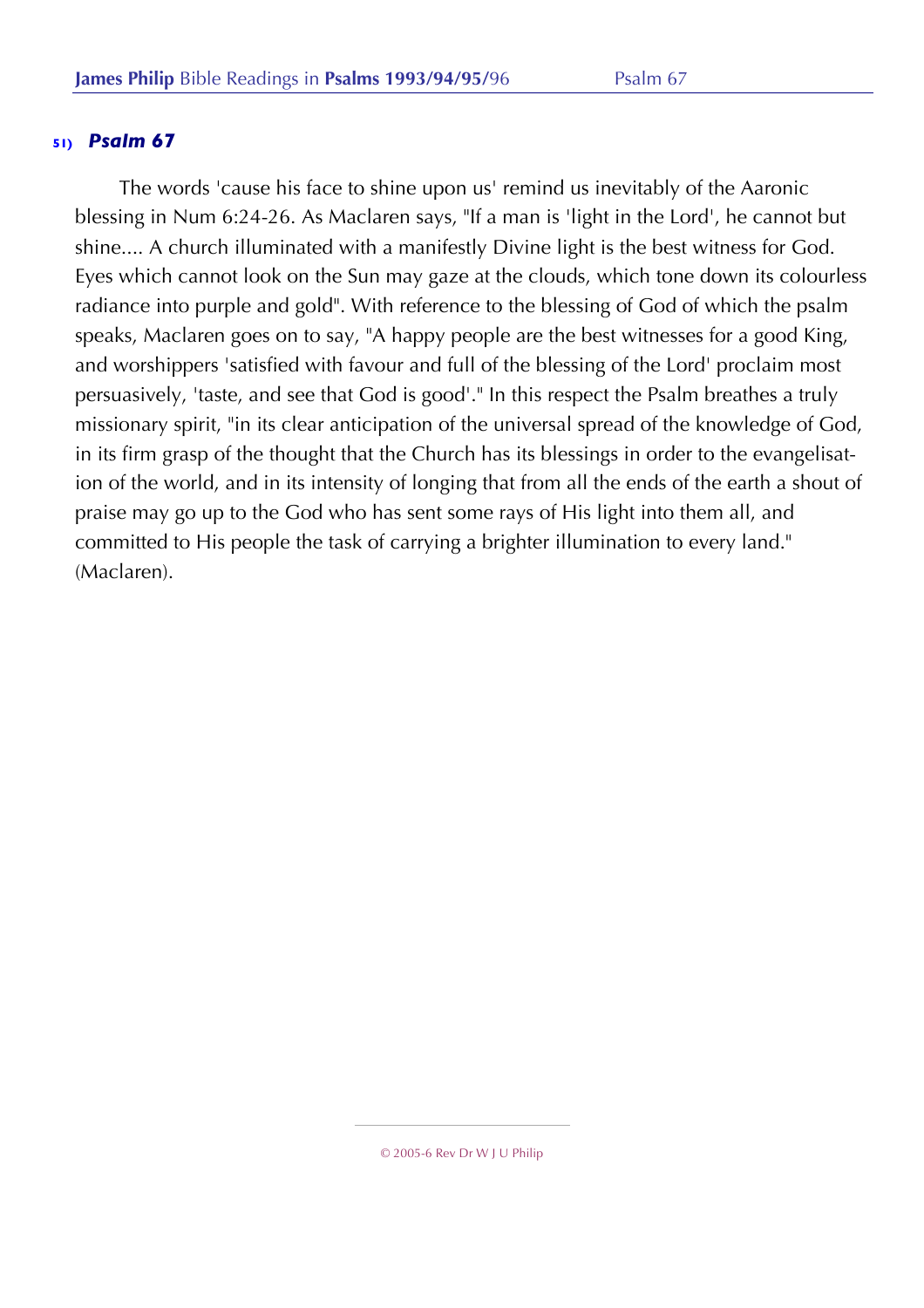The words 'cause his face to shine upon us' remind us inevitably of the Aaronic blessing in Num 6:24-26. As Maclaren says, "If a man is 'light in the Lord', he cannot but shine.... A church illuminated with a manifestly Divine light is the best witness for God. Eyes which cannot look on the Sun may gaze at the clouds, which tone down its colourless radiance into purple and gold". With reference to the blessing of God of which the psalm speaks, Maclaren goes on to say, "A happy people are the best witnesses for a good King, and worshippers 'satisfied with favour and full of the blessing of the Lord' proclaim most persuasively, 'taste, and see that God is good'." In this respect the Psalm breathes a truly missionary spirit, "in its clear anticipation of the universal spread of the knowledge of God, in its firm grasp of the thought that the Church has its blessings in order to the evangelisation of the world, and in its intensity of longing that from all the ends of the earth a shout of praise may go up to the God who has sent some rays of His light into them all, and committed to His people the task of carrying a brighter illumination to every land." (Maclaren).

<sup>© 2005-6</sup> Rev Dr W J U Philip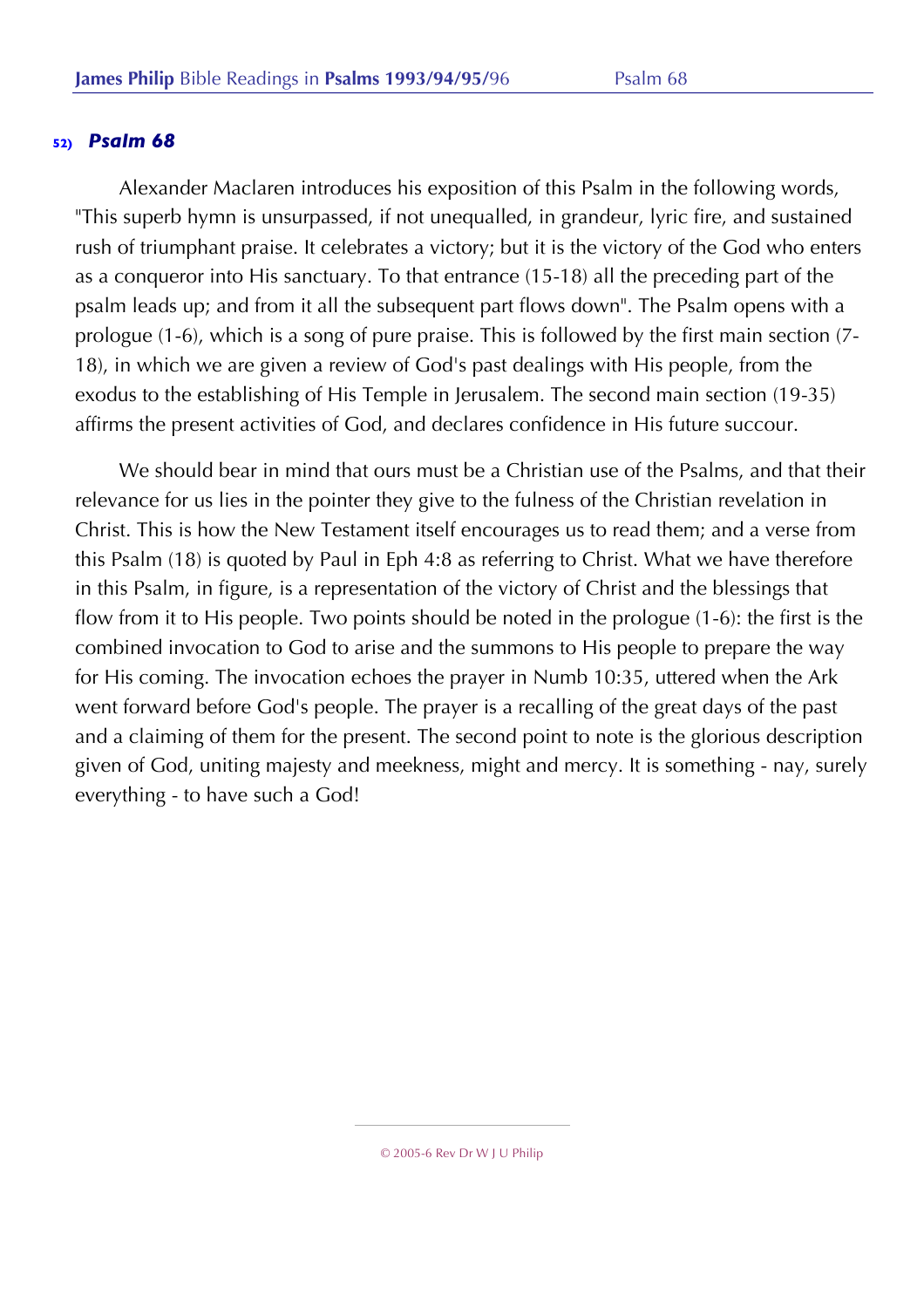Alexander Maclaren introduces his exposition of this Psalm in the following words, "This superb hymn is unsurpassed, if not unequalled, in grandeur, lyric fire, and sustained rush of triumphant praise. It celebrates a victory; but it is the victory of the God who enters as a conqueror into His sanctuary. To that entrance (15-18) all the preceding part of the psalm leads up; and from it all the subsequent part flows down". The Psalm opens with a prologue (1-6), which is a song of pure praise. This is followed by the first main section (7- 18), in which we are given a review of God's past dealings with His people, from the exodus to the establishing of His Temple in Jerusalem. The second main section (19-35) affirms the present activities of God, and declares confidence in His future succour.

We should bear in mind that ours must be a Christian use of the Psalms, and that their relevance for us lies in the pointer they give to the fulness of the Christian revelation in Christ. This is how the New Testament itself encourages us to read them; and a verse from this Psalm (18) is quoted by Paul in Eph 4:8 as referring to Christ. What we have therefore in this Psalm, in figure, is a representation of the victory of Christ and the blessings that flow from it to His people. Two points should be noted in the prologue (1-6): the first is the combined invocation to God to arise and the summons to His people to prepare the way for His coming. The invocation echoes the prayer in Numb 10:35, uttered when the Ark went forward before God's people. The prayer is a recalling of the great days of the past and a claiming of them for the present. The second point to note is the glorious description given of God, uniting majesty and meekness, might and mercy. It is something - nay, surely everything - to have such a God!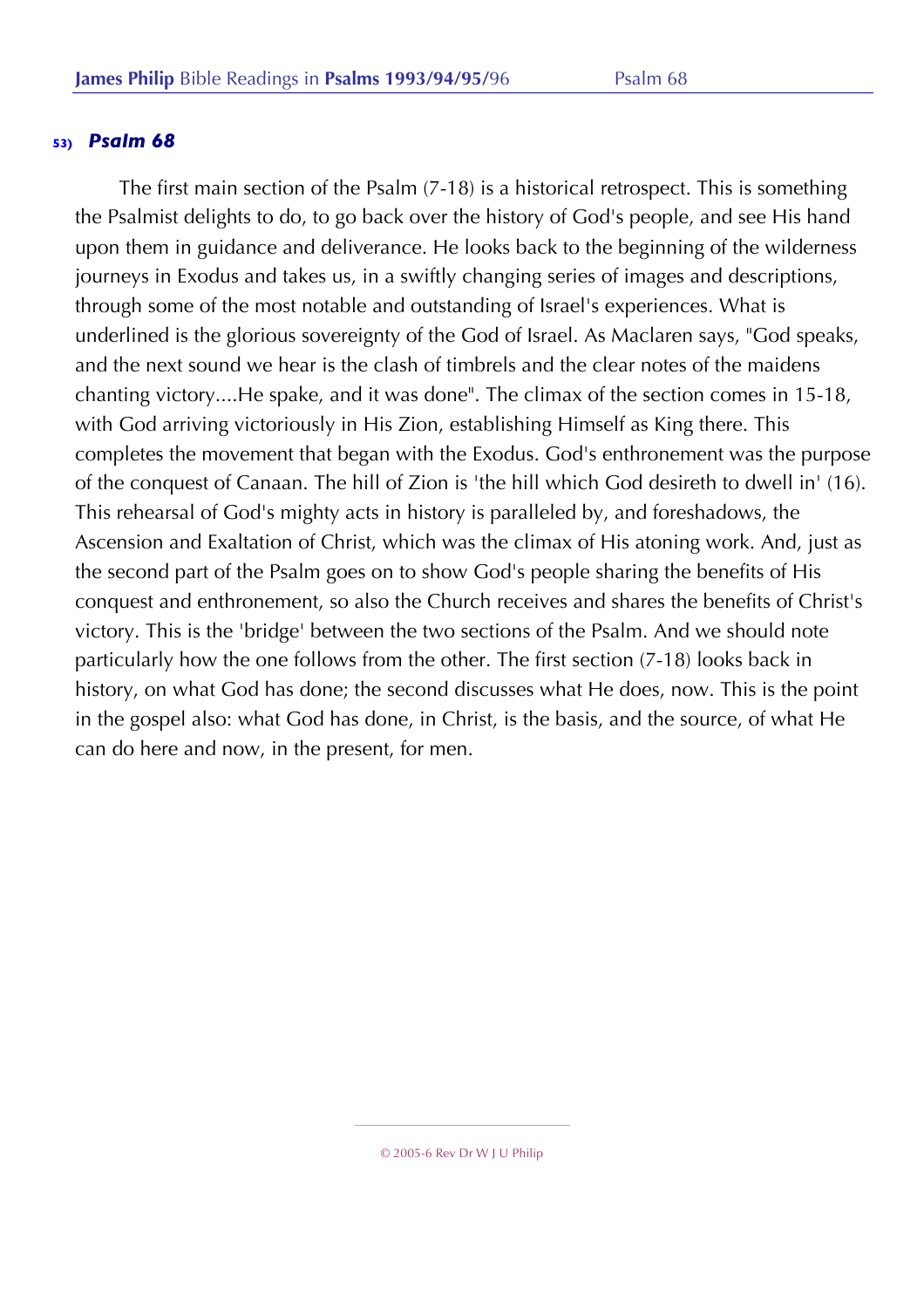The first main section of the Psalm (7-18) is a historical retrospect. This is something the Psalmist delights to do, to go back over the history of God's people, and see His hand upon them in guidance and deliverance. He looks back to the beginning of the wilderness journeys in Exodus and takes us, in a swiftly changing series of images and descriptions, through some of the most notable and outstanding of Israel's experiences. What is underlined is the glorious sovereignty of the God of Israel. As Maclaren says, "God speaks, and the next sound we hear is the clash of timbrels and the clear notes of the maidens chanting victory....He spake, and it was done". The climax of the section comes in 15-18, with God arriving victoriously in His Zion, establishing Himself as King there. This completes the movement that began with the Exodus. God's enthronement was the purpose of the conquest of Canaan. The hill of Zion is 'the hill which God desireth to dwell in' (16). This rehearsal of God's mighty acts in history is paralleled by, and foreshadows, the Ascension and Exaltation of Christ, which was the climax of His atoning work. And, just as the second part of the Psalm goes on to show God's people sharing the benefits of His conquest and enthronement, so also the Church receives and shares the benefits of Christ's victory. This is the 'bridge' between the two sections of the Psalm. And we should note particularly how the one follows from the other. The first section (7-18) looks back in history, on what God has done; the second discusses what He does, now. This is the point in the gospel also: what God has done, in Christ, is the basis, and the source, of what He can do here and now, in the present, for men.

<sup>© 2005-6</sup> Rev Dr W J U Philip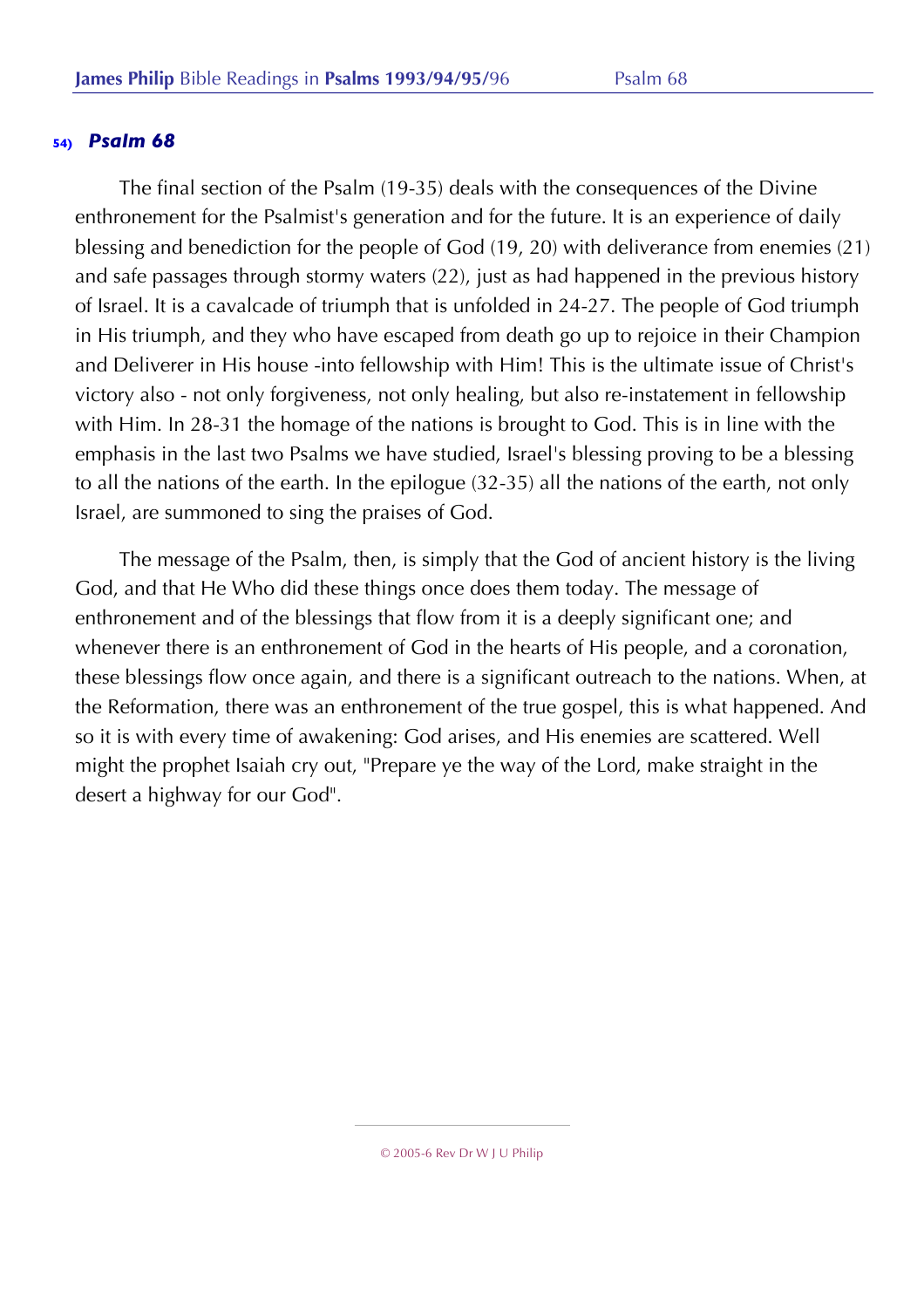The final section of the Psalm (19-35) deals with the consequences of the Divine enthronement for the Psalmist's generation and for the future. It is an experience of daily blessing and benediction for the people of God (19, 20) with deliverance from enemies (21) and safe passages through stormy waters (22), just as had happened in the previous history of Israel. It is a cavalcade of triumph that is unfolded in 24-27. The people of God triumph in His triumph, and they who have escaped from death go up to rejoice in their Champion and Deliverer in His house -into fellowship with Him! This is the ultimate issue of Christ's victory also - not only forgiveness, not only healing, but also re-instatement in fellowship with Him. In 28-31 the homage of the nations is brought to God. This is in line with the emphasis in the last two Psalms we have studied, Israel's blessing proving to be a blessing to all the nations of the earth. In the epilogue (32-35) all the nations of the earth, not only Israel, are summoned to sing the praises of God.

The message of the Psalm, then, is simply that the God of ancient history is the living God, and that He Who did these things once does them today. The message of enthronement and of the blessings that flow from it is a deeply significant one; and whenever there is an enthronement of God in the hearts of His people, and a coronation, these blessings flow once again, and there is a significant outreach to the nations. When, at the Reformation, there was an enthronement of the true gospel, this is what happened. And so it is with every time of awakening: God arises, and His enemies are scattered. Well might the prophet Isaiah cry out, "Prepare ye the way of the Lord, make straight in the desert a highway for our God".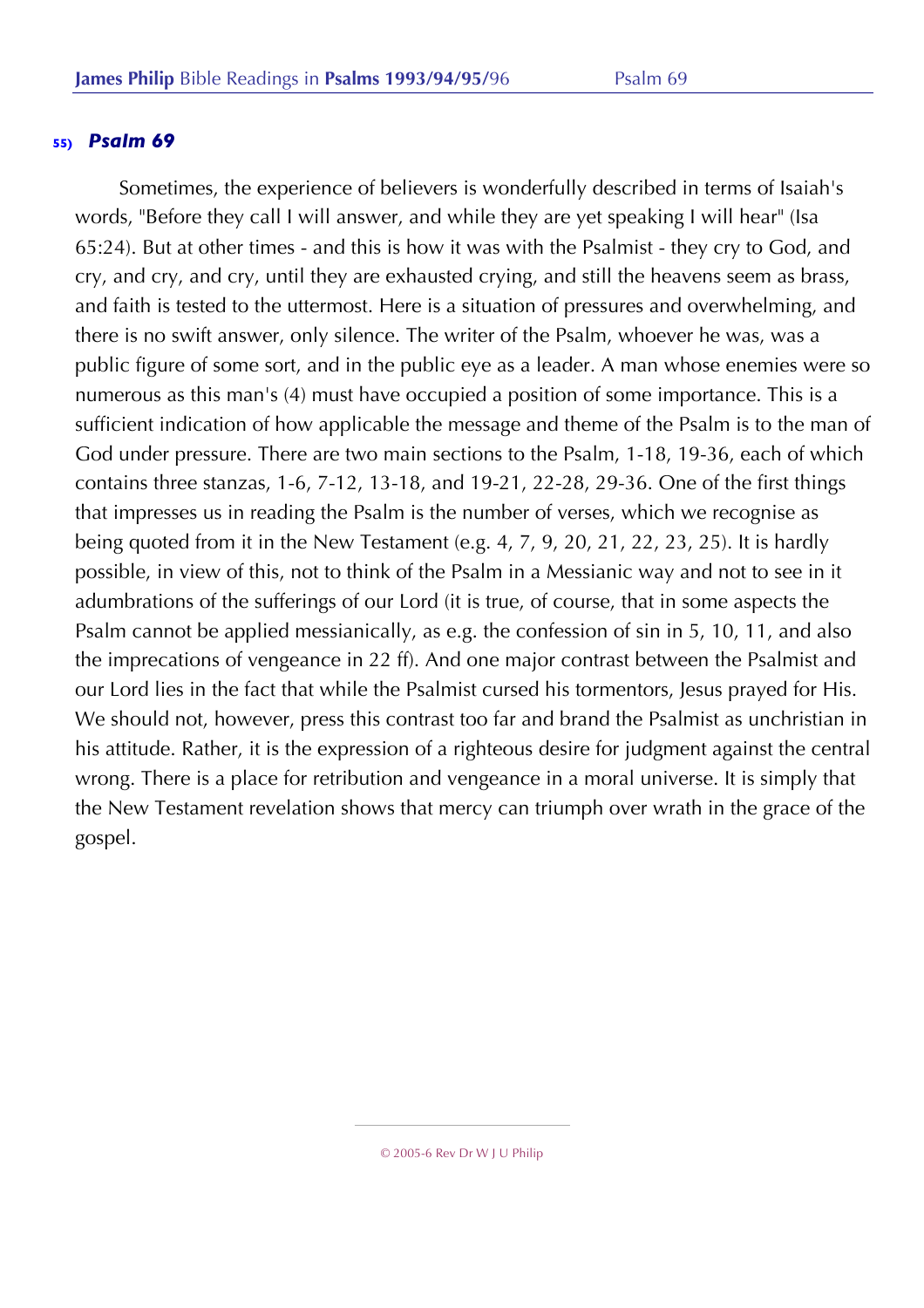Sometimes, the experience of believers is wonderfully described in terms of Isaiah's words, "Before they call I will answer, and while they are yet speaking I will hear" (Isa 65:24). But at other times - and this is how it was with the Psalmist - they cry to God, and cry, and cry, and cry, until they are exhausted crying, and still the heavens seem as brass, and faith is tested to the uttermost. Here is a situation of pressures and overwhelming, and there is no swift answer, only silence. The writer of the Psalm, whoever he was, was a public figure of some sort, and in the public eye as a leader. A man whose enemies were so numerous as this man's (4) must have occupied a position of some importance. This is a sufficient indication of how applicable the message and theme of the Psalm is to the man of God under pressure. There are two main sections to the Psalm, 1-18, 19-36, each of which contains three stanzas, 1-6, 7-12, 13-18, and 19-21, 22-28, 29-36. One of the first things that impresses us in reading the Psalm is the number of verses, which we recognise as being quoted from it in the New Testament (e.g. 4, 7, 9, 20, 21, 22, 23, 25). It is hardly possible, in view of this, not to think of the Psalm in a Messianic way and not to see in it adumbrations of the sufferings of our Lord (it is true, of course, that in some aspects the Psalm cannot be applied messianically, as e.g. the confession of sin in 5, 10, 11, and also the imprecations of vengeance in 22 ff). And one major contrast between the Psalmist and our Lord lies in the fact that while the Psalmist cursed his tormentors, Jesus prayed for His. We should not, however, press this contrast too far and brand the Psalmist as unchristian in his attitude. Rather, it is the expression of a righteous desire for judgment against the central wrong. There is a place for retribution and vengeance in a moral universe. It is simply that the New Testament revelation shows that mercy can triumph over wrath in the grace of the gospel.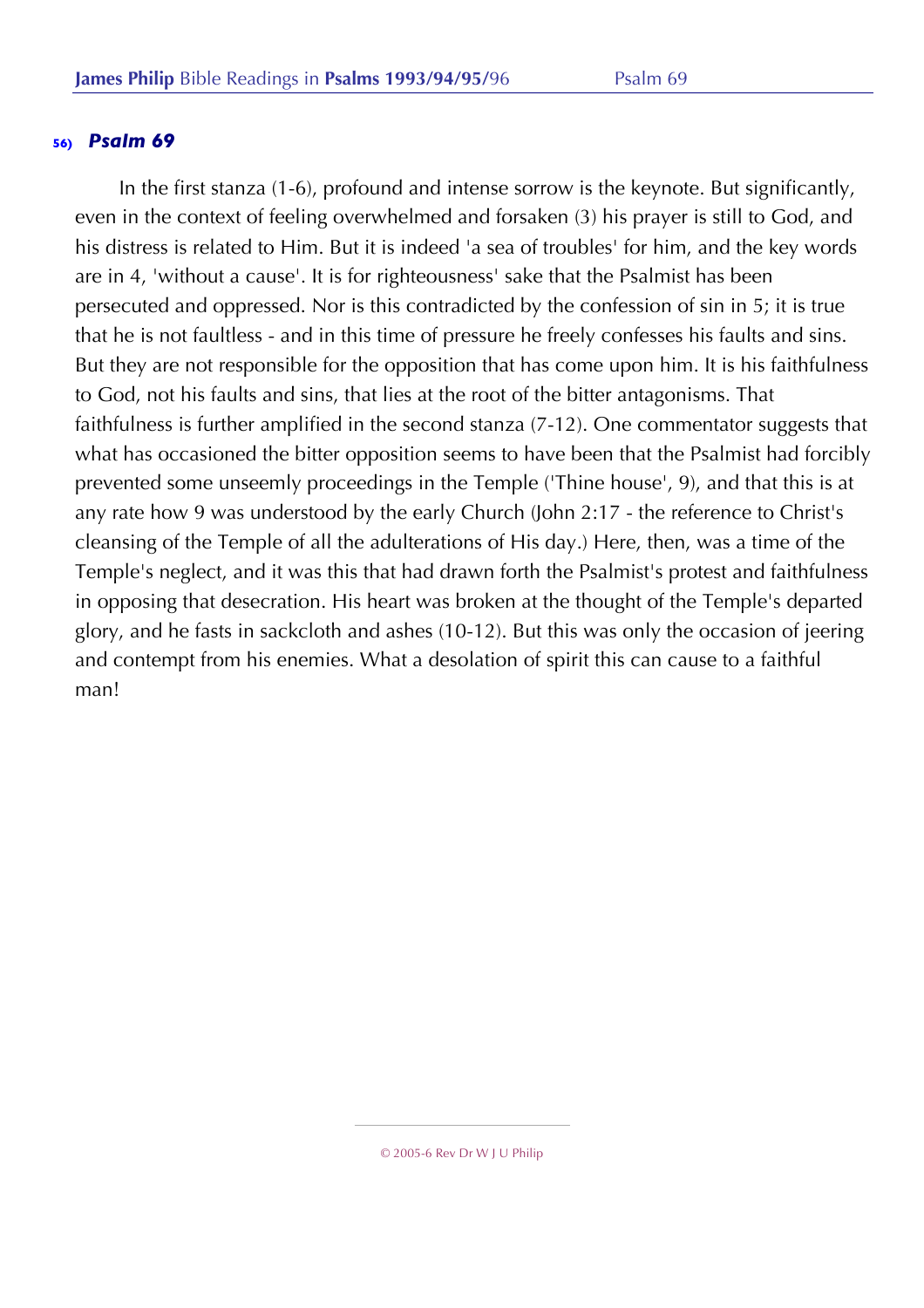In the first stanza (1-6), profound and intense sorrow is the keynote. But significantly, even in the context of feeling overwhelmed and forsaken (3) his prayer is still to God, and his distress is related to Him. But it is indeed 'a sea of troubles' for him, and the key words are in 4, 'without a cause'. It is for righteousness' sake that the Psalmist has been persecuted and oppressed. Nor is this contradicted by the confession of sin in 5; it is true that he is not faultless - and in this time of pressure he freely confesses his faults and sins. But they are not responsible for the opposition that has come upon him. It is his faithfulness to God, not his faults and sins, that lies at the root of the bitter antagonisms. That faithfulness is further amplified in the second stanza (7-12). One commentator suggests that what has occasioned the bitter opposition seems to have been that the Psalmist had forcibly prevented some unseemly proceedings in the Temple ('Thine house', 9), and that this is at any rate how 9 was understood by the early Church (John 2:17 - the reference to Christ's cleansing of the Temple of all the adulterations of His day.) Here, then, was a time of the Temple's neglect, and it was this that had drawn forth the Psalmist's protest and faithfulness in opposing that desecration. His heart was broken at the thought of the Temple's departed glory, and he fasts in sackcloth and ashes (10-12). But this was only the occasion of jeering and contempt from his enemies. What a desolation of spirit this can cause to a faithful man!

<sup>© 2005-6</sup> Rev Dr W J U Philip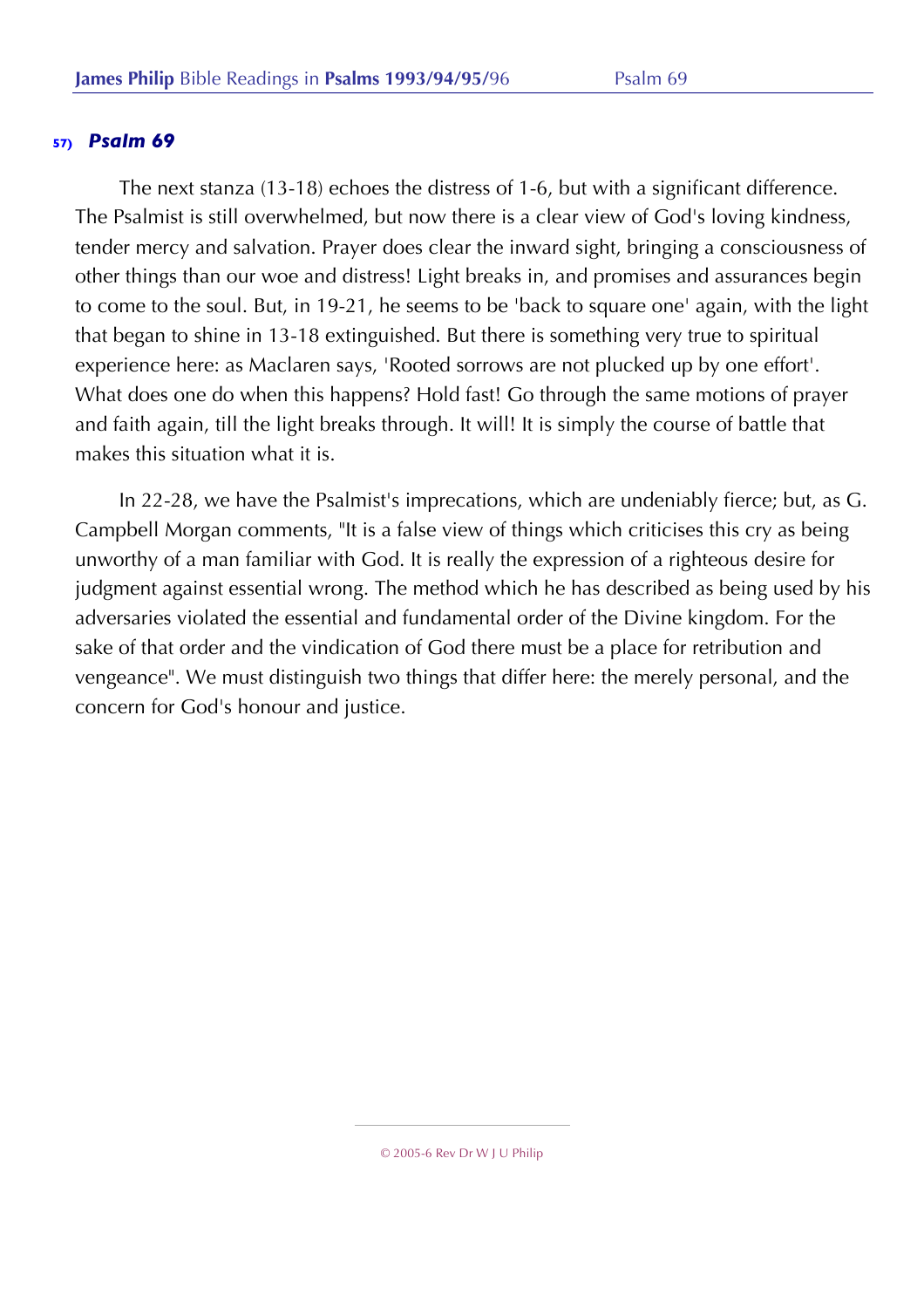The next stanza (13-18) echoes the distress of 1-6, but with a significant difference. The Psalmist is still overwhelmed, but now there is a clear view of God's loving kindness, tender mercy and salvation. Prayer does clear the inward sight, bringing a consciousness of other things than our woe and distress! Light breaks in, and promises and assurances begin to come to the soul. But, in 19-21, he seems to be 'back to square one' again, with the light that began to shine in 13-18 extinguished. But there is something very true to spiritual experience here: as Maclaren says, 'Rooted sorrows are not plucked up by one effort'. What does one do when this happens? Hold fast! Go through the same motions of prayer and faith again, till the light breaks through. It will! It is simply the course of battle that makes this situation what it is.

In 22-28, we have the Psalmist's imprecations, which are undeniably fierce; but, as G. Campbell Morgan comments, "It is a false view of things which criticises this cry as being unworthy of a man familiar with God. It is really the expression of a righteous desire for judgment against essential wrong. The method which he has described as being used by his adversaries violated the essential and fundamental order of the Divine kingdom. For the sake of that order and the vindication of God there must be a place for retribution and vengeance". We must distinguish two things that differ here: the merely personal, and the concern for God's honour and justice.

<sup>© 2005-6</sup> Rev Dr W J U Philip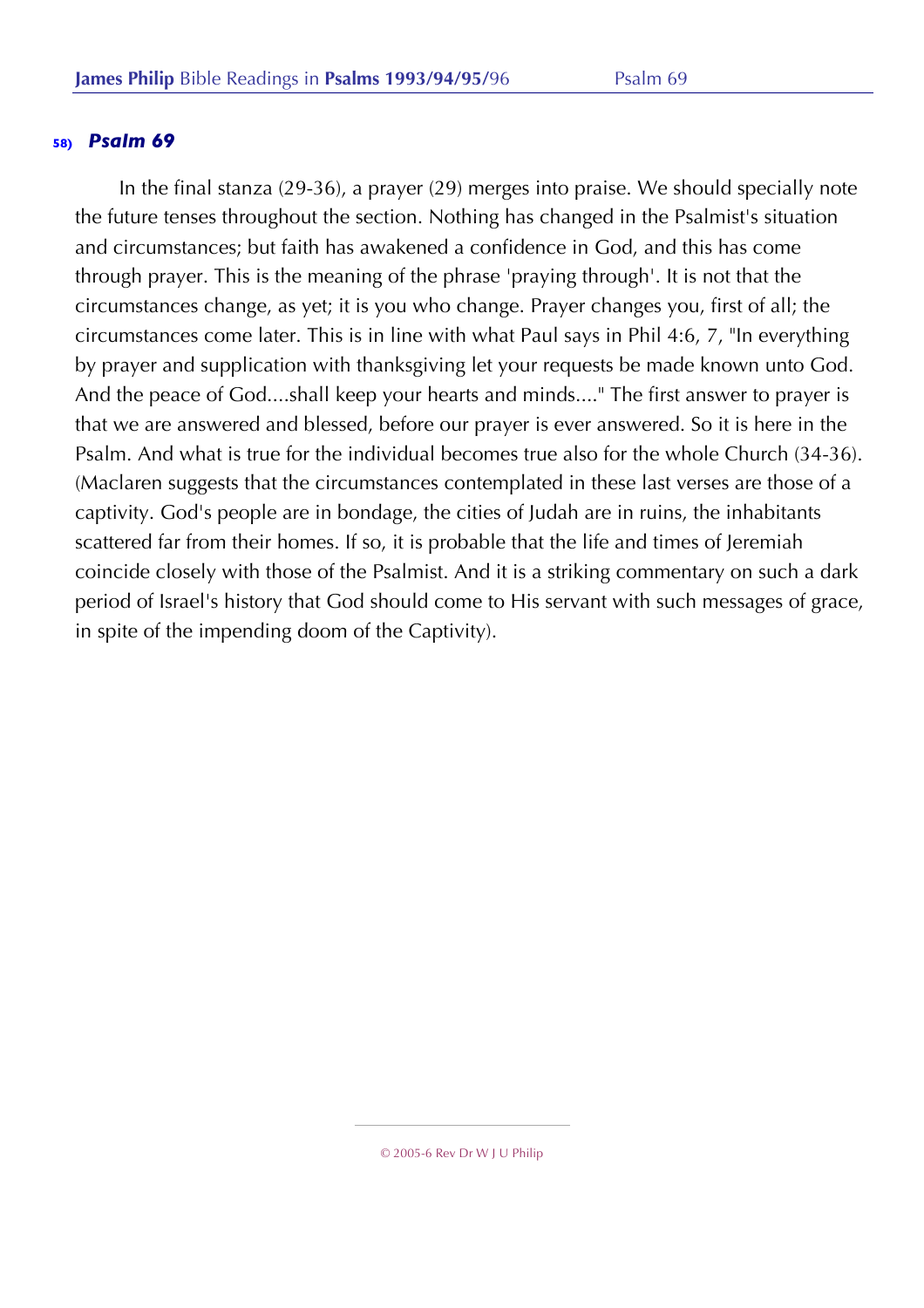In the final stanza (29-36), a prayer (29) merges into praise. We should specially note the future tenses throughout the section. Nothing has changed in the Psalmist's situation and circumstances; but faith has awakened a confidence in God, and this has come through prayer. This is the meaning of the phrase 'praying through'. It is not that the circumstances change, as yet; it is you who change. Prayer changes you, first of all; the circumstances come later. This is in line with what Paul says in Phil 4:6, 7, "In everything by prayer and supplication with thanksgiving let your requests be made known unto God. And the peace of God....shall keep your hearts and minds...." The first answer to prayer is that we are answered and blessed, before our prayer is ever answered. So it is here in the Psalm. And what is true for the individual becomes true also for the whole Church (34-36). (Maclaren suggests that the circumstances contemplated in these last verses are those of a captivity. God's people are in bondage, the cities of Judah are in ruins, the inhabitants scattered far from their homes. If so, it is probable that the life and times of Jeremiah coincide closely with those of the Psalmist. And it is a striking commentary on such a dark period of Israel's history that God should come to His servant with such messages of grace, in spite of the impending doom of the Captivity).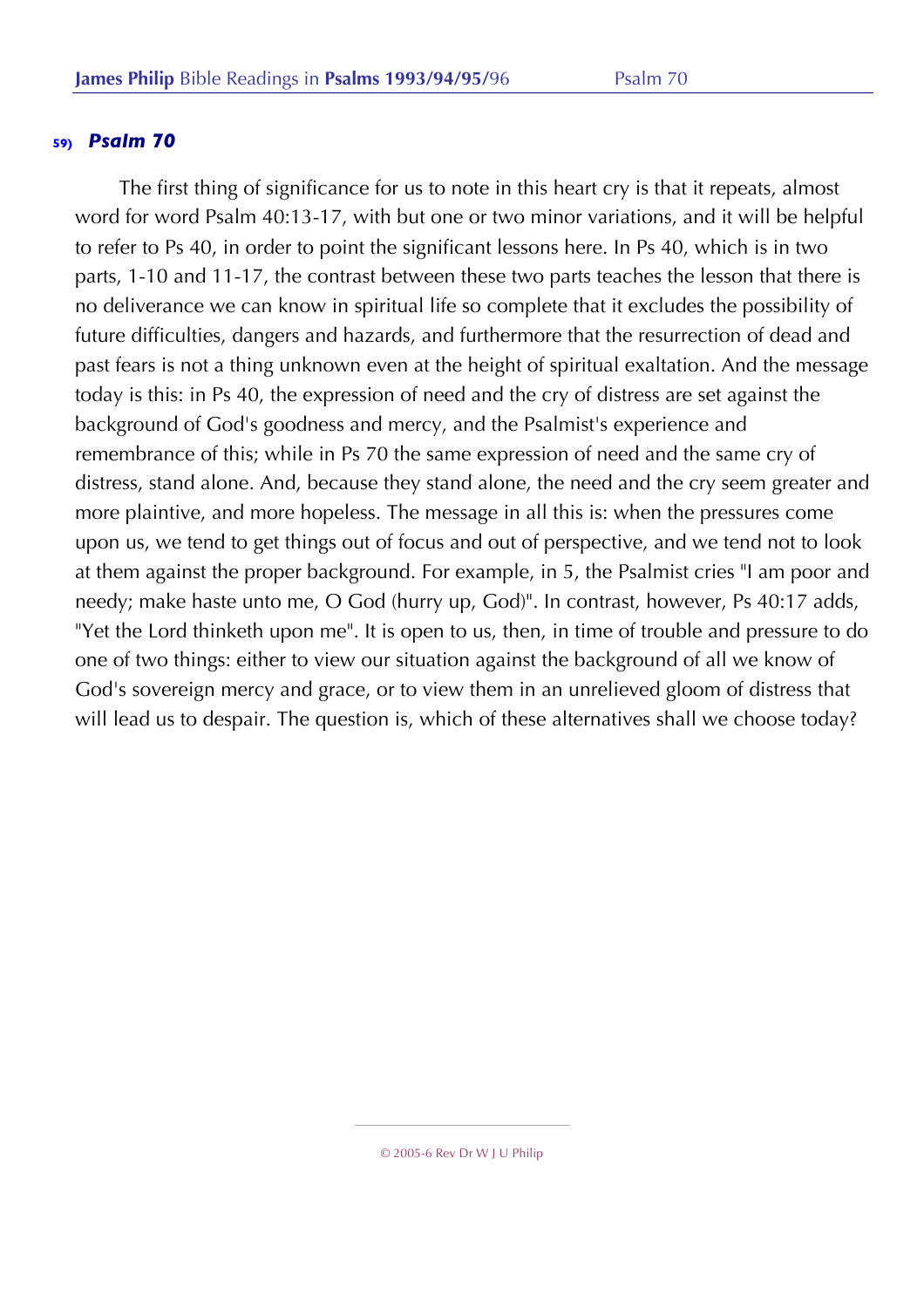The first thing of significance for us to note in this heart cry is that it repeats, almost word for word Psalm 40:13-17, with but one or two minor variations, and it will be helpful to refer to Ps 40, in order to point the significant lessons here. In Ps 40, which is in two parts, 1-10 and 11-17, the contrast between these two parts teaches the lesson that there is no deliverance we can know in spiritual life so complete that it excludes the possibility of future difficulties, dangers and hazards, and furthermore that the resurrection of dead and past fears is not a thing unknown even at the height of spiritual exaltation. And the message today is this: in Ps 40, the expression of need and the cry of distress are set against the background of God's goodness and mercy, and the Psalmist's experience and remembrance of this; while in Ps 70 the same expression of need and the same cry of distress, stand alone. And, because they stand alone, the need and the cry seem greater and more plaintive, and more hopeless. The message in all this is: when the pressures come upon us, we tend to get things out of focus and out of perspective, and we tend not to look at them against the proper background. For example, in 5, the Psalmist cries "I am poor and needy; make haste unto me, O God (hurry up, God)". In contrast, however, Ps 40:17 adds, "Yet the Lord thinketh upon me". It is open to us, then, in time of trouble and pressure to do one of two things: either to view our situation against the background of all we know of God's sovereign mercy and grace, or to view them in an unrelieved gloom of distress that will lead us to despair. The question is, which of these alternatives shall we choose today?

<sup>© 2005-6</sup> Rev Dr W J U Philip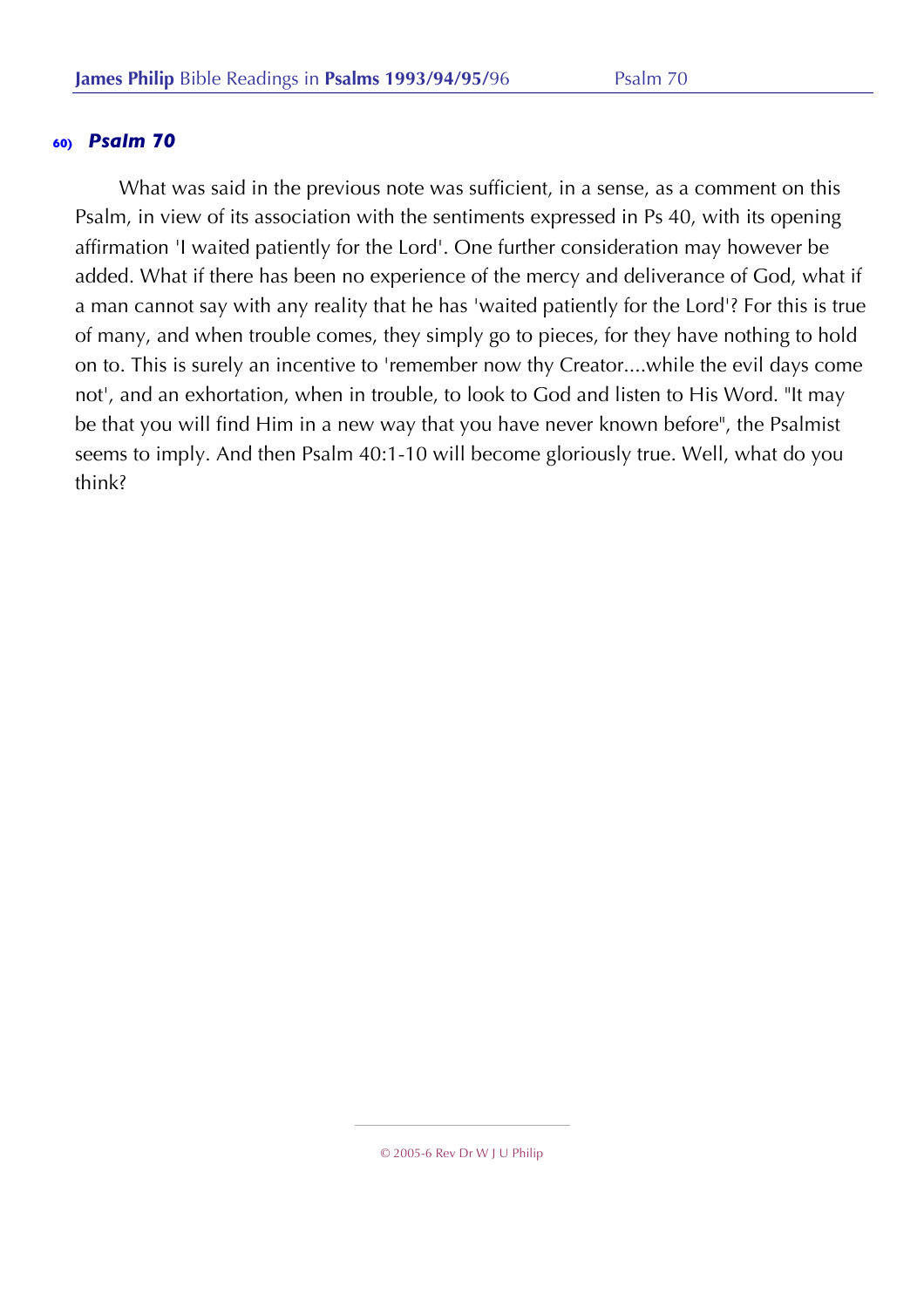What was said in the previous note was sufficient, in a sense, as a comment on this Psalm, in view of its association with the sentiments expressed in Ps 40, with its opening affirmation 'I waited patiently for the Lord'. One further consideration may however be added. What if there has been no experience of the mercy and deliverance of God, what if a man cannot say with any reality that he has 'waited patiently for the Lord'? For this is true of many, and when trouble comes, they simply go to pieces, for they have nothing to hold on to. This is surely an incentive to 'remember now thy Creator....while the evil days come not', and an exhortation, when in trouble, to look to God and listen to His Word. "It may be that you will find Him in a new way that you have never known before", the Psalmist seems to imply. And then Psalm 40:1-10 will become gloriously true. Well, what do you think?

<sup>© 2005-6</sup> Rev Dr W J U Philip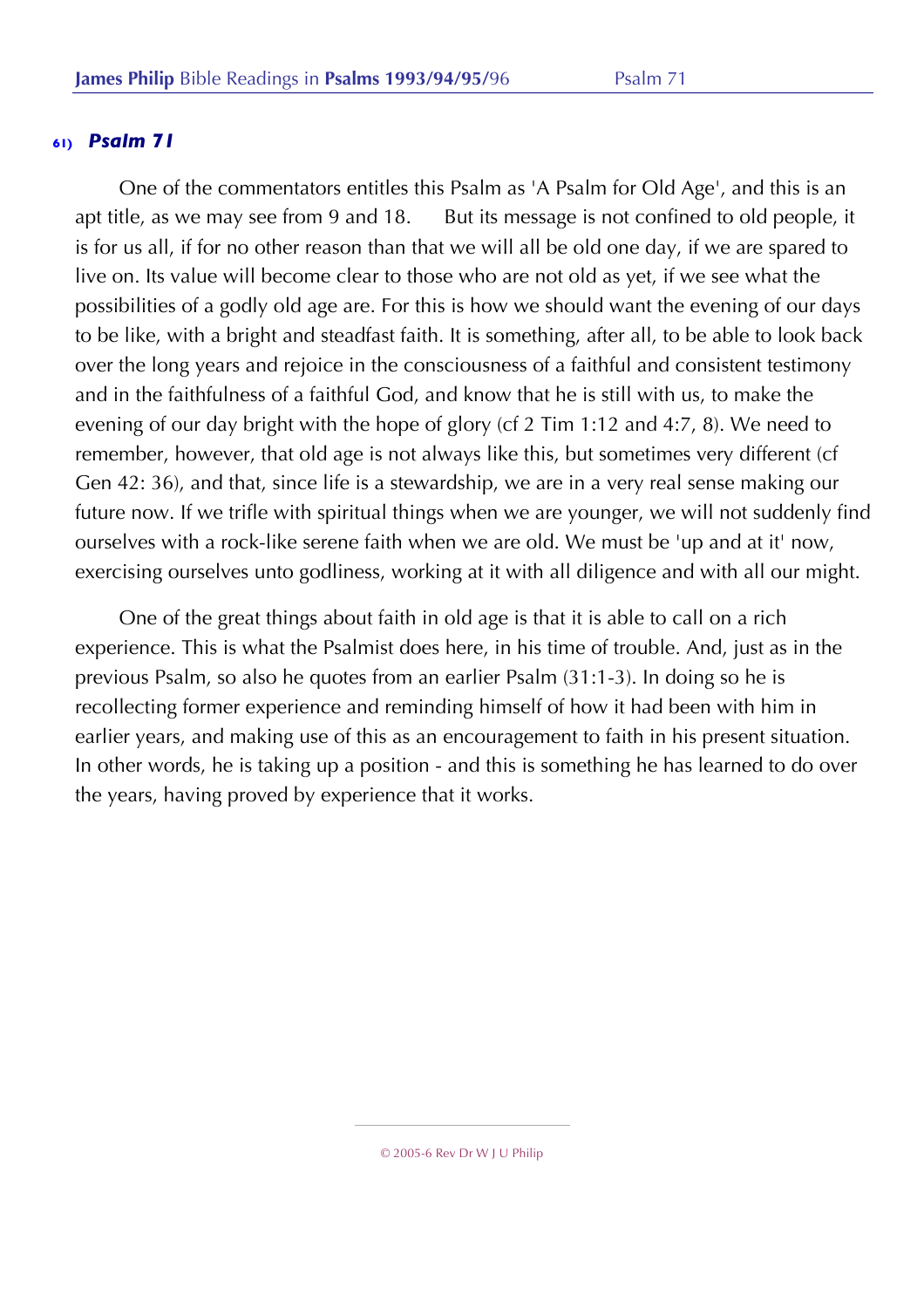One of the commentators entitles this Psalm as 'A Psalm for Old Age', and this is an apt title, as we may see from 9 and 18. But its message is not confined to old people, it is for us all, if for no other reason than that we will all be old one day, if we are spared to live on. Its value will become clear to those who are not old as yet, if we see what the possibilities of a godly old age are. For this is how we should want the evening of our days to be like, with a bright and steadfast faith. It is something, after all, to be able to look back over the long years and rejoice in the consciousness of a faithful and consistent testimony and in the faithfulness of a faithful God, and know that he is still with us, to make the evening of our day bright with the hope of glory (cf 2 Tim 1:12 and 4:7, 8). We need to remember, however, that old age is not always like this, but sometimes very different (cf Gen 42: 36), and that, since life is a stewardship, we are in a very real sense making our future now. If we trifle with spiritual things when we are younger, we will not suddenly find ourselves with a rock-like serene faith when we are old. We must be 'up and at it' now, exercising ourselves unto godliness, working at it with all diligence and with all our might.

One of the great things about faith in old age is that it is able to call on a rich experience. This is what the Psalmist does here, in his time of trouble. And, just as in the previous Psalm, so also he quotes from an earlier Psalm (31:1-3). In doing so he is recollecting former experience and reminding himself of how it had been with him in earlier years, and making use of this as an encouragement to faith in his present situation. In other words, he is taking up a position - and this is something he has learned to do over the years, having proved by experience that it works.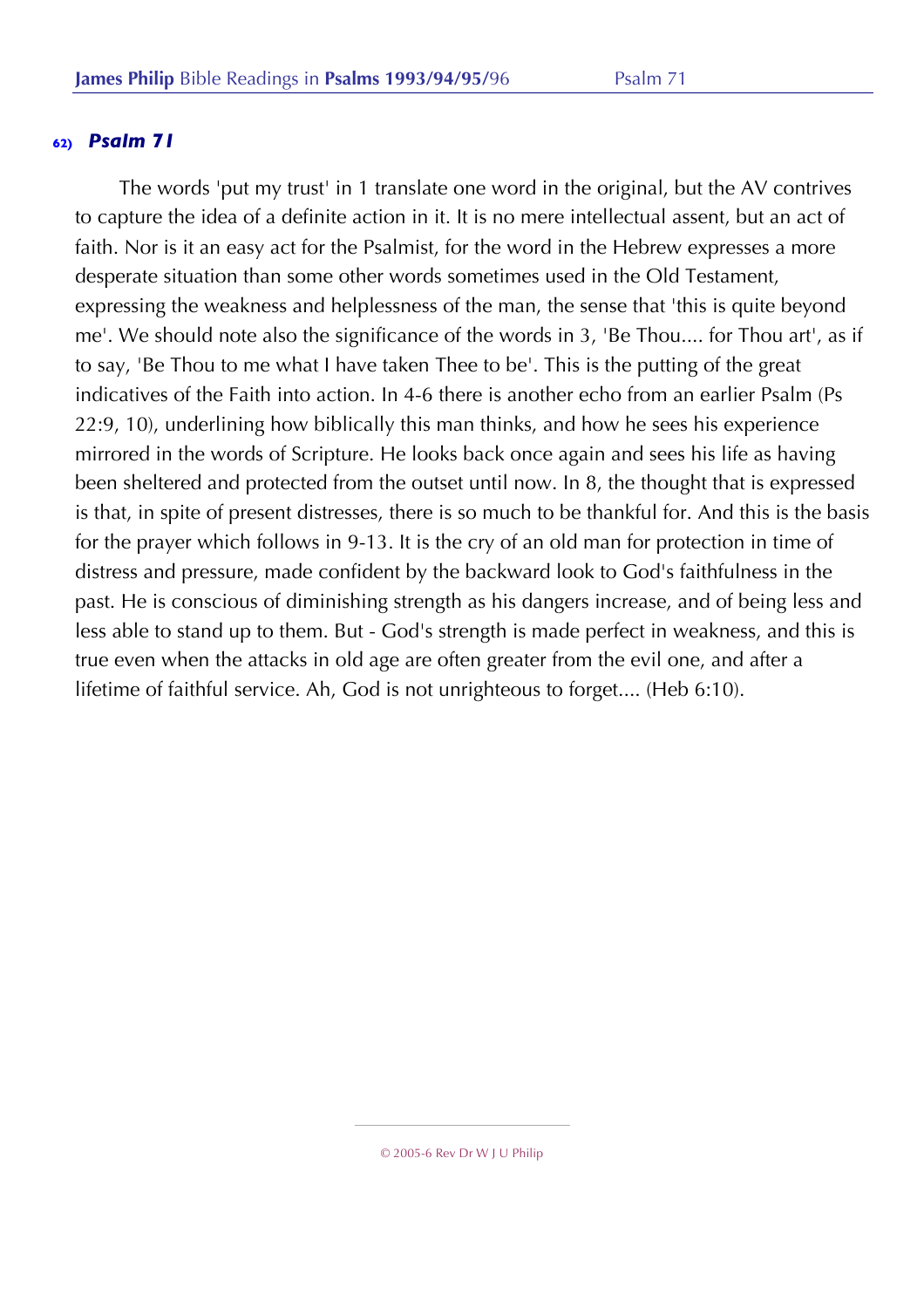The words 'put my trust' in 1 translate one word in the original, but the AV contrives to capture the idea of a definite action in it. It is no mere intellectual assent, but an act of faith. Nor is it an easy act for the Psalmist, for the word in the Hebrew expresses a more desperate situation than some other words sometimes used in the Old Testament, expressing the weakness and helplessness of the man, the sense that 'this is quite beyond me'. We should note also the significance of the words in 3, 'Be Thou.... for Thou art', as if to say, 'Be Thou to me what I have taken Thee to be'. This is the putting of the great indicatives of the Faith into action. In 4-6 there is another echo from an earlier Psalm (Ps 22:9, 10), underlining how biblically this man thinks, and how he sees his experience mirrored in the words of Scripture. He looks back once again and sees his life as having been sheltered and protected from the outset until now. In 8, the thought that is expressed is that, in spite of present distresses, there is so much to be thankful for. And this is the basis for the prayer which follows in 9-13. It is the cry of an old man for protection in time of distress and pressure, made confident by the backward look to God's faithfulness in the past. He is conscious of diminishing strength as his dangers increase, and of being less and less able to stand up to them. But - God's strength is made perfect in weakness, and this is true even when the attacks in old age are often greater from the evil one, and after a lifetime of faithful service. Ah, God is not unrighteous to forget.... (Heb 6:10).

<sup>© 2005-6</sup> Rev Dr W J U Philip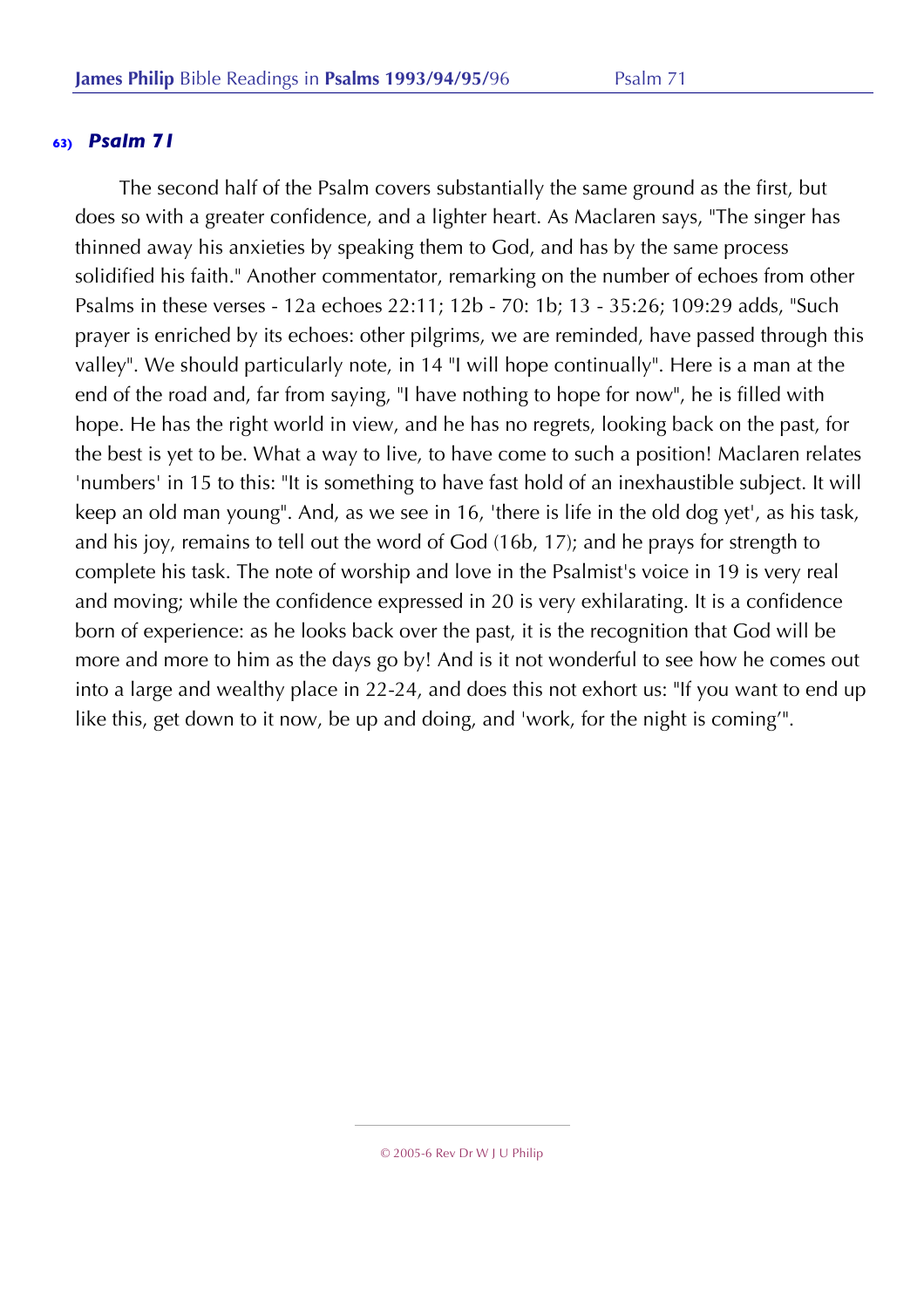The second half of the Psalm covers substantially the same ground as the first, but does so with a greater confidence, and a lighter heart. As Maclaren says, "The singer has thinned away his anxieties by speaking them to God, and has by the same process solidified his faith." Another commentator, remarking on the number of echoes from other Psalms in these verses - 12a echoes 22:11; 12b - 70: 1b; 13 - 35:26; 109:29 adds, "Such prayer is enriched by its echoes: other pilgrims, we are reminded, have passed through this valley". We should particularly note, in 14 "I will hope continually". Here is a man at the end of the road and, far from saying, "I have nothing to hope for now", he is filled with hope. He has the right world in view, and he has no regrets, looking back on the past, for the best is yet to be. What a way to live, to have come to such a position! Maclaren relates 'numbers' in 15 to this: "It is something to have fast hold of an inexhaustible subject. It will keep an old man young". And, as we see in 16, 'there is life in the old dog yet', as his task, and his joy, remains to tell out the word of God (16b, 17); and he prays for strength to complete his task. The note of worship and love in the Psalmist's voice in 19 is very real and moving; while the confidence expressed in 20 is very exhilarating. It is a confidence born of experience: as he looks back over the past, it is the recognition that God will be more and more to him as the days go by! And is it not wonderful to see how he comes out into a large and wealthy place in 22-24, and does this not exhort us: "If you want to end up like this, get down to it now, be up and doing, and 'work, for the night is coming'".

<sup>© 2005-6</sup> Rev Dr W J U Philip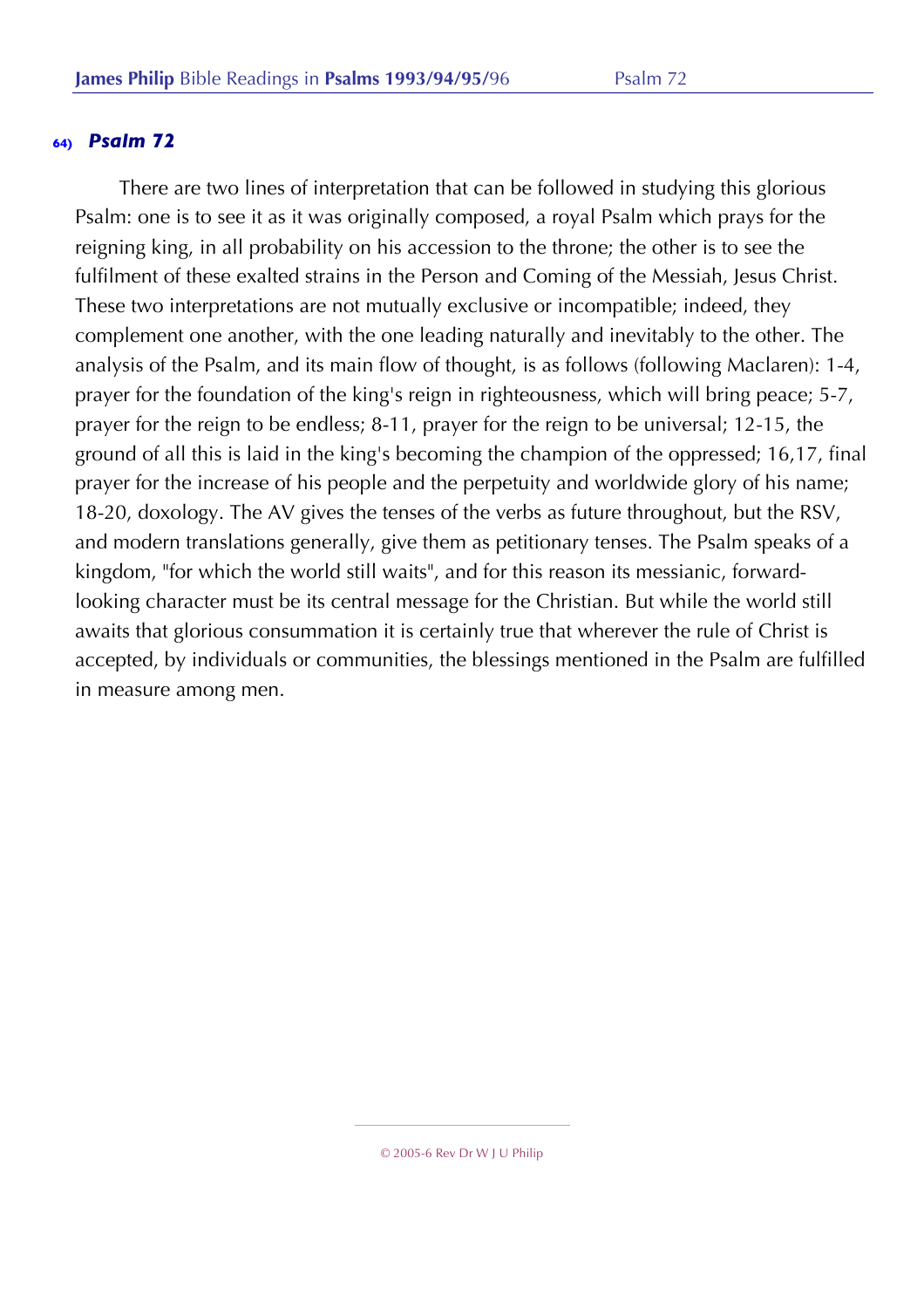There are two lines of interpretation that can be followed in studying this glorious Psalm: one is to see it as it was originally composed, a royal Psalm which prays for the reigning king, in all probability on his accession to the throne; the other is to see the fulfilment of these exalted strains in the Person and Coming of the Messiah, Jesus Christ. These two interpretations are not mutually exclusive or incompatible; indeed, they complement one another, with the one leading naturally and inevitably to the other. The analysis of the Psalm, and its main flow of thought, is as follows (following Maclaren): 1-4, prayer for the foundation of the king's reign in righteousness, which will bring peace; 5-7, prayer for the reign to be endless; 8-11, prayer for the reign to be universal; 12-15, the ground of all this is laid in the king's becoming the champion of the oppressed; 16,17, final prayer for the increase of his people and the perpetuity and worldwide glory of his name; 18-20, doxology. The AV gives the tenses of the verbs as future throughout, but the RSV, and modern translations generally, give them as petitionary tenses. The Psalm speaks of a kingdom, "for which the world still waits", and for this reason its messianic, forwardlooking character must be its central message for the Christian. But while the world still awaits that glorious consummation it is certainly true that wherever the rule of Christ is accepted, by individuals or communities, the blessings mentioned in the Psalm are fulfilled in measure among men.

<sup>© 2005-6</sup> Rev Dr W J U Philip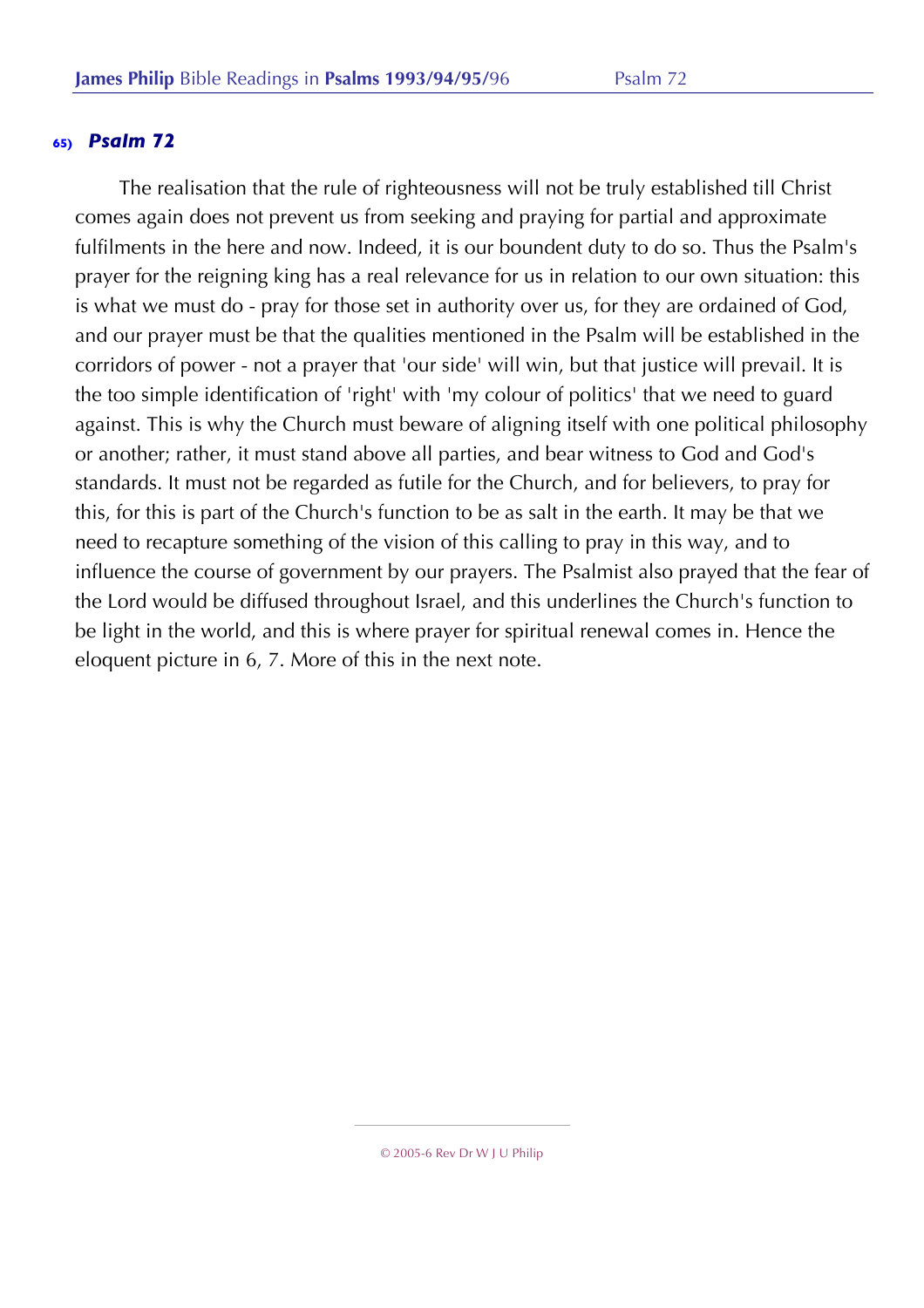The realisation that the rule of righteousness will not be truly established till Christ comes again does not prevent us from seeking and praying for partial and approximate fulfilments in the here and now. Indeed, it is our boundent duty to do so. Thus the Psalm's prayer for the reigning king has a real relevance for us in relation to our own situation: this is what we must do - pray for those set in authority over us, for they are ordained of God, and our prayer must be that the qualities mentioned in the Psalm will be established in the corridors of power - not a prayer that 'our side' will win, but that justice will prevail. It is the too simple identification of 'right' with 'my colour of politics' that we need to guard against. This is why the Church must beware of aligning itself with one political philosophy or another; rather, it must stand above all parties, and bear witness to God and God's standards. It must not be regarded as futile for the Church, and for believers, to pray for this, for this is part of the Church's function to be as salt in the earth. It may be that we need to recapture something of the vision of this calling to pray in this way, and to influence the course of government by our prayers. The Psalmist also prayed that the fear of the Lord would be diffused throughout Israel, and this underlines the Church's function to be light in the world, and this is where prayer for spiritual renewal comes in. Hence the eloquent picture in 6, 7. More of this in the next note.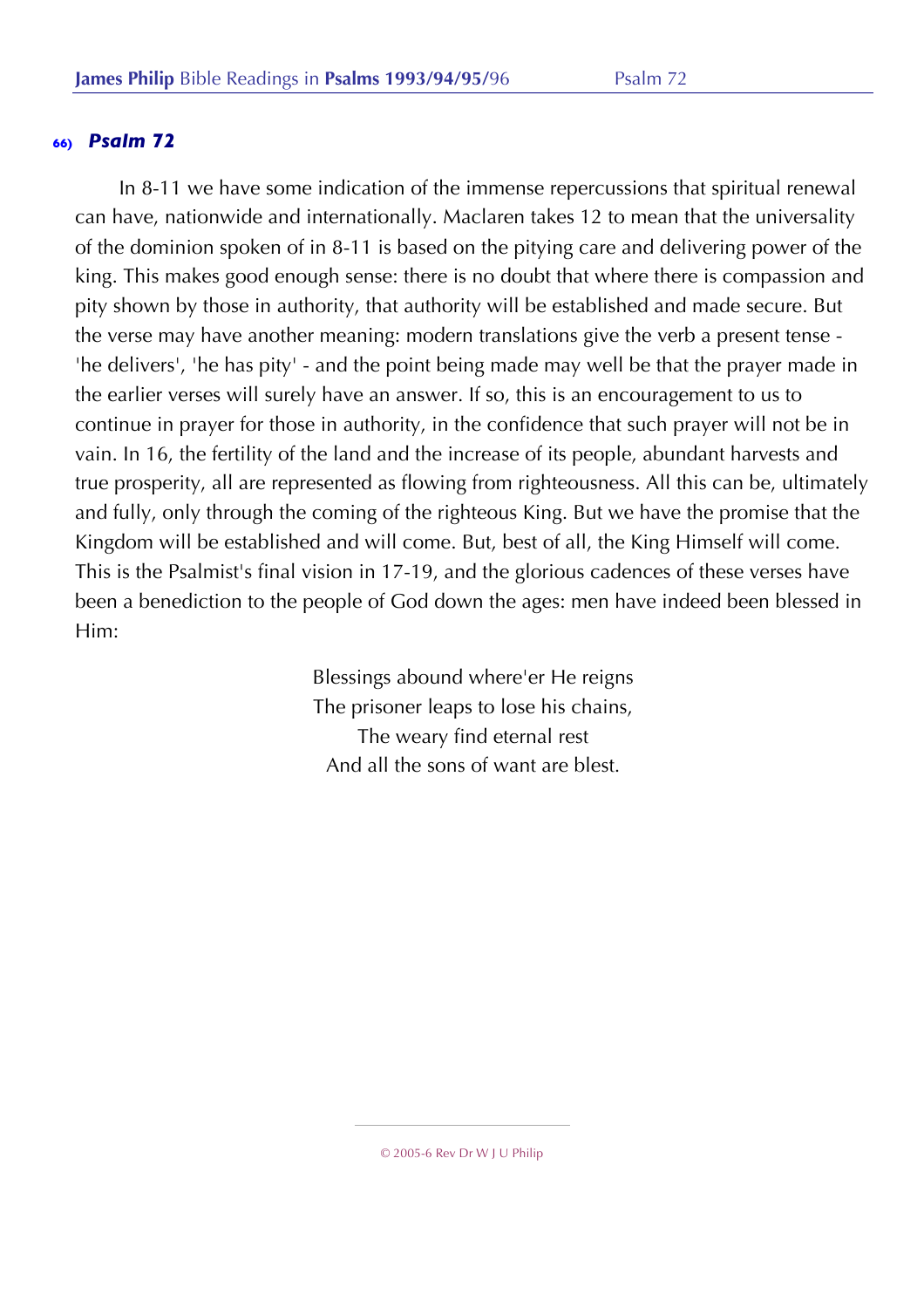In 8-11 we have some indication of the immense repercussions that spiritual renewal can have, nationwide and internationally. Maclaren takes 12 to mean that the universality of the dominion spoken of in 8-11 is based on the pitying care and delivering power of the king. This makes good enough sense: there is no doubt that where there is compassion and pity shown by those in authority, that authority will be established and made secure. But the verse may have another meaning: modern translations give the verb a present tense - 'he delivers', 'he has pity' - and the point being made may well be that the prayer made in the earlier verses will surely have an answer. If so, this is an encouragement to us to continue in prayer for those in authority, in the confidence that such prayer will not be in vain. In 16, the fertility of the land and the increase of its people, abundant harvests and true prosperity, all are represented as flowing from righteousness. All this can be, ultimately and fully, only through the coming of the righteous King. But we have the promise that the Kingdom will be established and will come. But, best of all, the King Himself will come. This is the Psalmist's final vision in 17-19, and the glorious cadences of these verses have been a benediction to the people of God down the ages: men have indeed been blessed in Him:

> Blessings abound where'er He reigns The prisoner leaps to lose his chains, The weary find eternal rest And all the sons of want are blest.

© 2005-6 Rev Dr W J U Philip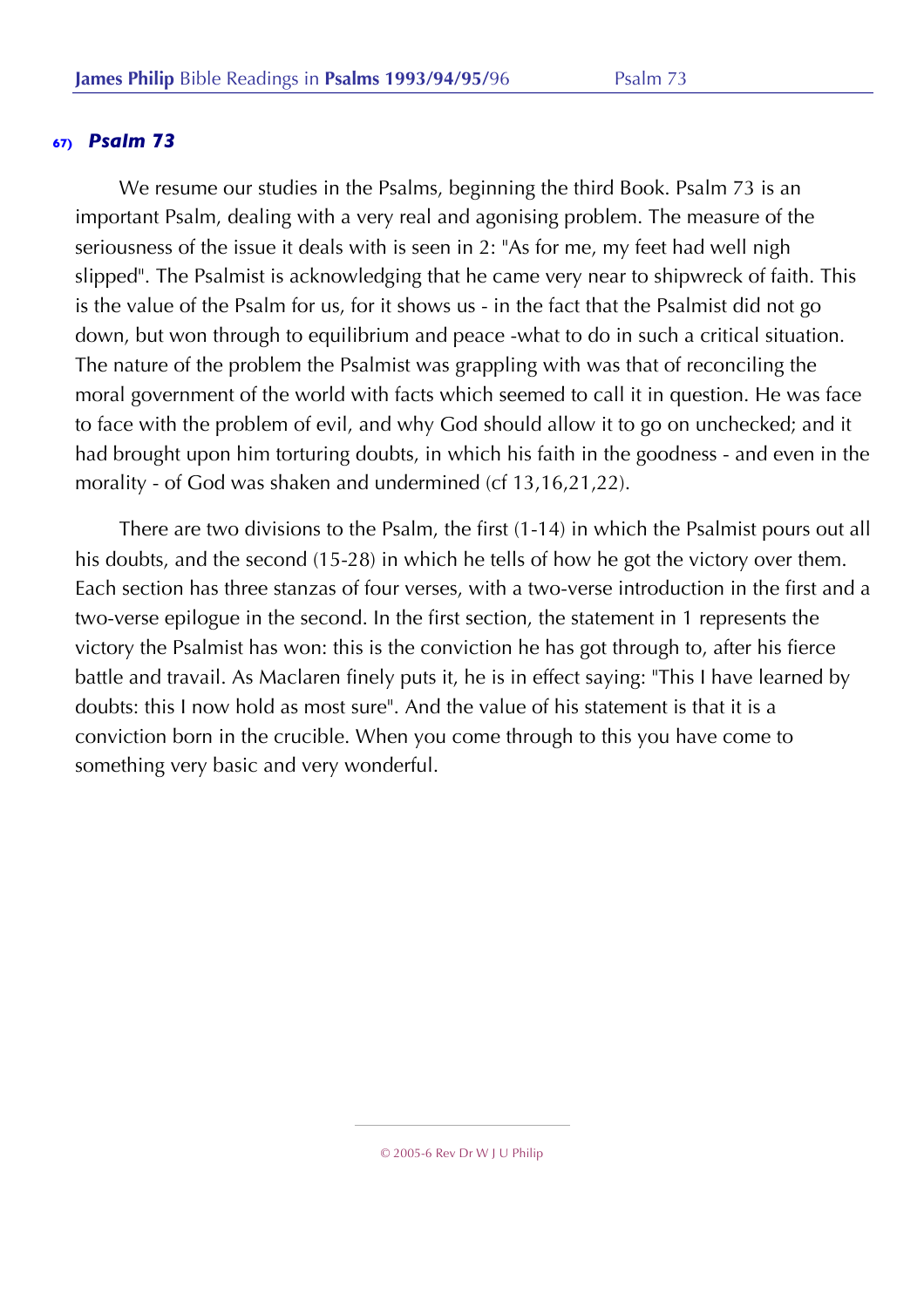We resume our studies in the Psalms, beginning the third Book. Psalm 73 is an important Psalm, dealing with a very real and agonising problem. The measure of the seriousness of the issue it deals with is seen in 2: "As for me, my feet had well nigh slipped". The Psalmist is acknowledging that he came very near to shipwreck of faith. This is the value of the Psalm for us, for it shows us - in the fact that the Psalmist did not go down, but won through to equilibrium and peace -what to do in such a critical situation. The nature of the problem the Psalmist was grappling with was that of reconciling the moral government of the world with facts which seemed to call it in question. He was face to face with the problem of evil, and why God should allow it to go on unchecked; and it had brought upon him torturing doubts, in which his faith in the goodness - and even in the morality - of God was shaken and undermined (cf 13,16,21,22).

There are two divisions to the Psalm, the first (1-14) in which the Psalmist pours out all his doubts, and the second (15-28) in which he tells of how he got the victory over them. Each section has three stanzas of four verses, with a two-verse introduction in the first and a two-verse epilogue in the second. In the first section, the statement in 1 represents the victory the Psalmist has won: this is the conviction he has got through to, after his fierce battle and travail. As Maclaren finely puts it, he is in effect saying: "This I have learned by doubts: this I now hold as most sure". And the value of his statement is that it is a conviction born in the crucible. When you come through to this you have come to something very basic and very wonderful.

<sup>© 2005-6</sup> Rev Dr W J U Philip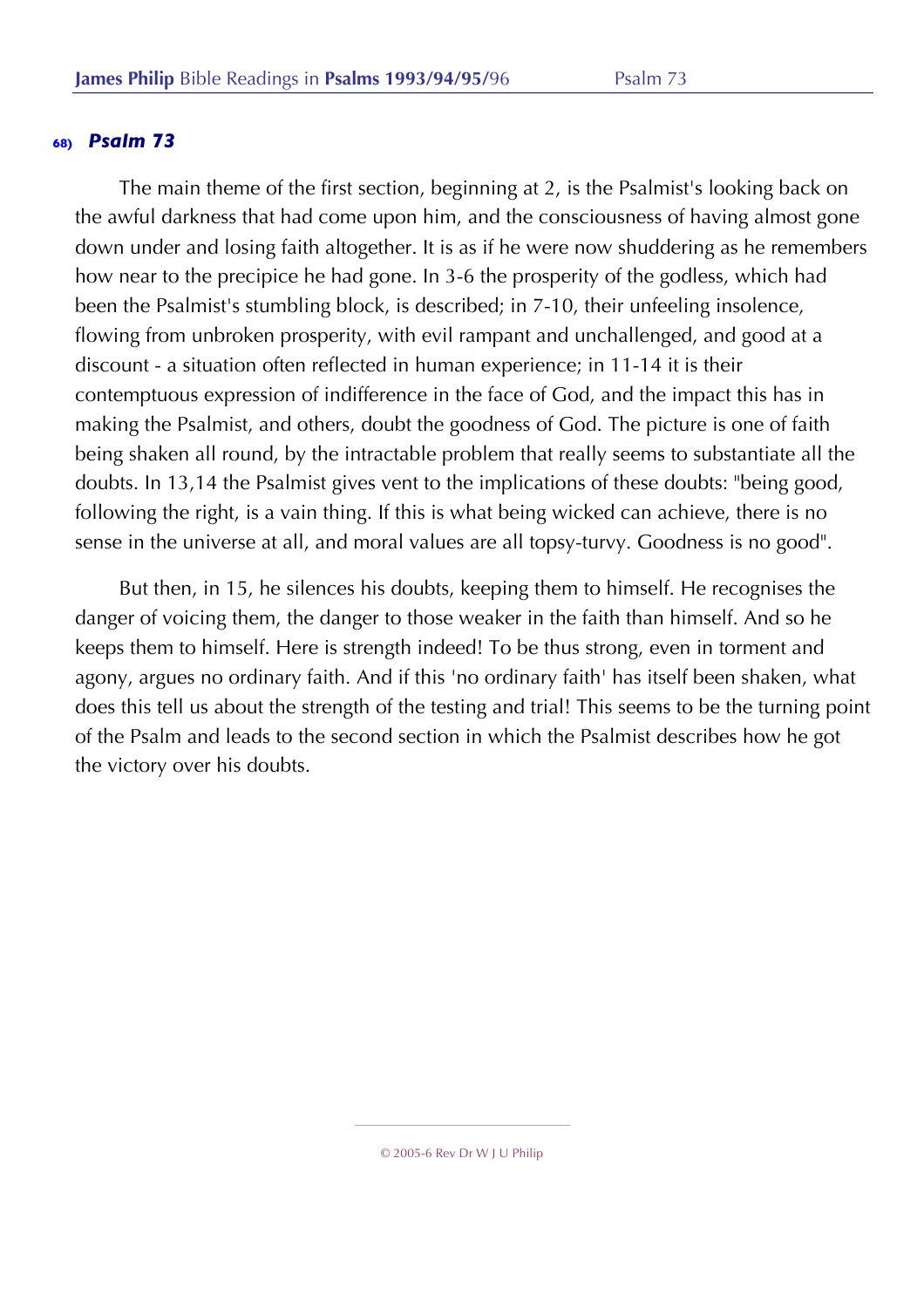The main theme of the first section, beginning at 2, is the Psalmist's looking back on the awful darkness that had come upon him, and the consciousness of having almost gone down under and losing faith altogether. It is as if he were now shuddering as he remembers how near to the precipice he had gone. In 3-6 the prosperity of the godless, which had been the Psalmist's stumbling block, is described; in 7-10, their unfeeling insolence, flowing from unbroken prosperity, with evil rampant and unchallenged, and good at a discount - a situation often reflected in human experience; in 11-14 it is their contemptuous expression of indifference in the face of God, and the impact this has in making the Psalmist, and others, doubt the goodness of God. The picture is one of faith being shaken all round, by the intractable problem that really seems to substantiate all the doubts. In 13,14 the Psalmist gives vent to the implications of these doubts: "being good, following the right, is a vain thing. If this is what being wicked can achieve, there is no sense in the universe at all, and moral values are all topsy-turvy. Goodness is no good".

But then, in 15, he silences his doubts, keeping them to himself. He recognises the danger of voicing them, the danger to those weaker in the faith than himself. And so he keeps them to himself. Here is strength indeed! To be thus strong, even in torment and agony, argues no ordinary faith. And if this 'no ordinary faith' has itself been shaken, what does this tell us about the strength of the testing and trial! This seems to be the turning point of the Psalm and leads to the second section in which the Psalmist describes how he got the victory over his doubts.

<sup>© 2005-6</sup> Rev Dr W J U Philip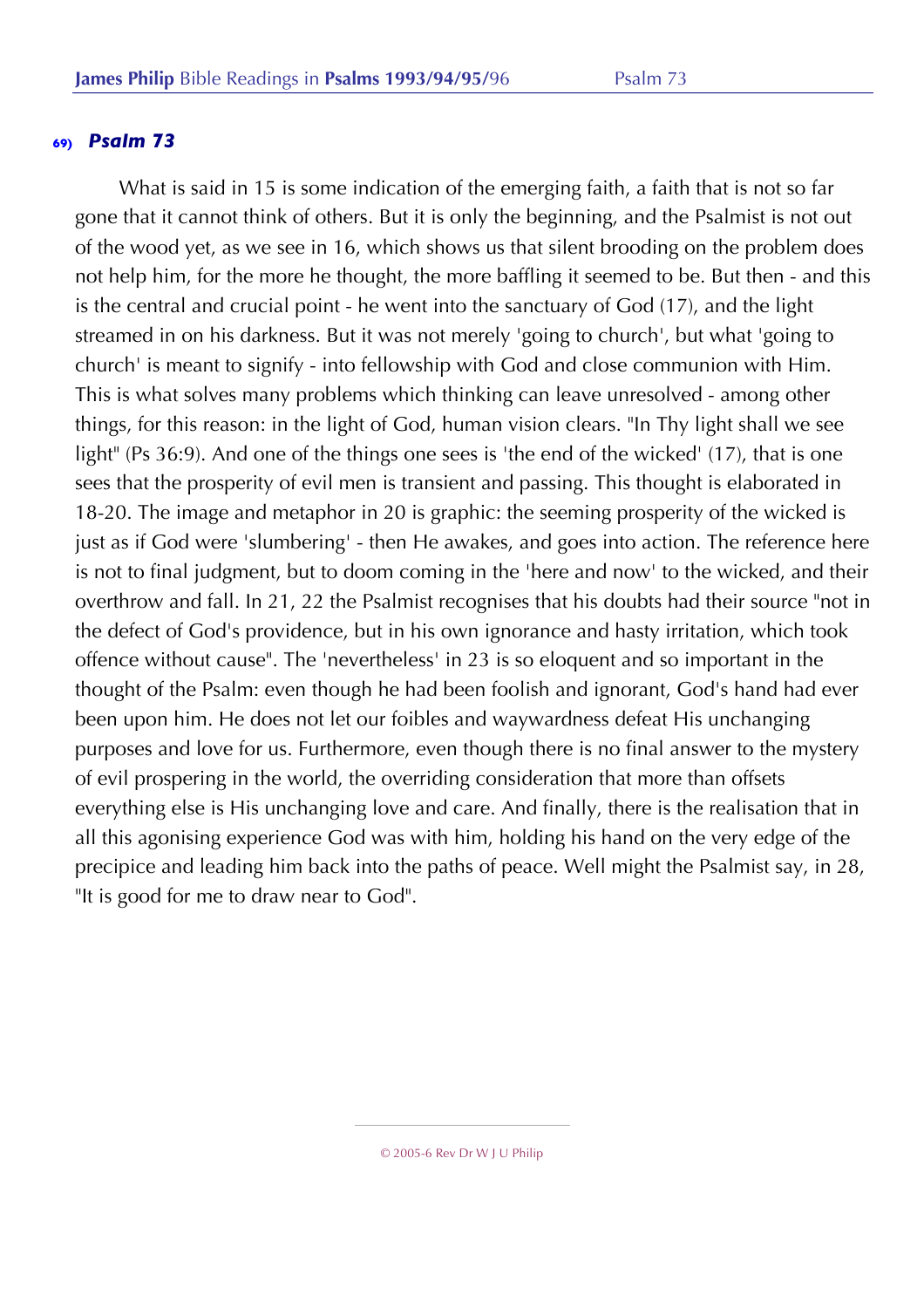What is said in 15 is some indication of the emerging faith, a faith that is not so far gone that it cannot think of others. But it is only the beginning, and the Psalmist is not out of the wood yet, as we see in 16, which shows us that silent brooding on the problem does not help him, for the more he thought, the more baffling it seemed to be. But then - and this is the central and crucial point - he went into the sanctuary of God (17), and the light streamed in on his darkness. But it was not merely 'going to church', but what 'going to church' is meant to signify - into fellowship with God and close communion with Him. This is what solves many problems which thinking can leave unresolved - among other things, for this reason: in the light of God, human vision clears. "In Thy light shall we see light" (Ps 36:9). And one of the things one sees is 'the end of the wicked' (17), that is one sees that the prosperity of evil men is transient and passing. This thought is elaborated in 18-20. The image and metaphor in 20 is graphic: the seeming prosperity of the wicked is just as if God were 'slumbering' - then He awakes, and goes into action. The reference here is not to final judgment, but to doom coming in the 'here and now' to the wicked, and their overthrow and fall. In 21, 22 the Psalmist recognises that his doubts had their source "not in the defect of God's providence, but in his own ignorance and hasty irritation, which took offence without cause". The 'nevertheless' in 23 is so eloquent and so important in the thought of the Psalm: even though he had been foolish and ignorant, God's hand had ever been upon him. He does not let our foibles and waywardness defeat His unchanging purposes and love for us. Furthermore, even though there is no final answer to the mystery of evil prospering in the world, the overriding consideration that more than offsets everything else is His unchanging love and care. And finally, there is the realisation that in all this agonising experience God was with him, holding his hand on the very edge of the precipice and leading him back into the paths of peace. Well might the Psalmist say, in 28, "It is good for me to draw near to God".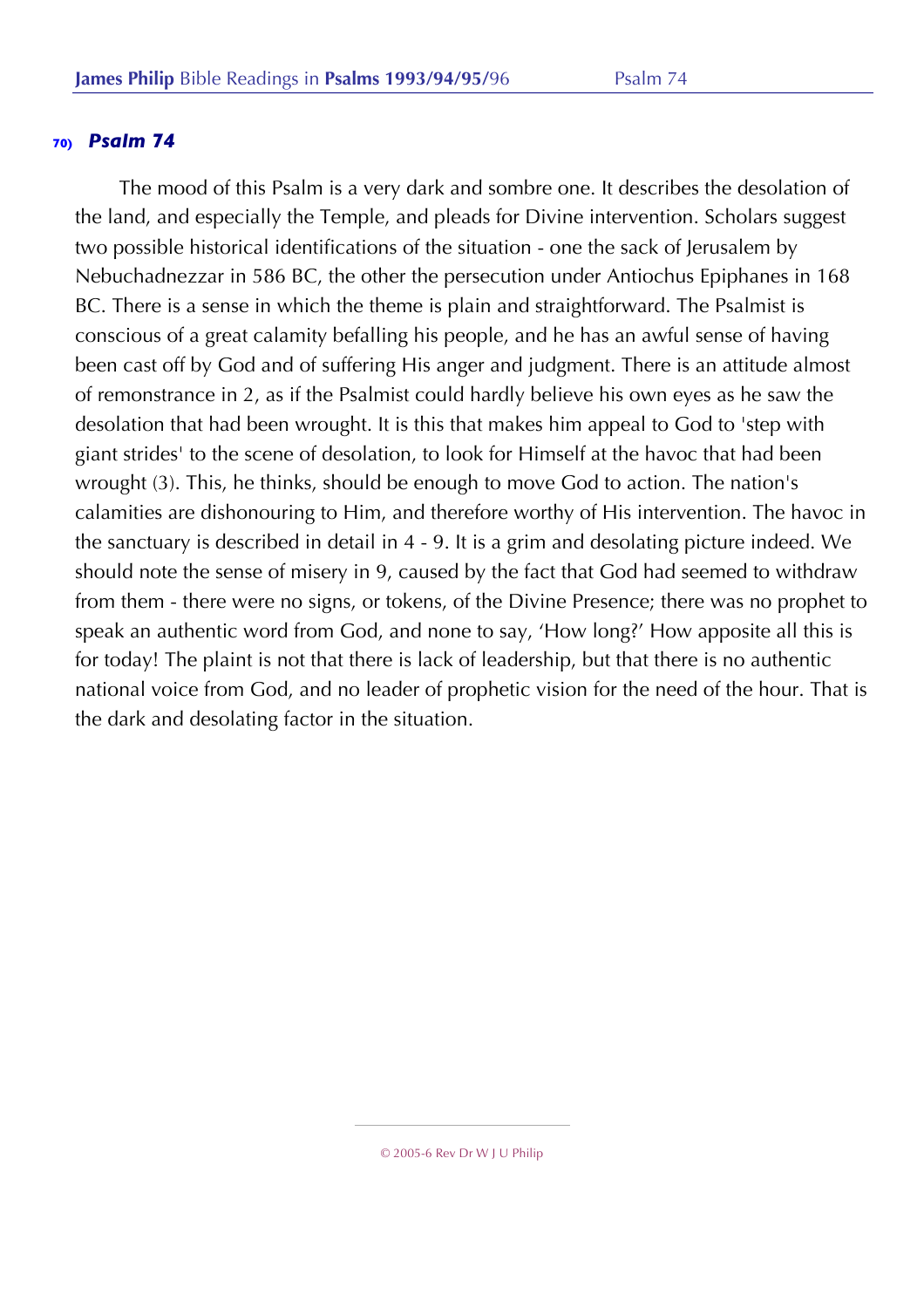The mood of this Psalm is a very dark and sombre one. It describes the desolation of the land, and especially the Temple, and pleads for Divine intervention. Scholars suggest two possible historical identifications of the situation - one the sack of Jerusalem by Nebuchadnezzar in 586 BC, the other the persecution under Antiochus Epiphanes in 168 BC. There is a sense in which the theme is plain and straightforward. The Psalmist is conscious of a great calamity befalling his people, and he has an awful sense of having been cast off by God and of suffering His anger and judgment. There is an attitude almost of remonstrance in 2, as if the Psalmist could hardly believe his own eyes as he saw the desolation that had been wrought. It is this that makes him appeal to God to 'step with giant strides' to the scene of desolation, to look for Himself at the havoc that had been wrought (3). This, he thinks, should be enough to move God to action. The nation's calamities are dishonouring to Him, and therefore worthy of His intervention. The havoc in the sanctuary is described in detail in 4 - 9. It is a grim and desolating picture indeed. We should note the sense of misery in 9, caused by the fact that God had seemed to withdraw from them - there were no signs, or tokens, of the Divine Presence; there was no prophet to speak an authentic word from God, and none to say, 'How long?' How apposite all this is for today! The plaint is not that there is lack of leadership, but that there is no authentic national voice from God, and no leader of prophetic vision for the need of the hour. That is the dark and desolating factor in the situation.

<sup>© 2005-6</sup> Rev Dr W J U Philip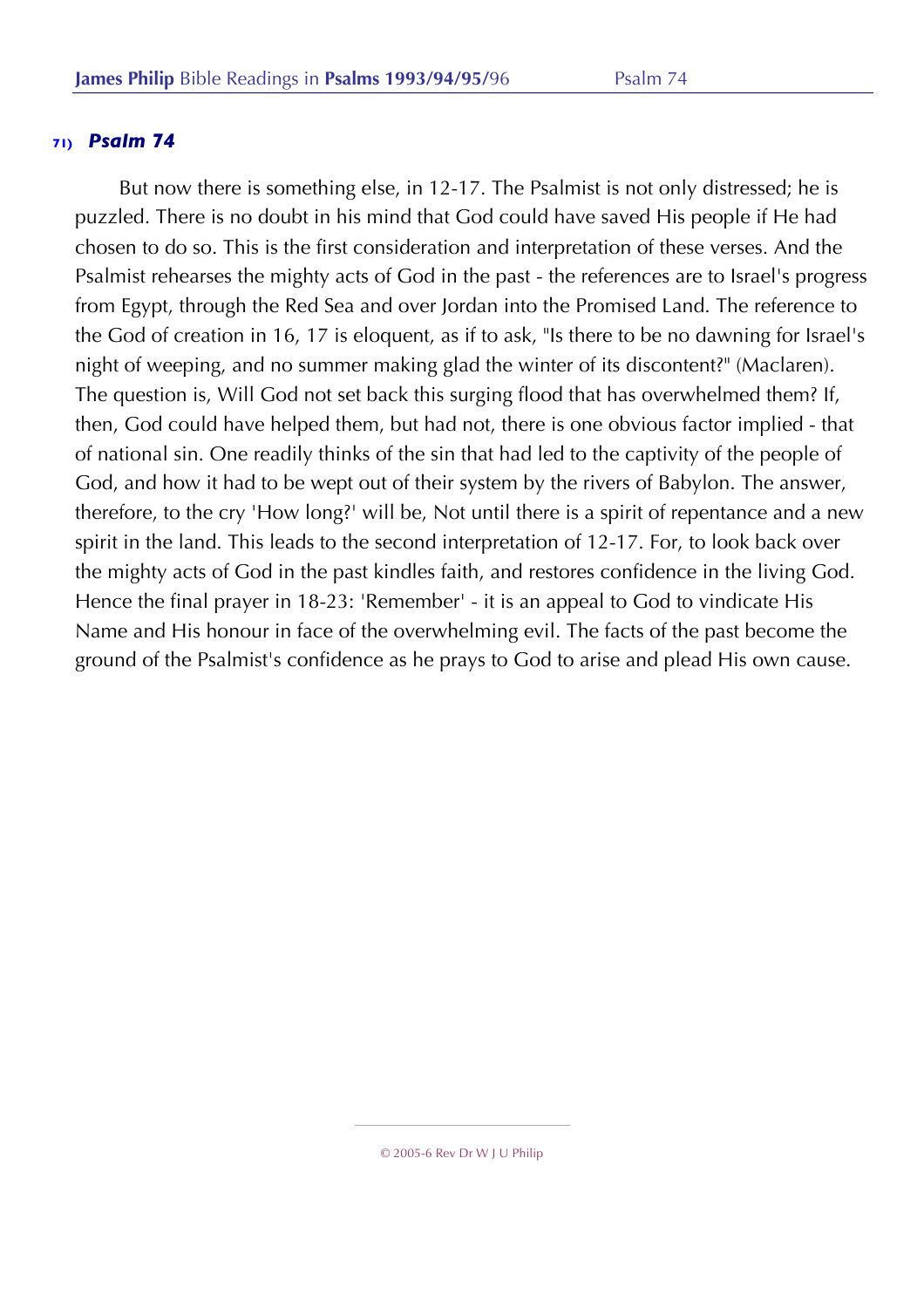But now there is something else, in 12-17. The Psalmist is not only distressed; he is puzzled. There is no doubt in his mind that God could have saved His people if He had chosen to do so. This is the first consideration and interpretation of these verses. And the Psalmist rehearses the mighty acts of God in the past - the references are to Israel's progress from Egypt, through the Red Sea and over Jordan into the Promised Land. The reference to the God of creation in 16, 17 is eloquent, as if to ask, "Is there to be no dawning for Israel's night of weeping, and no summer making glad the winter of its discontent?" (Maclaren). The question is, Will God not set back this surging flood that has overwhelmed them? If, then, God could have helped them, but had not, there is one obvious factor implied - that of national sin. One readily thinks of the sin that had led to the captivity of the people of God, and how it had to be wept out of their system by the rivers of Babylon. The answer, therefore, to the cry 'How long?' will be, Not until there is a spirit of repentance and a new spirit in the land. This leads to the second interpretation of 12-17. For, to look back over the mighty acts of God in the past kindles faith, and restores confidence in the living God. Hence the final prayer in 18-23: 'Remember' - it is an appeal to God to vindicate His Name and His honour in face of the overwhelming evil. The facts of the past become the ground of the Psalmist's confidence as he prays to God to arise and plead His own cause.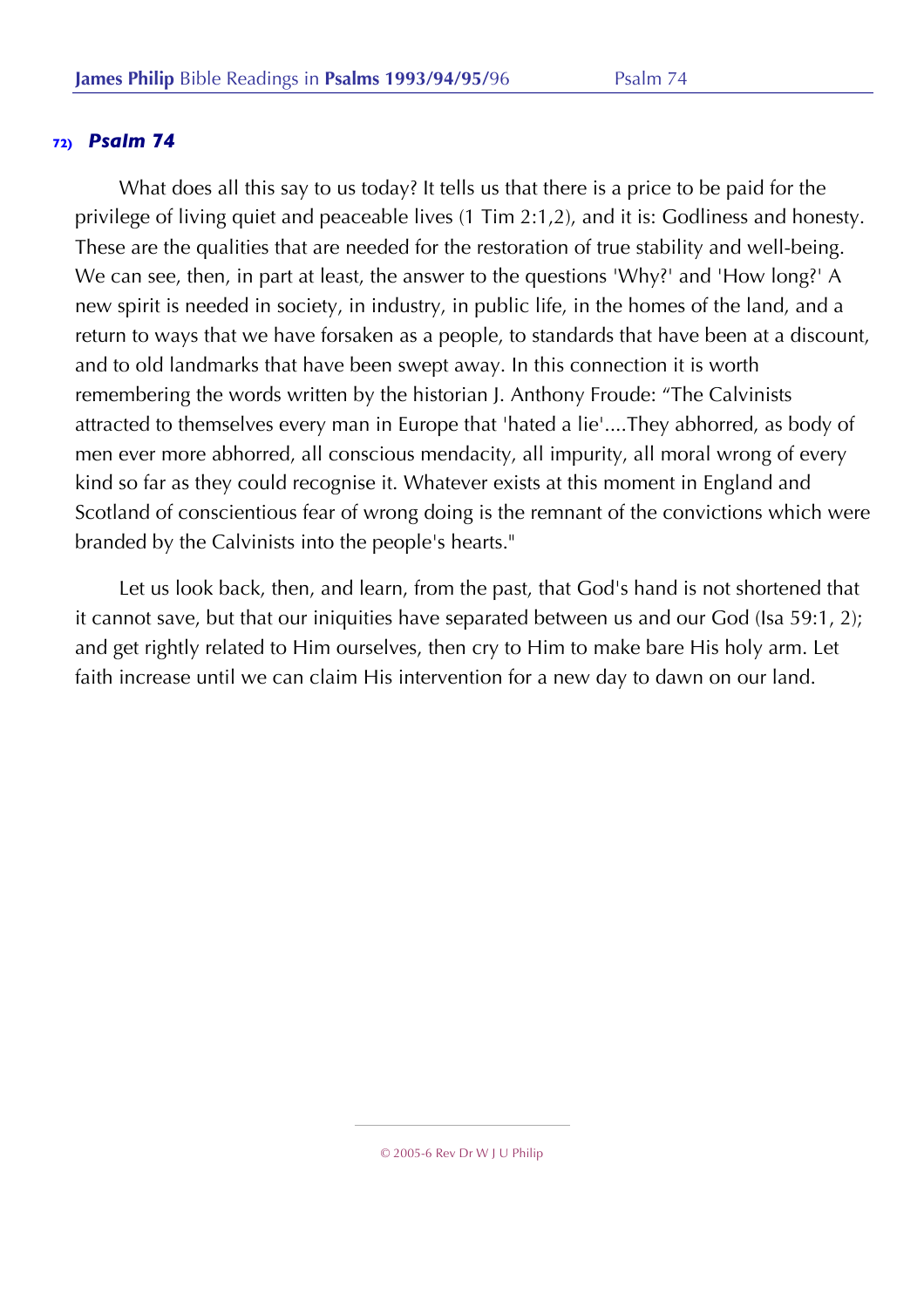What does all this say to us today? It tells us that there is a price to be paid for the privilege of living quiet and peaceable lives (1 Tim 2:1,2), and it is: Godliness and honesty. These are the qualities that are needed for the restoration of true stability and well-being. We can see, then, in part at least, the answer to the questions 'Why?' and 'How long?' A new spirit is needed in society, in industry, in public life, in the homes of the land, and a return to ways that we have forsaken as a people, to standards that have been at a discount, and to old landmarks that have been swept away. In this connection it is worth remembering the words written by the historian J. Anthony Froude: "The Calvinists attracted to themselves every man in Europe that 'hated a lie'....They abhorred, as body of men ever more abhorred, all conscious mendacity, all impurity, all moral wrong of every kind so far as they could recognise it. Whatever exists at this moment in England and Scotland of conscientious fear of wrong doing is the remnant of the convictions which were branded by the Calvinists into the people's hearts."

Let us look back, then, and learn, from the past, that God's hand is not shortened that it cannot save, but that our iniquities have separated between us and our God (Isa 59:1, 2); and get rightly related to Him ourselves, then cry to Him to make bare His holy arm. Let faith increase until we can claim His intervention for a new day to dawn on our land.

<sup>© 2005-6</sup> Rev Dr W J U Philip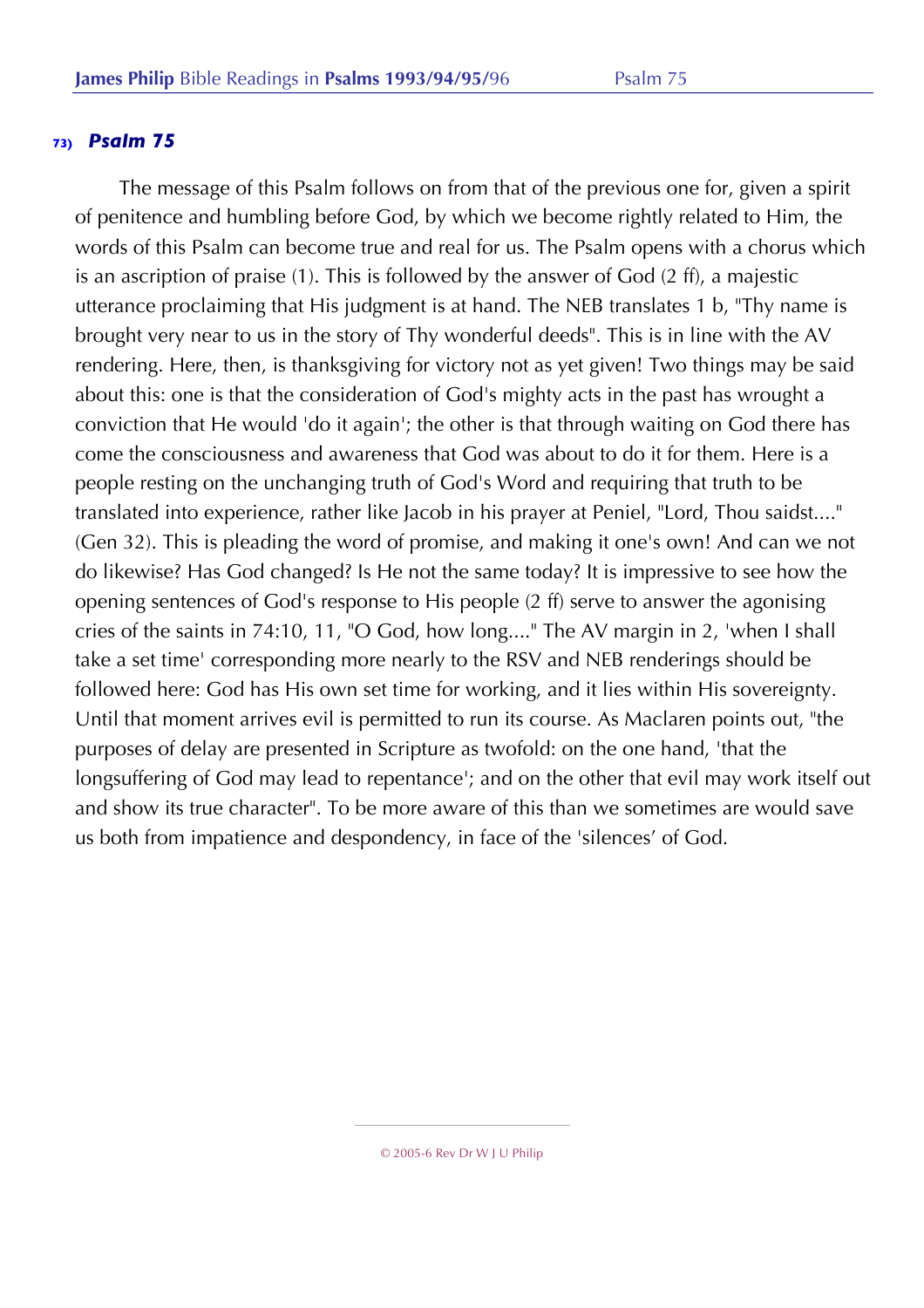The message of this Psalm follows on from that of the previous one for, given a spirit of penitence and humbling before God, by which we become rightly related to Him, the words of this Psalm can become true and real for us. The Psalm opens with a chorus which is an ascription of praise (1). This is followed by the answer of God (2 ff), a majestic utterance proclaiming that His judgment is at hand. The NEB translates 1 b, "Thy name is brought very near to us in the story of Thy wonderful deeds". This is in line with the AV rendering. Here, then, is thanksgiving for victory not as yet given! Two things may be said about this: one is that the consideration of God's mighty acts in the past has wrought a conviction that He would 'do it again'; the other is that through waiting on God there has come the consciousness and awareness that God was about to do it for them. Here is a people resting on the unchanging truth of God's Word and requiring that truth to be translated into experience, rather like Jacob in his prayer at Peniel, "Lord, Thou saidst...." (Gen 32). This is pleading the word of promise, and making it one's own! And can we not do likewise? Has God changed? Is He not the same today? It is impressive to see how the opening sentences of God's response to His people (2 ff) serve to answer the agonising cries of the saints in 74:10, 11, "O God, how long...." The AV margin in 2, 'when I shall take a set time' corresponding more nearly to the RSV and NEB renderings should be followed here: God has His own set time for working, and it lies within His sovereignty. Until that moment arrives evil is permitted to run its course. As Maclaren points out, "the purposes of delay are presented in Scripture as twofold: on the one hand, 'that the longsuffering of God may lead to repentance'; and on the other that evil may work itself out and show its true character". To be more aware of this than we sometimes are would save us both from impatience and despondency, in face of the 'silences' of God.

© 2005-6 Rev Dr W J U Philip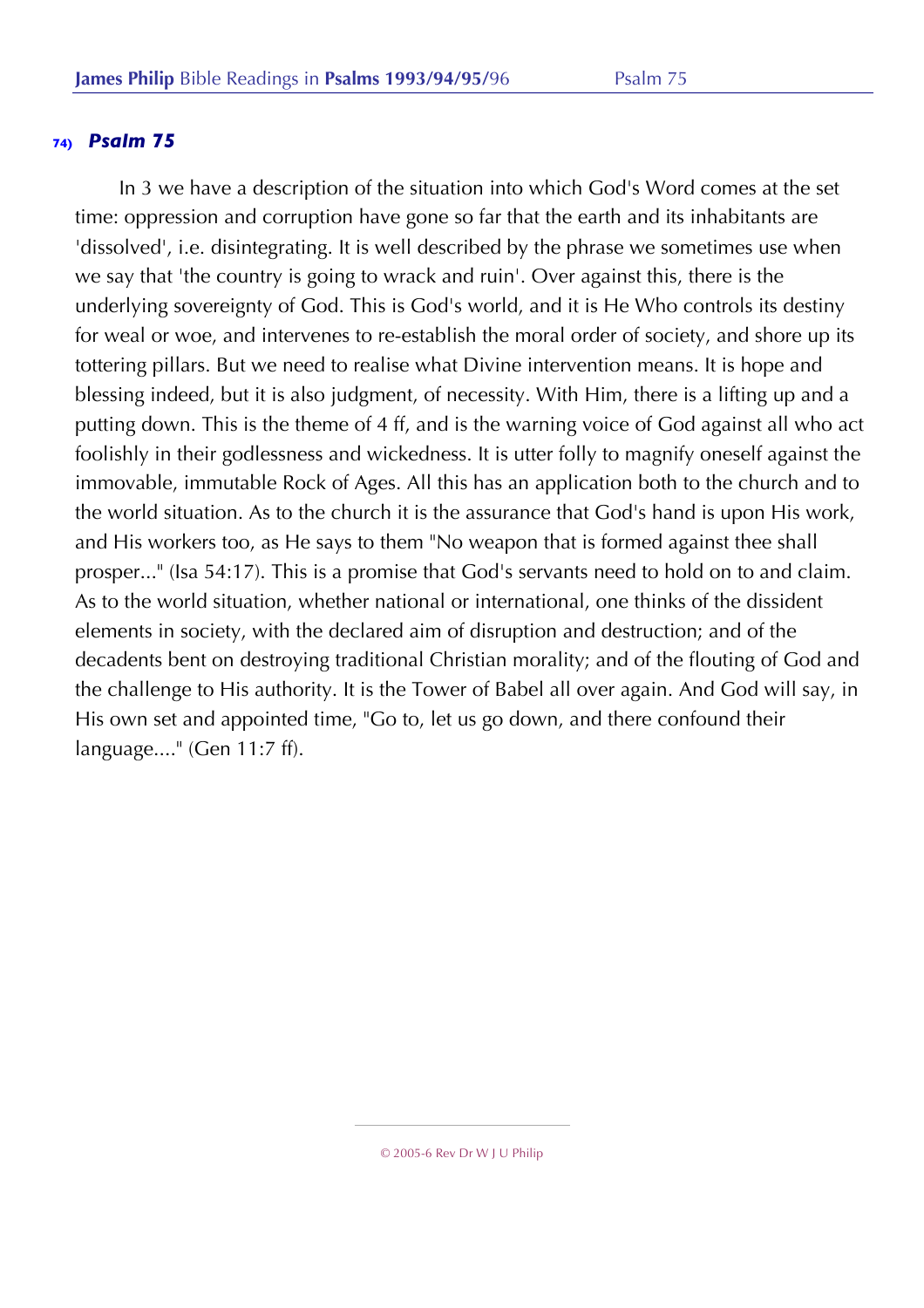In 3 we have a description of the situation into which God's Word comes at the set time: oppression and corruption have gone so far that the earth and its inhabitants are 'dissolved', i.e. disintegrating. It is well described by the phrase we sometimes use when we say that 'the country is going to wrack and ruin'. Over against this, there is the underlying sovereignty of God. This is God's world, and it is He Who controls its destiny for weal or woe, and intervenes to re-establish the moral order of society, and shore up its tottering pillars. But we need to realise what Divine intervention means. It is hope and blessing indeed, but it is also judgment, of necessity. With Him, there is a lifting up and a putting down. This is the theme of 4 ff, and is the warning voice of God against all who act foolishly in their godlessness and wickedness. It is utter folly to magnify oneself against the immovable, immutable Rock of Ages. All this has an application both to the church and to the world situation. As to the church it is the assurance that God's hand is upon His work, and His workers too, as He says to them "No weapon that is formed against thee shall prosper..." (Isa 54:17). This is a promise that God's servants need to hold on to and claim. As to the world situation, whether national or international, one thinks of the dissident elements in society, with the declared aim of disruption and destruction; and of the decadents bent on destroying traditional Christian morality; and of the flouting of God and the challenge to His authority. It is the Tower of Babel all over again. And God will say, in His own set and appointed time, "Go to, let us go down, and there confound their language...." (Gen 11:7 ff).

<sup>© 2005-6</sup> Rev Dr W J U Philip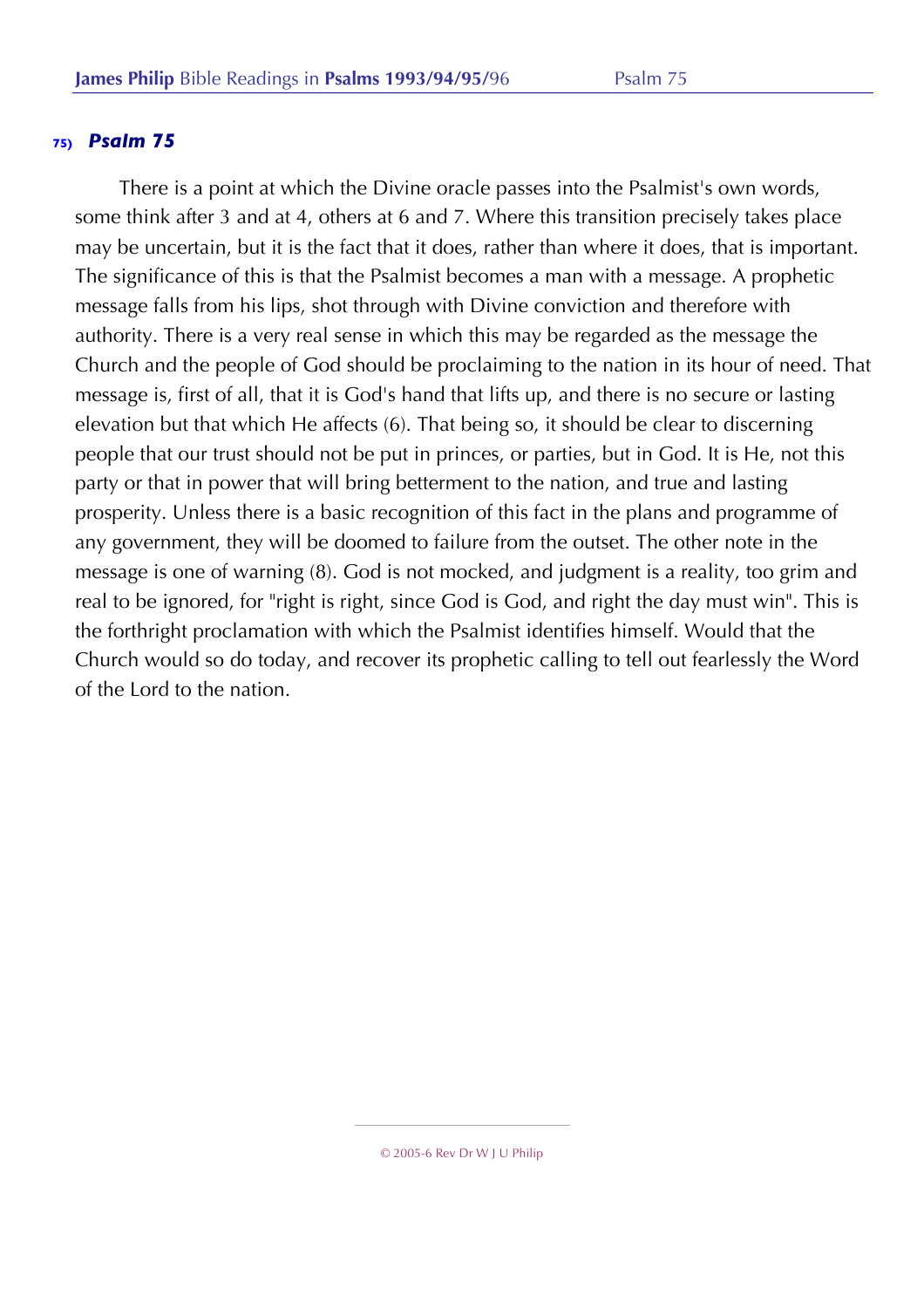There is a point at which the Divine oracle passes into the Psalmist's own words, some think after 3 and at 4, others at 6 and 7. Where this transition precisely takes place may be uncertain, but it is the fact that it does, rather than where it does, that is important. The significance of this is that the Psalmist becomes a man with a message. A prophetic message falls from his lips, shot through with Divine conviction and therefore with authority. There is a very real sense in which this may be regarded as the message the Church and the people of God should be proclaiming to the nation in its hour of need. That message is, first of all, that it is God's hand that lifts up, and there is no secure or lasting elevation but that which He affects (6). That being so, it should be clear to discerning people that our trust should not be put in princes, or parties, but in God. It is He, not this party or that in power that will bring betterment to the nation, and true and lasting prosperity. Unless there is a basic recognition of this fact in the plans and programme of any government, they will be doomed to failure from the outset. The other note in the message is one of warning (8). God is not mocked, and judgment is a reality, too grim and real to be ignored, for "right is right, since God is God, and right the day must win". This is the forthright proclamation with which the Psalmist identifies himself. Would that the Church would so do today, and recover its prophetic calling to tell out fearlessly the Word of the Lord to the nation.

<sup>© 2005-6</sup> Rev Dr W J U Philip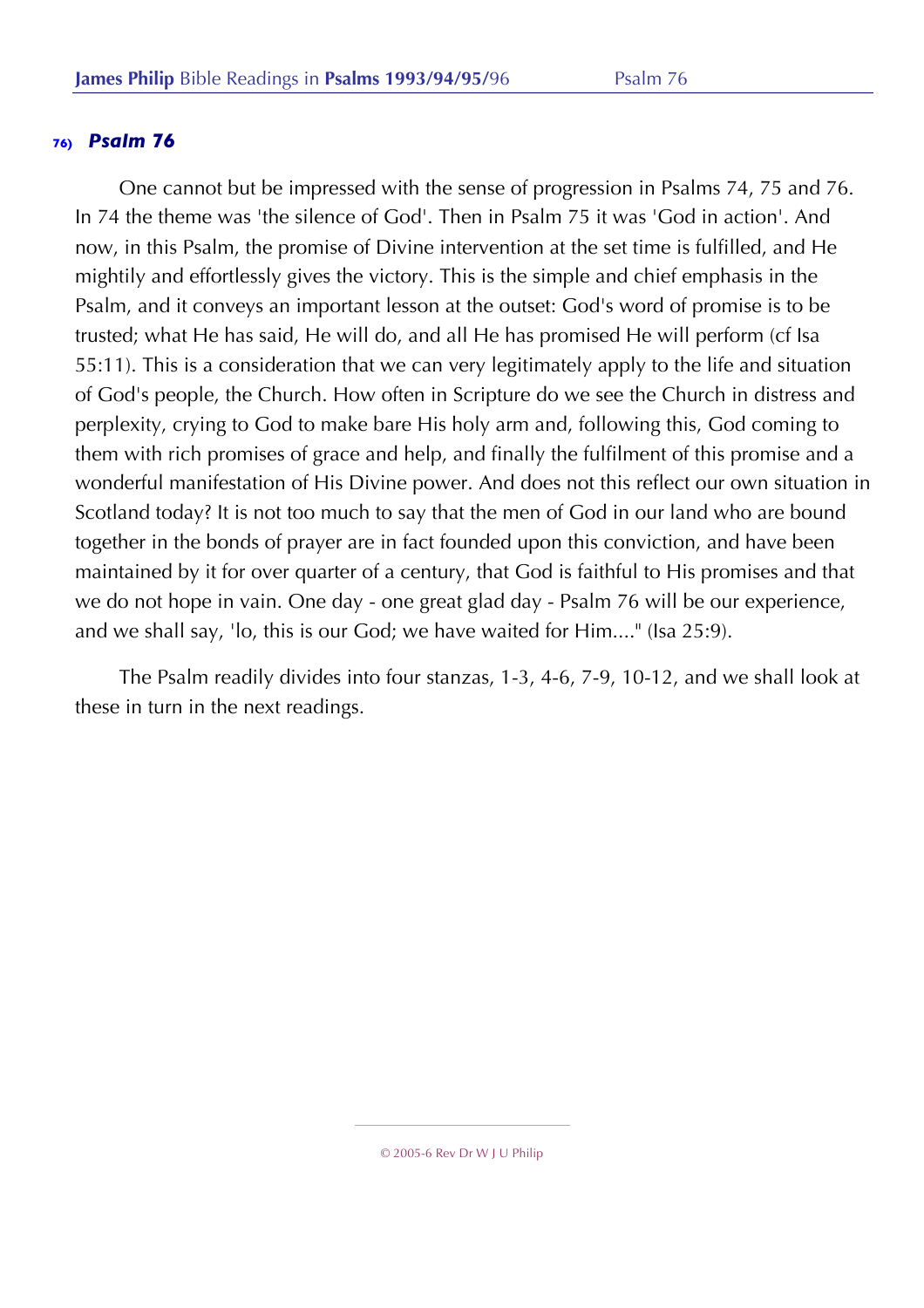One cannot but be impressed with the sense of progression in Psalms 74, 75 and 76. In 74 the theme was 'the silence of God'. Then in Psalm 75 it was 'God in action'. And now, in this Psalm, the promise of Divine intervention at the set time is fulfilled, and He mightily and effortlessly gives the victory. This is the simple and chief emphasis in the Psalm, and it conveys an important lesson at the outset: God's word of promise is to be trusted; what He has said, He will do, and all He has promised He will perform (cf Isa 55:11). This is a consideration that we can very legitimately apply to the life and situation of God's people, the Church. How often in Scripture do we see the Church in distress and perplexity, crying to God to make bare His holy arm and, following this, God coming to them with rich promises of grace and help, and finally the fulfilment of this promise and a wonderful manifestation of His Divine power. And does not this reflect our own situation in Scotland today? It is not too much to say that the men of God in our land who are bound together in the bonds of prayer are in fact founded upon this conviction, and have been maintained by it for over quarter of a century, that God is faithful to His promises and that we do not hope in vain. One day - one great glad day - Psalm 76 will be our experience, and we shall say, 'lo, this is our God; we have waited for Him...." (Isa 25:9).

The Psalm readily divides into four stanzas, 1-3, 4-6, 7-9, 10-12, and we shall look at these in turn in the next readings.

<sup>© 2005-6</sup> Rev Dr W J U Philip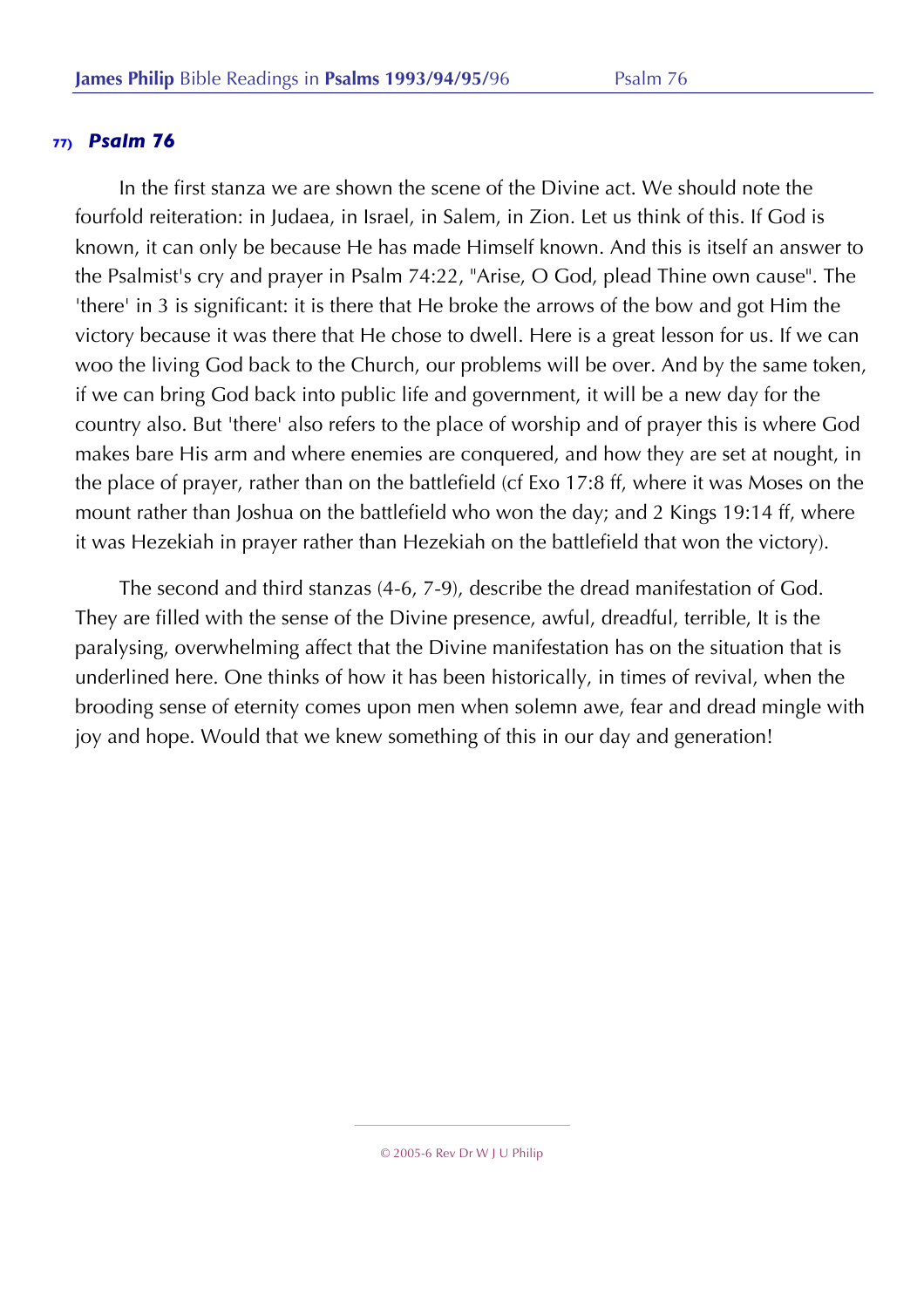In the first stanza we are shown the scene of the Divine act. We should note the fourfold reiteration: in Judaea, in Israel, in Salem, in Zion. Let us think of this. If God is known, it can only be because He has made Himself known. And this is itself an answer to the Psalmist's cry and prayer in Psalm 74:22, "Arise, O God, plead Thine own cause". The 'there' in 3 is significant: it is there that He broke the arrows of the bow and got Him the victory because it was there that He chose to dwell. Here is a great lesson for us. If we can woo the living God back to the Church, our problems will be over. And by the same token, if we can bring God back into public life and government, it will be a new day for the country also. But 'there' also refers to the place of worship and of prayer this is where God makes bare His arm and where enemies are conquered, and how they are set at nought, in the place of prayer, rather than on the battlefield (cf Exo 17:8 ff, where it was Moses on the mount rather than Joshua on the battlefield who won the day; and 2 Kings 19:14 ff, where it was Hezekiah in prayer rather than Hezekiah on the battlefield that won the victory).

The second and third stanzas (4-6, 7-9), describe the dread manifestation of God. They are filled with the sense of the Divine presence, awful, dreadful, terrible, It is the paralysing, overwhelming affect that the Divine manifestation has on the situation that is underlined here. One thinks of how it has been historically, in times of revival, when the brooding sense of eternity comes upon men when solemn awe, fear and dread mingle with joy and hope. Would that we knew something of this in our day and generation!

<sup>© 2005-6</sup> Rev Dr W J U Philip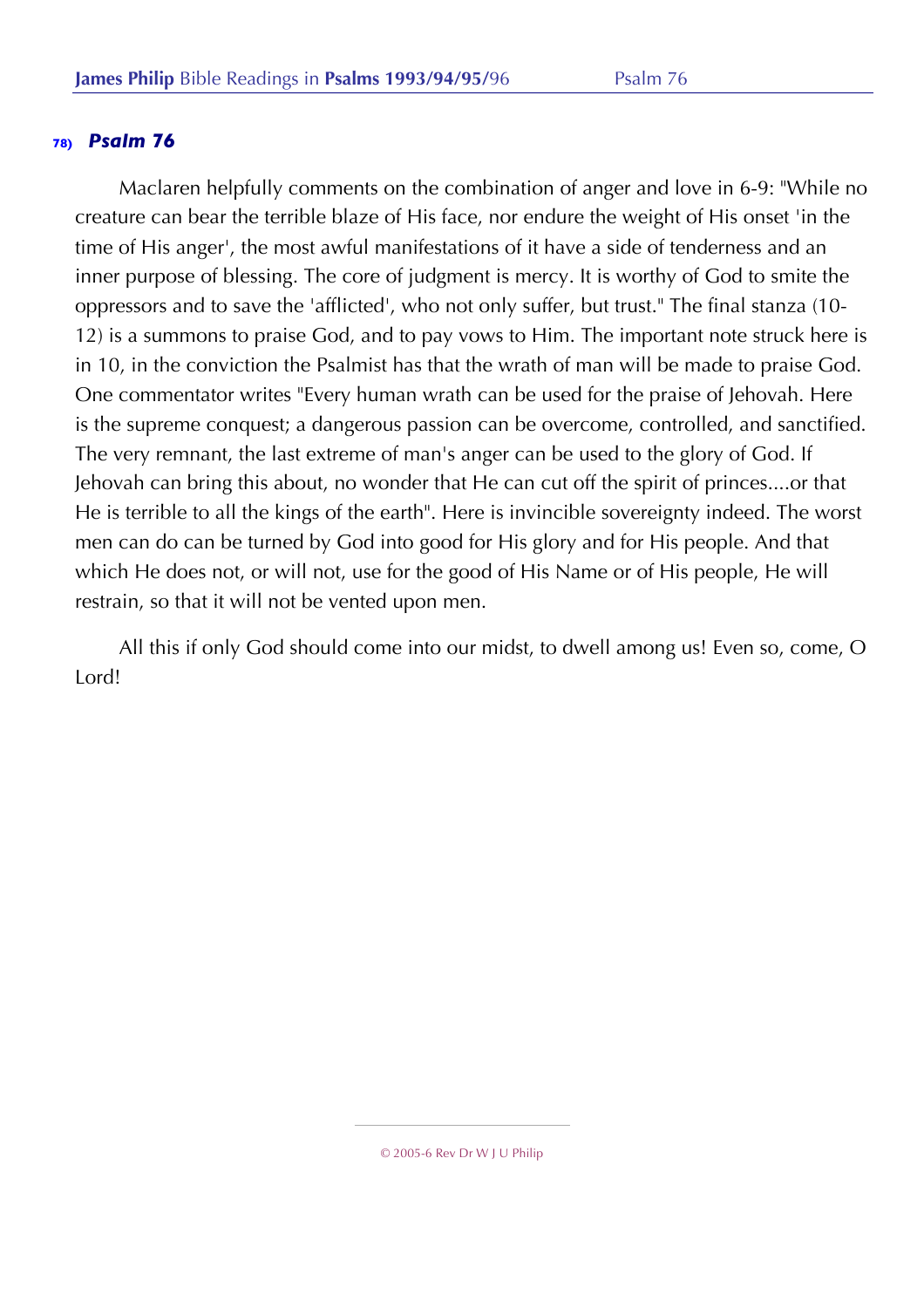Maclaren helpfully comments on the combination of anger and love in 6-9: "While no creature can bear the terrible blaze of His face, nor endure the weight of His onset 'in the time of His anger', the most awful manifestations of it have a side of tenderness and an inner purpose of blessing. The core of judgment is mercy. It is worthy of God to smite the oppressors and to save the 'afflicted', who not only suffer, but trust." The final stanza (10- 12) is a summons to praise God, and to pay vows to Him. The important note struck here is in 10, in the conviction the Psalmist has that the wrath of man will be made to praise God. One commentator writes "Every human wrath can be used for the praise of Jehovah. Here is the supreme conquest; a dangerous passion can be overcome, controlled, and sanctified. The very remnant, the last extreme of man's anger can be used to the glory of God. If Jehovah can bring this about, no wonder that He can cut off the spirit of princes....or that He is terrible to all the kings of the earth". Here is invincible sovereignty indeed. The worst men can do can be turned by God into good for His glory and for His people. And that which He does not, or will not, use for the good of His Name or of His people, He will restrain, so that it will not be vented upon men.

All this if only God should come into our midst, to dwell among us! Even so, come, O Lord!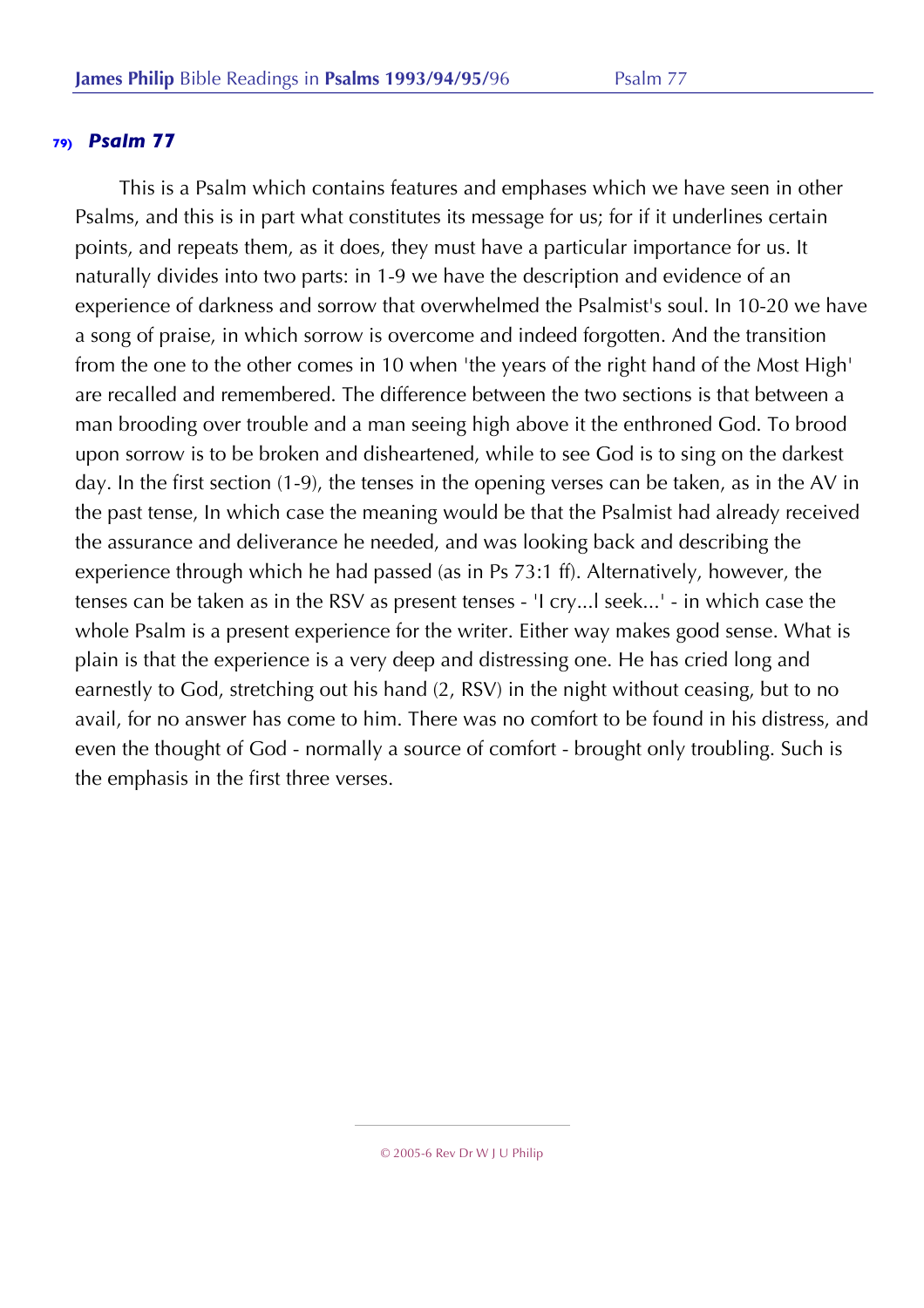This is a Psalm which contains features and emphases which we have seen in other Psalms, and this is in part what constitutes its message for us; for if it underlines certain points, and repeats them, as it does, they must have a particular importance for us. It naturally divides into two parts: in 1-9 we have the description and evidence of an experience of darkness and sorrow that overwhelmed the Psalmist's soul. In 10-20 we have a song of praise, in which sorrow is overcome and indeed forgotten. And the transition from the one to the other comes in 10 when 'the years of the right hand of the Most High' are recalled and remembered. The difference between the two sections is that between a man brooding over trouble and a man seeing high above it the enthroned God. To brood upon sorrow is to be broken and disheartened, while to see God is to sing on the darkest day. In the first section (1-9), the tenses in the opening verses can be taken, as in the AV in the past tense, In which case the meaning would be that the Psalmist had already received the assurance and deliverance he needed, and was looking back and describing the experience through which he had passed (as in Ps 73:1 ff). Alternatively, however, the tenses can be taken as in the RSV as present tenses - 'I cry...l seek...' - in which case the whole Psalm is a present experience for the writer. Either way makes good sense. What is plain is that the experience is a very deep and distressing one. He has cried long and earnestly to God, stretching out his hand (2, RSV) in the night without ceasing, but to no avail, for no answer has come to him. There was no comfort to be found in his distress, and even the thought of God - normally a source of comfort - brought only troubling. Such is the emphasis in the first three verses.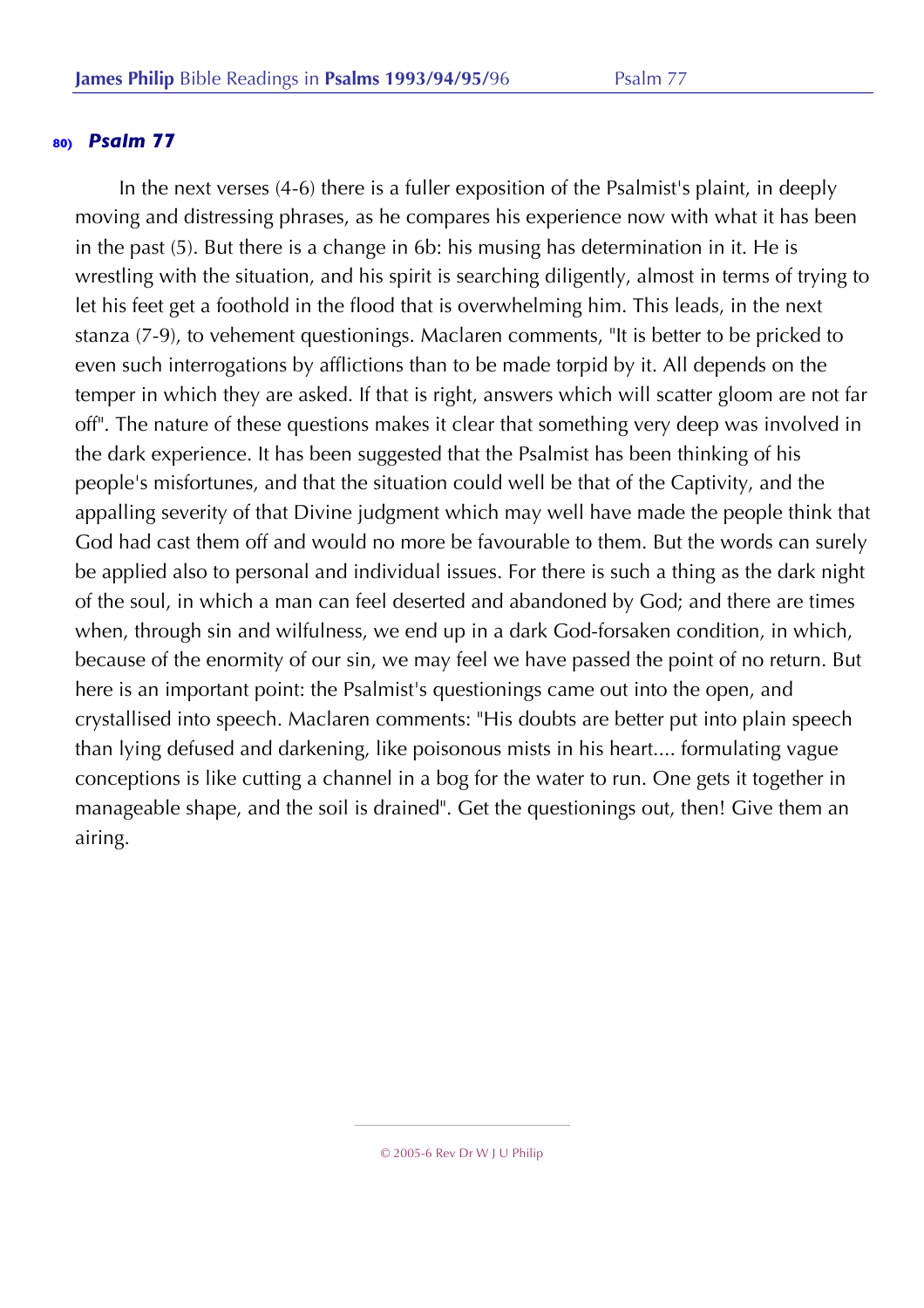In the next verses (4-6) there is a fuller exposition of the Psalmist's plaint, in deeply moving and distressing phrases, as he compares his experience now with what it has been in the past (5). But there is a change in 6b: his musing has determination in it. He is wrestling with the situation, and his spirit is searching diligently, almost in terms of trying to let his feet get a foothold in the flood that is overwhelming him. This leads, in the next stanza (7-9), to vehement questionings. Maclaren comments, "It is better to be pricked to even such interrogations by afflictions than to be made torpid by it. All depends on the temper in which they are asked. If that is right, answers which will scatter gloom are not far off". The nature of these questions makes it clear that something very deep was involved in the dark experience. It has been suggested that the Psalmist has been thinking of his people's misfortunes, and that the situation could well be that of the Captivity, and the appalling severity of that Divine judgment which may well have made the people think that God had cast them off and would no more be favourable to them. But the words can surely be applied also to personal and individual issues. For there is such a thing as the dark night of the soul, in which a man can feel deserted and abandoned by God; and there are times when, through sin and wilfulness, we end up in a dark God-forsaken condition, in which, because of the enormity of our sin, we may feel we have passed the point of no return. But here is an important point: the Psalmist's questionings came out into the open, and crystallised into speech. Maclaren comments: "His doubts are better put into plain speech than lying defused and darkening, like poisonous mists in his heart.... formulating vague conceptions is like cutting a channel in a bog for the water to run. One gets it together in manageable shape, and the soil is drained". Get the questionings out, then! Give them an airing.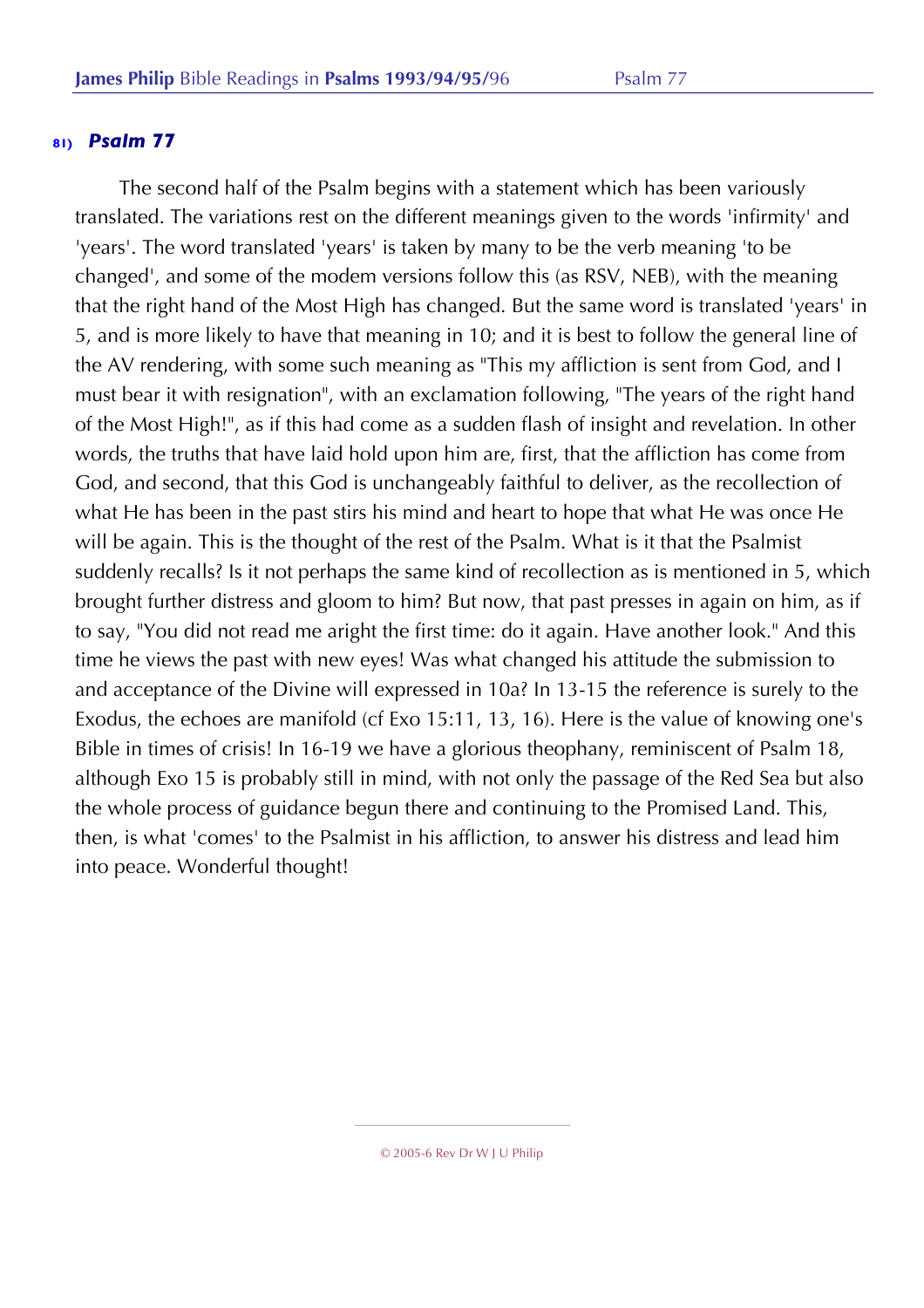The second half of the Psalm begins with a statement which has been variously translated. The variations rest on the different meanings given to the words 'infirmity' and 'years'. The word translated 'years' is taken by many to be the verb meaning 'to be changed', and some of the modem versions follow this (as RSV, NEB), with the meaning that the right hand of the Most High has changed. But the same word is translated 'years' in 5, and is more likely to have that meaning in 10; and it is best to follow the general line of the AV rendering, with some such meaning as "This my affliction is sent from God, and I must bear it with resignation", with an exclamation following, "The years of the right hand of the Most High!", as if this had come as a sudden flash of insight and revelation. In other words, the truths that have laid hold upon him are, first, that the affliction has come from God, and second, that this God is unchangeably faithful to deliver, as the recollection of what He has been in the past stirs his mind and heart to hope that what He was once He will be again. This is the thought of the rest of the Psalm. What is it that the Psalmist suddenly recalls? Is it not perhaps the same kind of recollection as is mentioned in 5, which brought further distress and gloom to him? But now, that past presses in again on him, as if to say, "You did not read me aright the first time: do it again. Have another look." And this time he views the past with new eyes! Was what changed his attitude the submission to and acceptance of the Divine will expressed in 10a? In 13-15 the reference is surely to the Exodus, the echoes are manifold (cf Exo 15:11, 13, 16). Here is the value of knowing one's Bible in times of crisis! In 16-19 we have a glorious theophany, reminiscent of Psalm 18, although Exo 15 is probably still in mind, with not only the passage of the Red Sea but also the whole process of guidance begun there and continuing to the Promised Land. This, then, is what 'comes' to the Psalmist in his affliction, to answer his distress and lead him into peace. Wonderful thought!

© 2005-6 Rev Dr W J U Philip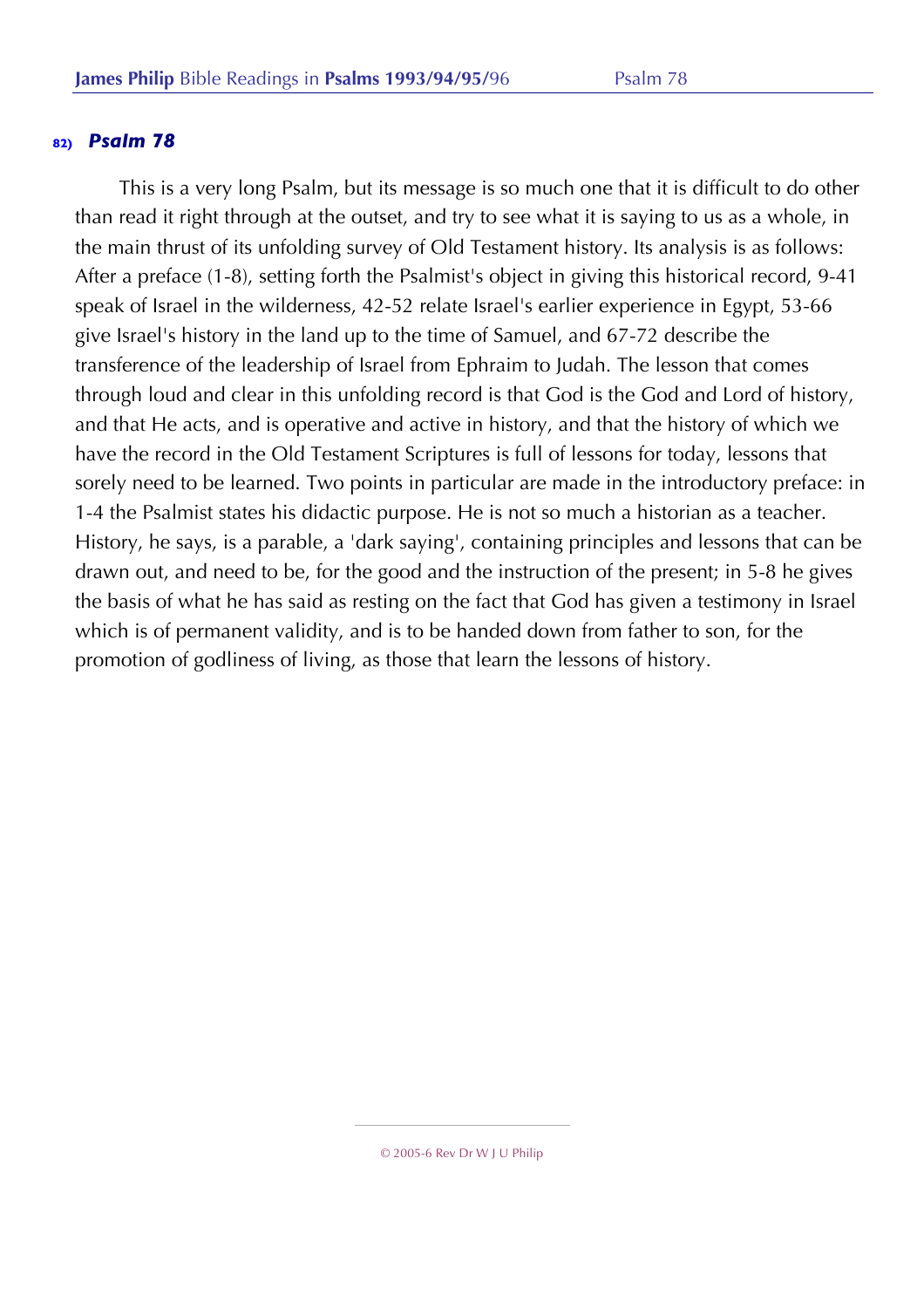This is a very long Psalm, but its message is so much one that it is difficult to do other than read it right through at the outset, and try to see what it is saying to us as a whole, in the main thrust of its unfolding survey of Old Testament history. Its analysis is as follows: After a preface (1-8), setting forth the Psalmist's object in giving this historical record, 9-41 speak of Israel in the wilderness, 42-52 relate Israel's earlier experience in Egypt, 53-66 give Israel's history in the land up to the time of Samuel, and 67-72 describe the transference of the leadership of Israel from Ephraim to Judah. The lesson that comes through loud and clear in this unfolding record is that God is the God and Lord of history, and that He acts, and is operative and active in history, and that the history of which we have the record in the Old Testament Scriptures is full of lessons for today, lessons that sorely need to be learned. Two points in particular are made in the introductory preface: in 1-4 the Psalmist states his didactic purpose. He is not so much a historian as a teacher. History, he says, is a parable, a 'dark saying', containing principles and lessons that can be drawn out, and need to be, for the good and the instruction of the present; in 5-8 he gives the basis of what he has said as resting on the fact that God has given a testimony in Israel which is of permanent validity, and is to be handed down from father to son, for the promotion of godliness of living, as those that learn the lessons of history.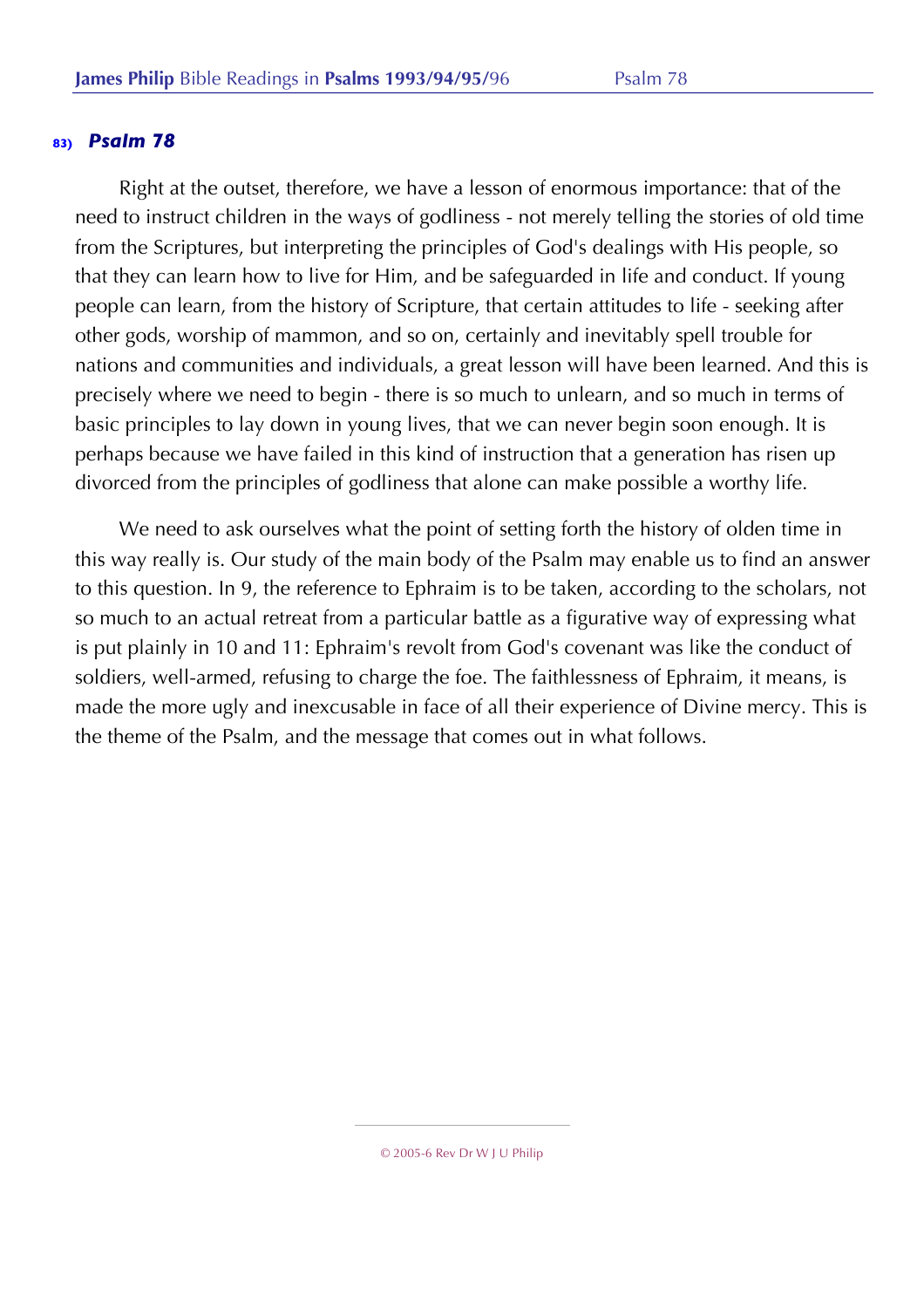Right at the outset, therefore, we have a lesson of enormous importance: that of the need to instruct children in the ways of godliness - not merely telling the stories of old time from the Scriptures, but interpreting the principles of God's dealings with His people, so that they can learn how to live for Him, and be safeguarded in life and conduct. If young people can learn, from the history of Scripture, that certain attitudes to life - seeking after other gods, worship of mammon, and so on, certainly and inevitably spell trouble for nations and communities and individuals, a great lesson will have been learned. And this is precisely where we need to begin - there is so much to unlearn, and so much in terms of basic principles to lay down in young lives, that we can never begin soon enough. It is perhaps because we have failed in this kind of instruction that a generation has risen up divorced from the principles of godliness that alone can make possible a worthy life.

We need to ask ourselves what the point of setting forth the history of olden time in this way really is. Our study of the main body of the Psalm may enable us to find an answer to this question. In 9, the reference to Ephraim is to be taken, according to the scholars, not so much to an actual retreat from a particular battle as a figurative way of expressing what is put plainly in 10 and 11: Ephraim's revolt from God's covenant was like the conduct of soldiers, well-armed, refusing to charge the foe. The faithlessness of Ephraim, it means, is made the more ugly and inexcusable in face of all their experience of Divine mercy. This is the theme of the Psalm, and the message that comes out in what follows.

<sup>© 2005-6</sup> Rev Dr W J U Philip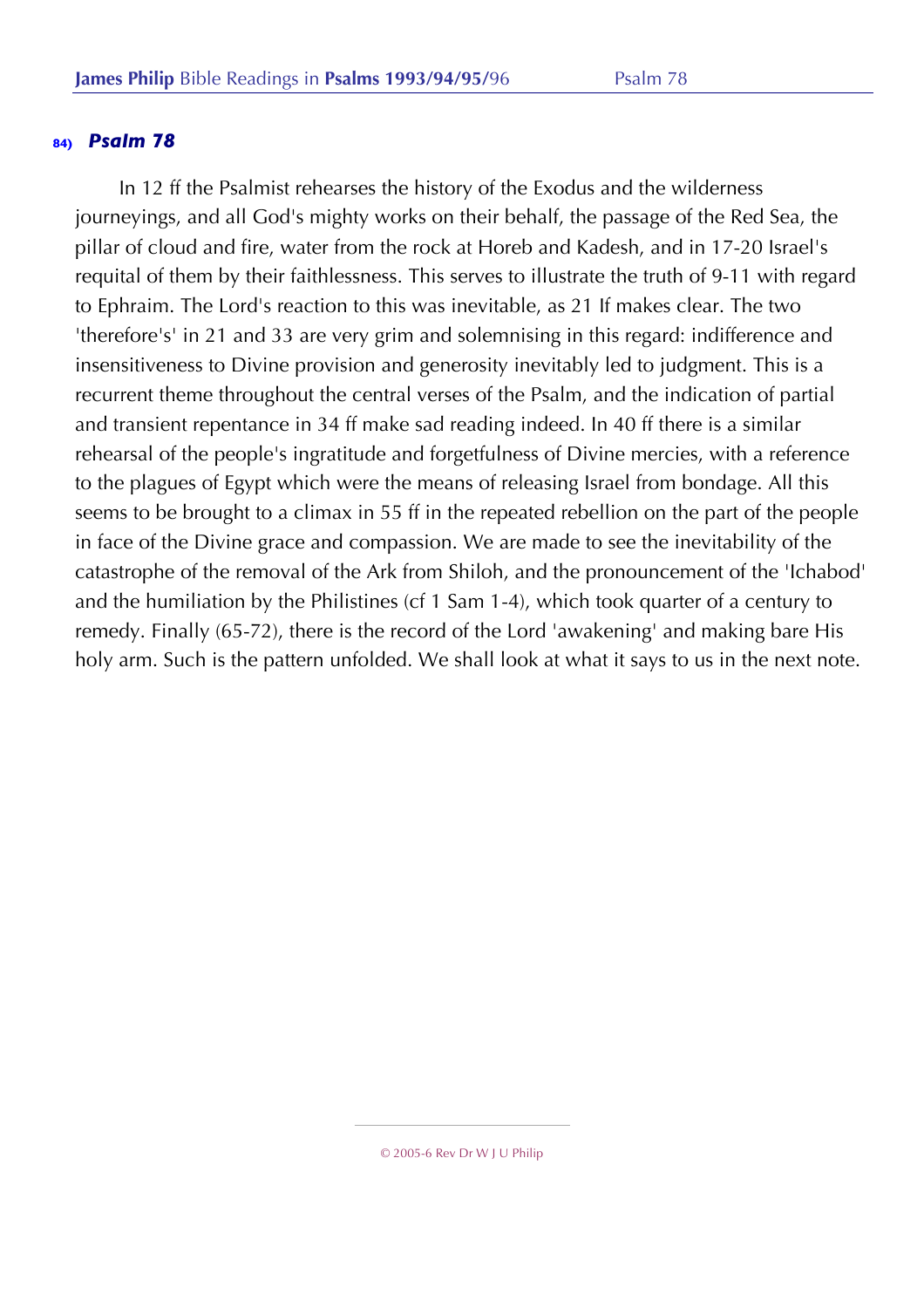In 12 ff the Psalmist rehearses the history of the Exodus and the wilderness journeyings, and all God's mighty works on their behalf, the passage of the Red Sea, the pillar of cloud and fire, water from the rock at Horeb and Kadesh, and in 17-20 Israel's requital of them by their faithlessness. This serves to illustrate the truth of 9-11 with regard to Ephraim. The Lord's reaction to this was inevitable, as 21 If makes clear. The two 'therefore's' in 21 and 33 are very grim and solemnising in this regard: indifference and insensitiveness to Divine provision and generosity inevitably led to judgment. This is a recurrent theme throughout the central verses of the Psalm, and the indication of partial and transient repentance in 34 ff make sad reading indeed. In 40 ff there is a similar rehearsal of the people's ingratitude and forgetfulness of Divine mercies, with a reference to the plagues of Egypt which were the means of releasing Israel from bondage. All this seems to be brought to a climax in 55 ff in the repeated rebellion on the part of the people in face of the Divine grace and compassion. We are made to see the inevitability of the catastrophe of the removal of the Ark from Shiloh, and the pronouncement of the 'Ichabod' and the humiliation by the Philistines (cf 1 Sam 1-4), which took quarter of a century to remedy. Finally (65-72), there is the record of the Lord 'awakening' and making bare His holy arm. Such is the pattern unfolded. We shall look at what it says to us in the next note.

<sup>© 2005-6</sup> Rev Dr W J U Philip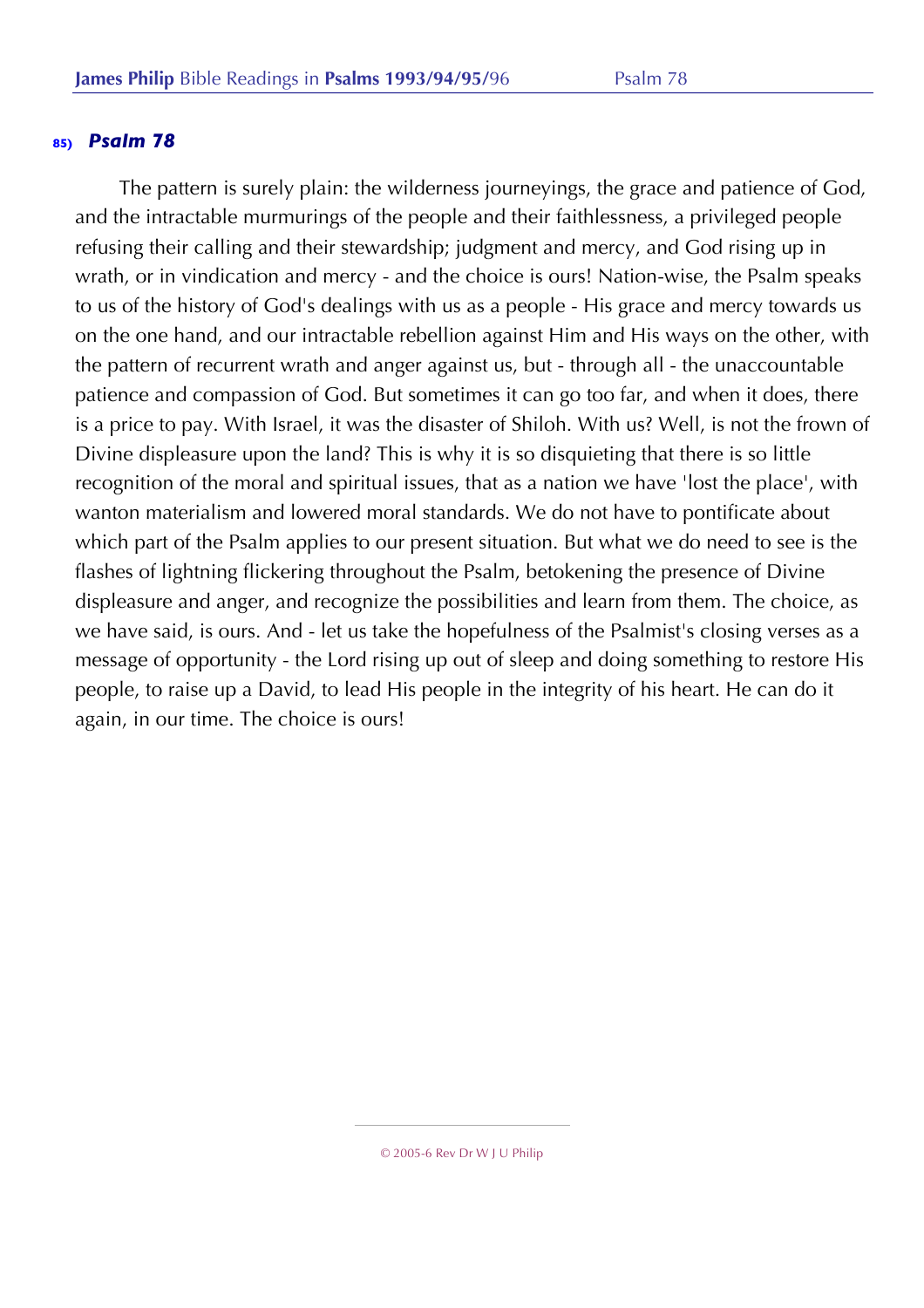The pattern is surely plain: the wilderness journeyings, the grace and patience of God, and the intractable murmurings of the people and their faithlessness, a privileged people refusing their calling and their stewardship; judgment and mercy, and God rising up in wrath, or in vindication and mercy - and the choice is ours! Nation-wise, the Psalm speaks to us of the history of God's dealings with us as a people - His grace and mercy towards us on the one hand, and our intractable rebellion against Him and His ways on the other, with the pattern of recurrent wrath and anger against us, but - through all - the unaccountable patience and compassion of God. But sometimes it can go too far, and when it does, there is a price to pay. With Israel, it was the disaster of Shiloh. With us? Well, is not the frown of Divine displeasure upon the land? This is why it is so disquieting that there is so little recognition of the moral and spiritual issues, that as a nation we have 'lost the place', with wanton materialism and lowered moral standards. We do not have to pontificate about which part of the Psalm applies to our present situation. But what we do need to see is the flashes of lightning flickering throughout the Psalm, betokening the presence of Divine displeasure and anger, and recognize the possibilities and learn from them. The choice, as we have said, is ours. And - let us take the hopefulness of the Psalmist's closing verses as a message of opportunity - the Lord rising up out of sleep and doing something to restore His people, to raise up a David, to lead His people in the integrity of his heart. He can do it again, in our time. The choice is ours!

<sup>© 2005-6</sup> Rev Dr W J U Philip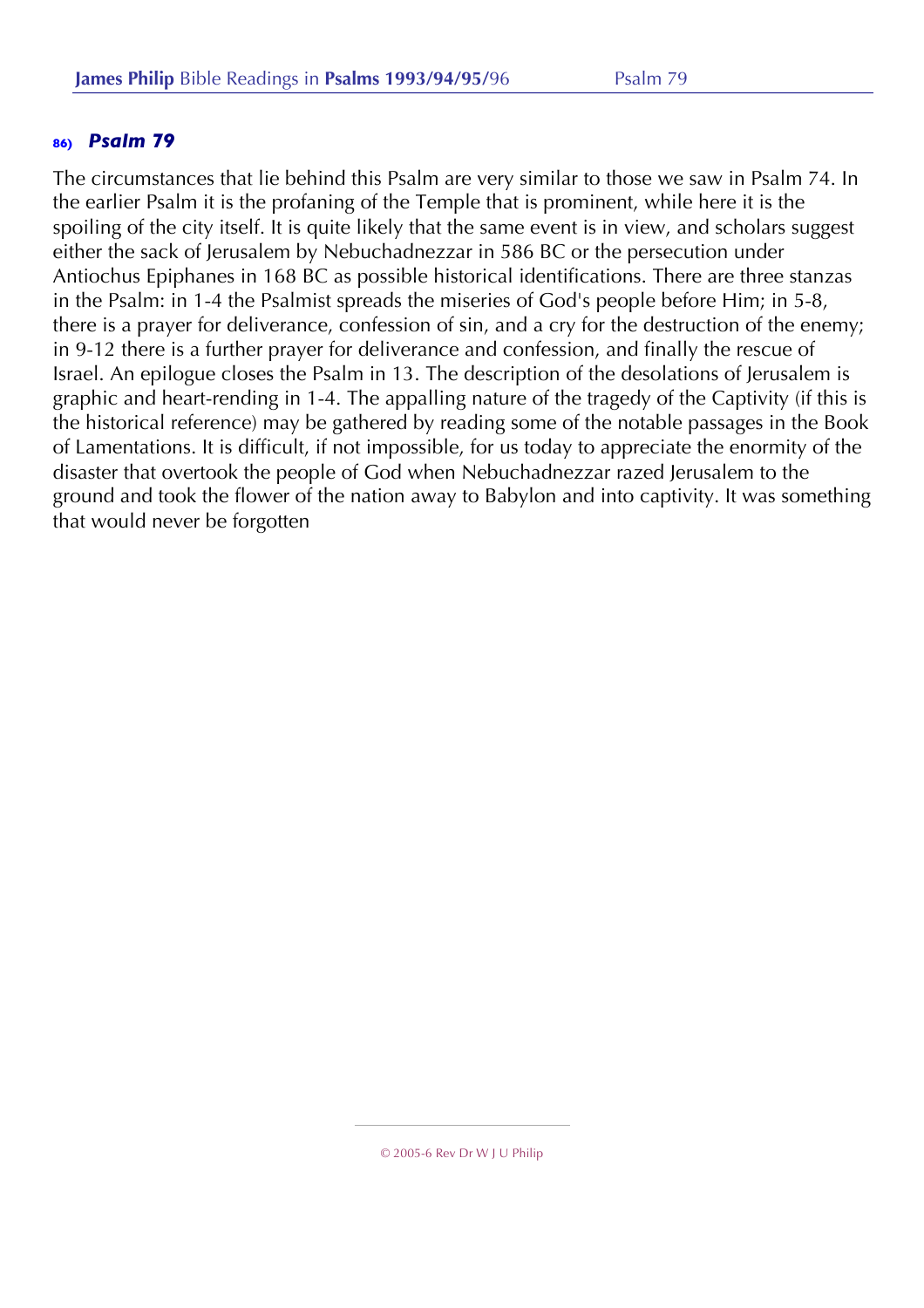The circumstances that lie behind this Psalm are very similar to those we saw in Psalm 74. In the earlier Psalm it is the profaning of the Temple that is prominent, while here it is the spoiling of the city itself. It is quite likely that the same event is in view, and scholars suggest either the sack of Jerusalem by Nebuchadnezzar in 586 BC or the persecution under Antiochus Epiphanes in 168 BC as possible historical identifications. There are three stanzas in the Psalm: in 1-4 the Psalmist spreads the miseries of God's people before Him; in 5-8, there is a prayer for deliverance, confession of sin, and a cry for the destruction of the enemy; in 9-12 there is a further prayer for deliverance and confession, and finally the rescue of Israel. An epilogue closes the Psalm in 13. The description of the desolations of Jerusalem is graphic and heart-rending in 1-4. The appalling nature of the tragedy of the Captivity (if this is the historical reference) may be gathered by reading some of the notable passages in the Book of Lamentations. It is difficult, if not impossible, for us today to appreciate the enormity of the disaster that overtook the people of God when Nebuchadnezzar razed Jerusalem to the ground and took the flower of the nation away to Babylon and into captivity. It was something that would never be forgotten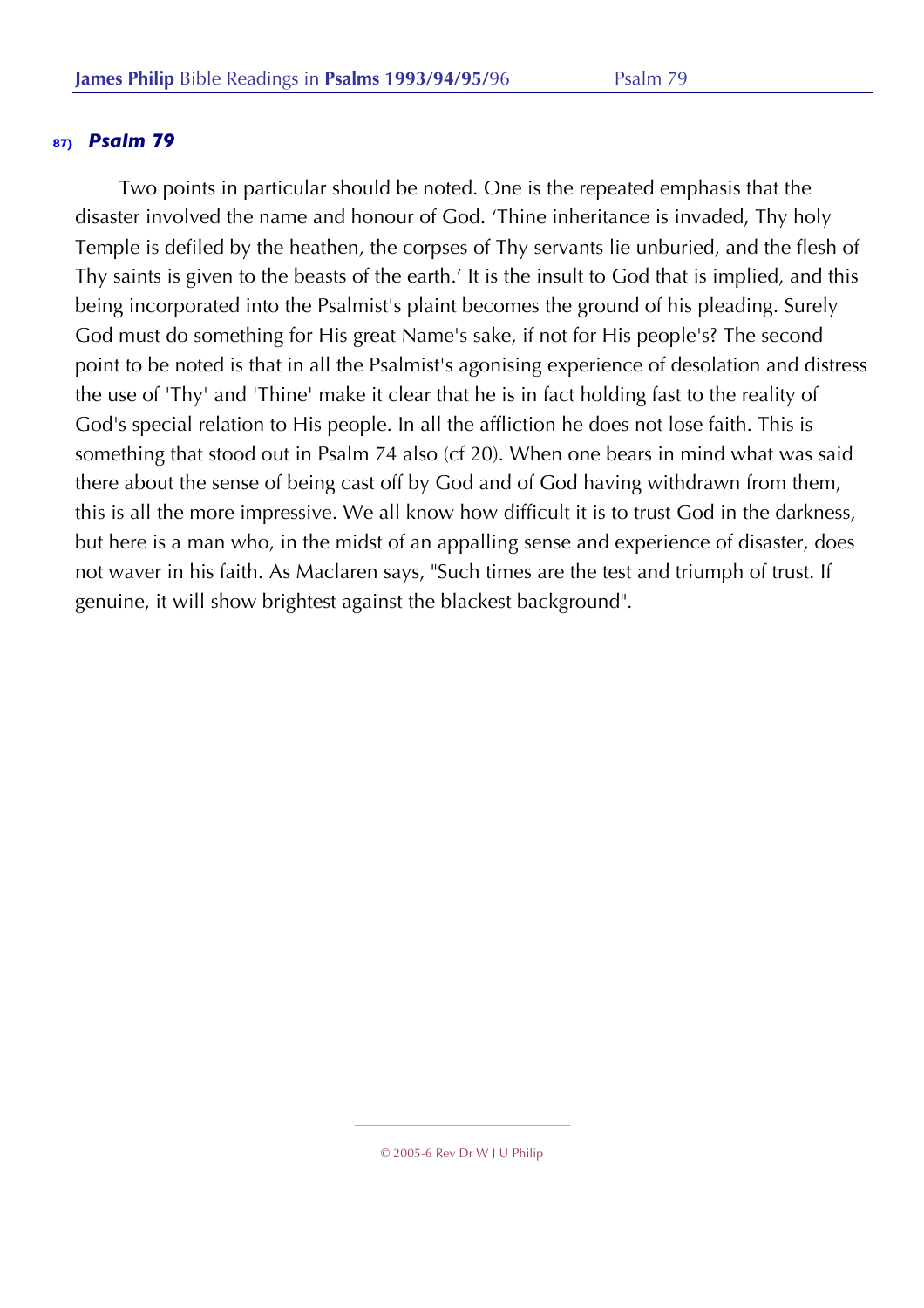Two points in particular should be noted. One is the repeated emphasis that the disaster involved the name and honour of God. 'Thine inheritance is invaded, Thy holy Temple is defiled by the heathen, the corpses of Thy servants lie unburied, and the flesh of Thy saints is given to the beasts of the earth.' It is the insult to God that is implied, and this being incorporated into the Psalmist's plaint becomes the ground of his pleading. Surely God must do something for His great Name's sake, if not for His people's? The second point to be noted is that in all the Psalmist's agonising experience of desolation and distress the use of 'Thy' and 'Thine' make it clear that he is in fact holding fast to the reality of God's special relation to His people. In all the affliction he does not lose faith. This is something that stood out in Psalm 74 also (cf 20). When one bears in mind what was said there about the sense of being cast off by God and of God having withdrawn from them, this is all the more impressive. We all know how difficult it is to trust God in the darkness, but here is a man who, in the midst of an appalling sense and experience of disaster, does not waver in his faith. As Maclaren says, "Such times are the test and triumph of trust. If genuine, it will show brightest against the blackest background".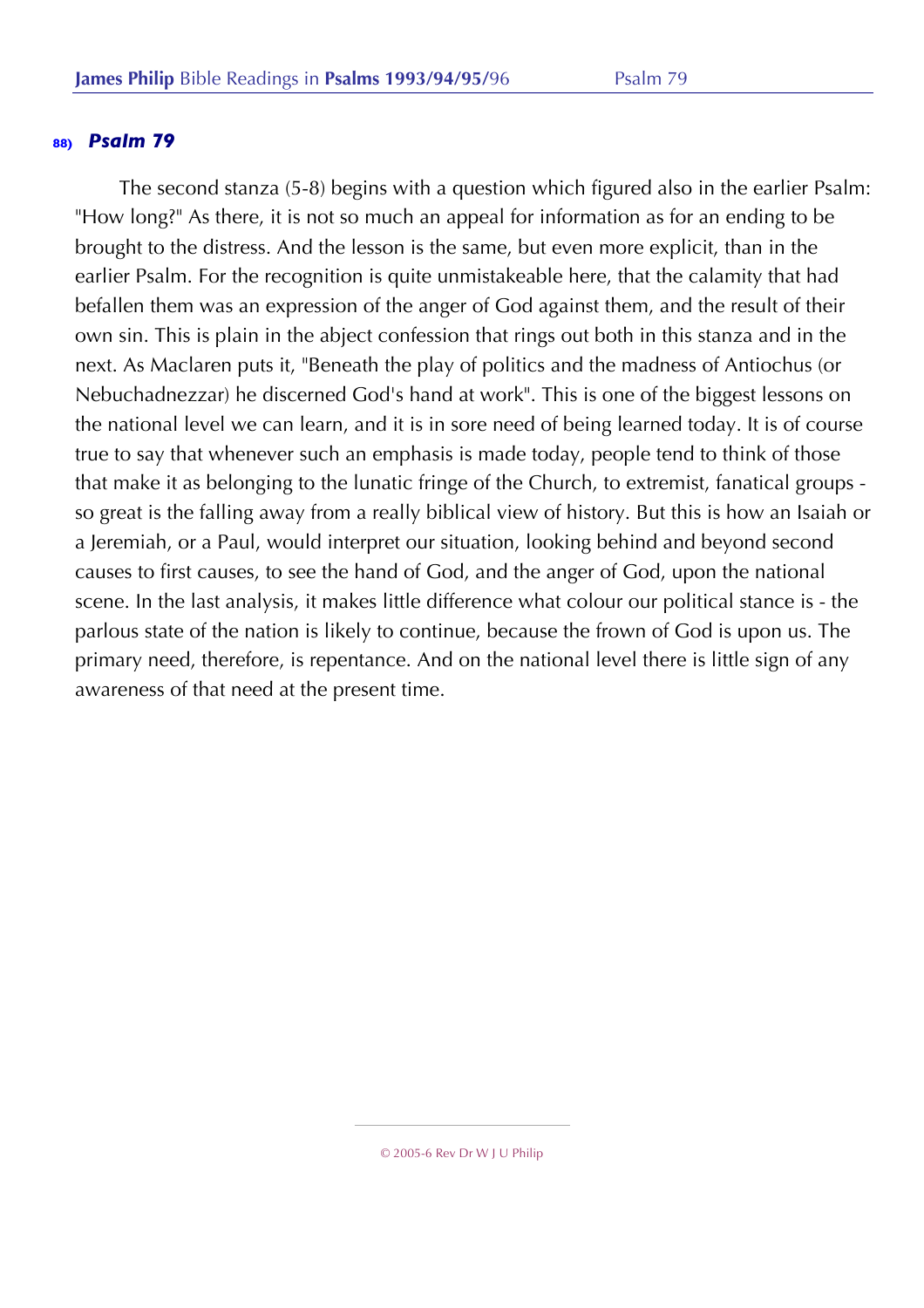The second stanza (5-8) begins with a question which figured also in the earlier Psalm: "How long?" As there, it is not so much an appeal for information as for an ending to be brought to the distress. And the lesson is the same, but even more explicit, than in the earlier Psalm. For the recognition is quite unmistakeable here, that the calamity that had befallen them was an expression of the anger of God against them, and the result of their own sin. This is plain in the abject confession that rings out both in this stanza and in the next. As Maclaren puts it, "Beneath the play of politics and the madness of Antiochus (or Nebuchadnezzar) he discerned God's hand at work". This is one of the biggest lessons on the national level we can learn, and it is in sore need of being learned today. It is of course true to say that whenever such an emphasis is made today, people tend to think of those that make it as belonging to the lunatic fringe of the Church, to extremist, fanatical groups so great is the falling away from a really biblical view of history. But this is how an Isaiah or a Jeremiah, or a Paul, would interpret our situation, looking behind and beyond second causes to first causes, to see the hand of God, and the anger of God, upon the national scene. In the last analysis, it makes little difference what colour our political stance is - the parlous state of the nation is likely to continue, because the frown of God is upon us. The primary need, therefore, is repentance. And on the national level there is little sign of any awareness of that need at the present time.

<sup>© 2005-6</sup> Rev Dr W J U Philip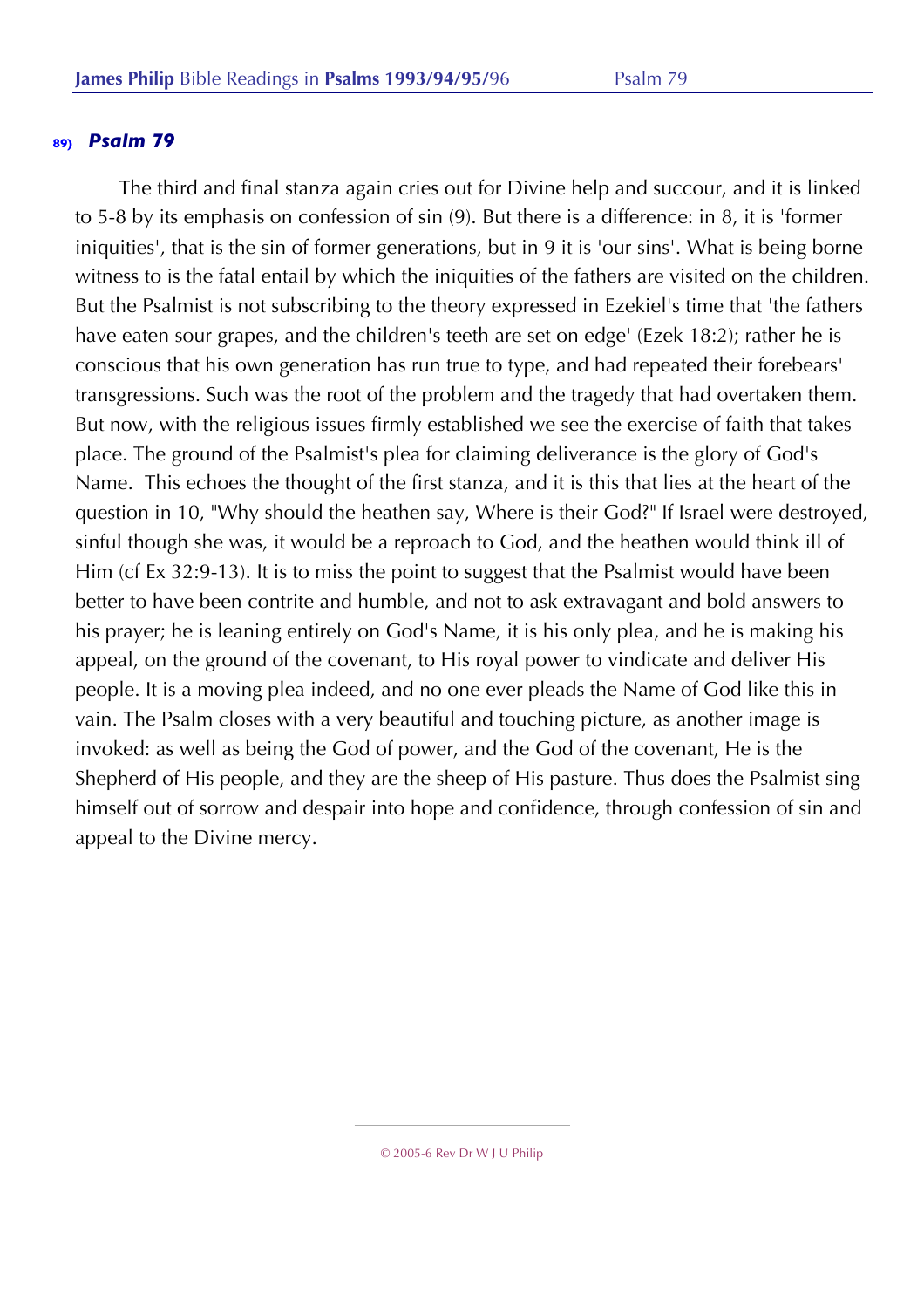The third and final stanza again cries out for Divine help and succour, and it is linked to 5-8 by its emphasis on confession of sin (9). But there is a difference: in 8, it is 'former iniquities', that is the sin of former generations, but in 9 it is 'our sins'. What is being borne witness to is the fatal entail by which the iniquities of the fathers are visited on the children. But the Psalmist is not subscribing to the theory expressed in Ezekiel's time that 'the fathers have eaten sour grapes, and the children's teeth are set on edge' (Ezek 18:2); rather he is conscious that his own generation has run true to type, and had repeated their forebears' transgressions. Such was the root of the problem and the tragedy that had overtaken them. But now, with the religious issues firmly established we see the exercise of faith that takes place. The ground of the Psalmist's plea for claiming deliverance is the glory of God's Name. This echoes the thought of the first stanza, and it is this that lies at the heart of the question in 10, "Why should the heathen say, Where is their God?" If Israel were destroyed, sinful though she was, it would be a reproach to God, and the heathen would think ill of Him (cf Ex 32:9-13). It is to miss the point to suggest that the Psalmist would have been better to have been contrite and humble, and not to ask extravagant and bold answers to his prayer; he is leaning entirely on God's Name, it is his only plea, and he is making his appeal, on the ground of the covenant, to His royal power to vindicate and deliver His people. It is a moving plea indeed, and no one ever pleads the Name of God like this in vain. The Psalm closes with a very beautiful and touching picture, as another image is invoked: as well as being the God of power, and the God of the covenant, He is the Shepherd of His people, and they are the sheep of His pasture. Thus does the Psalmist sing himself out of sorrow and despair into hope and confidence, through confession of sin and appeal to the Divine mercy.

© 2005-6 Rev Dr W J U Philip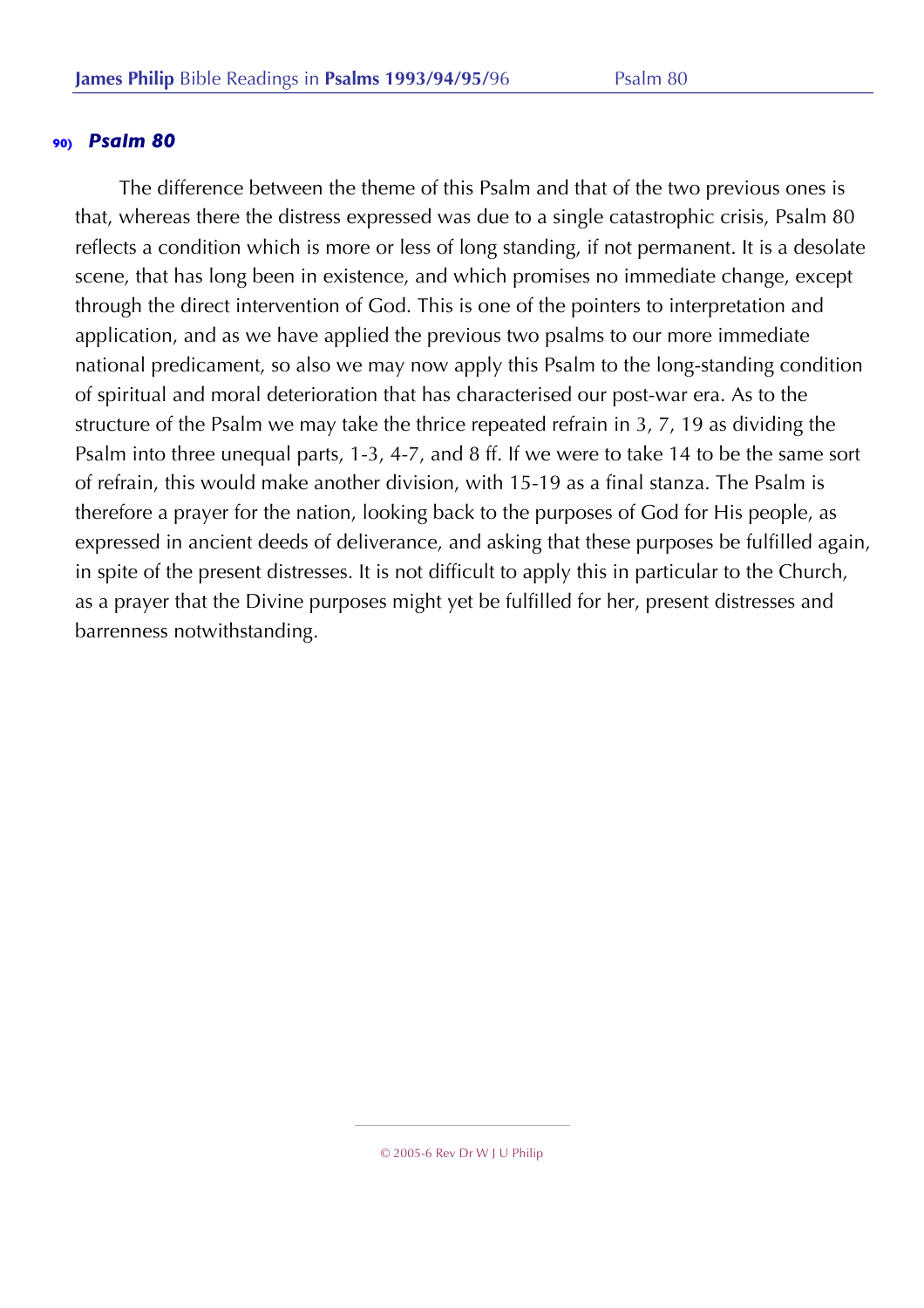The difference between the theme of this Psalm and that of the two previous ones is that, whereas there the distress expressed was due to a single catastrophic crisis, Psalm 80 reflects a condition which is more or less of long standing, if not permanent. It is a desolate scene, that has long been in existence, and which promises no immediate change, except through the direct intervention of God. This is one of the pointers to interpretation and application, and as we have applied the previous two psalms to our more immediate national predicament, so also we may now apply this Psalm to the long-standing condition of spiritual and moral deterioration that has characterised our post-war era. As to the structure of the Psalm we may take the thrice repeated refrain in 3, 7, 19 as dividing the Psalm into three unequal parts, 1-3, 4-7, and 8 ff. If we were to take 14 to be the same sort of refrain, this would make another division, with 15-19 as a final stanza. The Psalm is therefore a prayer for the nation, looking back to the purposes of God for His people, as expressed in ancient deeds of deliverance, and asking that these purposes be fulfilled again, in spite of the present distresses. It is not difficult to apply this in particular to the Church, as a prayer that the Divine purposes might yet be fulfilled for her, present distresses and barrenness notwithstanding.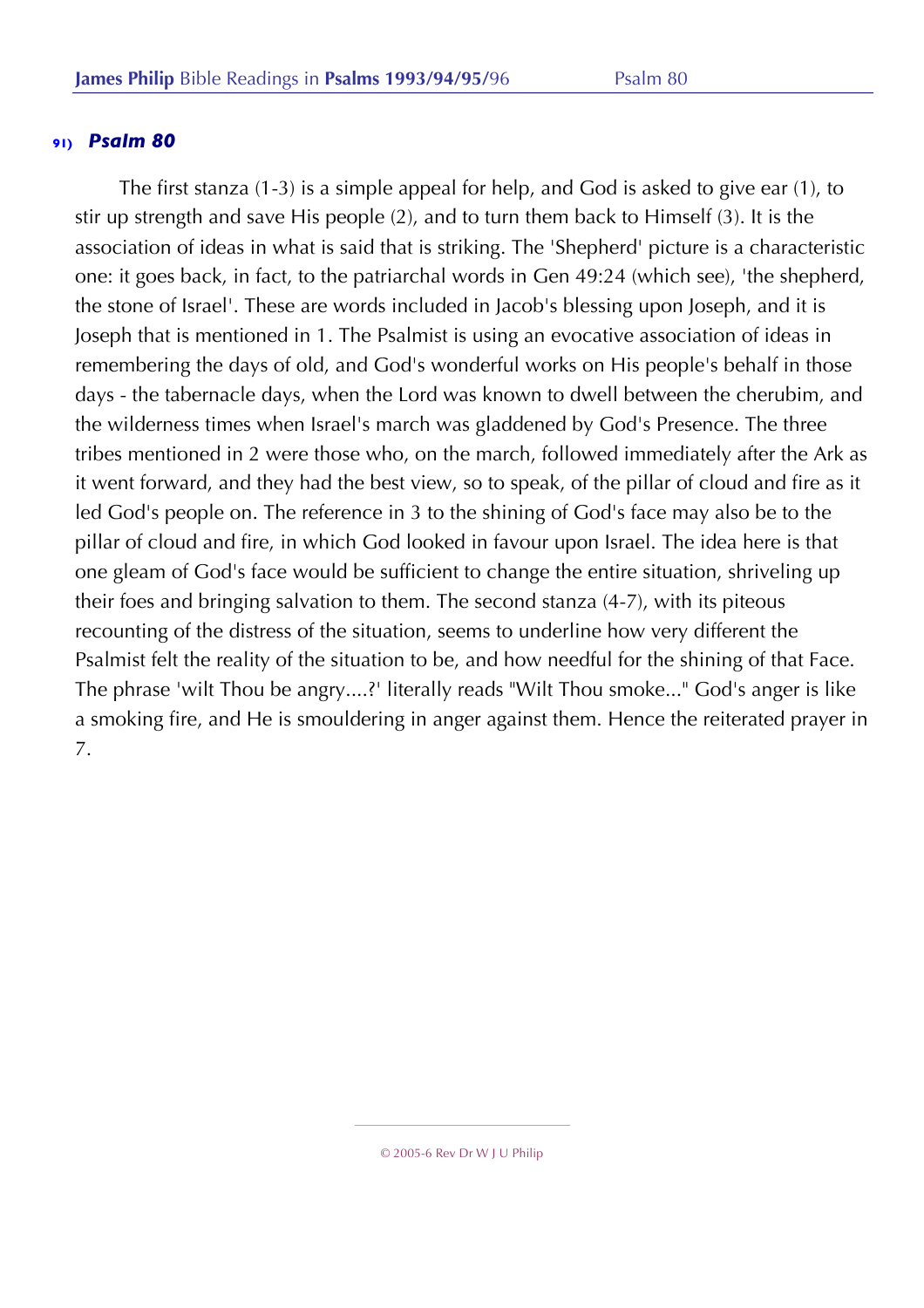The first stanza (1-3) is a simple appeal for help, and God is asked to give ear (1), to stir up strength and save His people (2), and to turn them back to Himself (3). It is the association of ideas in what is said that is striking. The 'Shepherd' picture is a characteristic one: it goes back, in fact, to the patriarchal words in Gen 49:24 (which see), 'the shepherd, the stone of Israel'. These are words included in Jacob's blessing upon Joseph, and it is Joseph that is mentioned in 1. The Psalmist is using an evocative association of ideas in remembering the days of old, and God's wonderful works on His people's behalf in those days - the tabernacle days, when the Lord was known to dwell between the cherubim, and the wilderness times when Israel's march was gladdened by God's Presence. The three tribes mentioned in 2 were those who, on the march, followed immediately after the Ark as it went forward, and they had the best view, so to speak, of the pillar of cloud and fire as it led God's people on. The reference in 3 to the shining of God's face may also be to the pillar of cloud and fire, in which God looked in favour upon Israel. The idea here is that one gleam of God's face would be sufficient to change the entire situation, shriveling up their foes and bringing salvation to them. The second stanza (4-7), with its piteous recounting of the distress of the situation, seems to underline how very different the Psalmist felt the reality of the situation to be, and how needful for the shining of that Face. The phrase 'wilt Thou be angry....?' literally reads "Wilt Thou smoke..." God's anger is like a smoking fire, and He is smouldering in anger against them. Hence the reiterated prayer in 7.

<sup>© 2005-6</sup> Rev Dr W J U Philip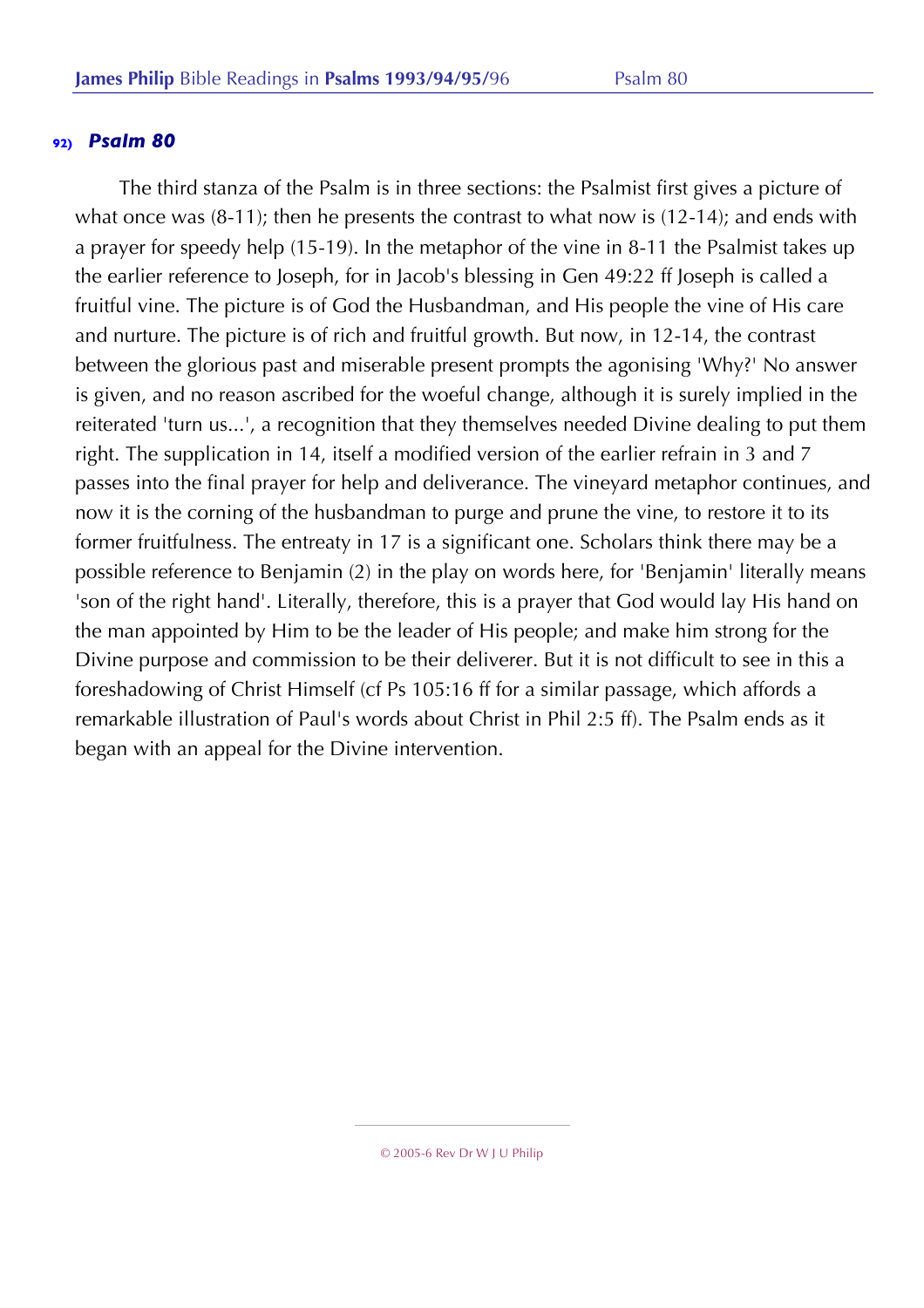The third stanza of the Psalm is in three sections: the Psalmist first gives a picture of what once was (8-11); then he presents the contrast to what now is (12-14); and ends with a prayer for speedy help (15-19). In the metaphor of the vine in 8-11 the Psalmist takes up the earlier reference to Joseph, for in Jacob's blessing in Gen 49:22 ff Joseph is called a fruitful vine. The picture is of God the Husbandman, and His people the vine of His care and nurture. The picture is of rich and fruitful growth. But now, in 12-14, the contrast between the glorious past and miserable present prompts the agonising 'Why?' No answer is given, and no reason ascribed for the woeful change, although it is surely implied in the reiterated 'turn us...', a recognition that they themselves needed Divine dealing to put them right. The supplication in 14, itself a modified version of the earlier refrain in 3 and 7 passes into the final prayer for help and deliverance. The vineyard metaphor continues, and now it is the corning of the husbandman to purge and prune the vine, to restore it to its former fruitfulness. The entreaty in 17 is a significant one. Scholars think there may be a possible reference to Benjamin (2) in the play on words here, for 'Benjamin' literally means 'son of the right hand'. Literally, therefore, this is a prayer that God would lay His hand on the man appointed by Him to be the leader of His people; and make him strong for the Divine purpose and commission to be their deliverer. But it is not difficult to see in this a foreshadowing of Christ Himself (cf Ps 105:16 ff for a similar passage, which affords a remarkable illustration of Paul's words about Christ in Phil 2:5 ff). The Psalm ends as it began with an appeal for the Divine intervention.

<sup>© 2005-6</sup> Rev Dr W J U Philip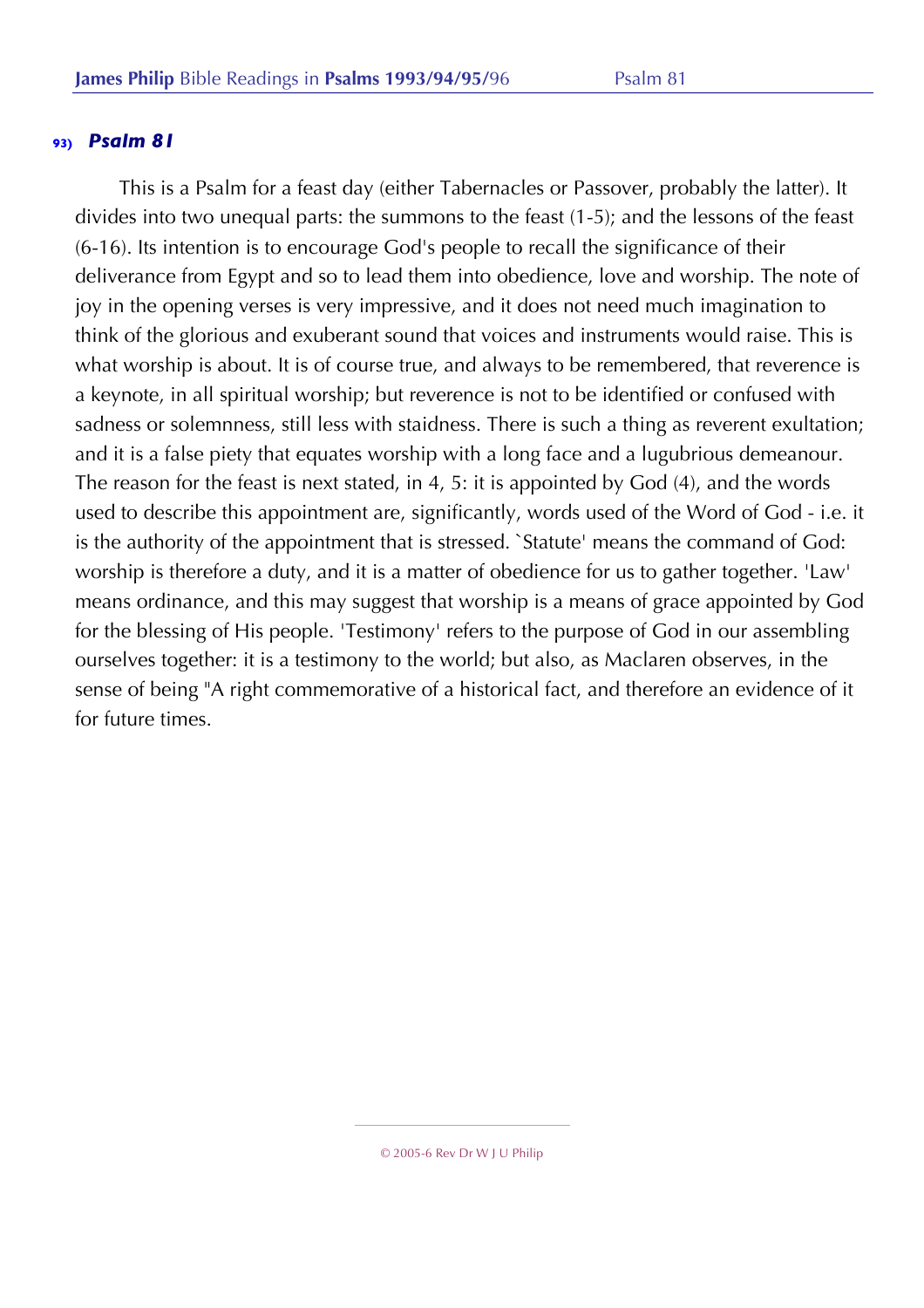This is a Psalm for a feast day (either Tabernacles or Passover, probably the latter). It divides into two unequal parts: the summons to the feast (1-5); and the lessons of the feast (6-16). Its intention is to encourage God's people to recall the significance of their deliverance from Egypt and so to lead them into obedience, love and worship. The note of joy in the opening verses is very impressive, and it does not need much imagination to think of the glorious and exuberant sound that voices and instruments would raise. This is what worship is about. It is of course true, and always to be remembered, that reverence is a keynote, in all spiritual worship; but reverence is not to be identified or confused with sadness or solemnness, still less with staidness. There is such a thing as reverent exultation; and it is a false piety that equates worship with a long face and a lugubrious demeanour. The reason for the feast is next stated, in 4, 5: it is appointed by God (4), and the words used to describe this appointment are, significantly, words used of the Word of God - i.e. it is the authority of the appointment that is stressed. `Statute' means the command of God: worship is therefore a duty, and it is a matter of obedience for us to gather together. 'Law' means ordinance, and this may suggest that worship is a means of grace appointed by God for the blessing of His people. 'Testimony' refers to the purpose of God in our assembling ourselves together: it is a testimony to the world; but also, as Maclaren observes, in the sense of being "A right commemorative of a historical fact, and therefore an evidence of it for future times.

<sup>© 2005-6</sup> Rev Dr W J U Philip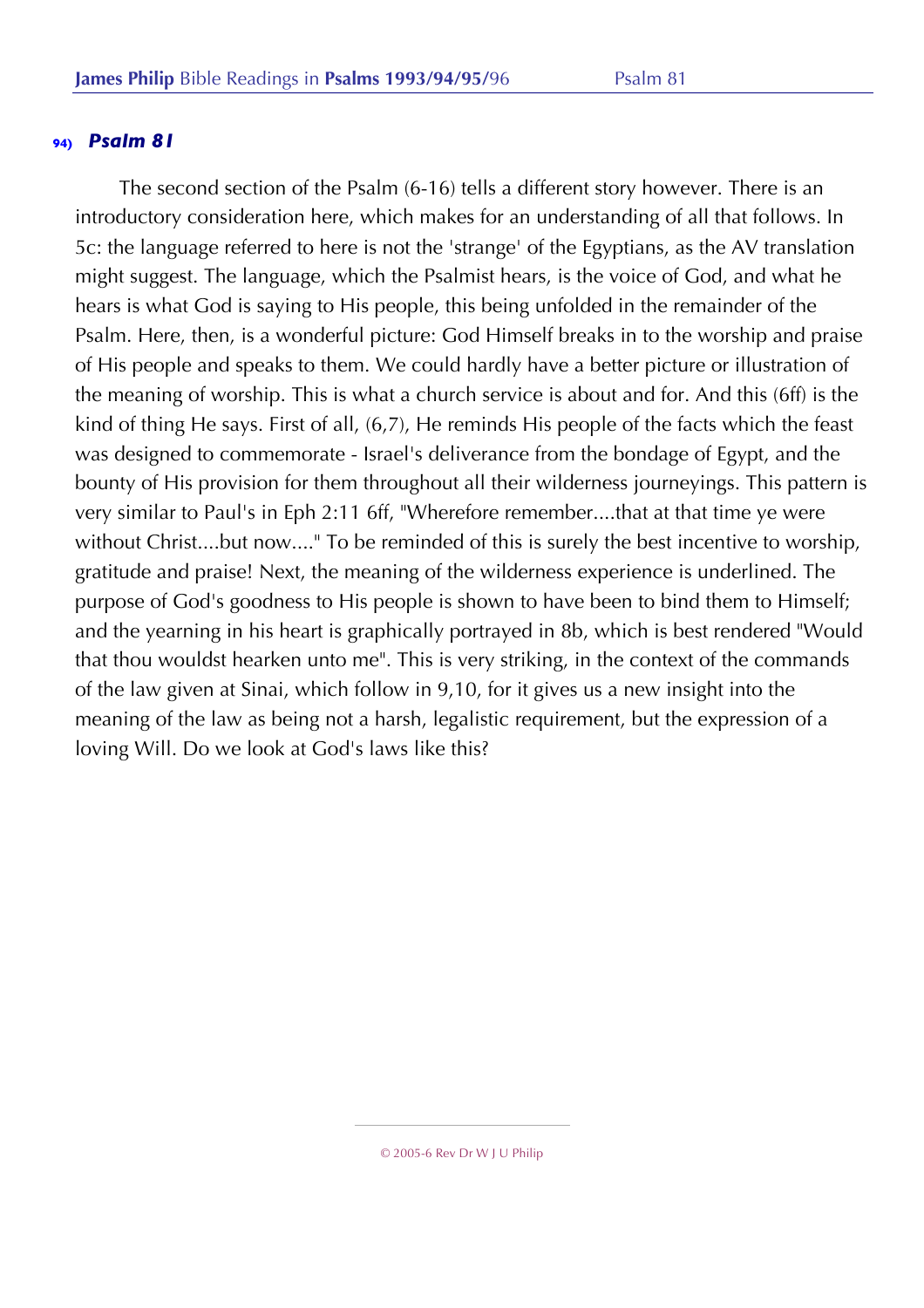The second section of the Psalm (6-16) tells a different story however. There is an introductory consideration here, which makes for an understanding of all that follows. In 5c: the language referred to here is not the 'strange' of the Egyptians, as the AV translation might suggest. The language, which the Psalmist hears, is the voice of God, and what he hears is what God is saying to His people, this being unfolded in the remainder of the Psalm. Here, then, is a wonderful picture: God Himself breaks in to the worship and praise of His people and speaks to them. We could hardly have a better picture or illustration of the meaning of worship. This is what a church service is about and for. And this (6ff) is the kind of thing He says. First of all, (6,7), He reminds His people of the facts which the feast was designed to commemorate - Israel's deliverance from the bondage of Egypt, and the bounty of His provision for them throughout all their wilderness journeyings. This pattern is very similar to Paul's in Eph 2:11 6ff, "Wherefore remember....that at that time ye were without Christ....but now...." To be reminded of this is surely the best incentive to worship, gratitude and praise! Next, the meaning of the wilderness experience is underlined. The purpose of God's goodness to His people is shown to have been to bind them to Himself; and the yearning in his heart is graphically portrayed in 8b, which is best rendered "Would that thou wouldst hearken unto me". This is very striking, in the context of the commands of the law given at Sinai, which follow in 9,10, for it gives us a new insight into the meaning of the law as being not a harsh, legalistic requirement, but the expression of a loving Will. Do we look at God's laws like this?

<sup>© 2005-6</sup> Rev Dr W J U Philip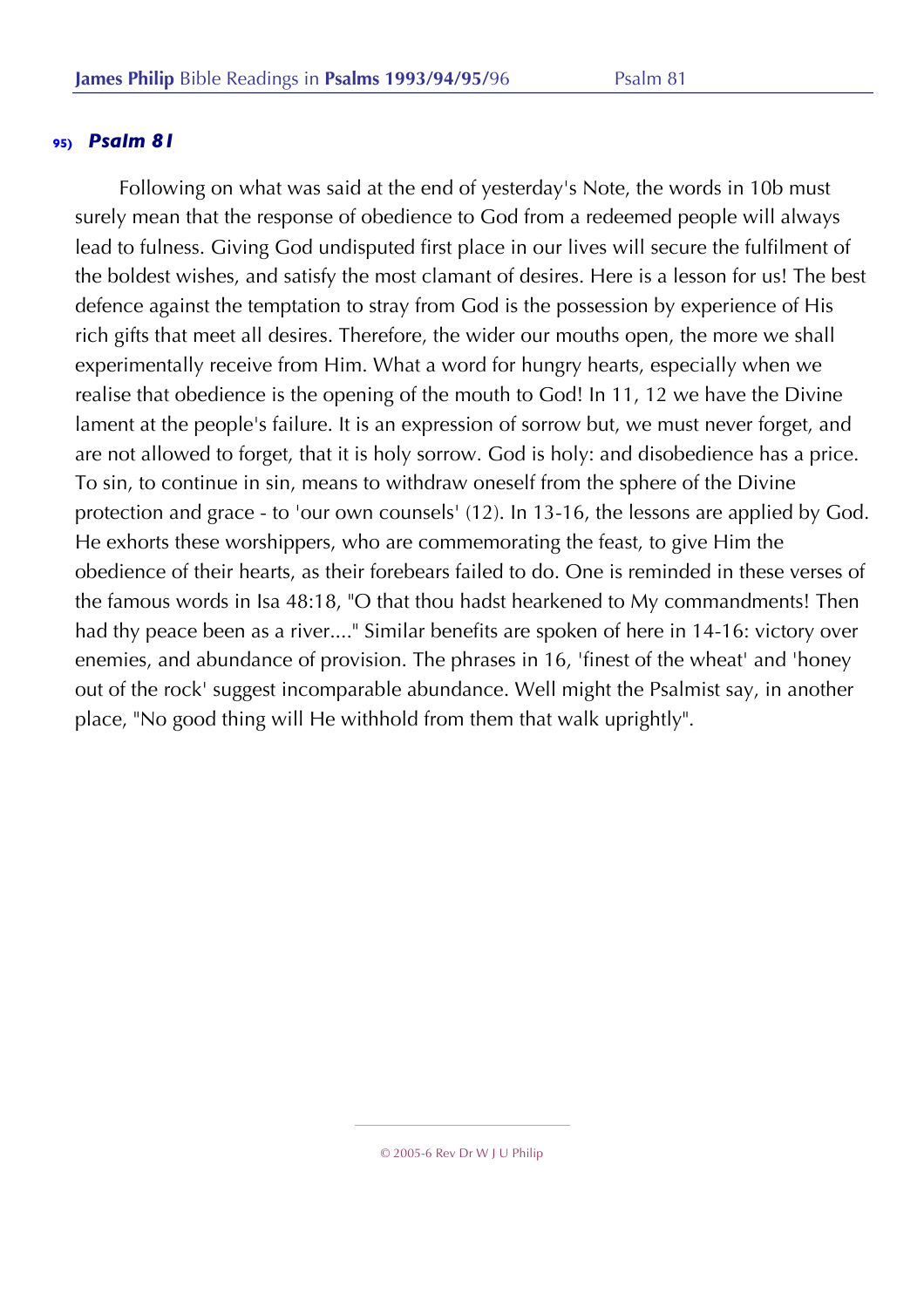Following on what was said at the end of yesterday's Note, the words in 10b must surely mean that the response of obedience to God from a redeemed people will always lead to fulness. Giving God undisputed first place in our lives will secure the fulfilment of the boldest wishes, and satisfy the most clamant of desires. Here is a lesson for us! The best defence against the temptation to stray from God is the possession by experience of His rich gifts that meet all desires. Therefore, the wider our mouths open, the more we shall experimentally receive from Him. What a word for hungry hearts, especially when we realise that obedience is the opening of the mouth to God! In 11, 12 we have the Divine lament at the people's failure. It is an expression of sorrow but, we must never forget, and are not allowed to forget, that it is holy sorrow. God is holy: and disobedience has a price. To sin, to continue in sin, means to withdraw oneself from the sphere of the Divine protection and grace - to 'our own counsels' (12). In 13-16, the lessons are applied by God. He exhorts these worshippers, who are commemorating the feast, to give Him the obedience of their hearts, as their forebears failed to do. One is reminded in these verses of the famous words in Isa 48:18, "O that thou hadst hearkened to My commandments! Then had thy peace been as a river...." Similar benefits are spoken of here in 14-16: victory over enemies, and abundance of provision. The phrases in 16, 'finest of the wheat' and 'honey out of the rock' suggest incomparable abundance. Well might the Psalmist say, in another place, "No good thing will He withhold from them that walk uprightly".

<sup>© 2005-6</sup> Rev Dr W J U Philip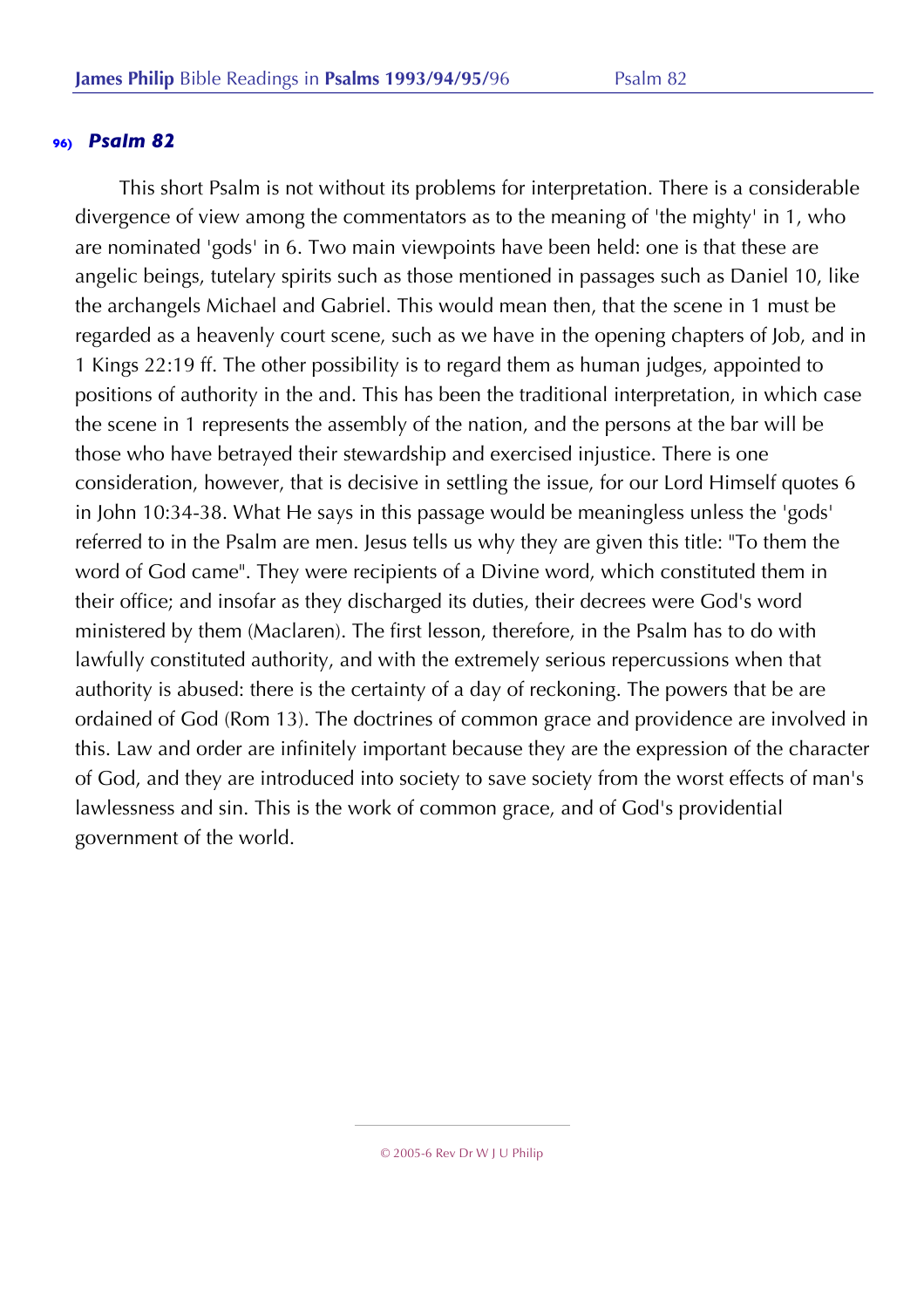This short Psalm is not without its problems for interpretation. There is a considerable divergence of view among the commentators as to the meaning of 'the mighty' in 1, who are nominated 'gods' in 6. Two main viewpoints have been held: one is that these are angelic beings, tutelary spirits such as those mentioned in passages such as Daniel 10, like the archangels Michael and Gabriel. This would mean then, that the scene in 1 must be regarded as a heavenly court scene, such as we have in the opening chapters of Job, and in 1 Kings 22:19 ff. The other possibility is to regard them as human judges, appointed to positions of authority in the and. This has been the traditional interpretation, in which case the scene in 1 represents the assembly of the nation, and the persons at the bar will be those who have betrayed their stewardship and exercised injustice. There is one consideration, however, that is decisive in settling the issue, for our Lord Himself quotes 6 in John 10:34-38. What He says in this passage would be meaningless unless the 'gods' referred to in the Psalm are men. Jesus tells us why they are given this title: "To them the word of God came". They were recipients of a Divine word, which constituted them in their office; and insofar as they discharged its duties, their decrees were God's word ministered by them (Maclaren). The first lesson, therefore, in the Psalm has to do with lawfully constituted authority, and with the extremely serious repercussions when that authority is abused: there is the certainty of a day of reckoning. The powers that be are ordained of God (Rom 13). The doctrines of common grace and providence are involved in this. Law and order are infinitely important because they are the expression of the character of God, and they are introduced into society to save society from the worst effects of man's lawlessness and sin. This is the work of common grace, and of God's providential government of the world.

© 2005-6 Rev Dr W J U Philip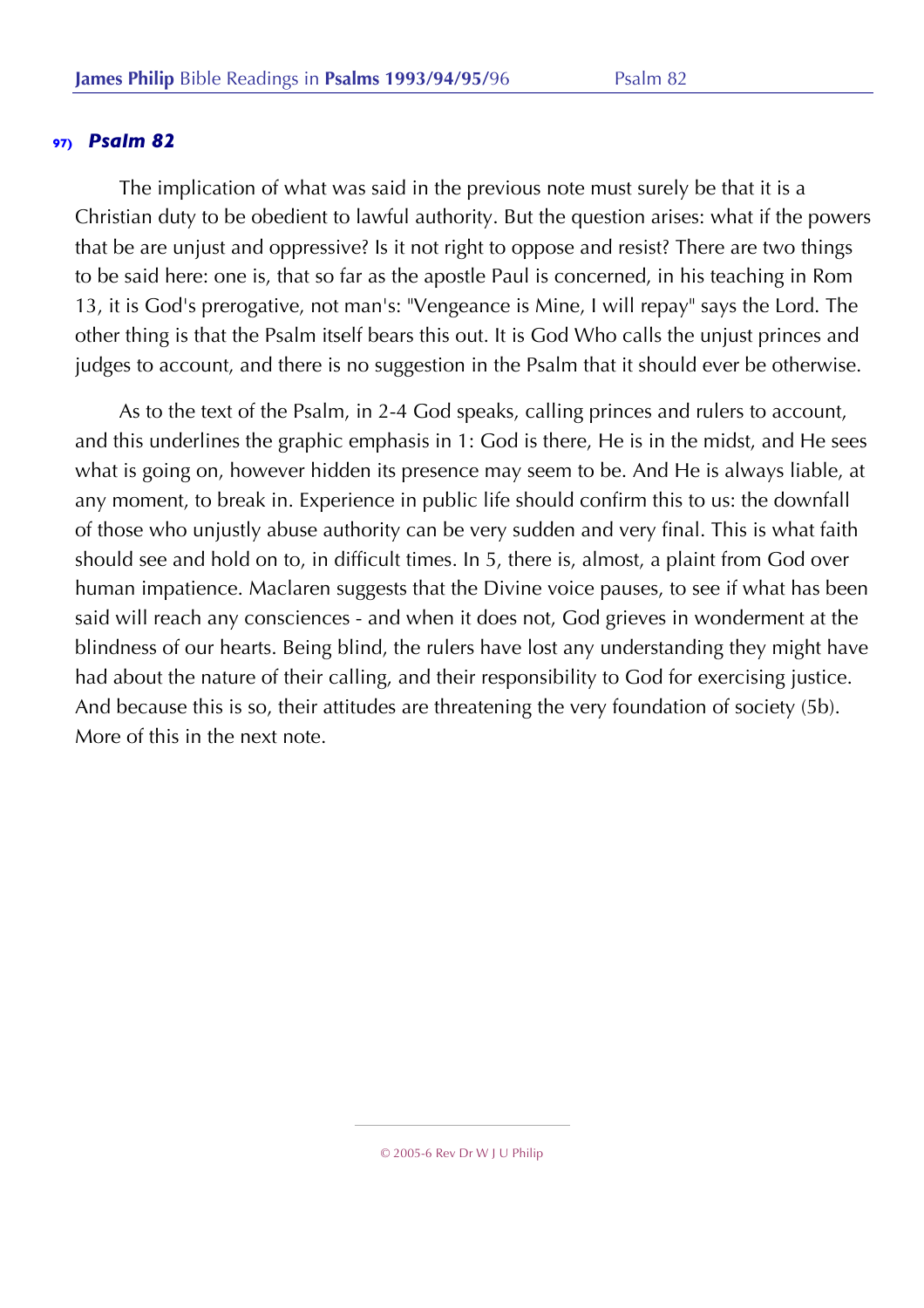The implication of what was said in the previous note must surely be that it is a Christian duty to be obedient to lawful authority. But the question arises: what if the powers that be are unjust and oppressive? Is it not right to oppose and resist? There are two things to be said here: one is, that so far as the apostle Paul is concerned, in his teaching in Rom 13, it is God's prerogative, not man's: "Vengeance is Mine, I will repay" says the Lord. The other thing is that the Psalm itself bears this out. It is God Who calls the unjust princes and judges to account, and there is no suggestion in the Psalm that it should ever be otherwise.

As to the text of the Psalm, in 2-4 God speaks, calling princes and rulers to account, and this underlines the graphic emphasis in 1: God is there, He is in the midst, and He sees what is going on, however hidden its presence may seem to be. And He is always liable, at any moment, to break in. Experience in public life should confirm this to us: the downfall of those who unjustly abuse authority can be very sudden and very final. This is what faith should see and hold on to, in difficult times. In 5, there is, almost, a plaint from God over human impatience. Maclaren suggests that the Divine voice pauses, to see if what has been said will reach any consciences - and when it does not, God grieves in wonderment at the blindness of our hearts. Being blind, the rulers have lost any understanding they might have had about the nature of their calling, and their responsibility to God for exercising justice. And because this is so, their attitudes are threatening the very foundation of society (5b). More of this in the next note.

<sup>© 2005-6</sup> Rev Dr W J U Philip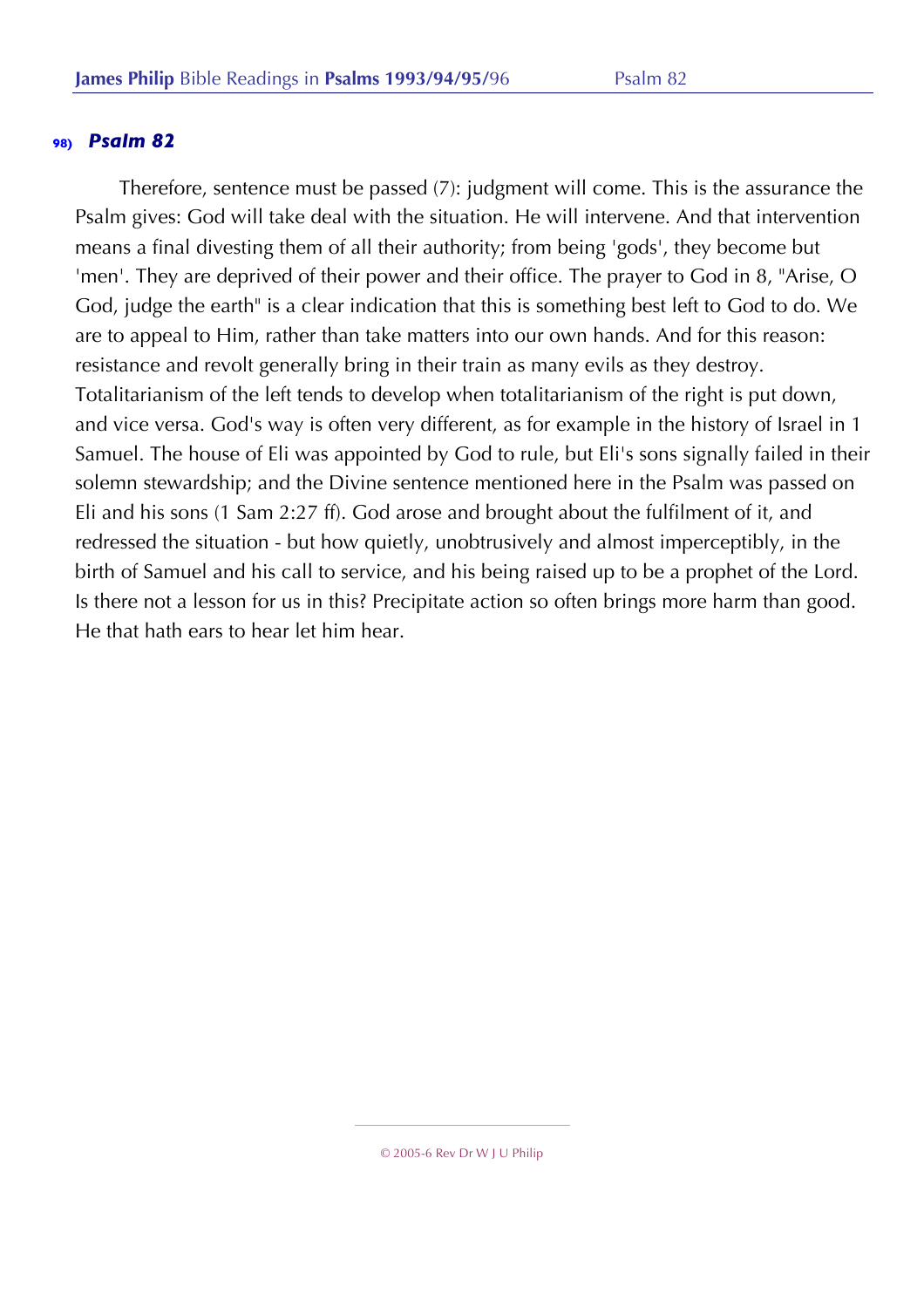Therefore, sentence must be passed (7): judgment will come. This is the assurance the Psalm gives: God will take deal with the situation. He will intervene. And that intervention means a final divesting them of all their authority; from being 'gods', they become but 'men'. They are deprived of their power and their office. The prayer to God in 8, "Arise, O God, judge the earth" is a clear indication that this is something best left to God to do. We are to appeal to Him, rather than take matters into our own hands. And for this reason: resistance and revolt generally bring in their train as many evils as they destroy. Totalitarianism of the left tends to develop when totalitarianism of the right is put down, and vice versa. God's way is often very different, as for example in the history of Israel in 1 Samuel. The house of Eli was appointed by God to rule, but Eli's sons signally failed in their solemn stewardship; and the Divine sentence mentioned here in the Psalm was passed on Eli and his sons (1 Sam 2:27 ff). God arose and brought about the fulfilment of it, and redressed the situation - but how quietly, unobtrusively and almost imperceptibly, in the birth of Samuel and his call to service, and his being raised up to be a prophet of the Lord. Is there not a lesson for us in this? Precipitate action so often brings more harm than good. He that hath ears to hear let him hear.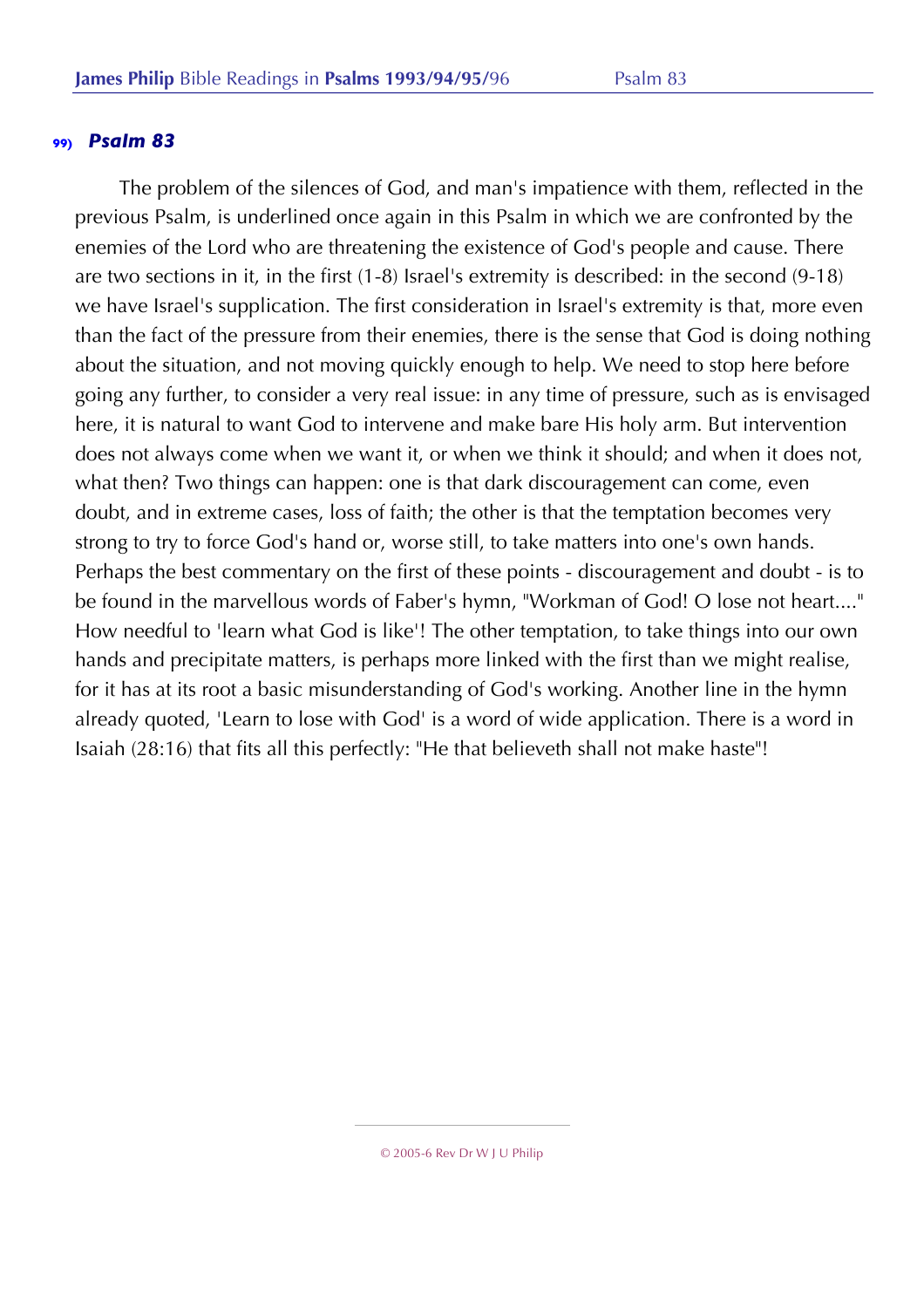The problem of the silences of God, and man's impatience with them, reflected in the previous Psalm, is underlined once again in this Psalm in which we are confronted by the enemies of the Lord who are threatening the existence of God's people and cause. There are two sections in it, in the first (1-8) Israel's extremity is described: in the second (9-18) we have Israel's supplication. The first consideration in Israel's extremity is that, more even than the fact of the pressure from their enemies, there is the sense that God is doing nothing about the situation, and not moving quickly enough to help. We need to stop here before going any further, to consider a very real issue: in any time of pressure, such as is envisaged here, it is natural to want God to intervene and make bare His holy arm. But intervention does not always come when we want it, or when we think it should; and when it does not, what then? Two things can happen: one is that dark discouragement can come, even doubt, and in extreme cases, loss of faith; the other is that the temptation becomes very strong to try to force God's hand or, worse still, to take matters into one's own hands. Perhaps the best commentary on the first of these points - discouragement and doubt - is to be found in the marvellous words of Faber's hymn, "Workman of God! O lose not heart...." How needful to 'learn what God is like'! The other temptation, to take things into our own hands and precipitate matters, is perhaps more linked with the first than we might realise, for it has at its root a basic misunderstanding of God's working. Another line in the hymn already quoted, 'Learn to lose with God' is a word of wide application. There is a word in Isaiah (28:16) that fits all this perfectly: "He that believeth shall not make haste"!

<sup>© 2005-6</sup> Rev Dr W J U Philip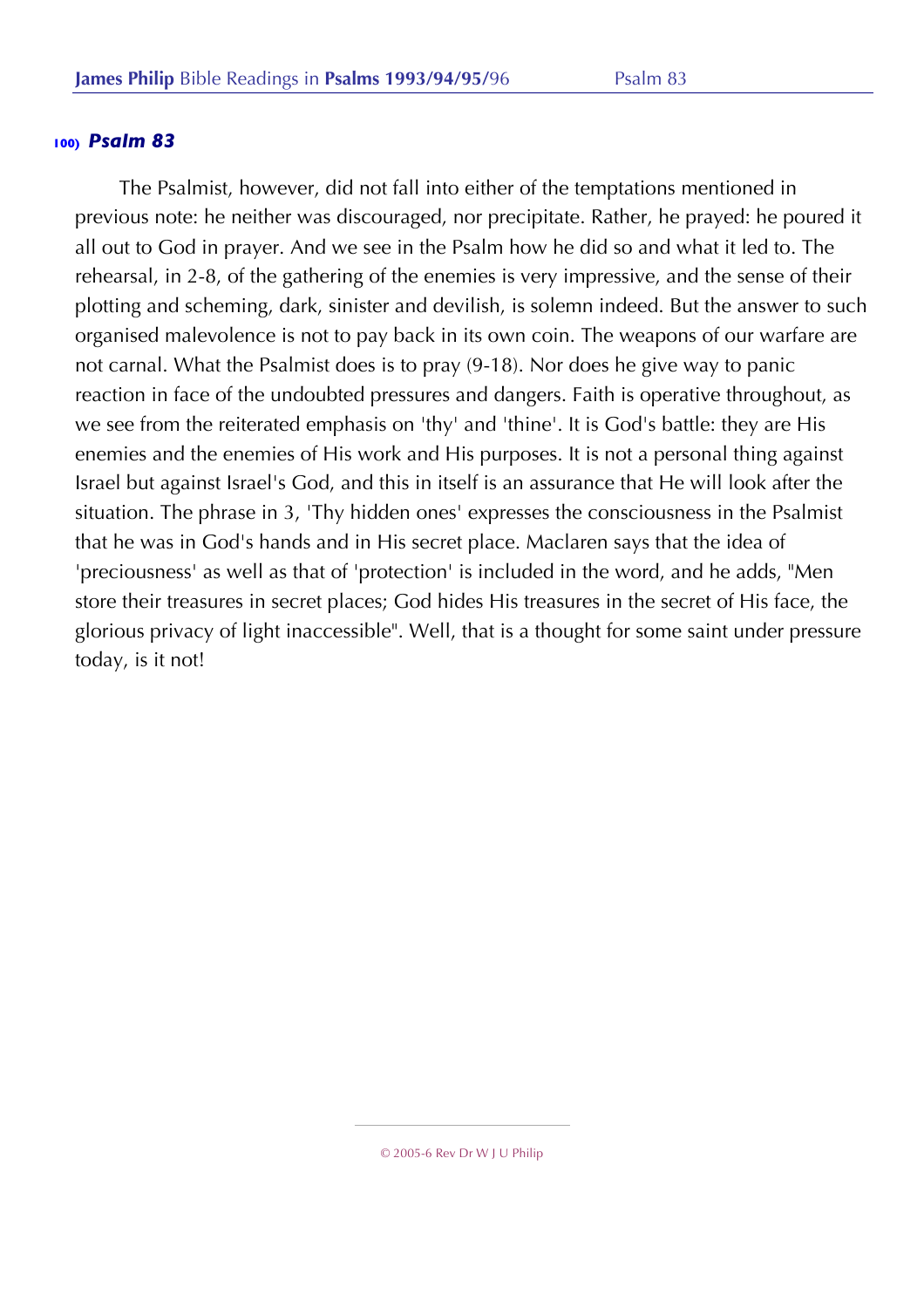The Psalmist, however, did not fall into either of the temptations mentioned in previous note: he neither was discouraged, nor precipitate. Rather, he prayed: he poured it all out to God in prayer. And we see in the Psalm how he did so and what it led to. The rehearsal, in 2-8, of the gathering of the enemies is very impressive, and the sense of their plotting and scheming, dark, sinister and devilish, is solemn indeed. But the answer to such organised malevolence is not to pay back in its own coin. The weapons of our warfare are not carnal. What the Psalmist does is to pray (9-18). Nor does he give way to panic reaction in face of the undoubted pressures and dangers. Faith is operative throughout, as we see from the reiterated emphasis on 'thy' and 'thine'. It is God's battle: they are His enemies and the enemies of His work and His purposes. It is not a personal thing against Israel but against Israel's God, and this in itself is an assurance that He will look after the situation. The phrase in 3, 'Thy hidden ones' expresses the consciousness in the Psalmist that he was in God's hands and in His secret place. Maclaren says that the idea of 'preciousness' as well as that of 'protection' is included in the word, and he adds, "Men store their treasures in secret places; God hides His treasures in the secret of His face, the glorious privacy of light inaccessible". Well, that is a thought for some saint under pressure today, is it not!

<sup>© 2005-6</sup> Rev Dr W J U Philip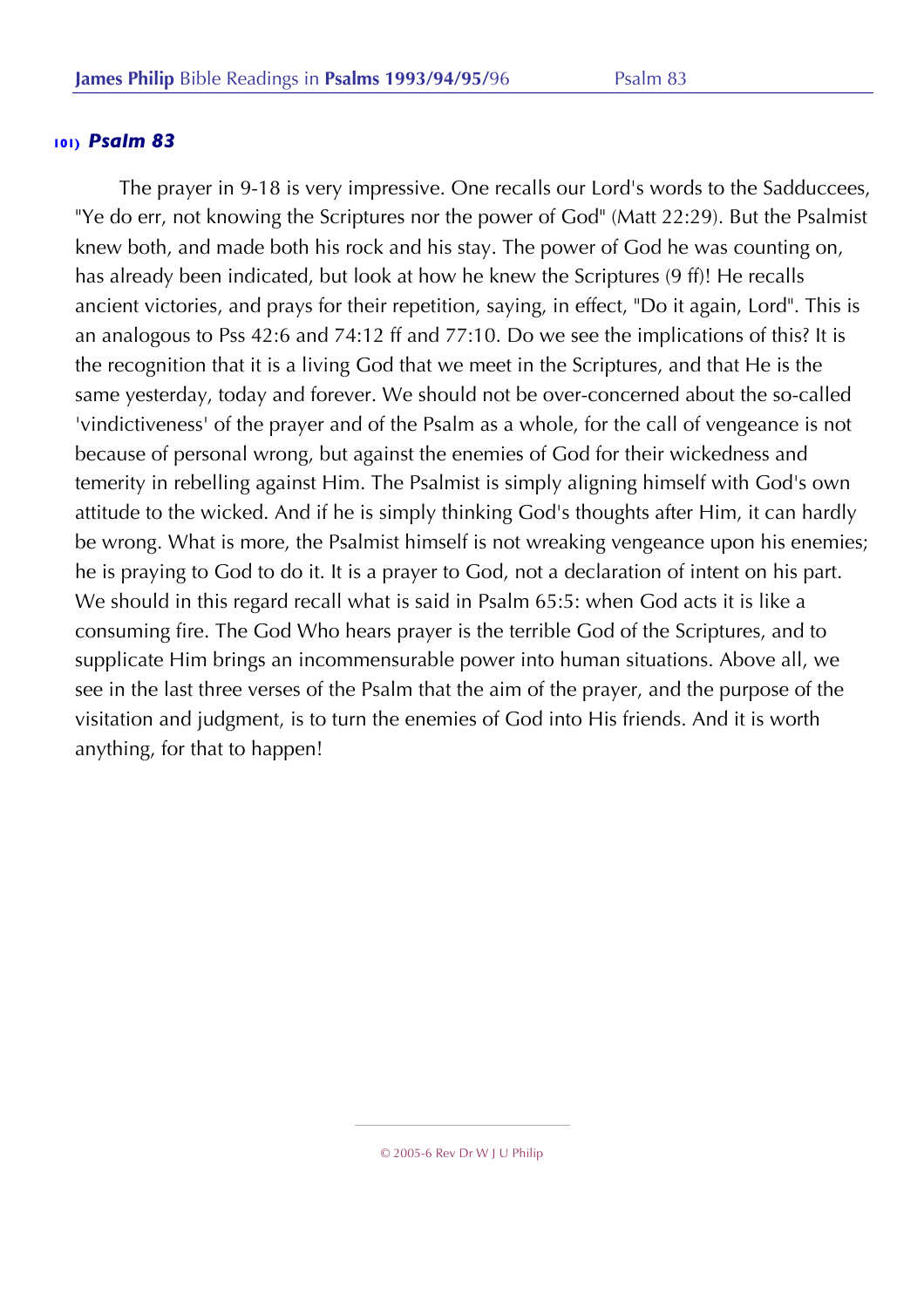The prayer in 9-18 is very impressive. One recalls our Lord's words to the Sadduccees, "Ye do err, not knowing the Scriptures nor the power of God" (Matt 22:29). But the Psalmist knew both, and made both his rock and his stay. The power of God he was counting on, has already been indicated, but look at how he knew the Scriptures (9 ff)! He recalls ancient victories, and prays for their repetition, saying, in effect, "Do it again, Lord". This is an analogous to Pss 42:6 and 74:12 ff and 77:10. Do we see the implications of this? It is the recognition that it is a living God that we meet in the Scriptures, and that He is the same yesterday, today and forever. We should not be over-concerned about the so-called 'vindictiveness' of the prayer and of the Psalm as a whole, for the call of vengeance is not because of personal wrong, but against the enemies of God for their wickedness and temerity in rebelling against Him. The Psalmist is simply aligning himself with God's own attitude to the wicked. And if he is simply thinking God's thoughts after Him, it can hardly be wrong. What is more, the Psalmist himself is not wreaking vengeance upon his enemies; he is praying to God to do it. It is a prayer to God, not a declaration of intent on his part. We should in this regard recall what is said in Psalm 65:5: when God acts it is like a consuming fire. The God Who hears prayer is the terrible God of the Scriptures, and to supplicate Him brings an incommensurable power into human situations. Above all, we see in the last three verses of the Psalm that the aim of the prayer, and the purpose of the visitation and judgment, is to turn the enemies of God into His friends. And it is worth anything, for that to happen!

<sup>© 2005-6</sup> Rev Dr W J U Philip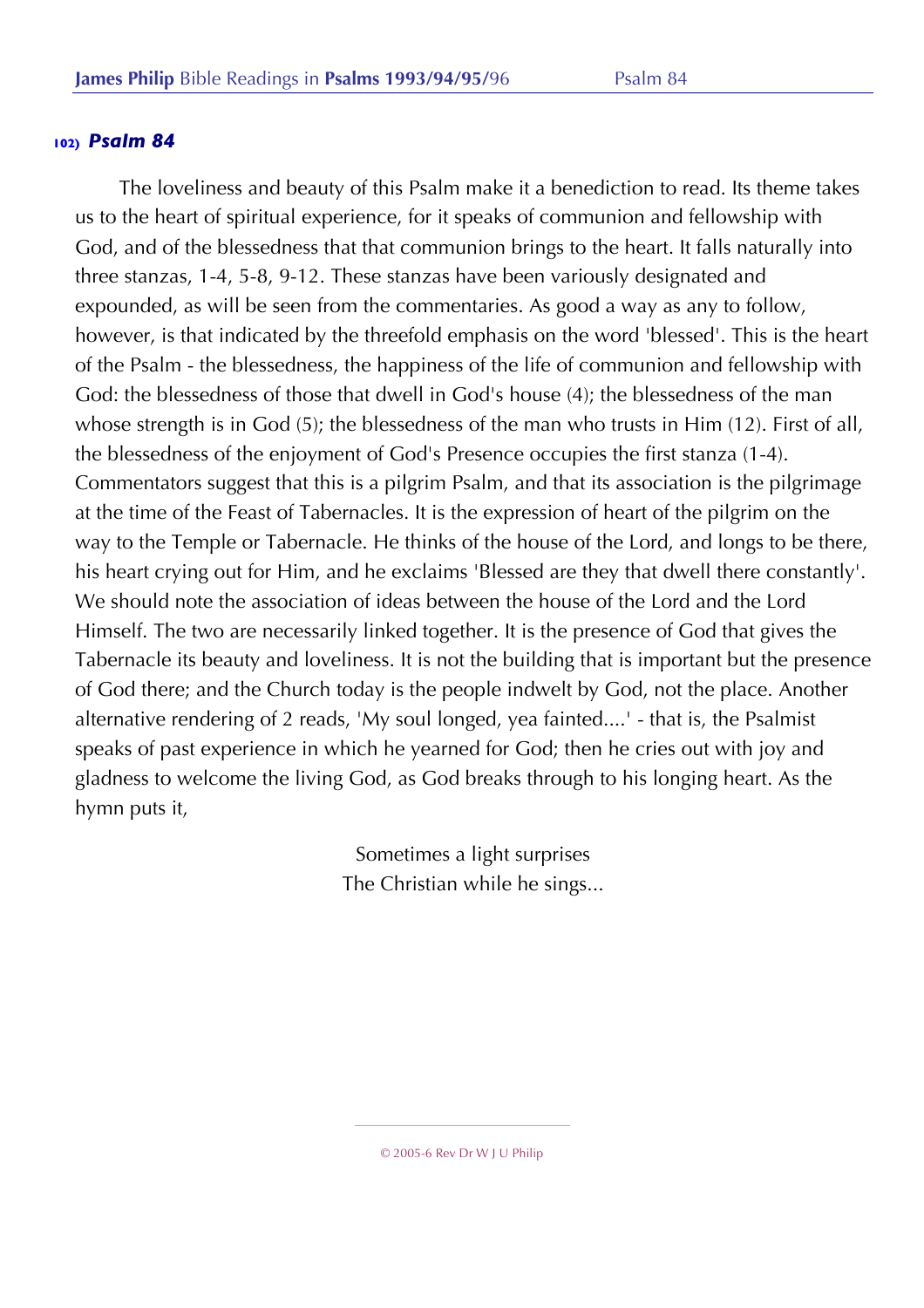The loveliness and beauty of this Psalm make it a benediction to read. Its theme takes us to the heart of spiritual experience, for it speaks of communion and fellowship with God, and of the blessedness that that communion brings to the heart. It falls naturally into three stanzas, 1-4, 5-8, 9-12. These stanzas have been variously designated and expounded, as will be seen from the commentaries. As good a way as any to follow, however, is that indicated by the threefold emphasis on the word 'blessed'. This is the heart of the Psalm - the blessedness, the happiness of the life of communion and fellowship with God: the blessedness of those that dwell in God's house (4); the blessedness of the man whose strength is in God (5); the blessedness of the man who trusts in Him (12). First of all, the blessedness of the enjoyment of God's Presence occupies the first stanza (1-4). Commentators suggest that this is a pilgrim Psalm, and that its association is the pilgrimage at the time of the Feast of Tabernacles. It is the expression of heart of the pilgrim on the way to the Temple or Tabernacle. He thinks of the house of the Lord, and longs to be there, his heart crying out for Him, and he exclaims 'Blessed are they that dwell there constantly'. We should note the association of ideas between the house of the Lord and the Lord Himself. The two are necessarily linked together. It is the presence of God that gives the Tabernacle its beauty and loveliness. It is not the building that is important but the presence of God there; and the Church today is the people indwelt by God, not the place. Another alternative rendering of 2 reads, 'My soul longed, yea fainted....' - that is, the Psalmist speaks of past experience in which he yearned for God; then he cries out with joy and gladness to welcome the living God, as God breaks through to his longing heart. As the hymn puts it,

> Sometimes a light surprises The Christian while he sings...

> > © 2005-6 Rev Dr W J U Philip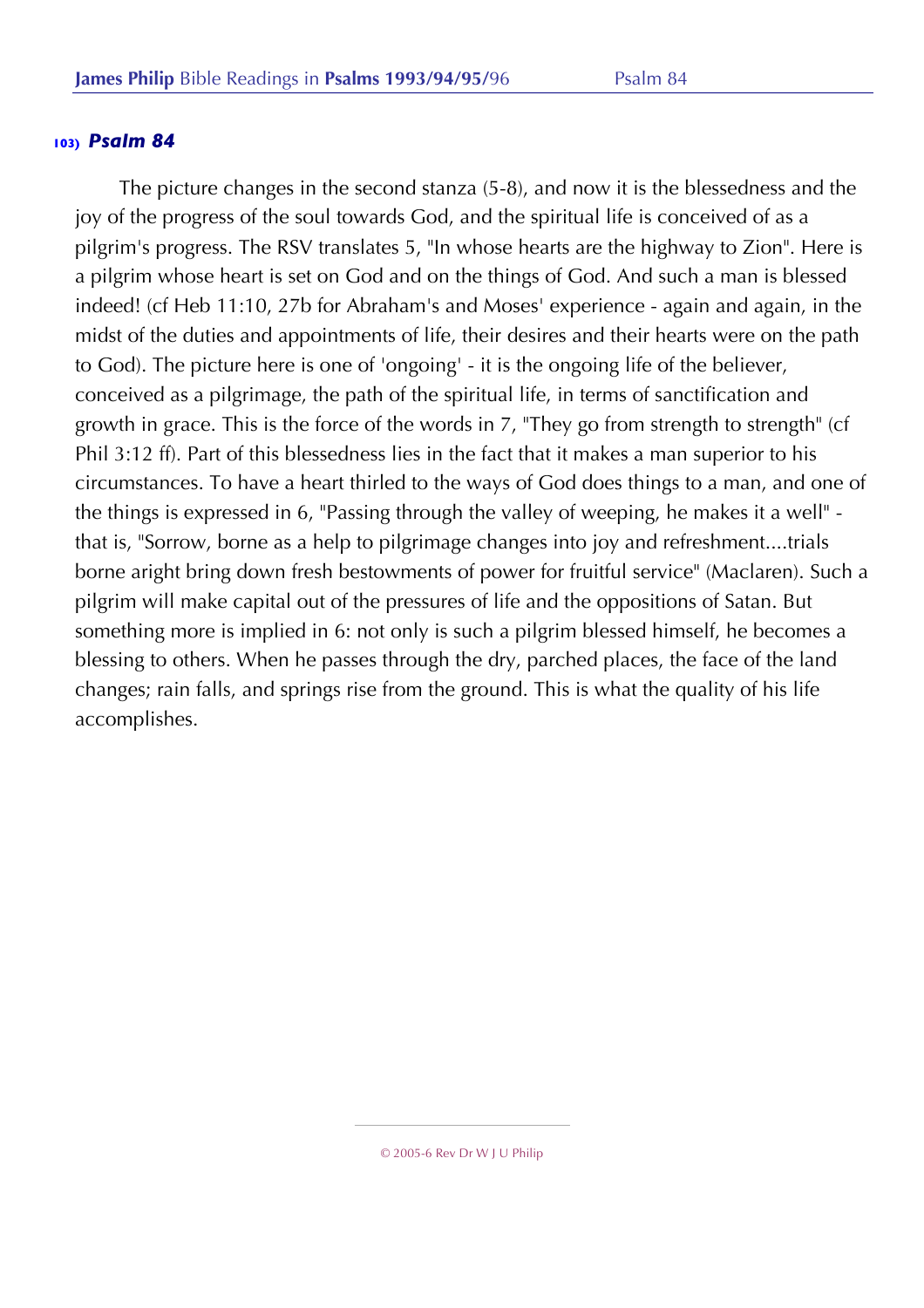The picture changes in the second stanza (5-8), and now it is the blessedness and the joy of the progress of the soul towards God, and the spiritual life is conceived of as a pilgrim's progress. The RSV translates 5, "In whose hearts are the highway to Zion". Here is a pilgrim whose heart is set on God and on the things of God. And such a man is blessed indeed! (cf Heb 11:10, 27b for Abraham's and Moses' experience - again and again, in the midst of the duties and appointments of life, their desires and their hearts were on the path to God). The picture here is one of 'ongoing' - it is the ongoing life of the believer, conceived as a pilgrimage, the path of the spiritual life, in terms of sanctification and growth in grace. This is the force of the words in 7, "They go from strength to strength" (cf Phil 3:12 ff). Part of this blessedness lies in the fact that it makes a man superior to his circumstances. To have a heart thirled to the ways of God does things to a man, and one of the things is expressed in 6, "Passing through the valley of weeping, he makes it a well" that is, "Sorrow, borne as a help to pilgrimage changes into joy and refreshment....trials borne aright bring down fresh bestowments of power for fruitful service" (Maclaren). Such a pilgrim will make capital out of the pressures of life and the oppositions of Satan. But something more is implied in 6: not only is such a pilgrim blessed himself, he becomes a blessing to others. When he passes through the dry, parched places, the face of the land changes; rain falls, and springs rise from the ground. This is what the quality of his life accomplishes.

<sup>© 2005-6</sup> Rev Dr W J U Philip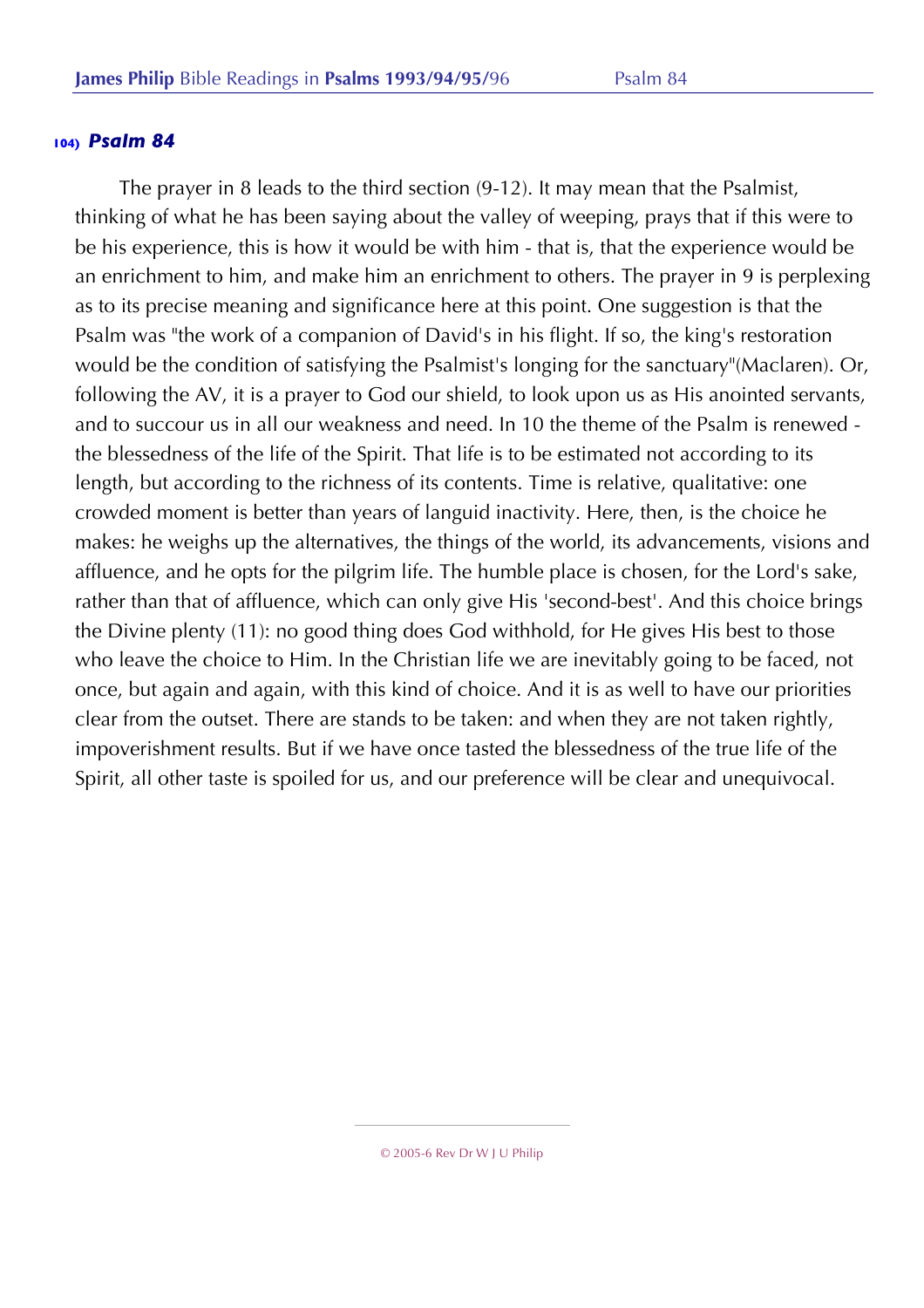The prayer in 8 leads to the third section (9-12). It may mean that the Psalmist, thinking of what he has been saying about the valley of weeping, prays that if this were to be his experience, this is how it would be with him - that is, that the experience would be an enrichment to him, and make him an enrichment to others. The prayer in 9 is perplexing as to its precise meaning and significance here at this point. One suggestion is that the Psalm was "the work of a companion of David's in his flight. If so, the king's restoration would be the condition of satisfying the Psalmist's longing for the sanctuary"(Maclaren). Or, following the AV, it is a prayer to God our shield, to look upon us as His anointed servants, and to succour us in all our weakness and need. In 10 the theme of the Psalm is renewed the blessedness of the life of the Spirit. That life is to be estimated not according to its length, but according to the richness of its contents. Time is relative, qualitative: one crowded moment is better than years of languid inactivity. Here, then, is the choice he makes: he weighs up the alternatives, the things of the world, its advancements, visions and affluence, and he opts for the pilgrim life. The humble place is chosen, for the Lord's sake, rather than that of affluence, which can only give His 'second-best'. And this choice brings the Divine plenty (11): no good thing does God withhold, for He gives His best to those who leave the choice to Him. In the Christian life we are inevitably going to be faced, not once, but again and again, with this kind of choice. And it is as well to have our priorities clear from the outset. There are stands to be taken: and when they are not taken rightly, impoverishment results. But if we have once tasted the blessedness of the true life of the Spirit, all other taste is spoiled for us, and our preference will be clear and unequivocal.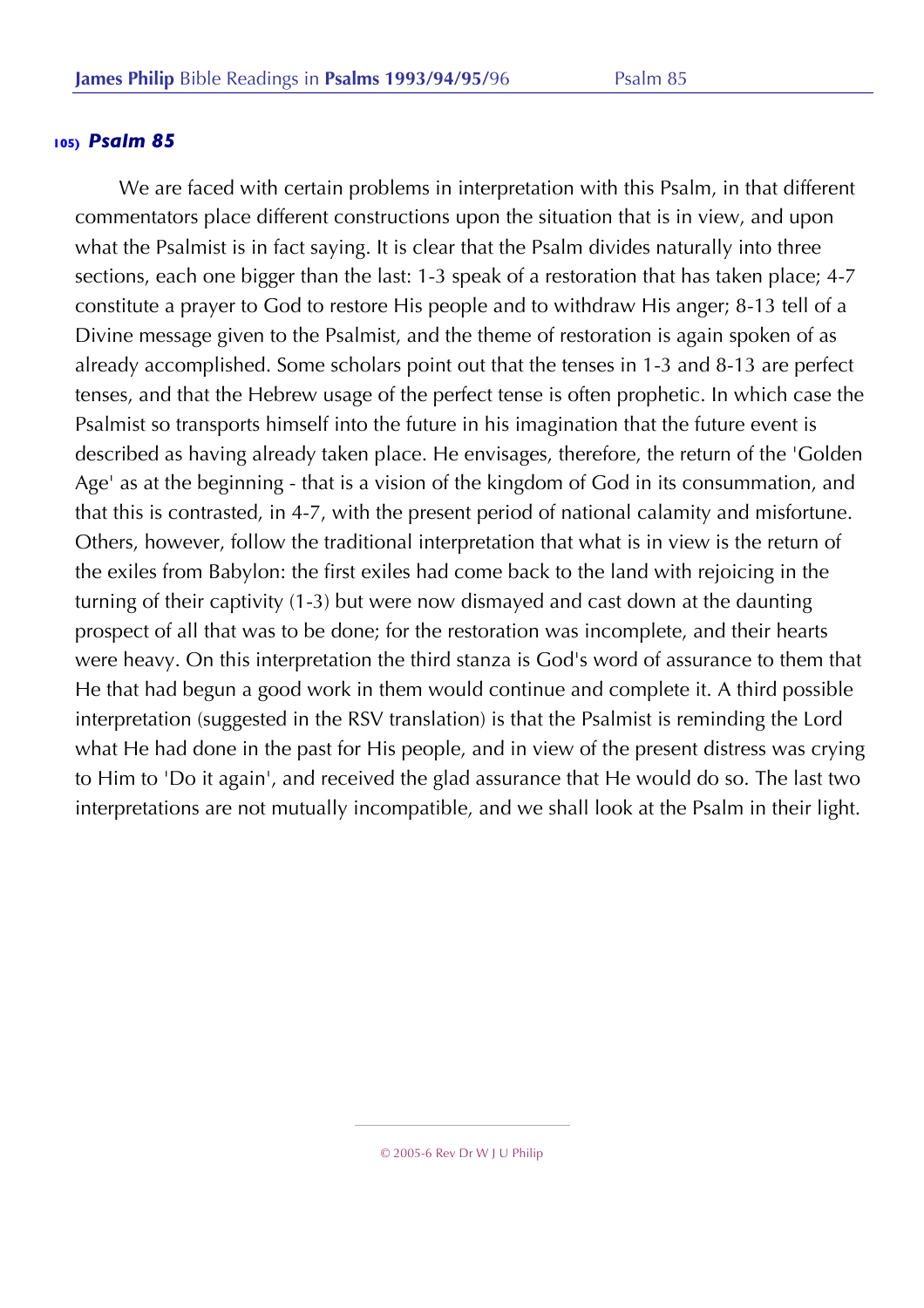We are faced with certain problems in interpretation with this Psalm, in that different commentators place different constructions upon the situation that is in view, and upon what the Psalmist is in fact saying. It is clear that the Psalm divides naturally into three sections, each one bigger than the last: 1-3 speak of a restoration that has taken place; 4-7 constitute a prayer to God to restore His people and to withdraw His anger; 8-13 tell of a Divine message given to the Psalmist, and the theme of restoration is again spoken of as already accomplished. Some scholars point out that the tenses in 1-3 and 8-13 are perfect tenses, and that the Hebrew usage of the perfect tense is often prophetic. In which case the Psalmist so transports himself into the future in his imagination that the future event is described as having already taken place. He envisages, therefore, the return of the 'Golden Age' as at the beginning - that is a vision of the kingdom of God in its consummation, and that this is contrasted, in 4-7, with the present period of national calamity and misfortune. Others, however, follow the traditional interpretation that what is in view is the return of the exiles from Babylon: the first exiles had come back to the land with rejoicing in the turning of their captivity (1-3) but were now dismayed and cast down at the daunting prospect of all that was to be done; for the restoration was incomplete, and their hearts were heavy. On this interpretation the third stanza is God's word of assurance to them that He that had begun a good work in them would continue and complete it. A third possible interpretation (suggested in the RSV translation) is that the Psalmist is reminding the Lord what He had done in the past for His people, and in view of the present distress was crying to Him to 'Do it again', and received the glad assurance that He would do so. The last two interpretations are not mutually incompatible, and we shall look at the Psalm in their light.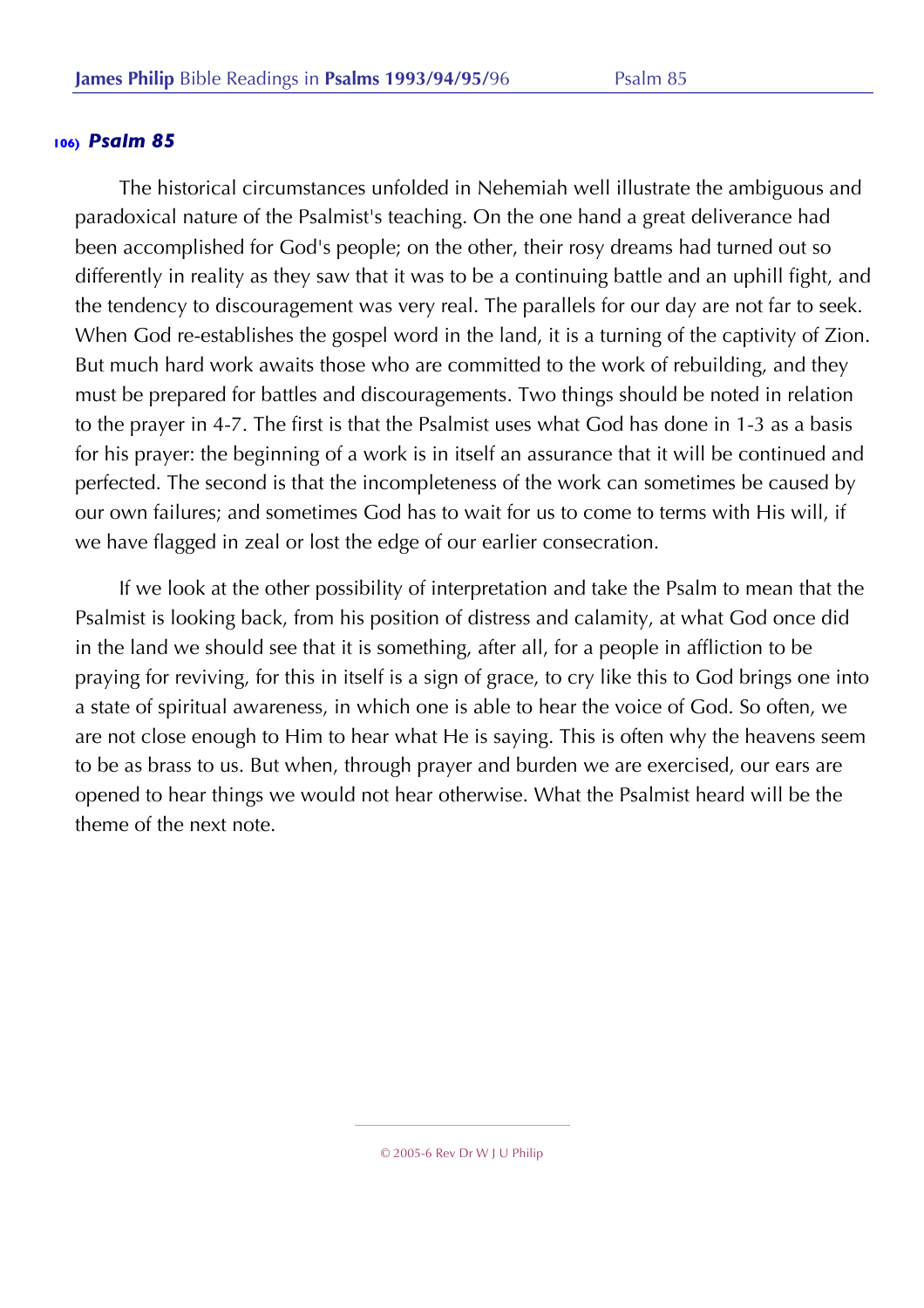The historical circumstances unfolded in Nehemiah well illustrate the ambiguous and paradoxical nature of the Psalmist's teaching. On the one hand a great deliverance had been accomplished for God's people; on the other, their rosy dreams had turned out so differently in reality as they saw that it was to be a continuing battle and an uphill fight, and the tendency to discouragement was very real. The parallels for our day are not far to seek. When God re-establishes the gospel word in the land, it is a turning of the captivity of Zion. But much hard work awaits those who are committed to the work of rebuilding, and they must be prepared for battles and discouragements. Two things should be noted in relation to the prayer in 4-7. The first is that the Psalmist uses what God has done in 1-3 as a basis for his prayer: the beginning of a work is in itself an assurance that it will be continued and perfected. The second is that the incompleteness of the work can sometimes be caused by our own failures; and sometimes God has to wait for us to come to terms with His will, if we have flagged in zeal or lost the edge of our earlier consecration.

If we look at the other possibility of interpretation and take the Psalm to mean that the Psalmist is looking back, from his position of distress and calamity, at what God once did in the land we should see that it is something, after all, for a people in affliction to be praying for reviving, for this in itself is a sign of grace, to cry like this to God brings one into a state of spiritual awareness, in which one is able to hear the voice of God. So often, we are not close enough to Him to hear what He is saying. This is often why the heavens seem to be as brass to us. But when, through prayer and burden we are exercised, our ears are opened to hear things we would not hear otherwise. What the Psalmist heard will be the theme of the next note.

© 2005-6 Rev Dr W J U Philip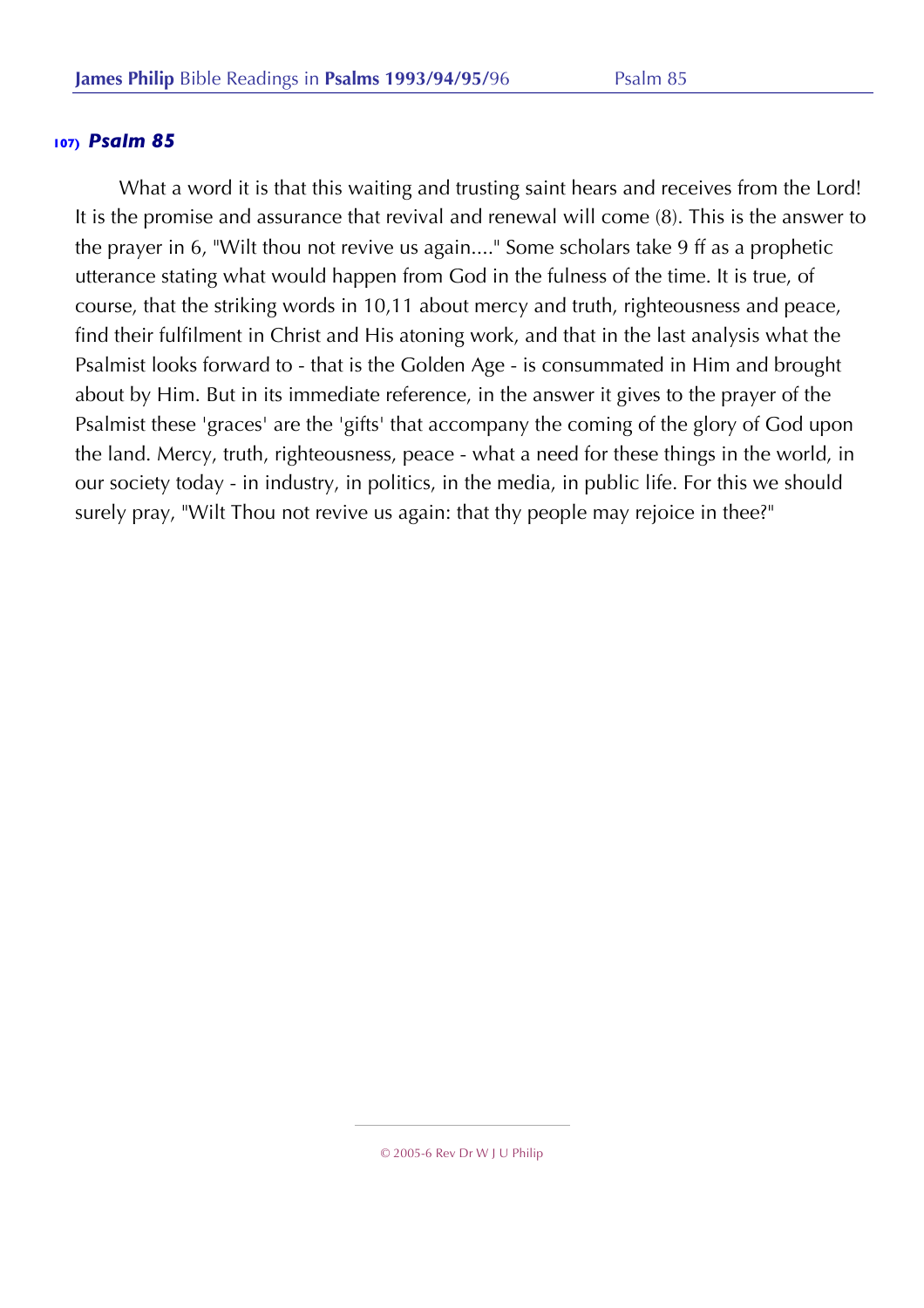What a word it is that this waiting and trusting saint hears and receives from the Lord! It is the promise and assurance that revival and renewal will come (8). This is the answer to the prayer in 6, "Wilt thou not revive us again...." Some scholars take 9 ff as a prophetic utterance stating what would happen from God in the fulness of the time. It is true, of course, that the striking words in 10,11 about mercy and truth, righteousness and peace, find their fulfilment in Christ and His atoning work, and that in the last analysis what the Psalmist looks forward to - that is the Golden Age - is consummated in Him and brought about by Him. But in its immediate reference, in the answer it gives to the prayer of the Psalmist these 'graces' are the 'gifts' that accompany the coming of the glory of God upon the land. Mercy, truth, righteousness, peace - what a need for these things in the world, in our society today - in industry, in politics, in the media, in public life. For this we should surely pray, "Wilt Thou not revive us again: that thy people may rejoice in thee?"

© 2005-6 Rev Dr W J U Philip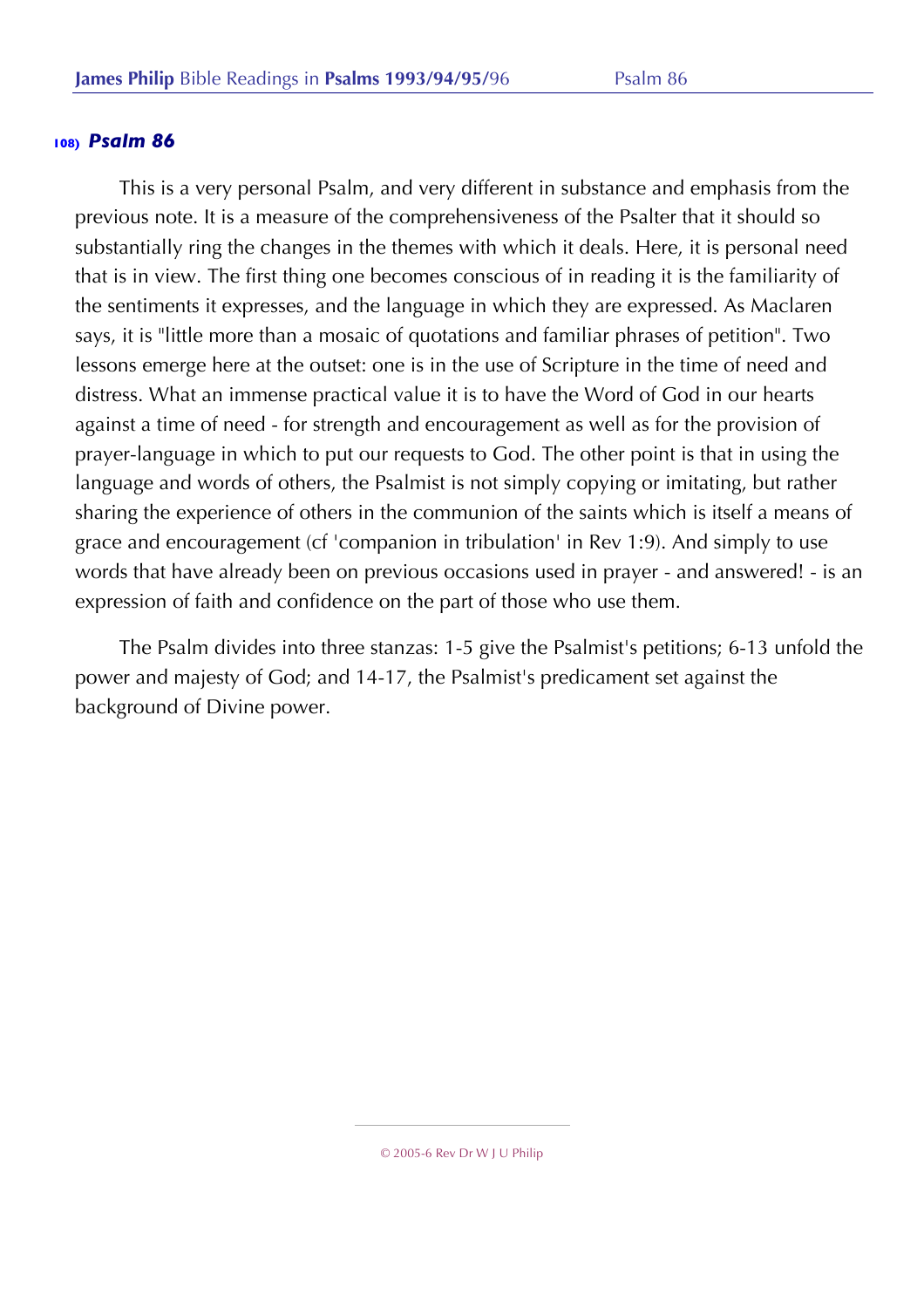This is a very personal Psalm, and very different in substance and emphasis from the previous note. It is a measure of the comprehensiveness of the Psalter that it should so substantially ring the changes in the themes with which it deals. Here, it is personal need that is in view. The first thing one becomes conscious of in reading it is the familiarity of the sentiments it expresses, and the language in which they are expressed. As Maclaren says, it is "little more than a mosaic of quotations and familiar phrases of petition". Two lessons emerge here at the outset: one is in the use of Scripture in the time of need and distress. What an immense practical value it is to have the Word of God in our hearts against a time of need - for strength and encouragement as well as for the provision of prayer-language in which to put our requests to God. The other point is that in using the language and words of others, the Psalmist is not simply copying or imitating, but rather sharing the experience of others in the communion of the saints which is itself a means of grace and encouragement (cf 'companion in tribulation' in Rev 1:9). And simply to use words that have already been on previous occasions used in prayer - and answered! - is an expression of faith and confidence on the part of those who use them.

The Psalm divides into three stanzas: 1-5 give the Psalmist's petitions; 6-13 unfold the power and majesty of God; and 14-17, the Psalmist's predicament set against the background of Divine power.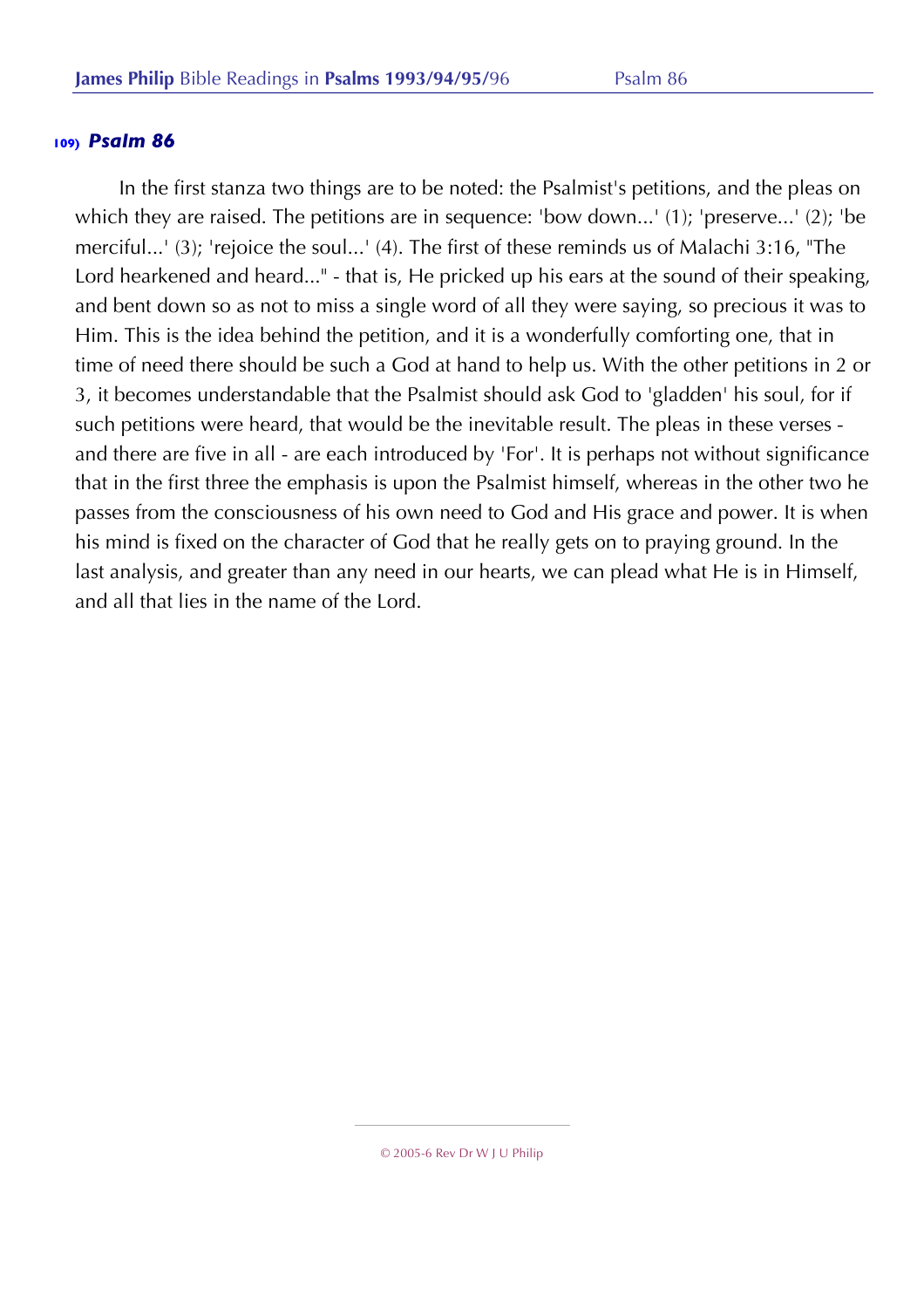In the first stanza two things are to be noted: the Psalmist's petitions, and the pleas on which they are raised. The petitions are in sequence: 'bow down...' (1); 'preserve...' (2); 'be merciful...' (3); 'rejoice the soul...' (4). The first of these reminds us of Malachi 3:16, "The Lord hearkened and heard..." - that is, He pricked up his ears at the sound of their speaking, and bent down so as not to miss a single word of all they were saying, so precious it was to Him. This is the idea behind the petition, and it is a wonderfully comforting one, that in time of need there should be such a God at hand to help us. With the other petitions in 2 or 3, it becomes understandable that the Psalmist should ask God to 'gladden' his soul, for if such petitions were heard, that would be the inevitable result. The pleas in these verses and there are five in all - are each introduced by 'For'. It is perhaps not without significance that in the first three the emphasis is upon the Psalmist himself, whereas in the other two he passes from the consciousness of his own need to God and His grace and power. It is when his mind is fixed on the character of God that he really gets on to praying ground. In the last analysis, and greater than any need in our hearts, we can plead what He is in Himself, and all that lies in the name of the Lord.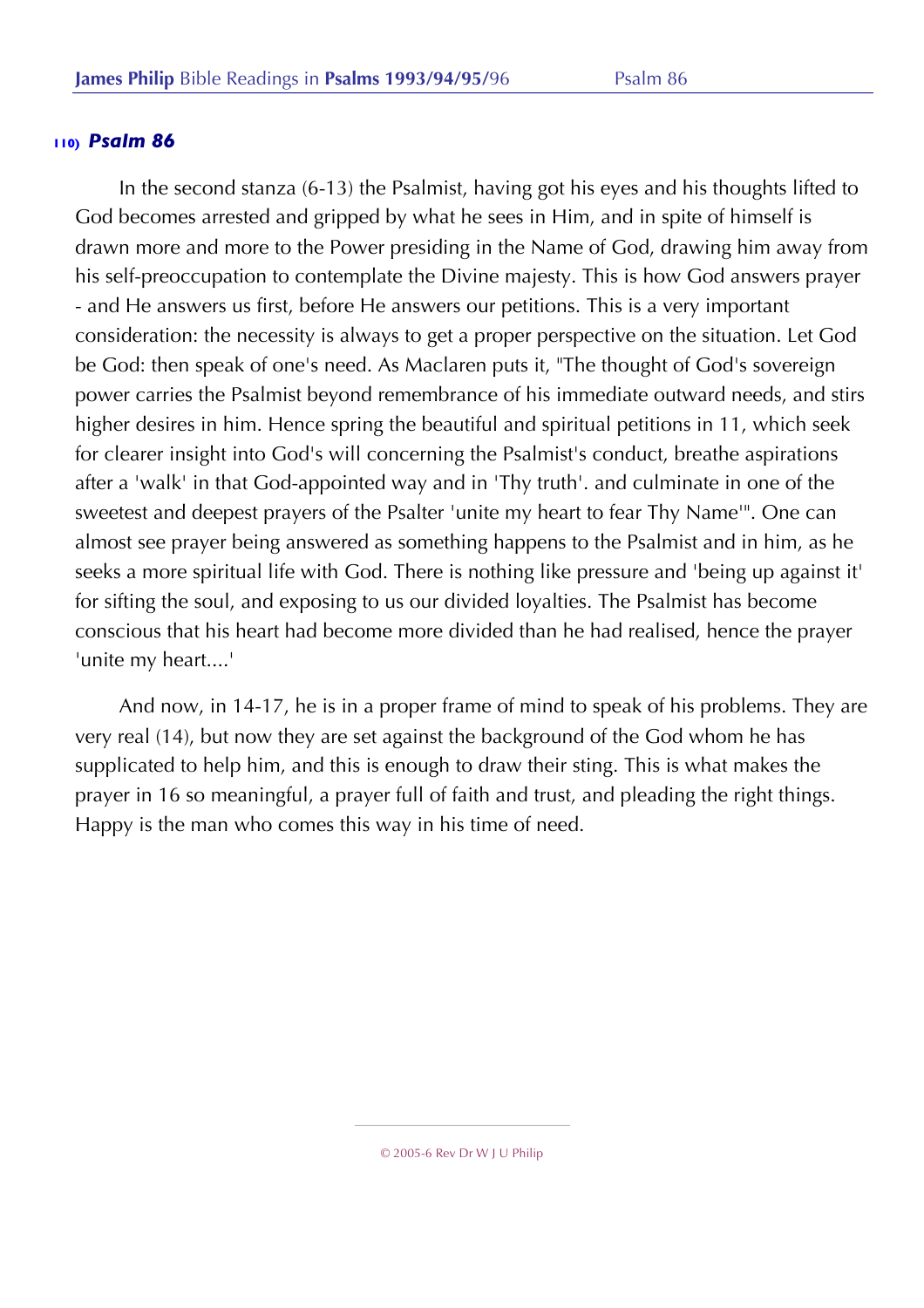In the second stanza (6-13) the Psalmist, having got his eyes and his thoughts lifted to God becomes arrested and gripped by what he sees in Him, and in spite of himself is drawn more and more to the Power presiding in the Name of God, drawing him away from his self-preoccupation to contemplate the Divine majesty. This is how God answers prayer - and He answers us first, before He answers our petitions. This is a very important consideration: the necessity is always to get a proper perspective on the situation. Let God be God: then speak of one's need. As Maclaren puts it, "The thought of God's sovereign power carries the Psalmist beyond remembrance of his immediate outward needs, and stirs higher desires in him. Hence spring the beautiful and spiritual petitions in 11, which seek for clearer insight into God's will concerning the Psalmist's conduct, breathe aspirations after a 'walk' in that God-appointed way and in 'Thy truth'. and culminate in one of the sweetest and deepest prayers of the Psalter 'unite my heart to fear Thy Name'". One can almost see prayer being answered as something happens to the Psalmist and in him, as he seeks a more spiritual life with God. There is nothing like pressure and 'being up against it' for sifting the soul, and exposing to us our divided loyalties. The Psalmist has become conscious that his heart had become more divided than he had realised, hence the prayer 'unite my heart....'

And now, in 14-17, he is in a proper frame of mind to speak of his problems. They are very real (14), but now they are set against the background of the God whom he has supplicated to help him, and this is enough to draw their sting. This is what makes the prayer in 16 so meaningful, a prayer full of faith and trust, and pleading the right things. Happy is the man who comes this way in his time of need.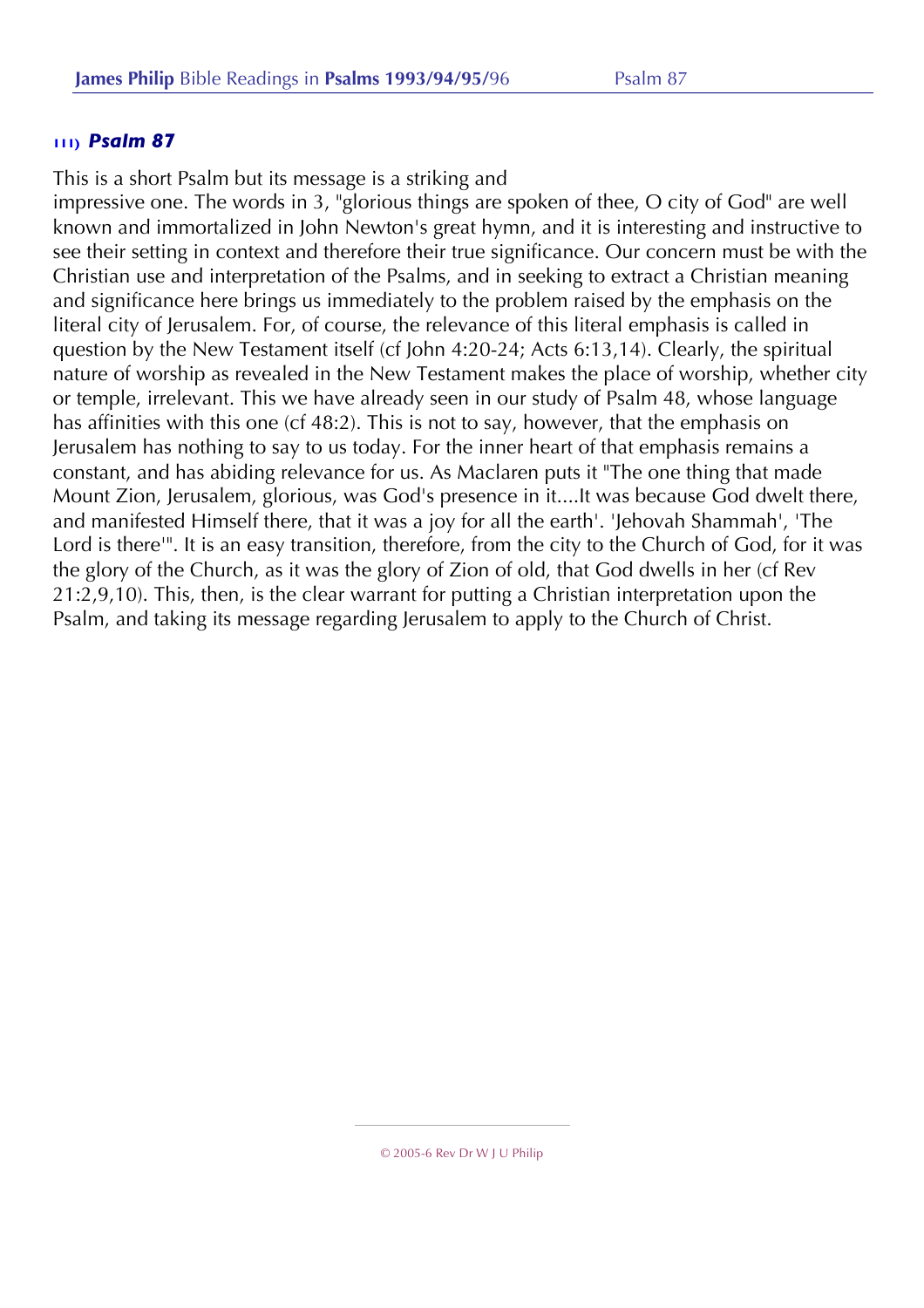This is a short Psalm but its message is a striking and

impressive one. The words in 3, "glorious things are spoken of thee, O city of God" are well known and immortalized in John Newton's great hymn, and it is interesting and instructive to see their setting in context and therefore their true significance. Our concern must be with the Christian use and interpretation of the Psalms, and in seeking to extract a Christian meaning and significance here brings us immediately to the problem raised by the emphasis on the literal city of Jerusalem. For, of course, the relevance of this literal emphasis is called in question by the New Testament itself (cf John 4:20-24; Acts 6:13,14). Clearly, the spiritual nature of worship as revealed in the New Testament makes the place of worship, whether city or temple, irrelevant. This we have already seen in our study of Psalm 48, whose language has affinities with this one (cf 48:2). This is not to say, however, that the emphasis on Jerusalem has nothing to say to us today. For the inner heart of that emphasis remains a constant, and has abiding relevance for us. As Maclaren puts it "The one thing that made Mount Zion, Jerusalem, glorious, was God's presence in it....It was because God dwelt there, and manifested Himself there, that it was a joy for all the earth'. 'Jehovah Shammah', 'The Lord is there'". It is an easy transition, therefore, from the city to the Church of God, for it was the glory of the Church, as it was the glory of Zion of old, that God dwells in her (cf Rev 21:2,9,10). This, then, is the clear warrant for putting a Christian interpretation upon the Psalm, and taking its message regarding Jerusalem to apply to the Church of Christ.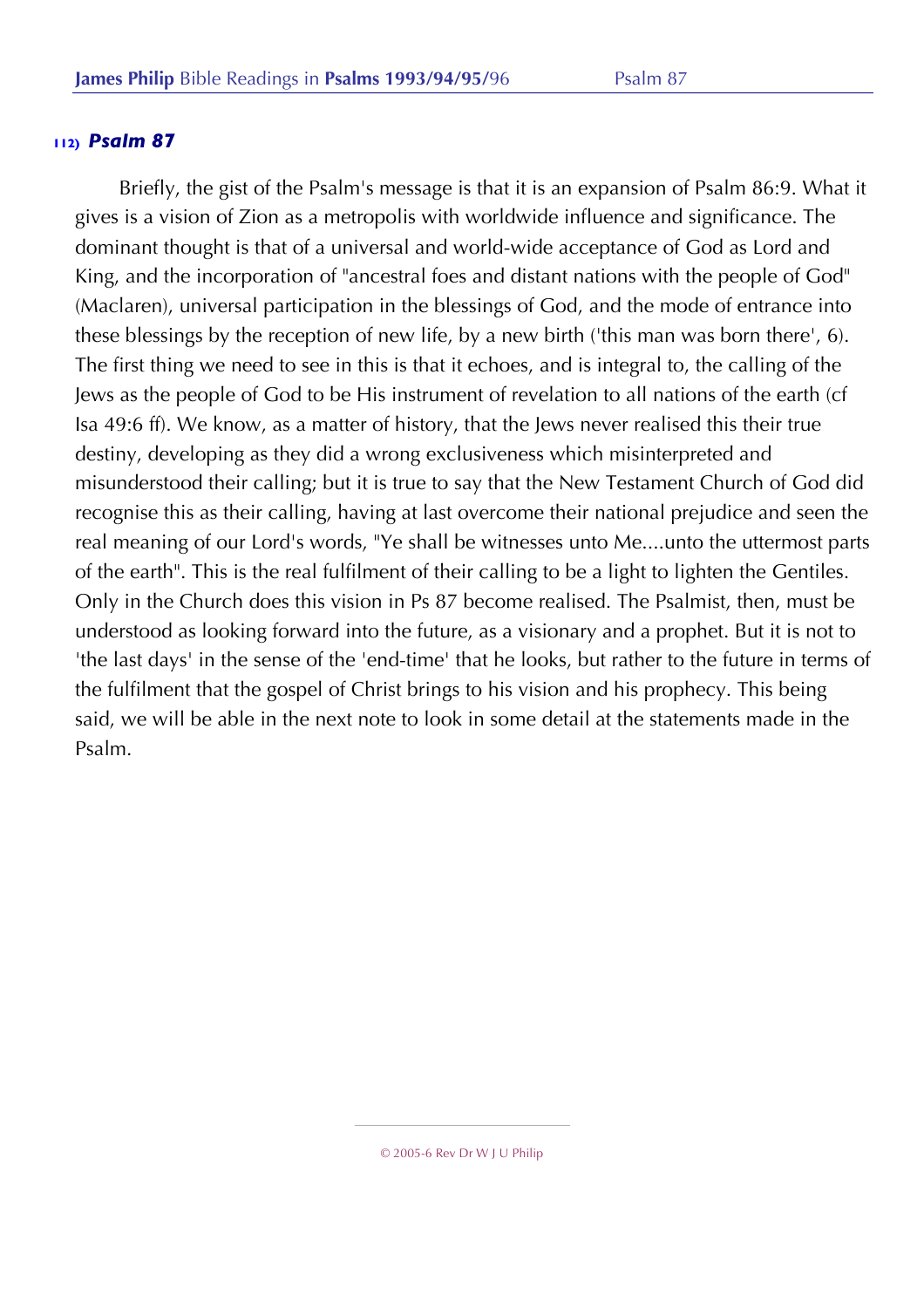Briefly, the gist of the Psalm's message is that it is an expansion of Psalm 86:9. What it gives is a vision of Zion as a metropolis with worldwide influence and significance. The dominant thought is that of a universal and world-wide acceptance of God as Lord and King, and the incorporation of "ancestral foes and distant nations with the people of God" (Maclaren), universal participation in the blessings of God, and the mode of entrance into these blessings by the reception of new life, by a new birth ('this man was born there', 6). The first thing we need to see in this is that it echoes, and is integral to, the calling of the Jews as the people of God to be His instrument of revelation to all nations of the earth (cf Isa 49:6 ff). We know, as a matter of history, that the Jews never realised this their true destiny, developing as they did a wrong exclusiveness which misinterpreted and misunderstood their calling; but it is true to say that the New Testament Church of God did recognise this as their calling, having at last overcome their national prejudice and seen the real meaning of our Lord's words, "Ye shall be witnesses unto Me....unto the uttermost parts of the earth". This is the real fulfilment of their calling to be a light to lighten the Gentiles. Only in the Church does this vision in Ps 87 become realised. The Psalmist, then, must be understood as looking forward into the future, as a visionary and a prophet. But it is not to 'the last days' in the sense of the 'end-time' that he looks, but rather to the future in terms of the fulfilment that the gospel of Christ brings to his vision and his prophecy. This being said, we will be able in the next note to look in some detail at the statements made in the Psalm.

<sup>© 2005-6</sup> Rev Dr W J U Philip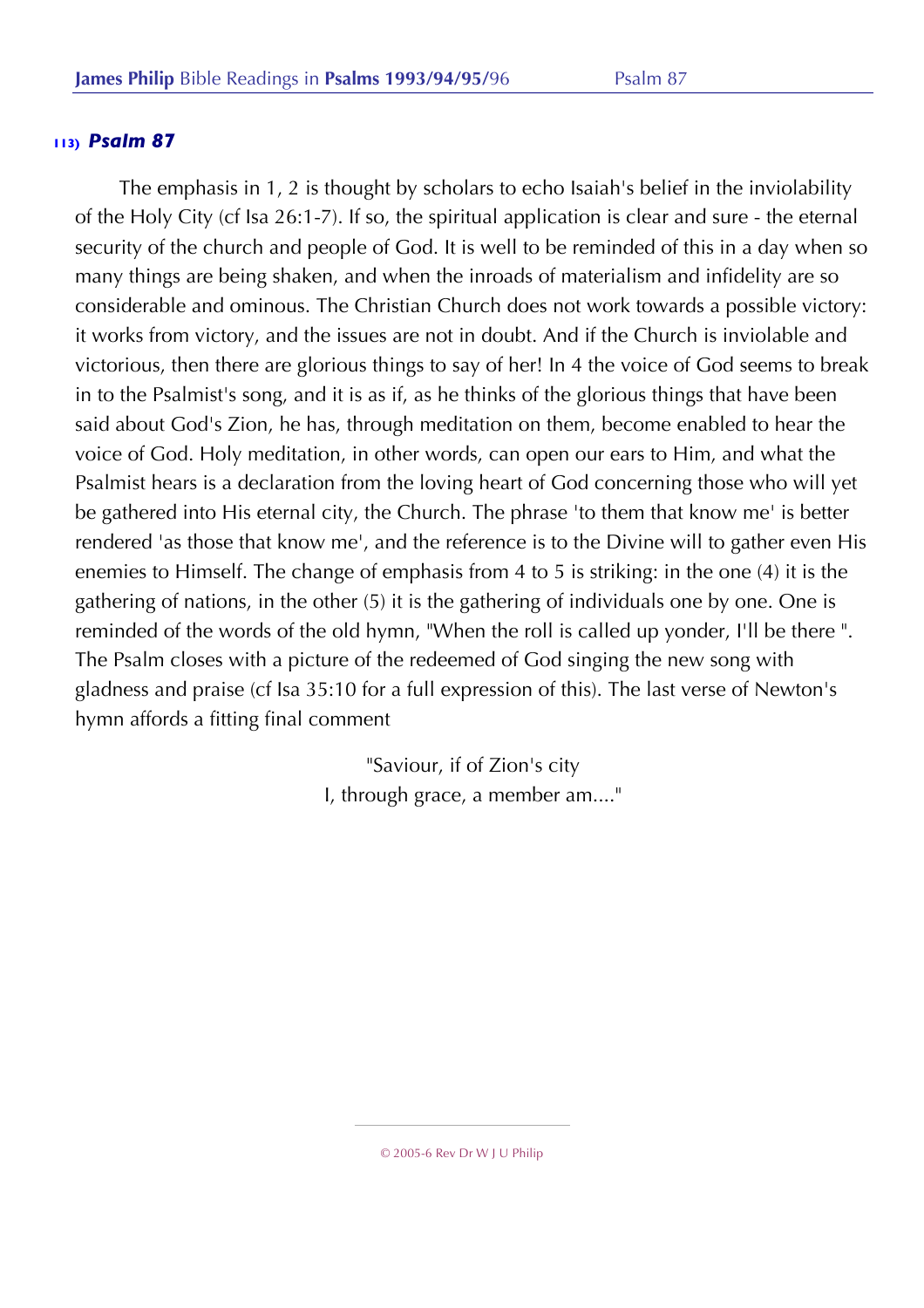The emphasis in 1, 2 is thought by scholars to echo Isaiah's belief in the inviolability of the Holy City (cf Isa 26:1-7). If so, the spiritual application is clear and sure - the eternal security of the church and people of God. It is well to be reminded of this in a day when so many things are being shaken, and when the inroads of materialism and infidelity are so considerable and ominous. The Christian Church does not work towards a possible victory: it works from victory, and the issues are not in doubt. And if the Church is inviolable and victorious, then there are glorious things to say of her! In 4 the voice of God seems to break in to the Psalmist's song, and it is as if, as he thinks of the glorious things that have been said about God's Zion, he has, through meditation on them, become enabled to hear the voice of God. Holy meditation, in other words, can open our ears to Him, and what the Psalmist hears is a declaration from the loving heart of God concerning those who will yet be gathered into His eternal city, the Church. The phrase 'to them that know me' is better rendered 'as those that know me', and the reference is to the Divine will to gather even His enemies to Himself. The change of emphasis from 4 to 5 is striking: in the one (4) it is the gathering of nations, in the other (5) it is the gathering of individuals one by one. One is reminded of the words of the old hymn, "When the roll is called up yonder, I'll be there ". The Psalm closes with a picture of the redeemed of God singing the new song with gladness and praise (cf Isa 35:10 for a full expression of this). The last verse of Newton's hymn affords a fitting final comment

> "Saviour, if of Zion's city I, through grace, a member am...."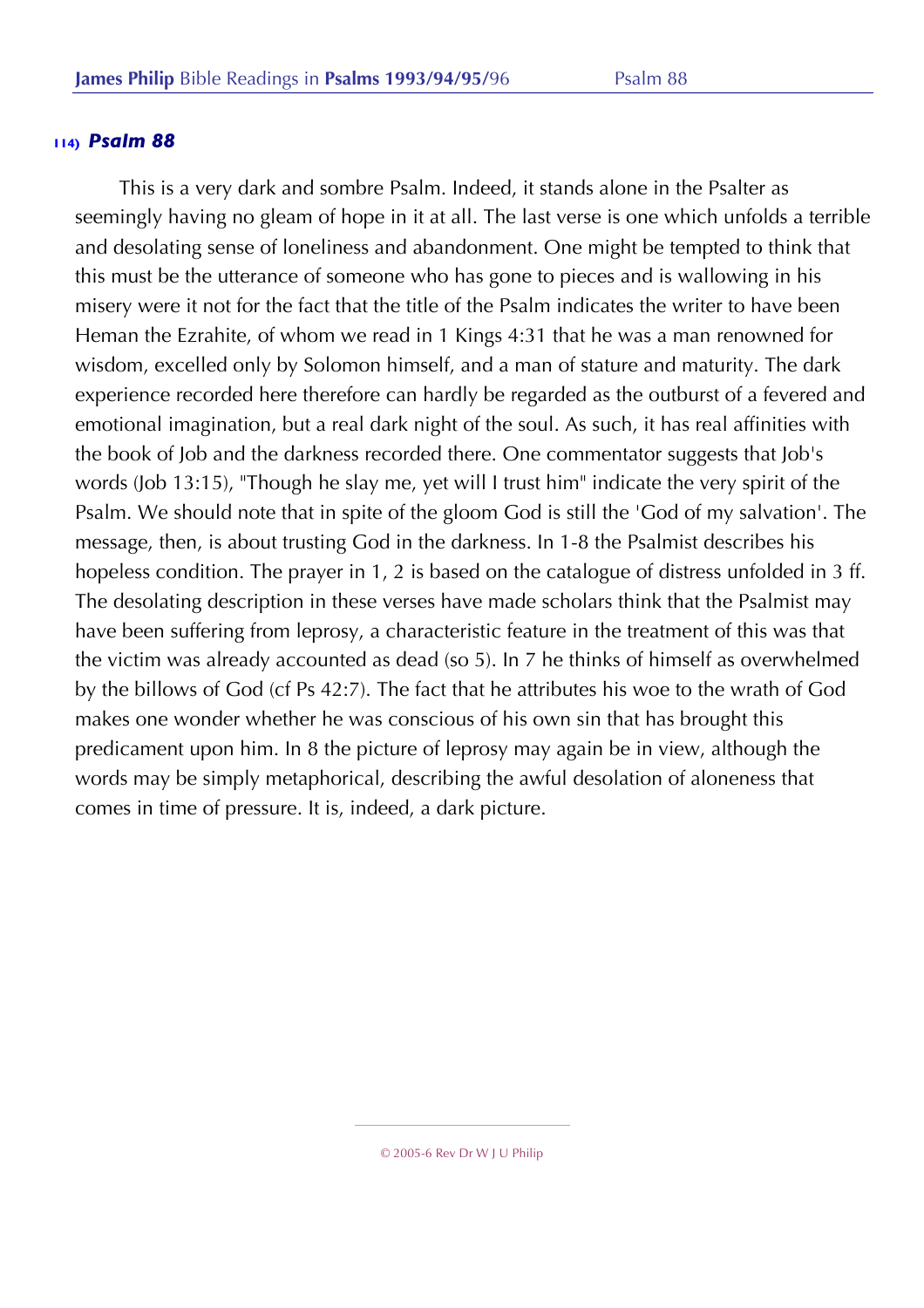This is a very dark and sombre Psalm. Indeed, it stands alone in the Psalter as seemingly having no gleam of hope in it at all. The last verse is one which unfolds a terrible and desolating sense of loneliness and abandonment. One might be tempted to think that this must be the utterance of someone who has gone to pieces and is wallowing in his misery were it not for the fact that the title of the Psalm indicates the writer to have been Heman the Ezrahite, of whom we read in 1 Kings 4:31 that he was a man renowned for wisdom, excelled only by Solomon himself, and a man of stature and maturity. The dark experience recorded here therefore can hardly be regarded as the outburst of a fevered and emotional imagination, but a real dark night of the soul. As such, it has real affinities with the book of Job and the darkness recorded there. One commentator suggests that Job's words (Job 13:15), "Though he slay me, yet will I trust him" indicate the very spirit of the Psalm. We should note that in spite of the gloom God is still the 'God of my salvation'. The message, then, is about trusting God in the darkness. In 1-8 the Psalmist describes his hopeless condition. The prayer in 1, 2 is based on the catalogue of distress unfolded in 3 ff. The desolating description in these verses have made scholars think that the Psalmist may have been suffering from leprosy, a characteristic feature in the treatment of this was that the victim was already accounted as dead (so 5). In 7 he thinks of himself as overwhelmed by the billows of God (cf Ps 42:7). The fact that he attributes his woe to the wrath of God makes one wonder whether he was conscious of his own sin that has brought this predicament upon him. In 8 the picture of leprosy may again be in view, although the words may be simply metaphorical, describing the awful desolation of aloneness that comes in time of pressure. It is, indeed, a dark picture.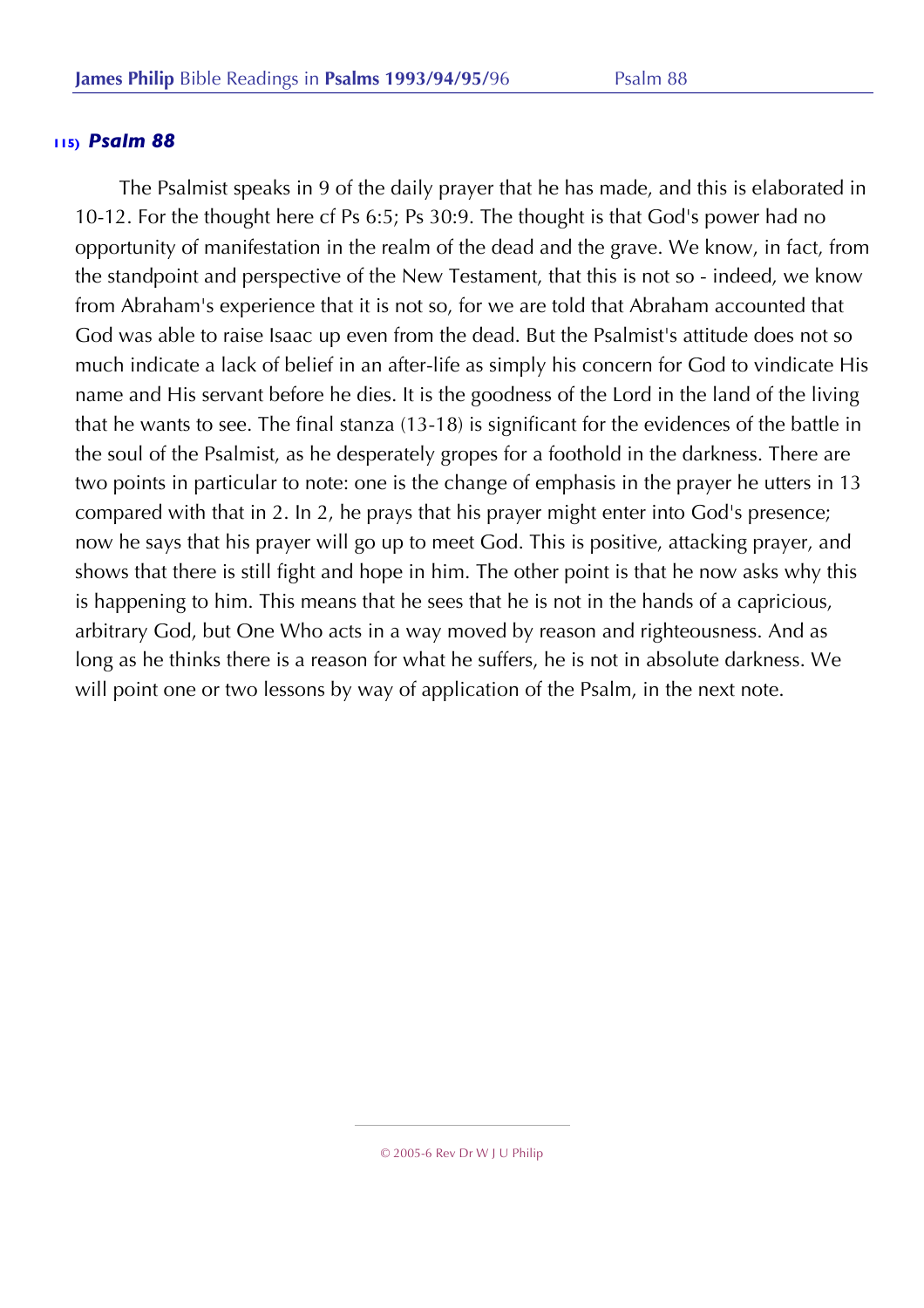The Psalmist speaks in 9 of the daily prayer that he has made, and this is elaborated in 10-12. For the thought here cf Ps 6:5; Ps 30:9. The thought is that God's power had no opportunity of manifestation in the realm of the dead and the grave. We know, in fact, from the standpoint and perspective of the New Testament, that this is not so - indeed, we know from Abraham's experience that it is not so, for we are told that Abraham accounted that God was able to raise Isaac up even from the dead. But the Psalmist's attitude does not so much indicate a lack of belief in an after-life as simply his concern for God to vindicate His name and His servant before he dies. It is the goodness of the Lord in the land of the living that he wants to see. The final stanza (13-18) is significant for the evidences of the battle in the soul of the Psalmist, as he desperately gropes for a foothold in the darkness. There are two points in particular to note: one is the change of emphasis in the prayer he utters in 13 compared with that in 2. In 2, he prays that his prayer might enter into God's presence; now he says that his prayer will go up to meet God. This is positive, attacking prayer, and shows that there is still fight and hope in him. The other point is that he now asks why this is happening to him. This means that he sees that he is not in the hands of a capricious, arbitrary God, but One Who acts in a way moved by reason and righteousness. And as long as he thinks there is a reason for what he suffers, he is not in absolute darkness. We will point one or two lessons by way of application of the Psalm, in the next note.

<sup>© 2005-6</sup> Rev Dr W J U Philip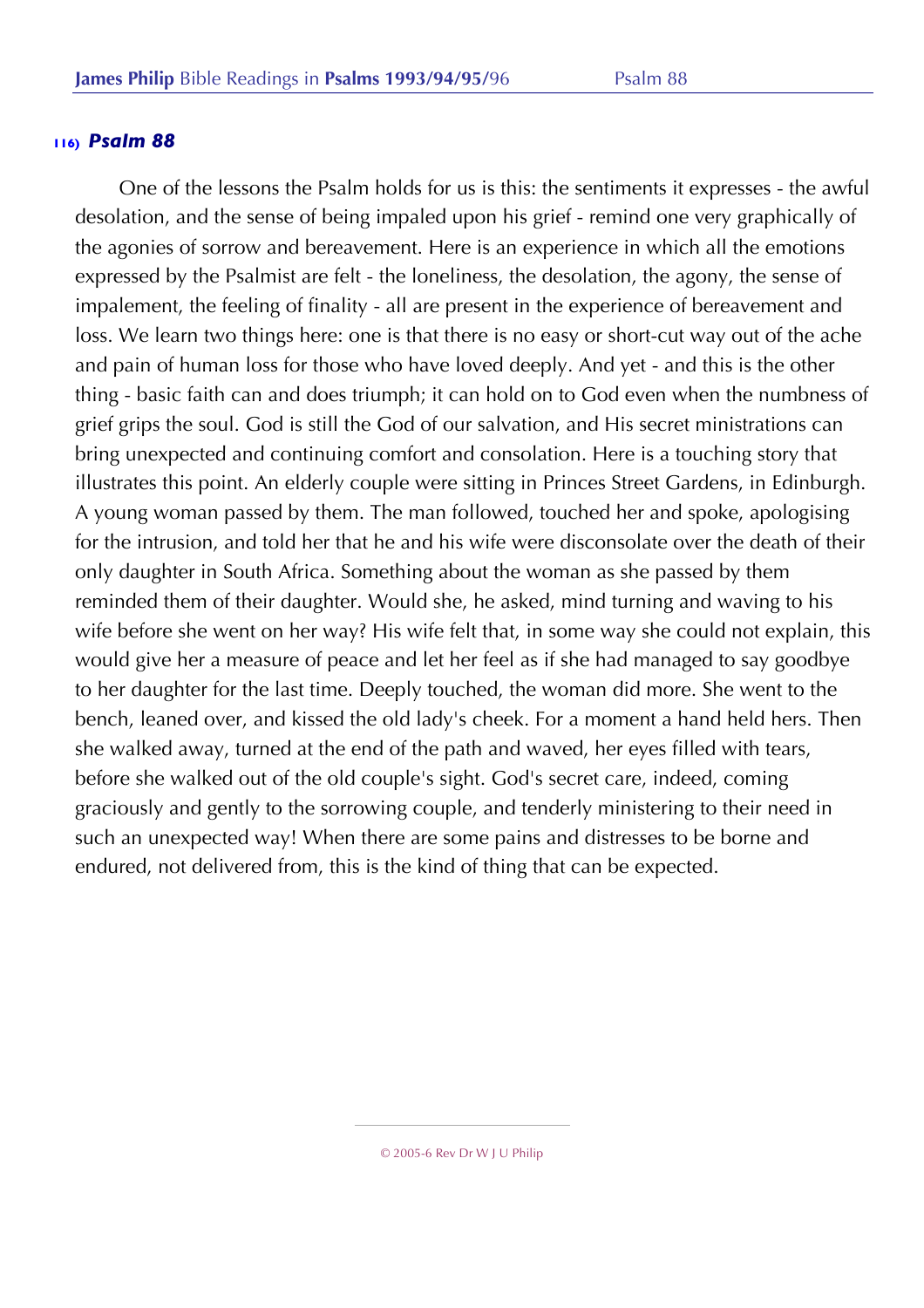One of the lessons the Psalm holds for us is this: the sentiments it expresses - the awful desolation, and the sense of being impaled upon his grief - remind one very graphically of the agonies of sorrow and bereavement. Here is an experience in which all the emotions expressed by the Psalmist are felt - the loneliness, the desolation, the agony, the sense of impalement, the feeling of finality - all are present in the experience of bereavement and loss. We learn two things here: one is that there is no easy or short-cut way out of the ache and pain of human loss for those who have loved deeply. And yet - and this is the other thing - basic faith can and does triumph; it can hold on to God even when the numbness of grief grips the soul. God is still the God of our salvation, and His secret ministrations can bring unexpected and continuing comfort and consolation. Here is a touching story that illustrates this point. An elderly couple were sitting in Princes Street Gardens, in Edinburgh. A young woman passed by them. The man followed, touched her and spoke, apologising for the intrusion, and told her that he and his wife were disconsolate over the death of their only daughter in South Africa. Something about the woman as she passed by them reminded them of their daughter. Would she, he asked, mind turning and waving to his wife before she went on her way? His wife felt that, in some way she could not explain, this would give her a measure of peace and let her feel as if she had managed to say goodbye to her daughter for the last time. Deeply touched, the woman did more. She went to the bench, leaned over, and kissed the old lady's cheek. For a moment a hand held hers. Then she walked away, turned at the end of the path and waved, her eyes filled with tears, before she walked out of the old couple's sight. God's secret care, indeed, coming graciously and gently to the sorrowing couple, and tenderly ministering to their need in such an unexpected way! When there are some pains and distresses to be borne and endured, not delivered from, this is the kind of thing that can be expected.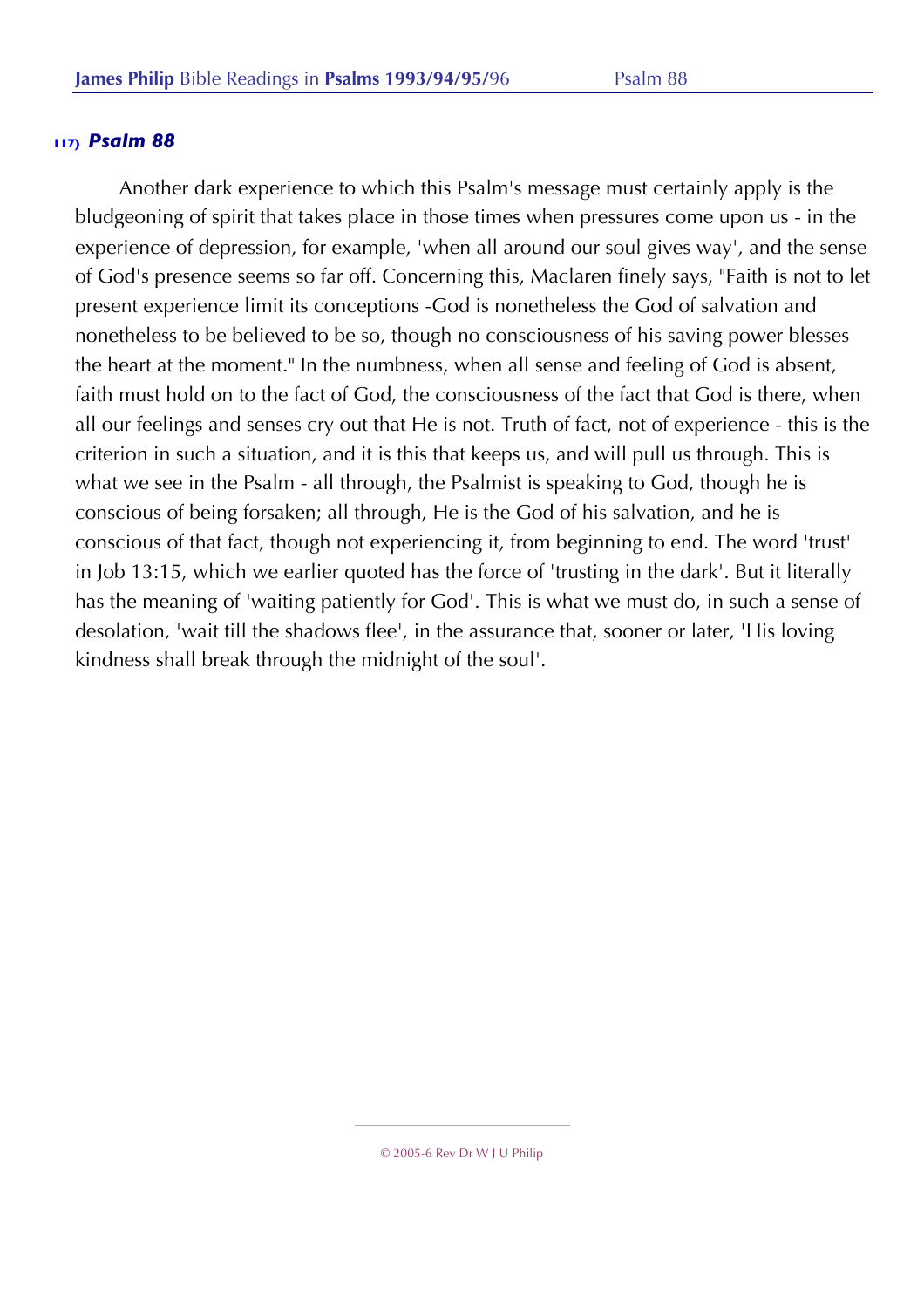Another dark experience to which this Psalm's message must certainly apply is the bludgeoning of spirit that takes place in those times when pressures come upon us - in the experience of depression, for example, 'when all around our soul gives way', and the sense of God's presence seems so far off. Concerning this, Maclaren finely says, "Faith is not to let present experience limit its conceptions -God is nonetheless the God of salvation and nonetheless to be believed to be so, though no consciousness of his saving power blesses the heart at the moment." In the numbness, when all sense and feeling of God is absent, faith must hold on to the fact of God, the consciousness of the fact that God is there, when all our feelings and senses cry out that He is not. Truth of fact, not of experience - this is the criterion in such a situation, and it is this that keeps us, and will pull us through. This is what we see in the Psalm - all through, the Psalmist is speaking to God, though he is conscious of being forsaken; all through, He is the God of his salvation, and he is conscious of that fact, though not experiencing it, from beginning to end. The word 'trust' in Job 13:15, which we earlier quoted has the force of 'trusting in the dark'. But it literally has the meaning of 'waiting patiently for God'. This is what we must do, in such a sense of desolation, 'wait till the shadows flee', in the assurance that, sooner or later, 'His loving kindness shall break through the midnight of the soul'.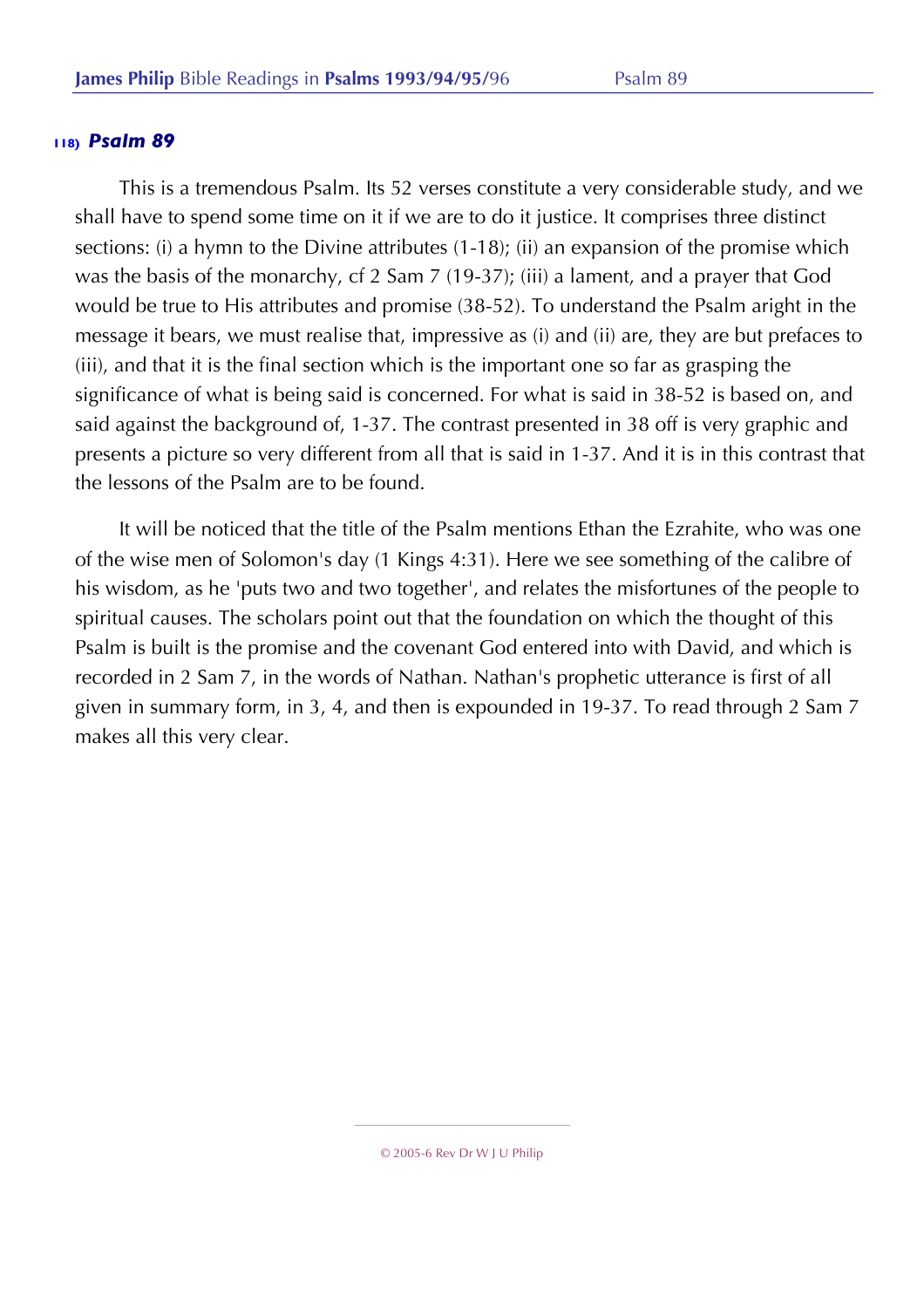This is a tremendous Psalm. Its 52 verses constitute a very considerable study, and we shall have to spend some time on it if we are to do it justice. It comprises three distinct sections: (i) a hymn to the Divine attributes (1-18); (ii) an expansion of the promise which was the basis of the monarchy, cf 2 Sam 7 (19-37); (iii) a lament, and a prayer that God would be true to His attributes and promise (38-52). To understand the Psalm aright in the message it bears, we must realise that, impressive as (i) and (ii) are, they are but prefaces to (iii), and that it is the final section which is the important one so far as grasping the significance of what is being said is concerned. For what is said in 38-52 is based on, and said against the background of, 1-37. The contrast presented in 38 off is very graphic and presents a picture so very different from all that is said in 1-37. And it is in this contrast that the lessons of the Psalm are to be found.

It will be noticed that the title of the Psalm mentions Ethan the Ezrahite, who was one of the wise men of Solomon's day (1 Kings 4:31). Here we see something of the calibre of his wisdom, as he 'puts two and two together', and relates the misfortunes of the people to spiritual causes. The scholars point out that the foundation on which the thought of this Psalm is built is the promise and the covenant God entered into with David, and which is recorded in 2 Sam 7, in the words of Nathan. Nathan's prophetic utterance is first of all given in summary form, in 3, 4, and then is expounded in 19-37. To read through 2 Sam 7 makes all this very clear.

<sup>© 2005-6</sup> Rev Dr W J U Philip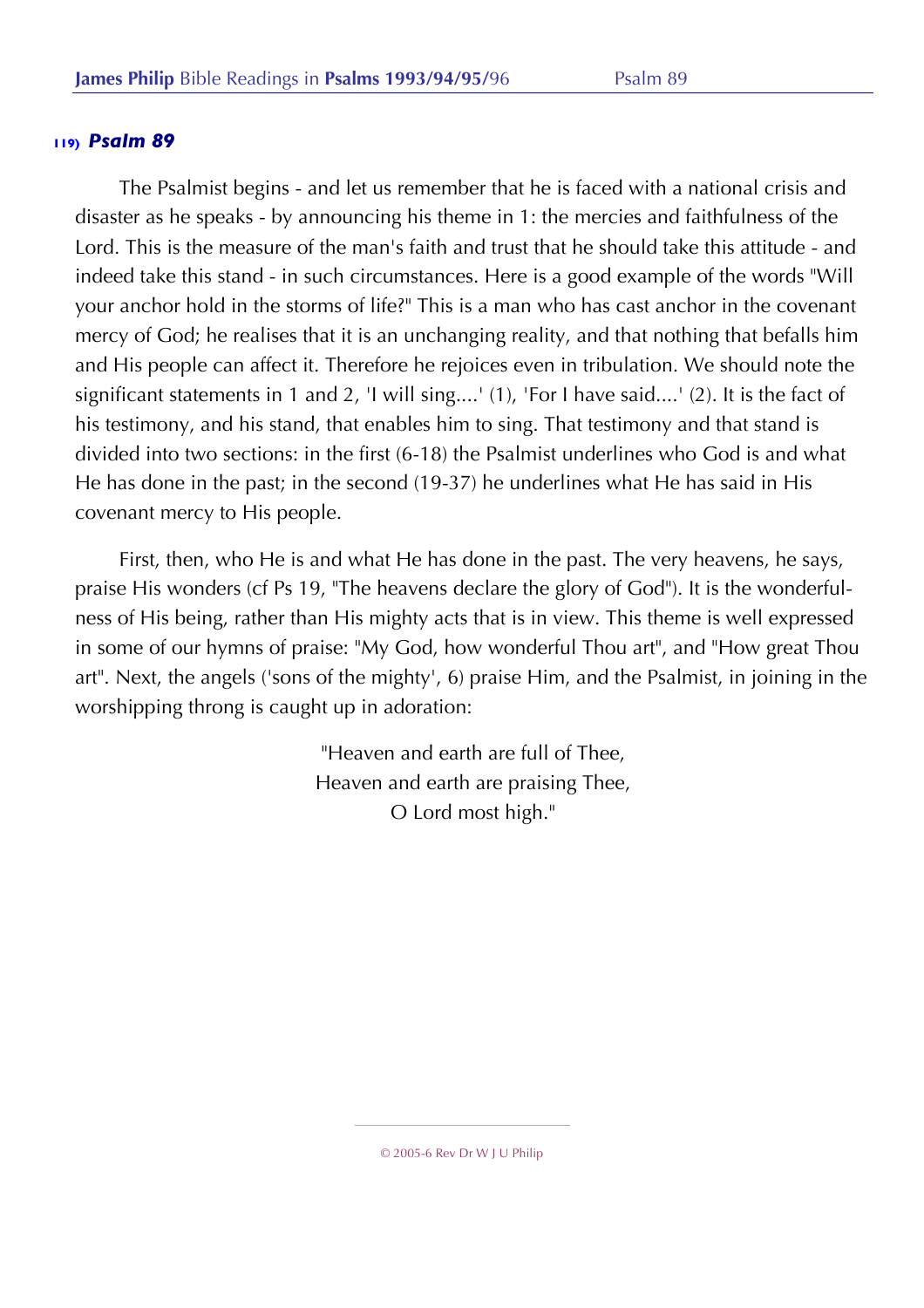The Psalmist begins - and let us remember that he is faced with a national crisis and disaster as he speaks - by announcing his theme in 1: the mercies and faithfulness of the Lord. This is the measure of the man's faith and trust that he should take this attitude - and indeed take this stand - in such circumstances. Here is a good example of the words "Will your anchor hold in the storms of life?" This is a man who has cast anchor in the covenant mercy of God; he realises that it is an unchanging reality, and that nothing that befalls him and His people can affect it. Therefore he rejoices even in tribulation. We should note the significant statements in 1 and 2, 'I will sing....' (1), 'For I have said....' (2). It is the fact of his testimony, and his stand, that enables him to sing. That testimony and that stand is divided into two sections: in the first (6-18) the Psalmist underlines who God is and what He has done in the past; in the second (19-37) he underlines what He has said in His covenant mercy to His people.

First, then, who He is and what He has done in the past. The very heavens, he says, praise His wonders (cf Ps 19, "The heavens declare the glory of God"). It is the wonderfulness of His being, rather than His mighty acts that is in view. This theme is well expressed in some of our hymns of praise: "My God, how wonderful Thou art", and "How great Thou art". Next, the angels ('sons of the mighty', 6) praise Him, and the Psalmist, in joining in the worshipping throng is caught up in adoration:

> "Heaven and earth are full of Thee, Heaven and earth are praising Thee, O Lord most high."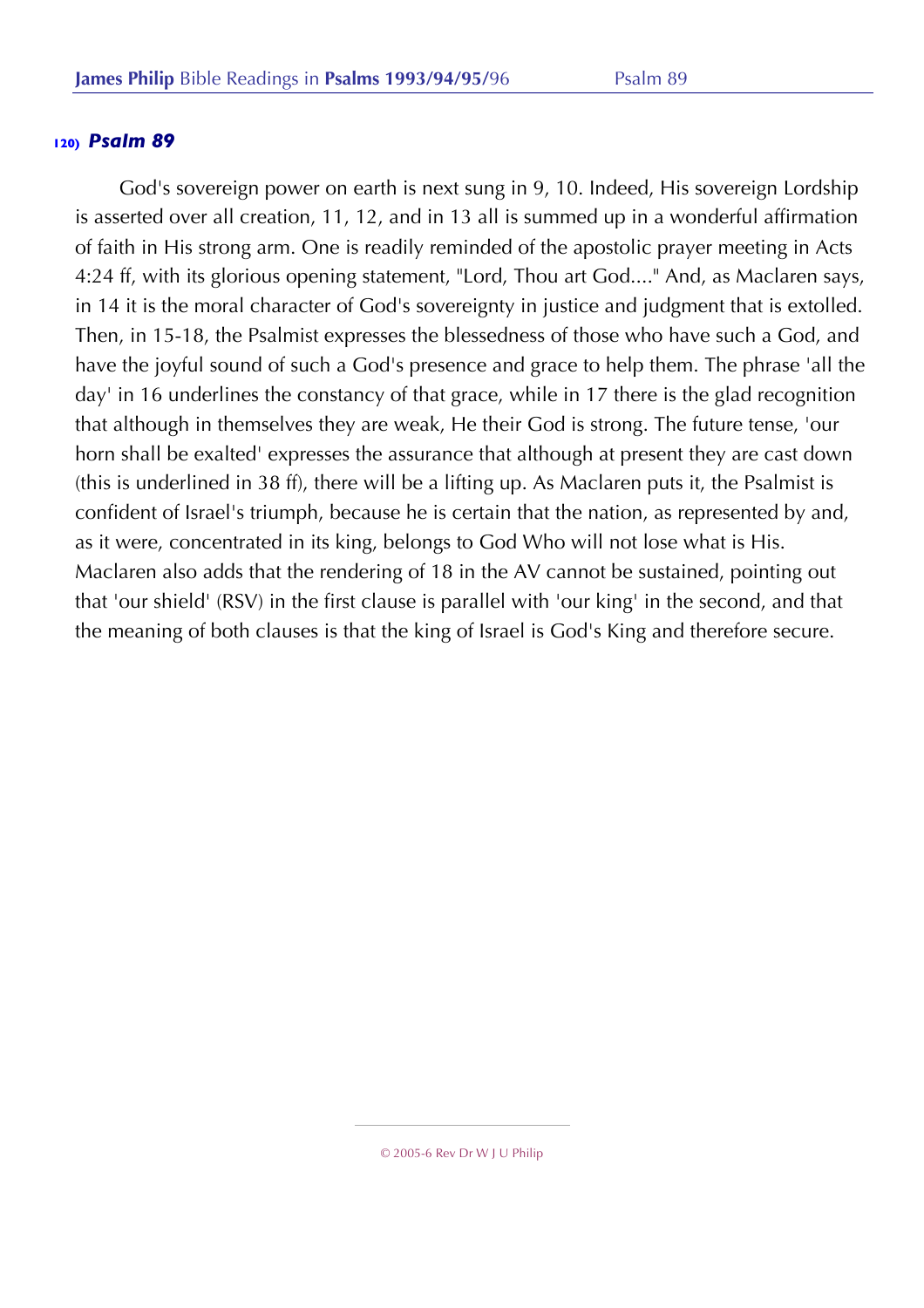God's sovereign power on earth is next sung in 9, 10. Indeed, His sovereign Lordship is asserted over all creation, 11, 12, and in 13 all is summed up in a wonderful affirmation of faith in His strong arm. One is readily reminded of the apostolic prayer meeting in Acts 4:24 ff, with its glorious opening statement, "Lord, Thou art God...." And, as Maclaren says, in 14 it is the moral character of God's sovereignty in justice and judgment that is extolled. Then, in 15-18, the Psalmist expresses the blessedness of those who have such a God, and have the joyful sound of such a God's presence and grace to help them. The phrase 'all the day' in 16 underlines the constancy of that grace, while in 17 there is the glad recognition that although in themselves they are weak, He their God is strong. The future tense, 'our horn shall be exalted' expresses the assurance that although at present they are cast down (this is underlined in 38 ff), there will be a lifting up. As Maclaren puts it, the Psalmist is confident of Israel's triumph, because he is certain that the nation, as represented by and, as it were, concentrated in its king, belongs to God Who will not lose what is His. Maclaren also adds that the rendering of 18 in the AV cannot be sustained, pointing out that 'our shield' (RSV) in the first clause is parallel with 'our king' in the second, and that the meaning of both clauses is that the king of Israel is God's King and therefore secure.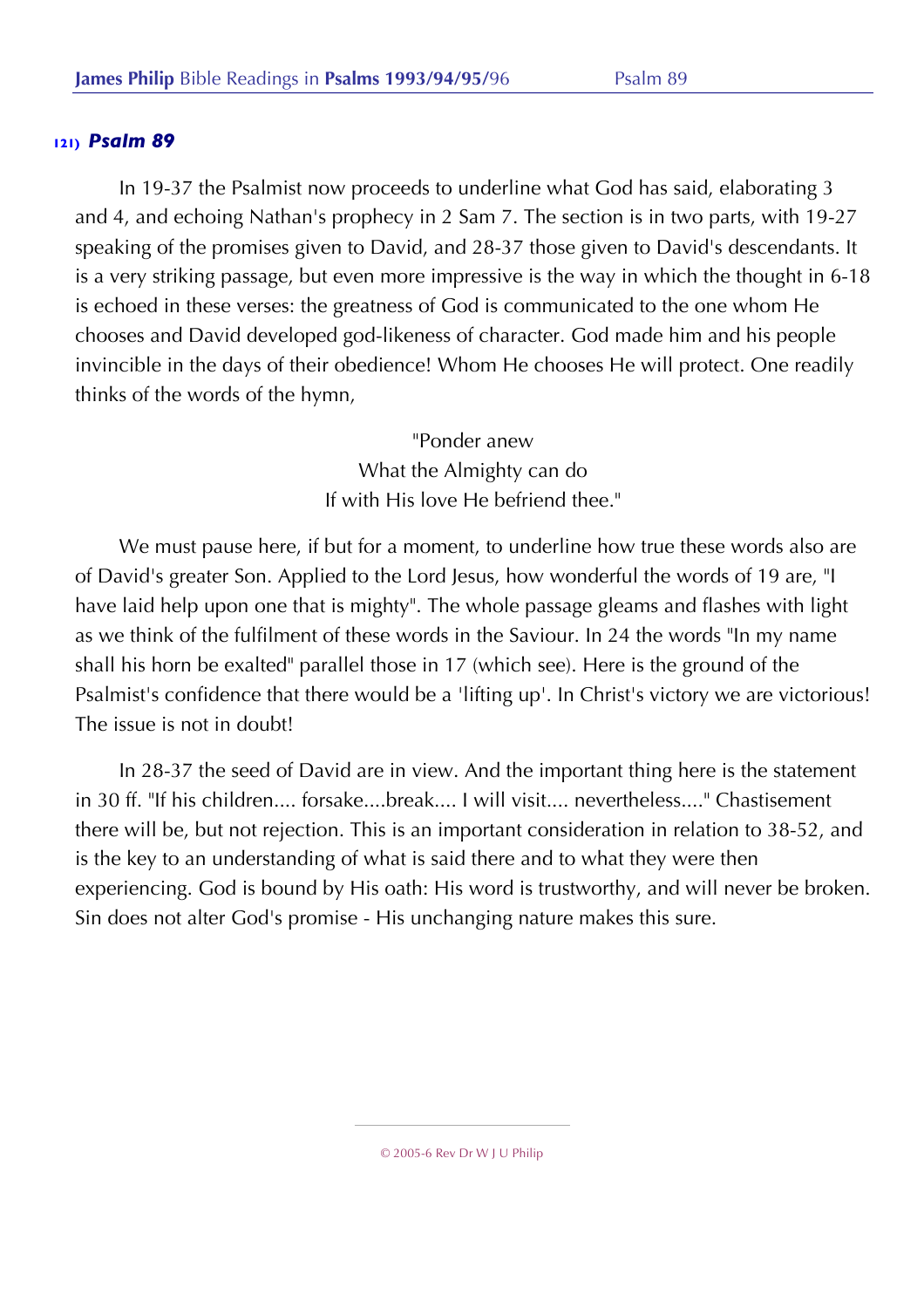In 19-37 the Psalmist now proceeds to underline what God has said, elaborating 3 and 4, and echoing Nathan's prophecy in 2 Sam 7. The section is in two parts, with 19-27 speaking of the promises given to David, and 28-37 those given to David's descendants. It is a very striking passage, but even more impressive is the way in which the thought in 6-18 is echoed in these verses: the greatness of God is communicated to the one whom He chooses and David developed god-likeness of character. God made him and his people invincible in the days of their obedience! Whom He chooses He will protect. One readily thinks of the words of the hymn,

> "Ponder anew What the Almighty can do If with His love He befriend thee."

We must pause here, if but for a moment, to underline how true these words also are of David's greater Son. Applied to the Lord Jesus, how wonderful the words of 19 are, "I have laid help upon one that is mighty". The whole passage gleams and flashes with light as we think of the fulfilment of these words in the Saviour. In 24 the words "In my name shall his horn be exalted" parallel those in 17 (which see). Here is the ground of the Psalmist's confidence that there would be a 'lifting up'. In Christ's victory we are victorious! The issue is not in doubt!

In 28-37 the seed of David are in view. And the important thing here is the statement in 30 ff. "If his children.... forsake....break.... I will visit.... nevertheless...." Chastisement there will be, but not rejection. This is an important consideration in relation to 38-52, and is the key to an understanding of what is said there and to what they were then experiencing. God is bound by His oath: His word is trustworthy, and will never be broken. Sin does not alter God's promise - His unchanging nature makes this sure.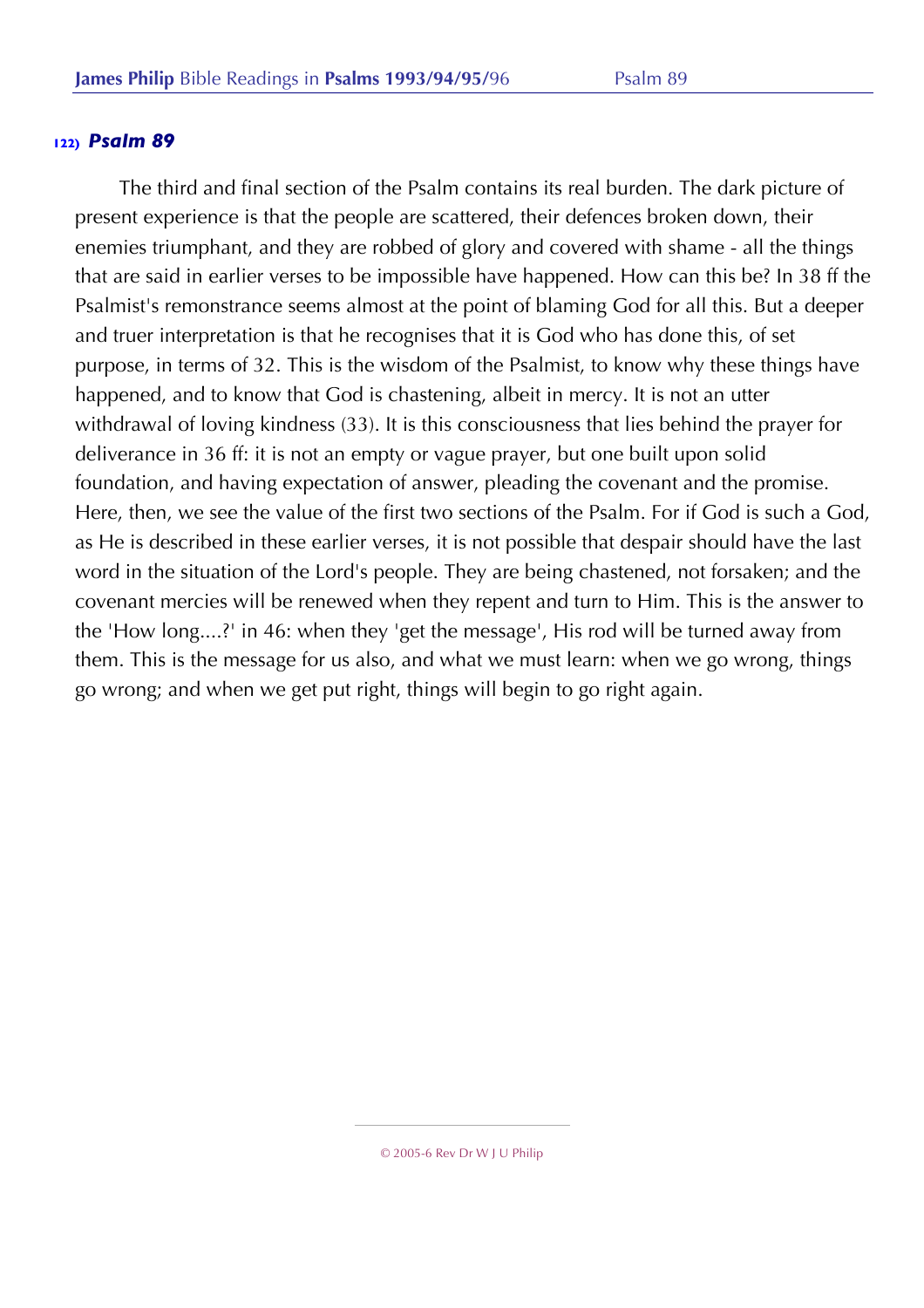The third and final section of the Psalm contains its real burden. The dark picture of present experience is that the people are scattered, their defences broken down, their enemies triumphant, and they are robbed of glory and covered with shame - all the things that are said in earlier verses to be impossible have happened. How can this be? In 38 ff the Psalmist's remonstrance seems almost at the point of blaming God for all this. But a deeper and truer interpretation is that he recognises that it is God who has done this, of set purpose, in terms of 32. This is the wisdom of the Psalmist, to know why these things have happened, and to know that God is chastening, albeit in mercy. It is not an utter withdrawal of loving kindness (33). It is this consciousness that lies behind the prayer for deliverance in 36 ff: it is not an empty or vague prayer, but one built upon solid foundation, and having expectation of answer, pleading the covenant and the promise. Here, then, we see the value of the first two sections of the Psalm. For if God is such a God, as He is described in these earlier verses, it is not possible that despair should have the last word in the situation of the Lord's people. They are being chastened, not forsaken; and the covenant mercies will be renewed when they repent and turn to Him. This is the answer to the 'How long....?' in 46: when they 'get the message', His rod will be turned away from them. This is the message for us also, and what we must learn: when we go wrong, things go wrong; and when we get put right, things will begin to go right again.

<sup>© 2005-6</sup> Rev Dr W J U Philip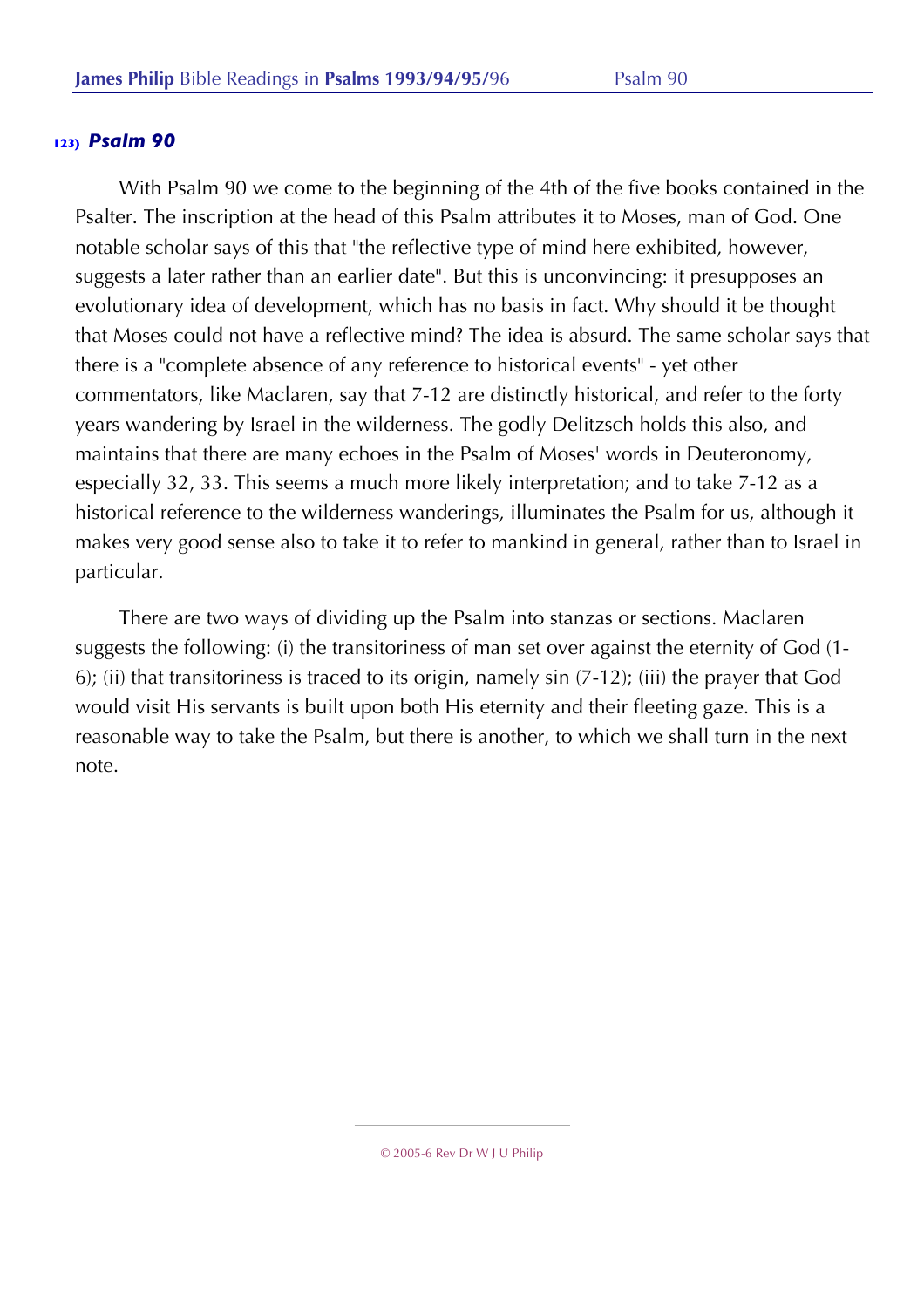With Psalm 90 we come to the beginning of the 4th of the five books contained in the Psalter. The inscription at the head of this Psalm attributes it to Moses, man of God. One notable scholar says of this that "the reflective type of mind here exhibited, however, suggests a later rather than an earlier date". But this is unconvincing: it presupposes an evolutionary idea of development, which has no basis in fact. Why should it be thought that Moses could not have a reflective mind? The idea is absurd. The same scholar says that there is a "complete absence of any reference to historical events" - yet other commentators, like Maclaren, say that 7-12 are distinctly historical, and refer to the forty years wandering by Israel in the wilderness. The godly Delitzsch holds this also, and maintains that there are many echoes in the Psalm of Moses' words in Deuteronomy, especially 32, 33. This seems a much more likely interpretation; and to take 7-12 as a historical reference to the wilderness wanderings, illuminates the Psalm for us, although it makes very good sense also to take it to refer to mankind in general, rather than to Israel in particular.

There are two ways of dividing up the Psalm into stanzas or sections. Maclaren suggests the following: (i) the transitoriness of man set over against the eternity of God (1- 6); (ii) that transitoriness is traced to its origin, namely sin (7-12); (iii) the prayer that God would visit His servants is built upon both His eternity and their fleeting gaze. This is a reasonable way to take the Psalm, but there is another, to which we shall turn in the next note.

<sup>© 2005-6</sup> Rev Dr W J U Philip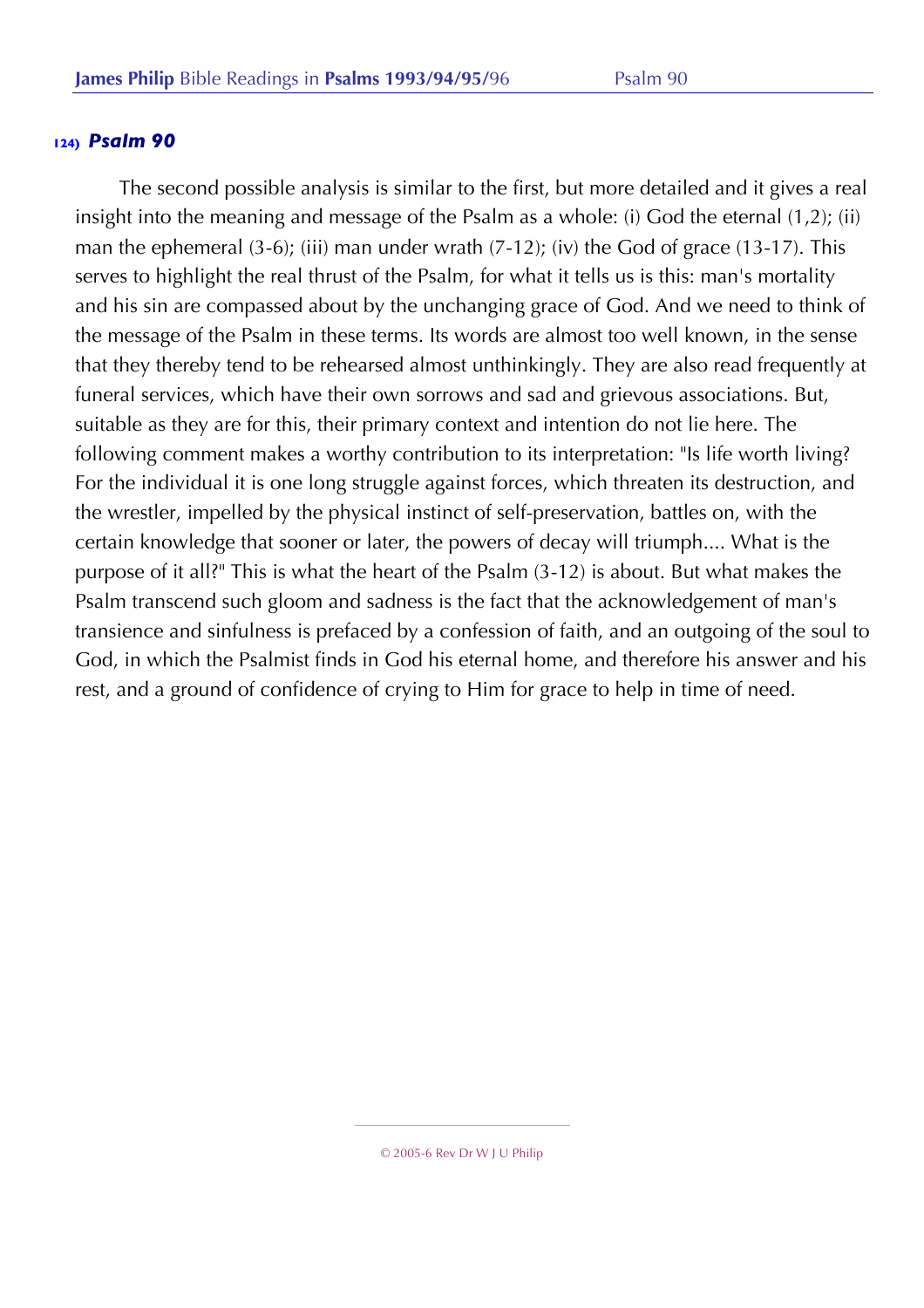The second possible analysis is similar to the first, but more detailed and it gives a real insight into the meaning and message of the Psalm as a whole: (i) God the eternal (1,2); (ii) man the ephemeral (3-6); (iii) man under wrath (7-12); (iv) the God of grace (13-17). This serves to highlight the real thrust of the Psalm, for what it tells us is this: man's mortality and his sin are compassed about by the unchanging grace of God. And we need to think of the message of the Psalm in these terms. Its words are almost too well known, in the sense that they thereby tend to be rehearsed almost unthinkingly. They are also read frequently at funeral services, which have their own sorrows and sad and grievous associations. But, suitable as they are for this, their primary context and intention do not lie here. The following comment makes a worthy contribution to its interpretation: "Is life worth living? For the individual it is one long struggle against forces, which threaten its destruction, and the wrestler, impelled by the physical instinct of self-preservation, battles on, with the certain knowledge that sooner or later, the powers of decay will triumph.... What is the purpose of it all?" This is what the heart of the Psalm (3-12) is about. But what makes the Psalm transcend such gloom and sadness is the fact that the acknowledgement of man's transience and sinfulness is prefaced by a confession of faith, and an outgoing of the soul to God, in which the Psalmist finds in God his eternal home, and therefore his answer and his rest, and a ground of confidence of crying to Him for grace to help in time of need.

<sup>© 2005-6</sup> Rev Dr W J U Philip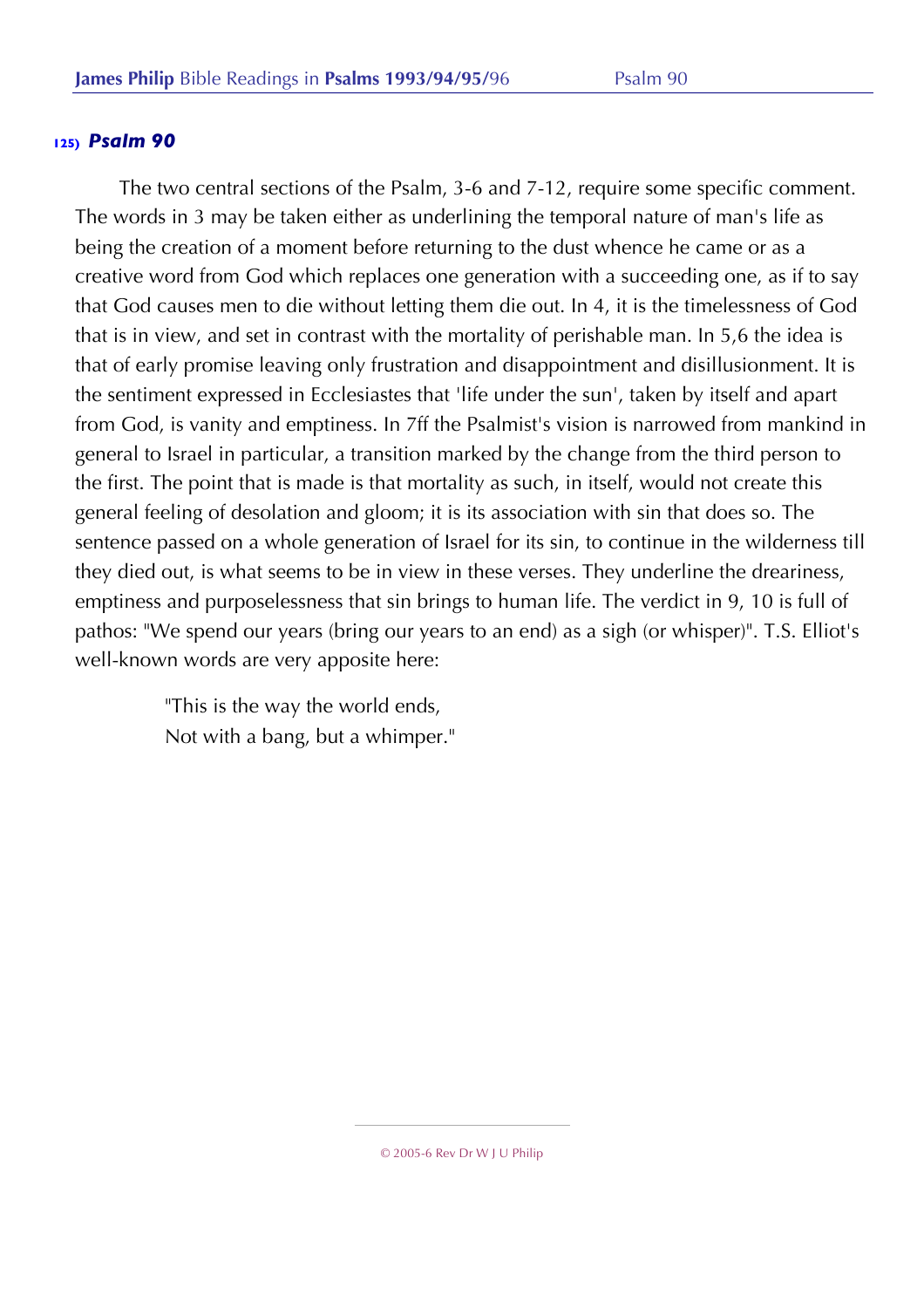The two central sections of the Psalm, 3-6 and 7-12, require some specific comment. The words in 3 may be taken either as underlining the temporal nature of man's life as being the creation of a moment before returning to the dust whence he came or as a creative word from God which replaces one generation with a succeeding one, as if to say that God causes men to die without letting them die out. In 4, it is the timelessness of God that is in view, and set in contrast with the mortality of perishable man. In 5,6 the idea is that of early promise leaving only frustration and disappointment and disillusionment. It is the sentiment expressed in Ecclesiastes that 'life under the sun', taken by itself and apart from God, is vanity and emptiness. In 7ff the Psalmist's vision is narrowed from mankind in general to Israel in particular, a transition marked by the change from the third person to the first. The point that is made is that mortality as such, in itself, would not create this general feeling of desolation and gloom; it is its association with sin that does so. The sentence passed on a whole generation of Israel for its sin, to continue in the wilderness till they died out, is what seems to be in view in these verses. They underline the dreariness, emptiness and purposelessness that sin brings to human life. The verdict in 9, 10 is full of pathos: "We spend our years (bring our years to an end) as a sigh (or whisper)". T.S. Elliot's well-known words are very apposite here:

> "This is the way the world ends, Not with a bang, but a whimper."

<sup>© 2005-6</sup> Rev Dr W J U Philip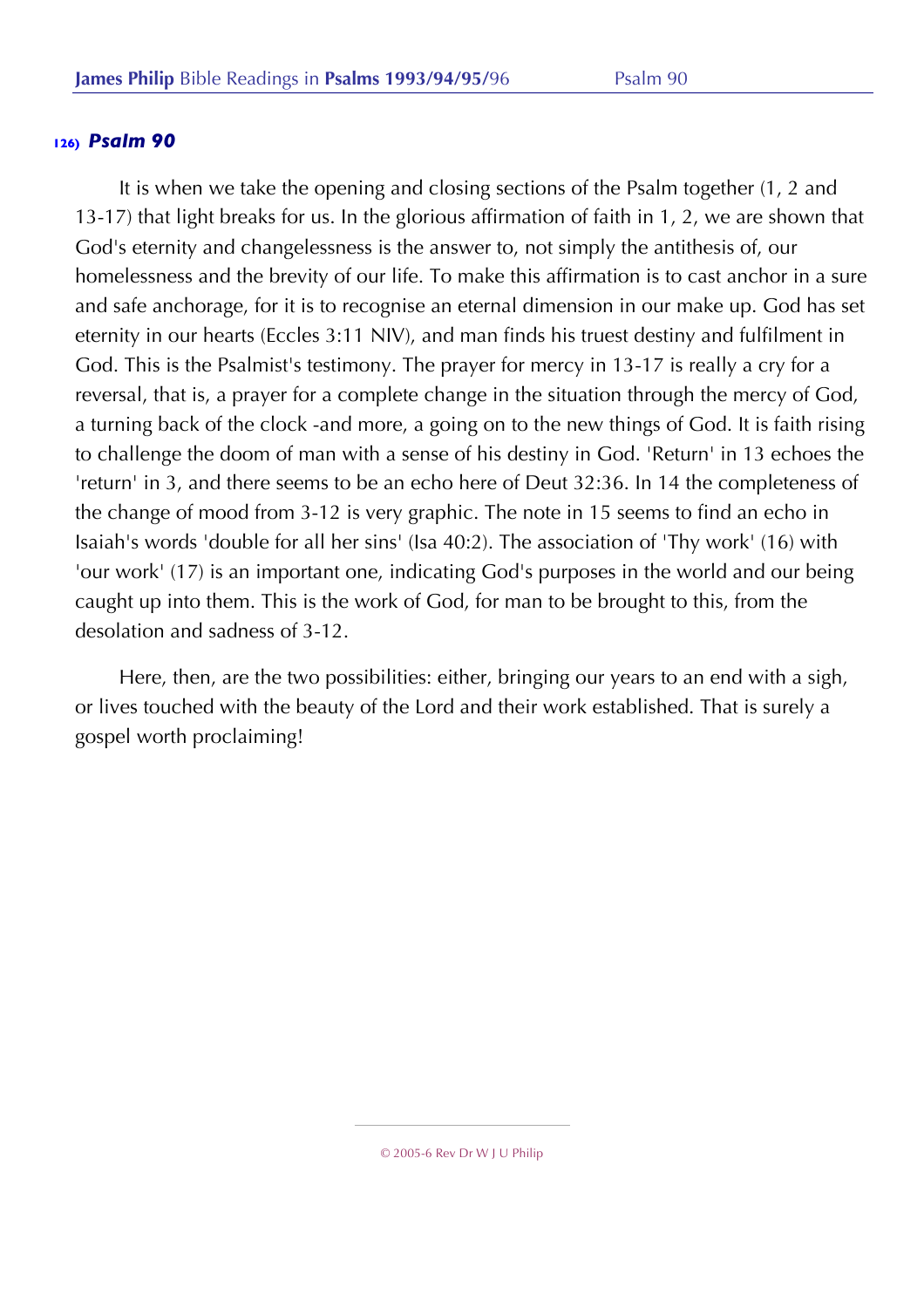It is when we take the opening and closing sections of the Psalm together (1, 2 and 13-17) that light breaks for us. In the glorious affirmation of faith in 1, 2, we are shown that God's eternity and changelessness is the answer to, not simply the antithesis of, our homelessness and the brevity of our life. To make this affirmation is to cast anchor in a sure and safe anchorage, for it is to recognise an eternal dimension in our make up. God has set eternity in our hearts (Eccles 3:11 NIV), and man finds his truest destiny and fulfilment in God. This is the Psalmist's testimony. The prayer for mercy in 13-17 is really a cry for a reversal, that is, a prayer for a complete change in the situation through the mercy of God, a turning back of the clock -and more, a going on to the new things of God. It is faith rising to challenge the doom of man with a sense of his destiny in God. 'Return' in 13 echoes the 'return' in 3, and there seems to be an echo here of Deut 32:36. In 14 the completeness of the change of mood from 3-12 is very graphic. The note in 15 seems to find an echo in Isaiah's words 'double for all her sins' (Isa 40:2). The association of 'Thy work' (16) with 'our work' (17) is an important one, indicating God's purposes in the world and our being caught up into them. This is the work of God, for man to be brought to this, from the desolation and sadness of 3-12.

Here, then, are the two possibilities: either, bringing our years to an end with a sigh, or lives touched with the beauty of the Lord and their work established. That is surely a gospel worth proclaiming!

<sup>© 2005-6</sup> Rev Dr W J U Philip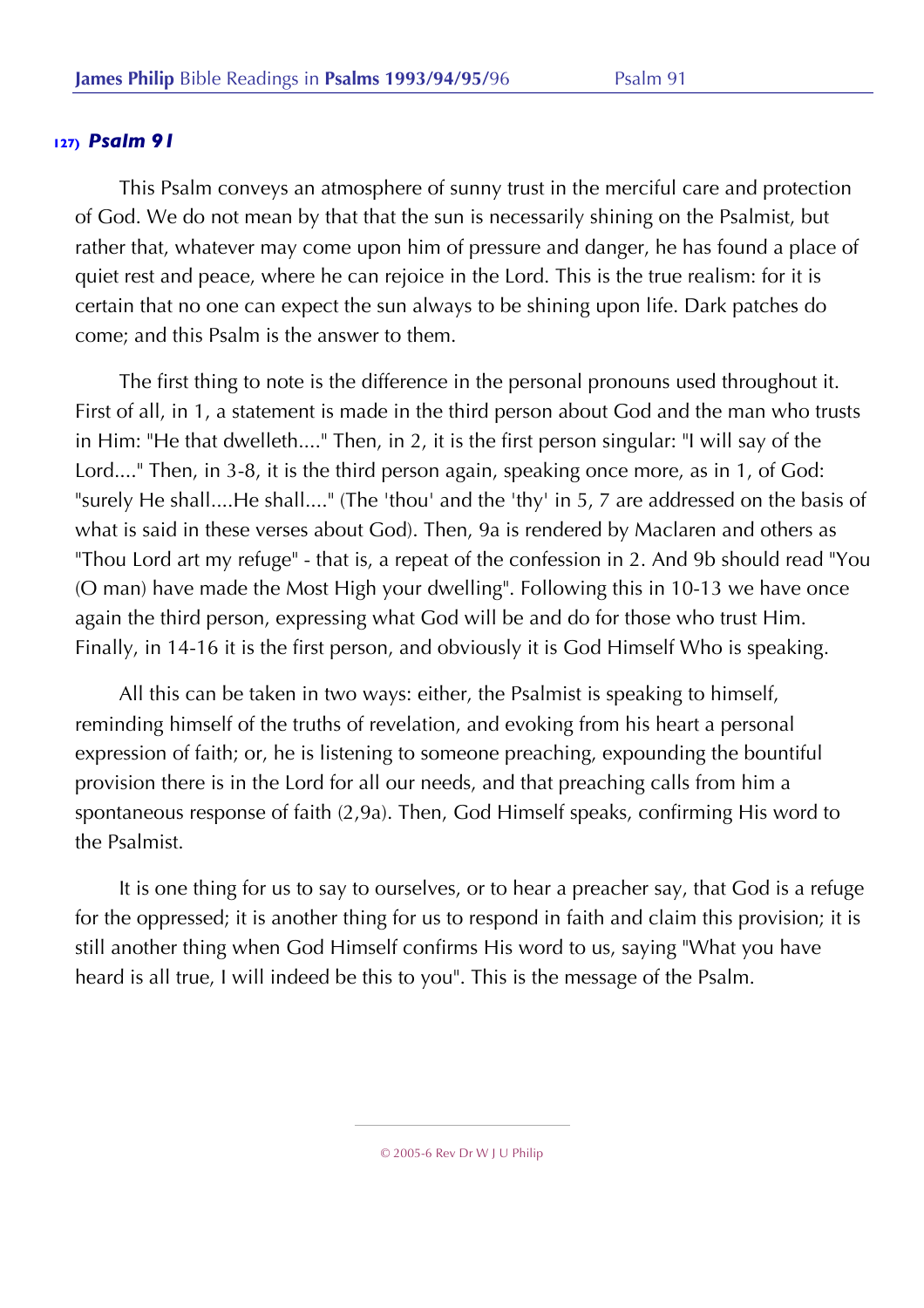This Psalm conveys an atmosphere of sunny trust in the merciful care and protection of God. We do not mean by that that the sun is necessarily shining on the Psalmist, but rather that, whatever may come upon him of pressure and danger, he has found a place of quiet rest and peace, where he can rejoice in the Lord. This is the true realism: for it is certain that no one can expect the sun always to be shining upon life. Dark patches do come; and this Psalm is the answer to them.

The first thing to note is the difference in the personal pronouns used throughout it. First of all, in 1, a statement is made in the third person about God and the man who trusts in Him: "He that dwelleth...." Then, in 2, it is the first person singular: "I will say of the Lord...." Then, in 3-8, it is the third person again, speaking once more, as in 1, of God: "surely He shall....He shall...." (The 'thou' and the 'thy' in 5, 7 are addressed on the basis of what is said in these verses about God). Then, 9a is rendered by Maclaren and others as "Thou Lord art my refuge" - that is, a repeat of the confession in 2. And 9b should read "You (O man) have made the Most High your dwelling". Following this in 10-13 we have once again the third person, expressing what God will be and do for those who trust Him. Finally, in 14-16 it is the first person, and obviously it is God Himself Who is speaking.

All this can be taken in two ways: either, the Psalmist is speaking to himself, reminding himself of the truths of revelation, and evoking from his heart a personal expression of faith; or, he is listening to someone preaching, expounding the bountiful provision there is in the Lord for all our needs, and that preaching calls from him a spontaneous response of faith (2,9a). Then, God Himself speaks, confirming His word to the Psalmist.

It is one thing for us to say to ourselves, or to hear a preacher say, that God is a refuge for the oppressed; it is another thing for us to respond in faith and claim this provision; it is still another thing when God Himself confirms His word to us, saying "What you have heard is all true, I will indeed be this to you". This is the message of the Psalm.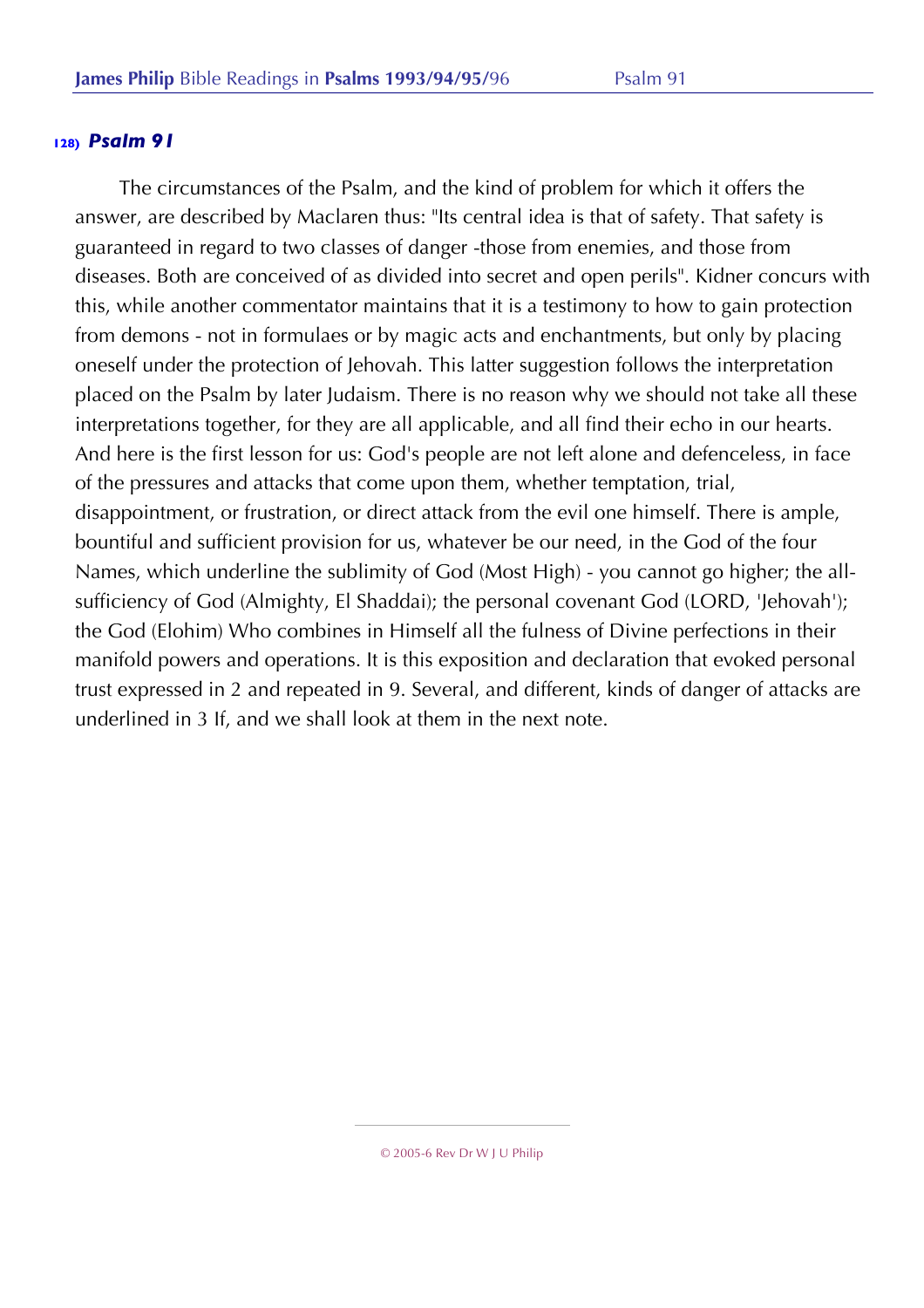The circumstances of the Psalm, and the kind of problem for which it offers the answer, are described by Maclaren thus: "Its central idea is that of safety. That safety is guaranteed in regard to two classes of danger -those from enemies, and those from diseases. Both are conceived of as divided into secret and open perils". Kidner concurs with this, while another commentator maintains that it is a testimony to how to gain protection from demons - not in formulaes or by magic acts and enchantments, but only by placing oneself under the protection of Jehovah. This latter suggestion follows the interpretation placed on the Psalm by later Judaism. There is no reason why we should not take all these interpretations together, for they are all applicable, and all find their echo in our hearts. And here is the first lesson for us: God's people are not left alone and defenceless, in face of the pressures and attacks that come upon them, whether temptation, trial, disappointment, or frustration, or direct attack from the evil one himself. There is ample, bountiful and sufficient provision for us, whatever be our need, in the God of the four Names, which underline the sublimity of God (Most High) - you cannot go higher; the allsufficiency of God (Almighty, El Shaddai); the personal covenant God (LORD, 'Jehovah'); the God (Elohim) Who combines in Himself all the fulness of Divine perfections in their manifold powers and operations. It is this exposition and declaration that evoked personal trust expressed in 2 and repeated in 9. Several, and different, kinds of danger of attacks are underlined in 3 If, and we shall look at them in the next note.

<sup>© 2005-6</sup> Rev Dr W J U Philip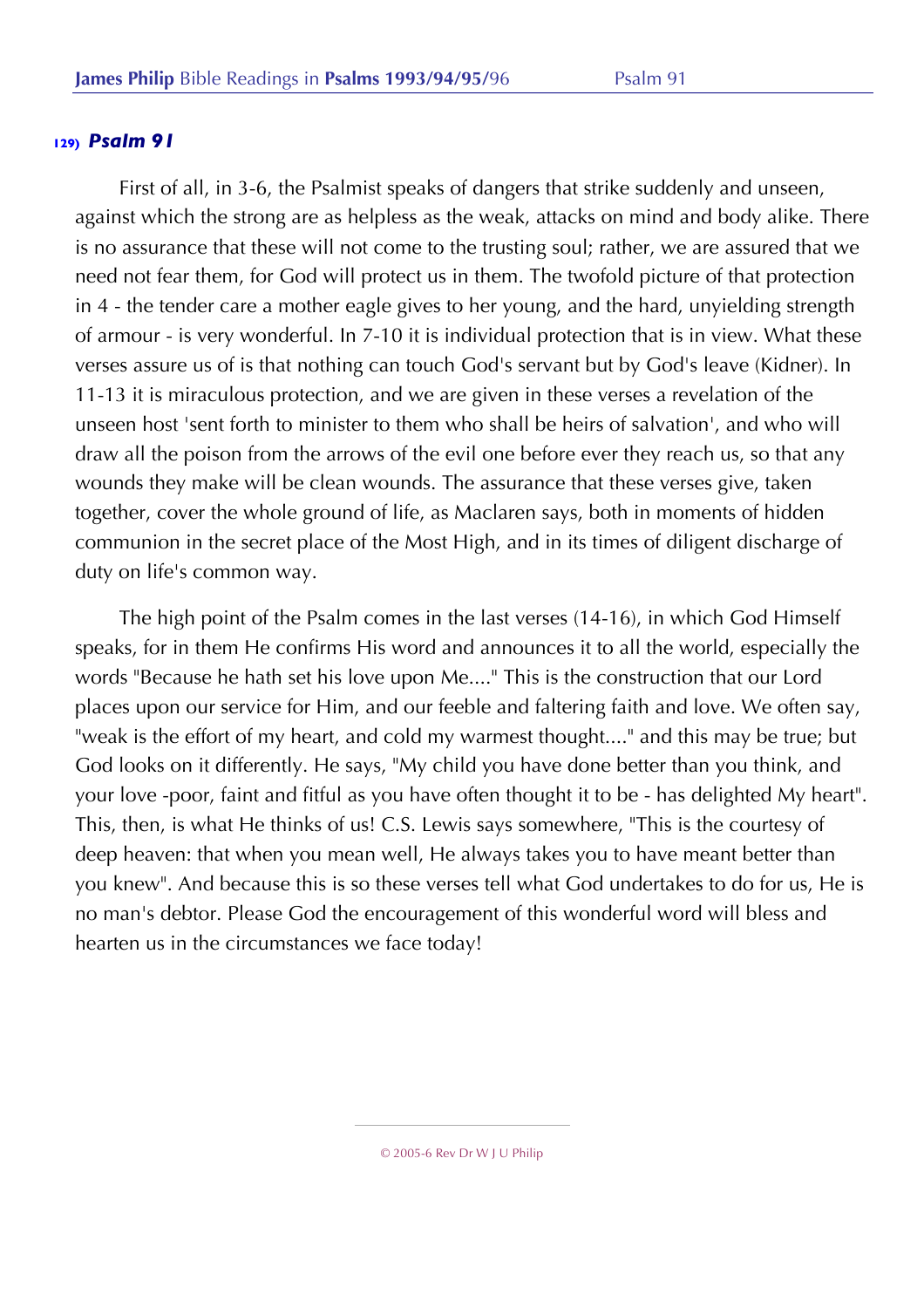First of all, in 3-6, the Psalmist speaks of dangers that strike suddenly and unseen, against which the strong are as helpless as the weak, attacks on mind and body alike. There is no assurance that these will not come to the trusting soul; rather, we are assured that we need not fear them, for God will protect us in them. The twofold picture of that protection in 4 - the tender care a mother eagle gives to her young, and the hard, unyielding strength of armour - is very wonderful. In 7-10 it is individual protection that is in view. What these verses assure us of is that nothing can touch God's servant but by God's leave (Kidner). In 11-13 it is miraculous protection, and we are given in these verses a revelation of the unseen host 'sent forth to minister to them who shall be heirs of salvation', and who will draw all the poison from the arrows of the evil one before ever they reach us, so that any wounds they make will be clean wounds. The assurance that these verses give, taken together, cover the whole ground of life, as Maclaren says, both in moments of hidden communion in the secret place of the Most High, and in its times of diligent discharge of duty on life's common way.

The high point of the Psalm comes in the last verses (14-16), in which God Himself speaks, for in them He confirms His word and announces it to all the world, especially the words "Because he hath set his love upon Me...." This is the construction that our Lord places upon our service for Him, and our feeble and faltering faith and love. We often say, "weak is the effort of my heart, and cold my warmest thought...." and this may be true; but God looks on it differently. He says, "My child you have done better than you think, and your love -poor, faint and fitful as you have often thought it to be - has delighted My heart". This, then, is what He thinks of us! C.S. Lewis says somewhere, "This is the courtesy of deep heaven: that when you mean well, He always takes you to have meant better than you knew". And because this is so these verses tell what God undertakes to do for us, He is no man's debtor. Please God the encouragement of this wonderful word will bless and hearten us in the circumstances we face today!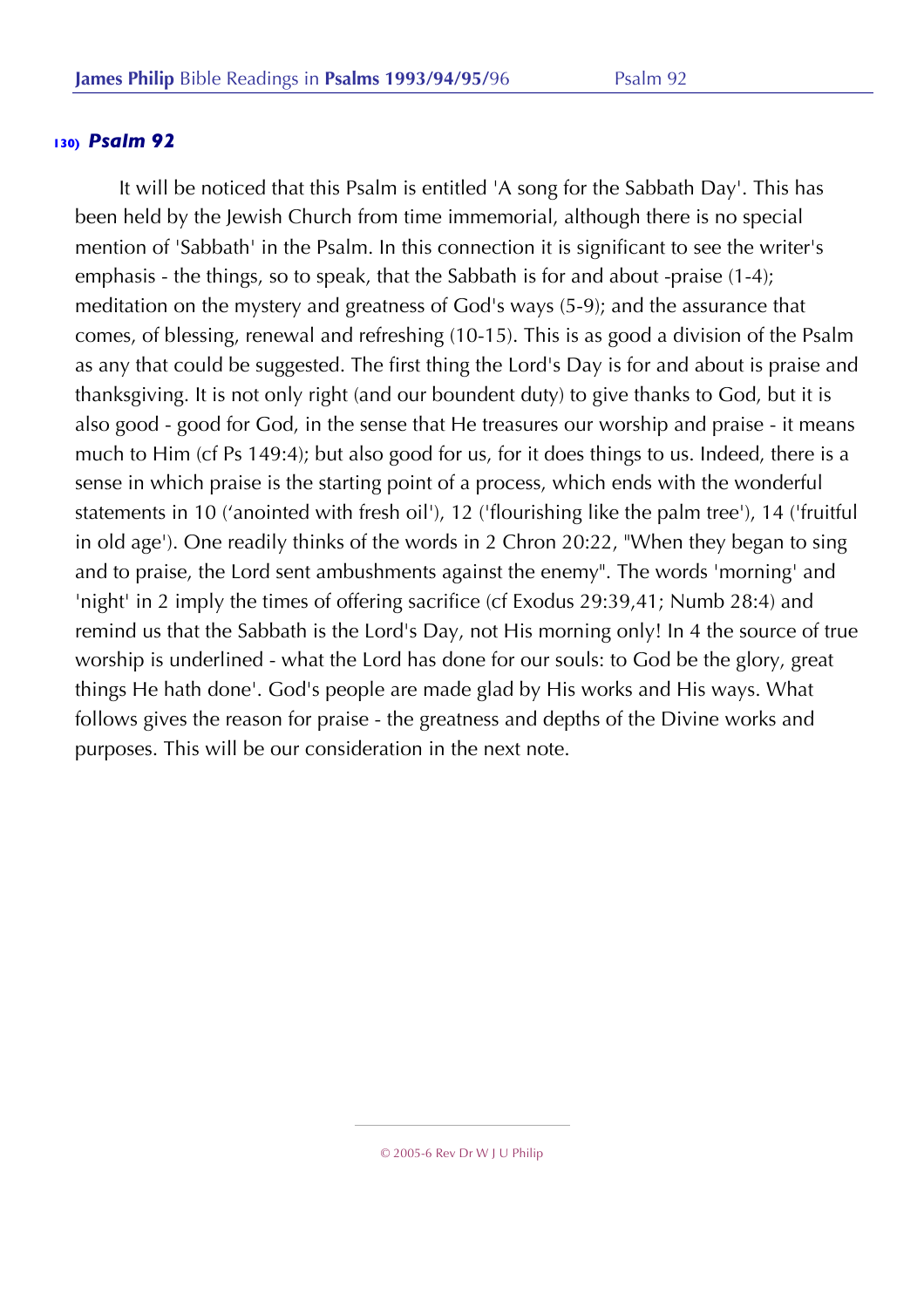It will be noticed that this Psalm is entitled 'A song for the Sabbath Day'. This has been held by the Jewish Church from time immemorial, although there is no special mention of 'Sabbath' in the Psalm. In this connection it is significant to see the writer's emphasis - the things, so to speak, that the Sabbath is for and about -praise (1-4); meditation on the mystery and greatness of God's ways (5-9); and the assurance that comes, of blessing, renewal and refreshing (10-15). This is as good a division of the Psalm as any that could be suggested. The first thing the Lord's Day is for and about is praise and thanksgiving. It is not only right (and our boundent duty) to give thanks to God, but it is also good - good for God, in the sense that He treasures our worship and praise - it means much to Him (cf Ps 149:4); but also good for us, for it does things to us. Indeed, there is a sense in which praise is the starting point of a process, which ends with the wonderful statements in 10 ('anointed with fresh oil'), 12 ('flourishing like the palm tree'), 14 ('fruitful in old age'). One readily thinks of the words in 2 Chron 20:22, "When they began to sing and to praise, the Lord sent ambushments against the enemy". The words 'morning' and 'night' in 2 imply the times of offering sacrifice (cf Exodus 29:39,41; Numb 28:4) and remind us that the Sabbath is the Lord's Day, not His morning only! In 4 the source of true worship is underlined - what the Lord has done for our souls: to God be the glory, great things He hath done'. God's people are made glad by His works and His ways. What follows gives the reason for praise - the greatness and depths of the Divine works and purposes. This will be our consideration in the next note.

<sup>© 2005-6</sup> Rev Dr W J U Philip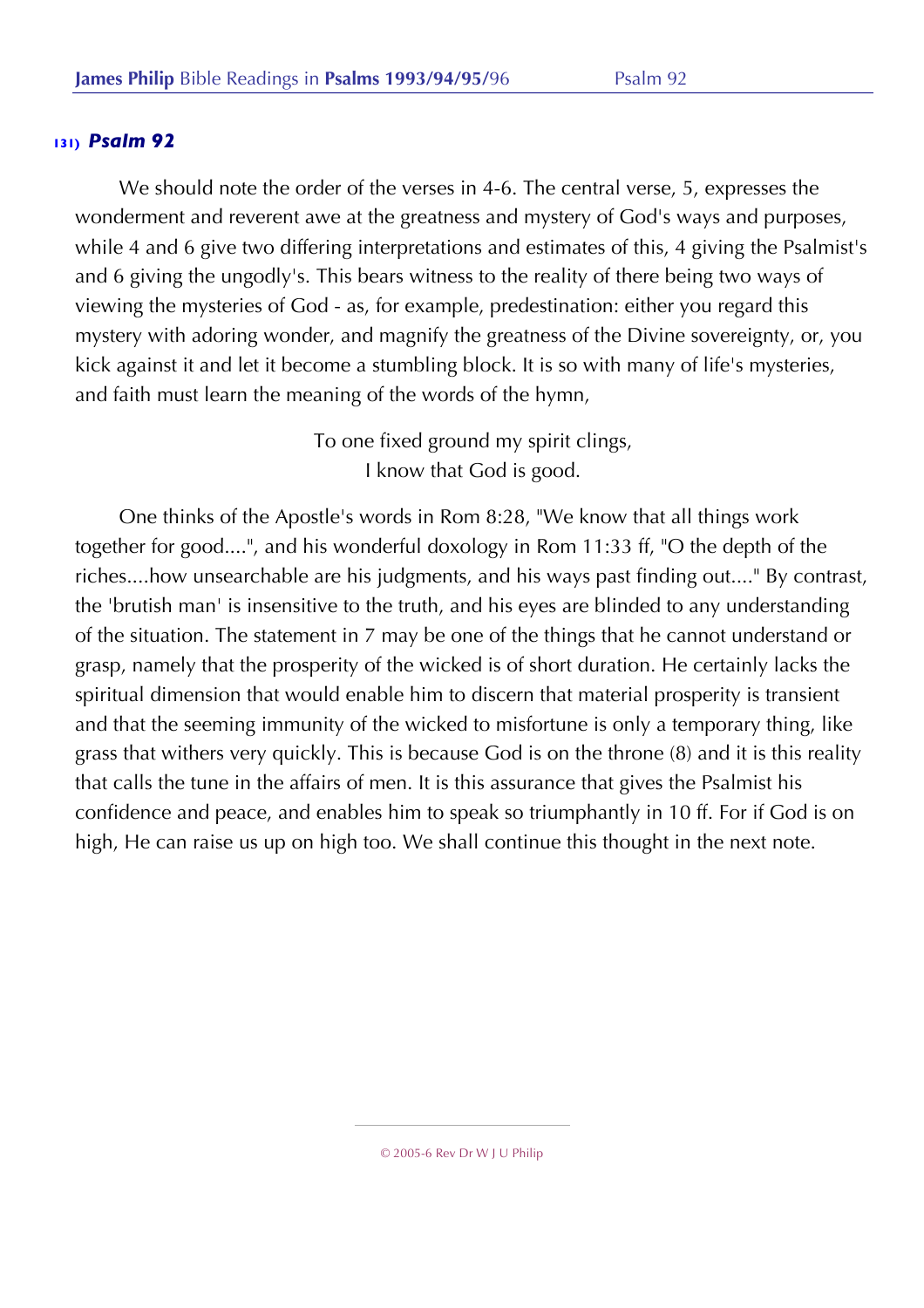We should note the order of the verses in 4-6. The central verse, 5, expresses the wonderment and reverent awe at the greatness and mystery of God's ways and purposes, while 4 and 6 give two differing interpretations and estimates of this, 4 giving the Psalmist's and 6 giving the ungodly's. This bears witness to the reality of there being two ways of viewing the mysteries of God - as, for example, predestination: either you regard this mystery with adoring wonder, and magnify the greatness of the Divine sovereignty, or, you kick against it and let it become a stumbling block. It is so with many of life's mysteries, and faith must learn the meaning of the words of the hymn,

> To one fixed ground my spirit clings, I know that God is good.

One thinks of the Apostle's words in Rom 8:28, "We know that all things work together for good....", and his wonderful doxology in Rom 11:33 ff, "O the depth of the riches....how unsearchable are his judgments, and his ways past finding out...." By contrast, the 'brutish man' is insensitive to the truth, and his eyes are blinded to any understanding of the situation. The statement in 7 may be one of the things that he cannot understand or grasp, namely that the prosperity of the wicked is of short duration. He certainly lacks the spiritual dimension that would enable him to discern that material prosperity is transient and that the seeming immunity of the wicked to misfortune is only a temporary thing, like grass that withers very quickly. This is because God is on the throne (8) and it is this reality that calls the tune in the affairs of men. It is this assurance that gives the Psalmist his confidence and peace, and enables him to speak so triumphantly in 10 ff. For if God is on high, He can raise us up on high too. We shall continue this thought in the next note.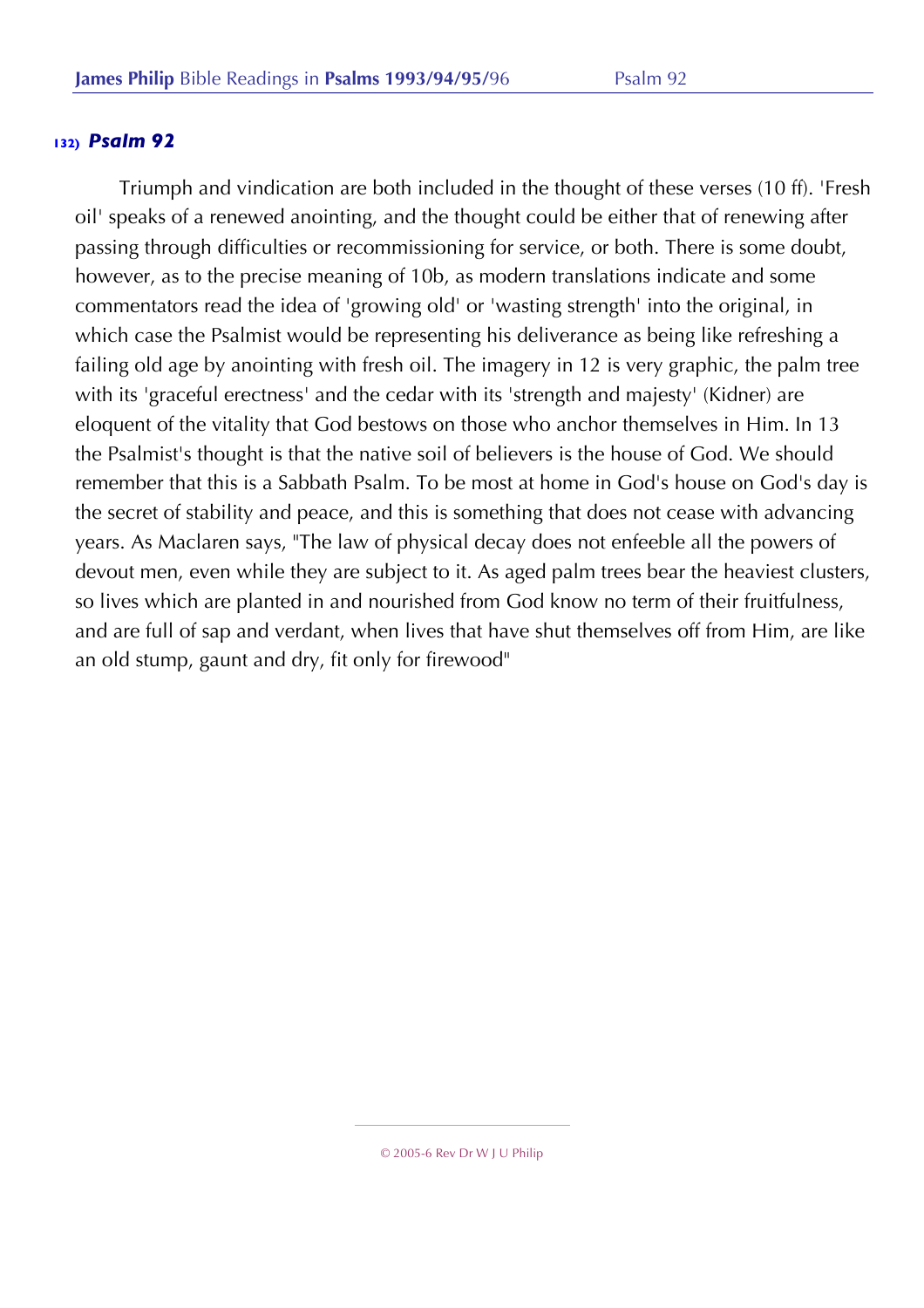Triumph and vindication are both included in the thought of these verses (10 ff). 'Fresh oil' speaks of a renewed anointing, and the thought could be either that of renewing after passing through difficulties or recommissioning for service, or both. There is some doubt, however, as to the precise meaning of 10b, as modern translations indicate and some commentators read the idea of 'growing old' or 'wasting strength' into the original, in which case the Psalmist would be representing his deliverance as being like refreshing a failing old age by anointing with fresh oil. The imagery in 12 is very graphic, the palm tree with its 'graceful erectness' and the cedar with its 'strength and majesty' (Kidner) are eloquent of the vitality that God bestows on those who anchor themselves in Him. In 13 the Psalmist's thought is that the native soil of believers is the house of God. We should remember that this is a Sabbath Psalm. To be most at home in God's house on God's day is the secret of stability and peace, and this is something that does not cease with advancing years. As Maclaren says, "The law of physical decay does not enfeeble all the powers of devout men, even while they are subject to it. As aged palm trees bear the heaviest clusters, so lives which are planted in and nourished from God know no term of their fruitfulness, and are full of sap and verdant, when lives that have shut themselves off from Him, are like an old stump, gaunt and dry, fit only for firewood"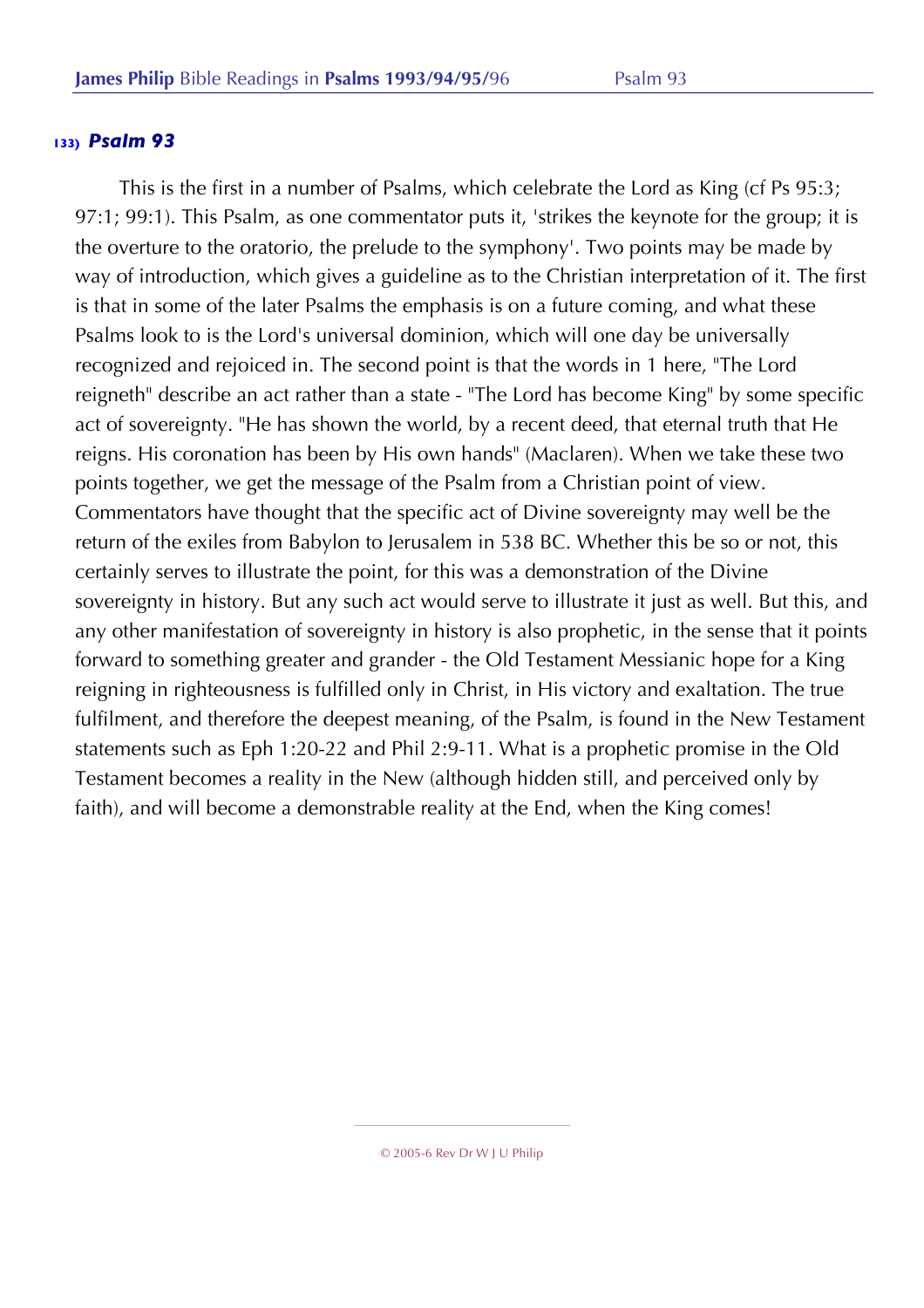This is the first in a number of Psalms, which celebrate the Lord as King (cf Ps 95:3; 97:1; 99:1). This Psalm, as one commentator puts it, 'strikes the keynote for the group; it is the overture to the oratorio, the prelude to the symphony'. Two points may be made by way of introduction, which gives a guideline as to the Christian interpretation of it. The first is that in some of the later Psalms the emphasis is on a future coming, and what these Psalms look to is the Lord's universal dominion, which will one day be universally recognized and rejoiced in. The second point is that the words in 1 here, "The Lord reigneth" describe an act rather than a state - "The Lord has become King" by some specific act of sovereignty. "He has shown the world, by a recent deed, that eternal truth that He reigns. His coronation has been by His own hands" (Maclaren). When we take these two points together, we get the message of the Psalm from a Christian point of view. Commentators have thought that the specific act of Divine sovereignty may well be the return of the exiles from Babylon to Jerusalem in 538 BC. Whether this be so or not, this certainly serves to illustrate the point, for this was a demonstration of the Divine sovereignty in history. But any such act would serve to illustrate it just as well. But this, and any other manifestation of sovereignty in history is also prophetic, in the sense that it points forward to something greater and grander - the Old Testament Messianic hope for a King reigning in righteousness is fulfilled only in Christ, in His victory and exaltation. The true fulfilment, and therefore the deepest meaning, of the Psalm, is found in the New Testament statements such as Eph 1:20-22 and Phil 2:9-11. What is a prophetic promise in the Old Testament becomes a reality in the New (although hidden still, and perceived only by faith), and will become a demonstrable reality at the End, when the King comes!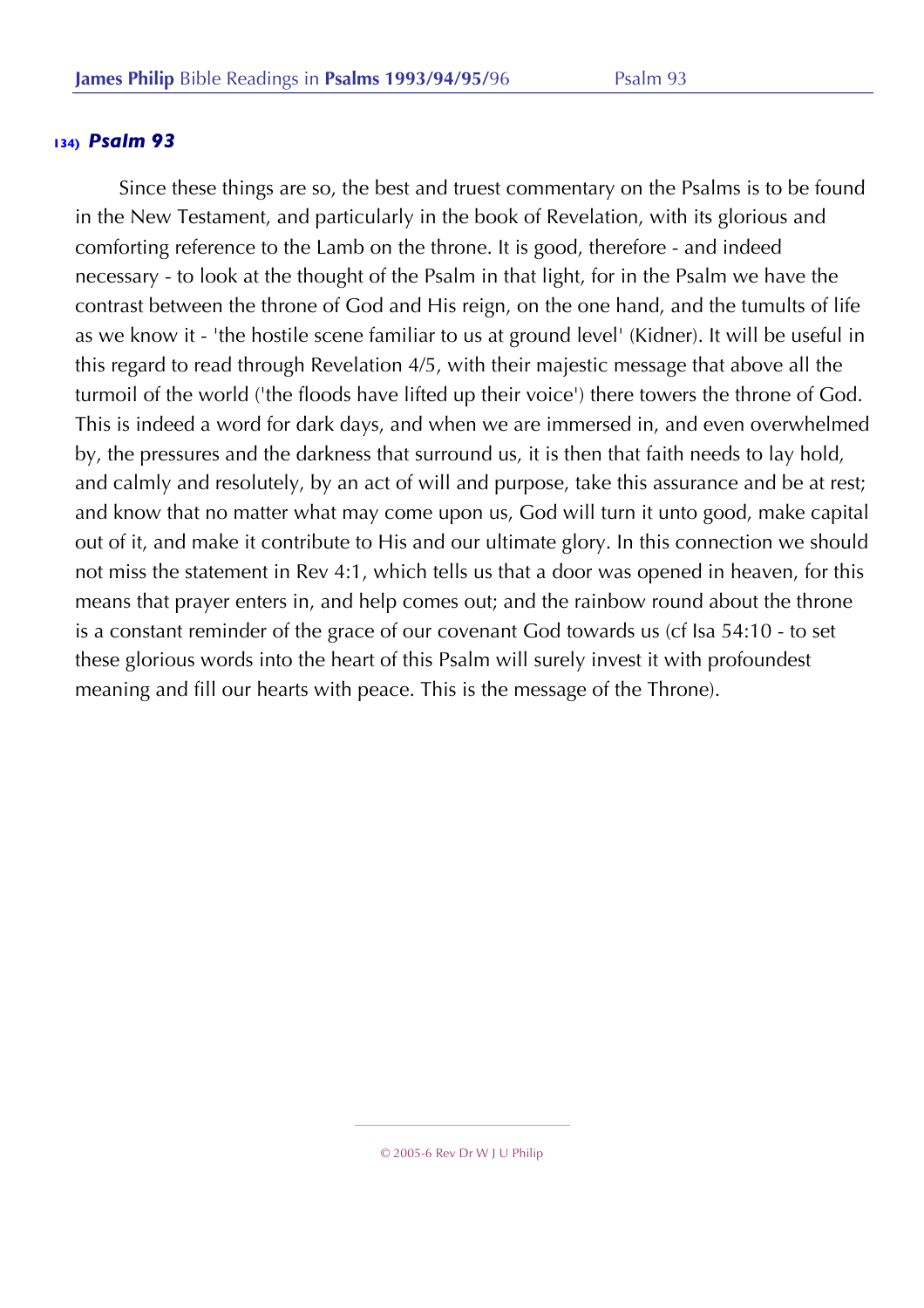Since these things are so, the best and truest commentary on the Psalms is to be found in the New Testament, and particularly in the book of Revelation, with its glorious and comforting reference to the Lamb on the throne. It is good, therefore - and indeed necessary - to look at the thought of the Psalm in that light, for in the Psalm we have the contrast between the throne of God and His reign, on the one hand, and the tumults of life as we know it - 'the hostile scene familiar to us at ground level' (Kidner). It will be useful in this regard to read through Revelation 4/5, with their majestic message that above all the turmoil of the world ('the floods have lifted up their voice') there towers the throne of God. This is indeed a word for dark days, and when we are immersed in, and even overwhelmed by, the pressures and the darkness that surround us, it is then that faith needs to lay hold, and calmly and resolutely, by an act of will and purpose, take this assurance and be at rest; and know that no matter what may come upon us, God will turn it unto good, make capital out of it, and make it contribute to His and our ultimate glory. In this connection we should not miss the statement in Rev 4:1, which tells us that a door was opened in heaven, for this means that prayer enters in, and help comes out; and the rainbow round about the throne is a constant reminder of the grace of our covenant God towards us (cf Isa 54:10 - to set these glorious words into the heart of this Psalm will surely invest it with profoundest meaning and fill our hearts with peace. This is the message of the Throne).

<sup>© 2005-6</sup> Rev Dr W J U Philip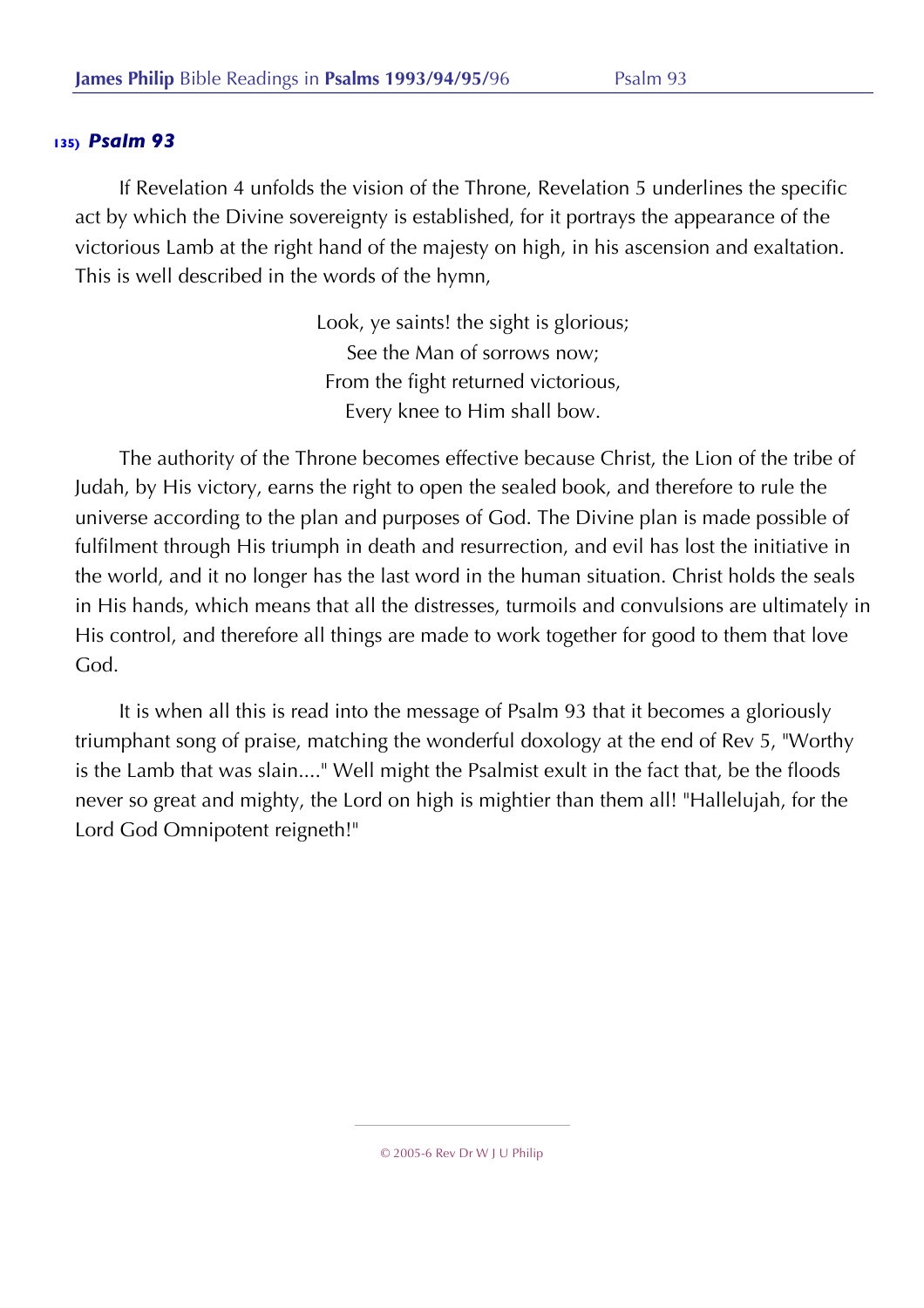If Revelation 4 unfolds the vision of the Throne, Revelation 5 underlines the specific act by which the Divine sovereignty is established, for it portrays the appearance of the victorious Lamb at the right hand of the majesty on high, in his ascension and exaltation. This is well described in the words of the hymn,

> Look, ye saints! the sight is glorious; See the Man of sorrows now; From the fight returned victorious, Every knee to Him shall bow.

The authority of the Throne becomes effective because Christ, the Lion of the tribe of Judah, by His victory, earns the right to open the sealed book, and therefore to rule the universe according to the plan and purposes of God. The Divine plan is made possible of fulfilment through His triumph in death and resurrection, and evil has lost the initiative in the world, and it no longer has the last word in the human situation. Christ holds the seals in His hands, which means that all the distresses, turmoils and convulsions are ultimately in His control, and therefore all things are made to work together for good to them that love God.

It is when all this is read into the message of Psalm 93 that it becomes a gloriously triumphant song of praise, matching the wonderful doxology at the end of Rev 5, "Worthy is the Lamb that was slain...." Well might the Psalmist exult in the fact that, be the floods never so great and mighty, the Lord on high is mightier than them all! "Hallelujah, for the Lord God Omnipotent reigneth!"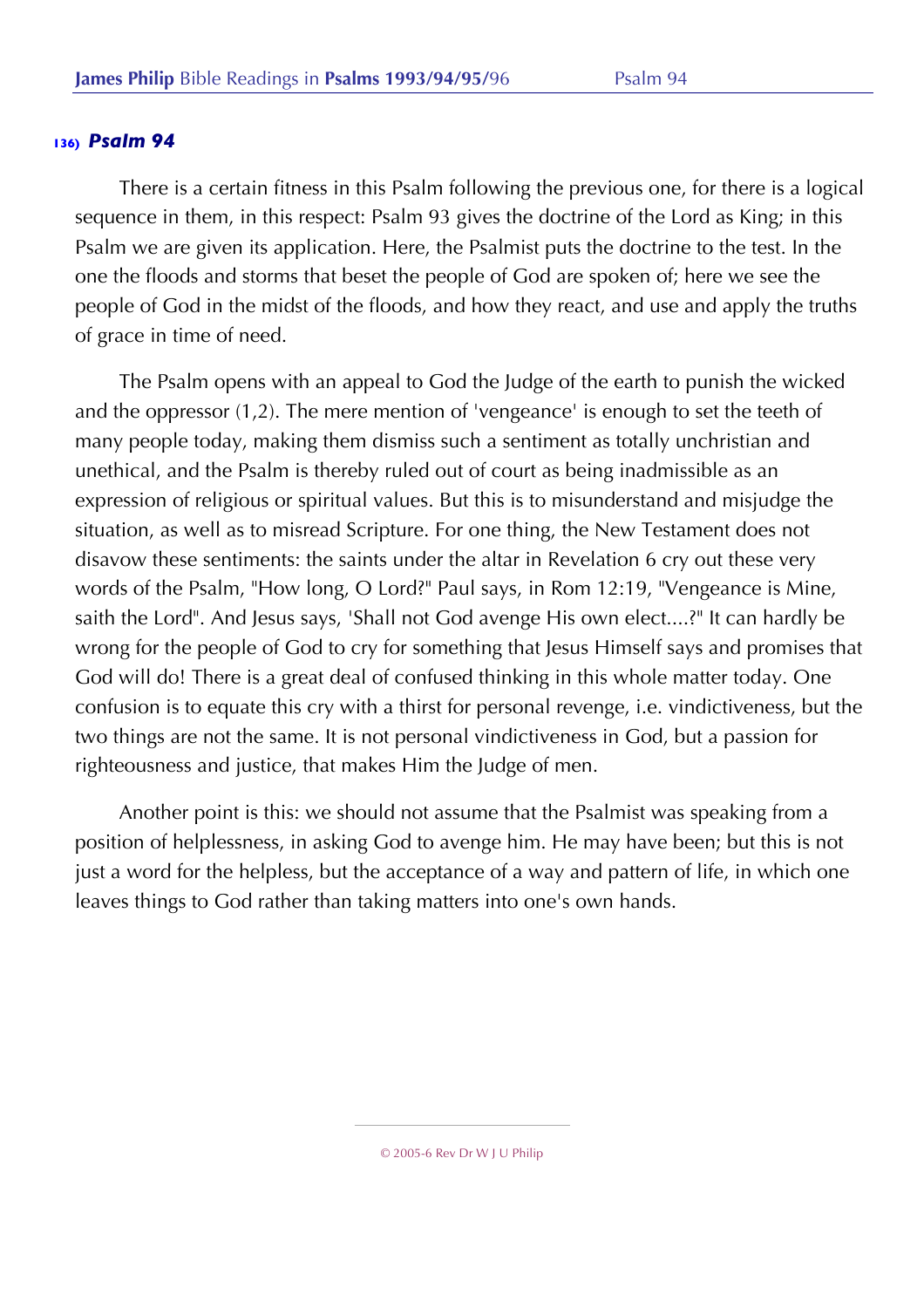There is a certain fitness in this Psalm following the previous one, for there is a logical sequence in them, in this respect: Psalm 93 gives the doctrine of the Lord as King; in this Psalm we are given its application. Here, the Psalmist puts the doctrine to the test. In the one the floods and storms that beset the people of God are spoken of; here we see the people of God in the midst of the floods, and how they react, and use and apply the truths of grace in time of need.

The Psalm opens with an appeal to God the Judge of the earth to punish the wicked and the oppressor (1,2). The mere mention of 'vengeance' is enough to set the teeth of many people today, making them dismiss such a sentiment as totally unchristian and unethical, and the Psalm is thereby ruled out of court as being inadmissible as an expression of religious or spiritual values. But this is to misunderstand and misjudge the situation, as well as to misread Scripture. For one thing, the New Testament does not disavow these sentiments: the saints under the altar in Revelation 6 cry out these very words of the Psalm, "How long, O Lord?" Paul says, in Rom 12:19, "Vengeance is Mine, saith the Lord". And Jesus says, 'Shall not God avenge His own elect....?" It can hardly be wrong for the people of God to cry for something that Jesus Himself says and promises that God will do! There is a great deal of confused thinking in this whole matter today. One confusion is to equate this cry with a thirst for personal revenge, i.e. vindictiveness, but the two things are not the same. It is not personal vindictiveness in God, but a passion for righteousness and justice, that makes Him the Judge of men.

Another point is this: we should not assume that the Psalmist was speaking from a position of helplessness, in asking God to avenge him. He may have been; but this is not just a word for the helpless, but the acceptance of a way and pattern of life, in which one leaves things to God rather than taking matters into one's own hands.

<sup>© 2005-6</sup> Rev Dr W J U Philip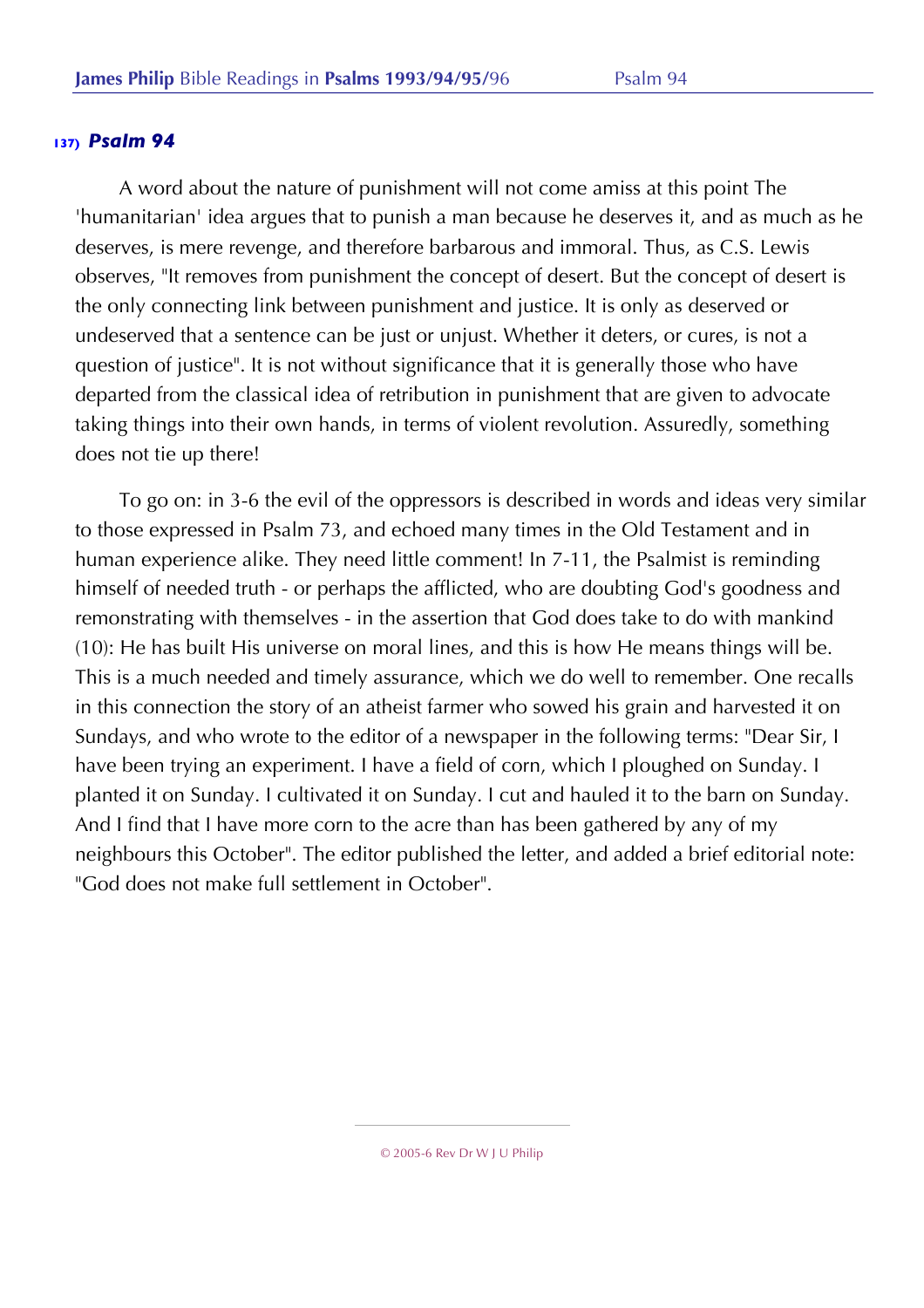A word about the nature of punishment will not come amiss at this point The 'humanitarian' idea argues that to punish a man because he deserves it, and as much as he deserves, is mere revenge, and therefore barbarous and immoral. Thus, as C.S. Lewis observes, "It removes from punishment the concept of desert. But the concept of desert is the only connecting link between punishment and justice. It is only as deserved or undeserved that a sentence can be just or unjust. Whether it deters, or cures, is not a question of justice". It is not without significance that it is generally those who have departed from the classical idea of retribution in punishment that are given to advocate taking things into their own hands, in terms of violent revolution. Assuredly, something does not tie up there!

To go on: in 3-6 the evil of the oppressors is described in words and ideas very similar to those expressed in Psalm 73, and echoed many times in the Old Testament and in human experience alike. They need little comment! In 7-11, the Psalmist is reminding himself of needed truth - or perhaps the afflicted, who are doubting God's goodness and remonstrating with themselves - in the assertion that God does take to do with mankind (10): He has built His universe on moral lines, and this is how He means things will be. This is a much needed and timely assurance, which we do well to remember. One recalls in this connection the story of an atheist farmer who sowed his grain and harvested it on Sundays, and who wrote to the editor of a newspaper in the following terms: "Dear Sir, I have been trying an experiment. I have a field of corn, which I ploughed on Sunday. I planted it on Sunday. I cultivated it on Sunday. I cut and hauled it to the barn on Sunday. And I find that I have more corn to the acre than has been gathered by any of my neighbours this October". The editor published the letter, and added a brief editorial note: "God does not make full settlement in October".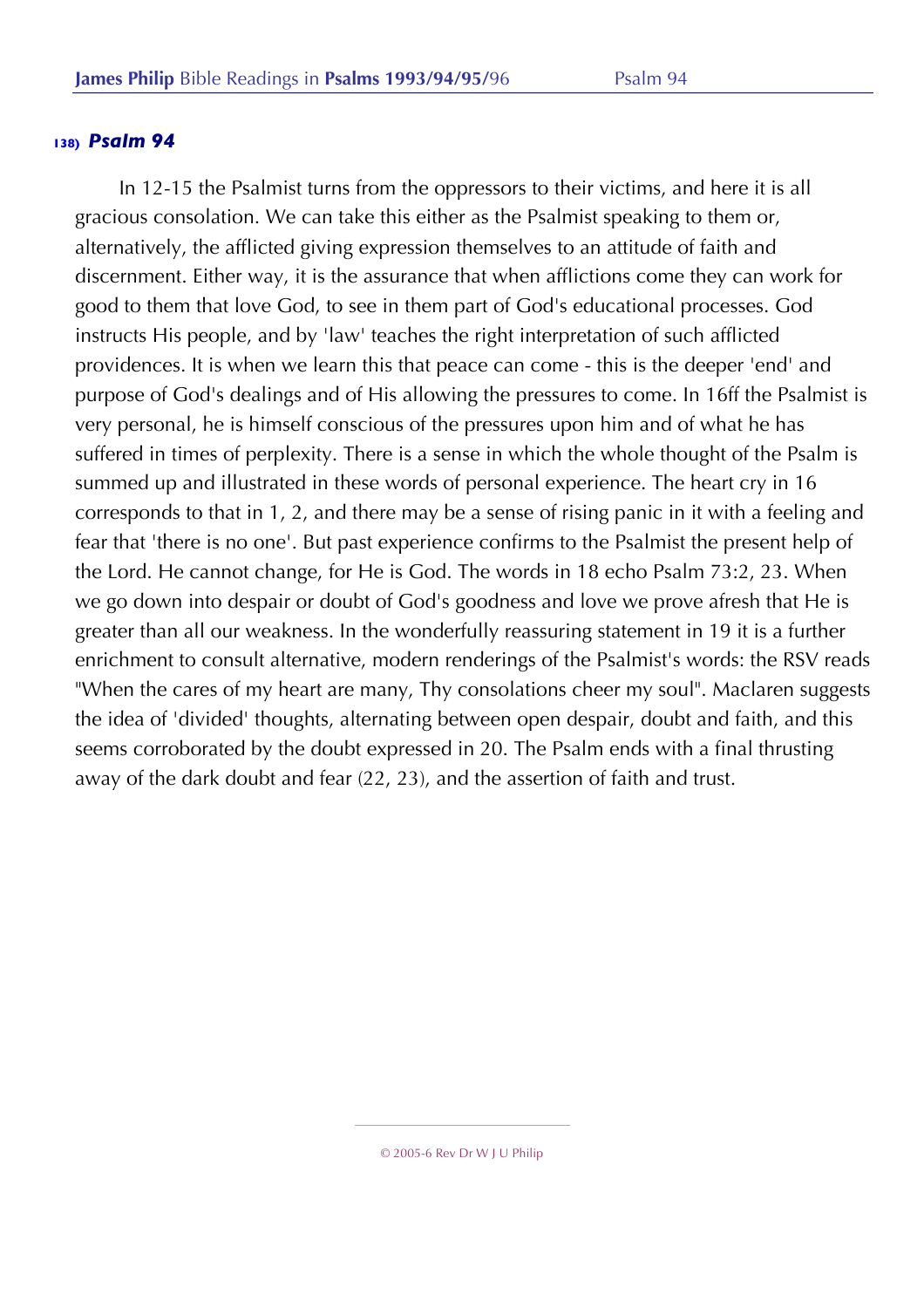In 12-15 the Psalmist turns from the oppressors to their victims, and here it is all gracious consolation. We can take this either as the Psalmist speaking to them or, alternatively, the afflicted giving expression themselves to an attitude of faith and discernment. Either way, it is the assurance that when afflictions come they can work for good to them that love God, to see in them part of God's educational processes. God instructs His people, and by 'law' teaches the right interpretation of such afflicted providences. It is when we learn this that peace can come - this is the deeper 'end' and purpose of God's dealings and of His allowing the pressures to come. In 16ff the Psalmist is very personal, he is himself conscious of the pressures upon him and of what he has suffered in times of perplexity. There is a sense in which the whole thought of the Psalm is summed up and illustrated in these words of personal experience. The heart cry in 16 corresponds to that in 1, 2, and there may be a sense of rising panic in it with a feeling and fear that 'there is no one'. But past experience confirms to the Psalmist the present help of the Lord. He cannot change, for He is God. The words in 18 echo Psalm 73:2, 23. When we go down into despair or doubt of God's goodness and love we prove afresh that He is greater than all our weakness. In the wonderfully reassuring statement in 19 it is a further enrichment to consult alternative, modern renderings of the Psalmist's words: the RSV reads "When the cares of my heart are many, Thy consolations cheer my soul". Maclaren suggests the idea of 'divided' thoughts, alternating between open despair, doubt and faith, and this seems corroborated by the doubt expressed in 20. The Psalm ends with a final thrusting away of the dark doubt and fear (22, 23), and the assertion of faith and trust.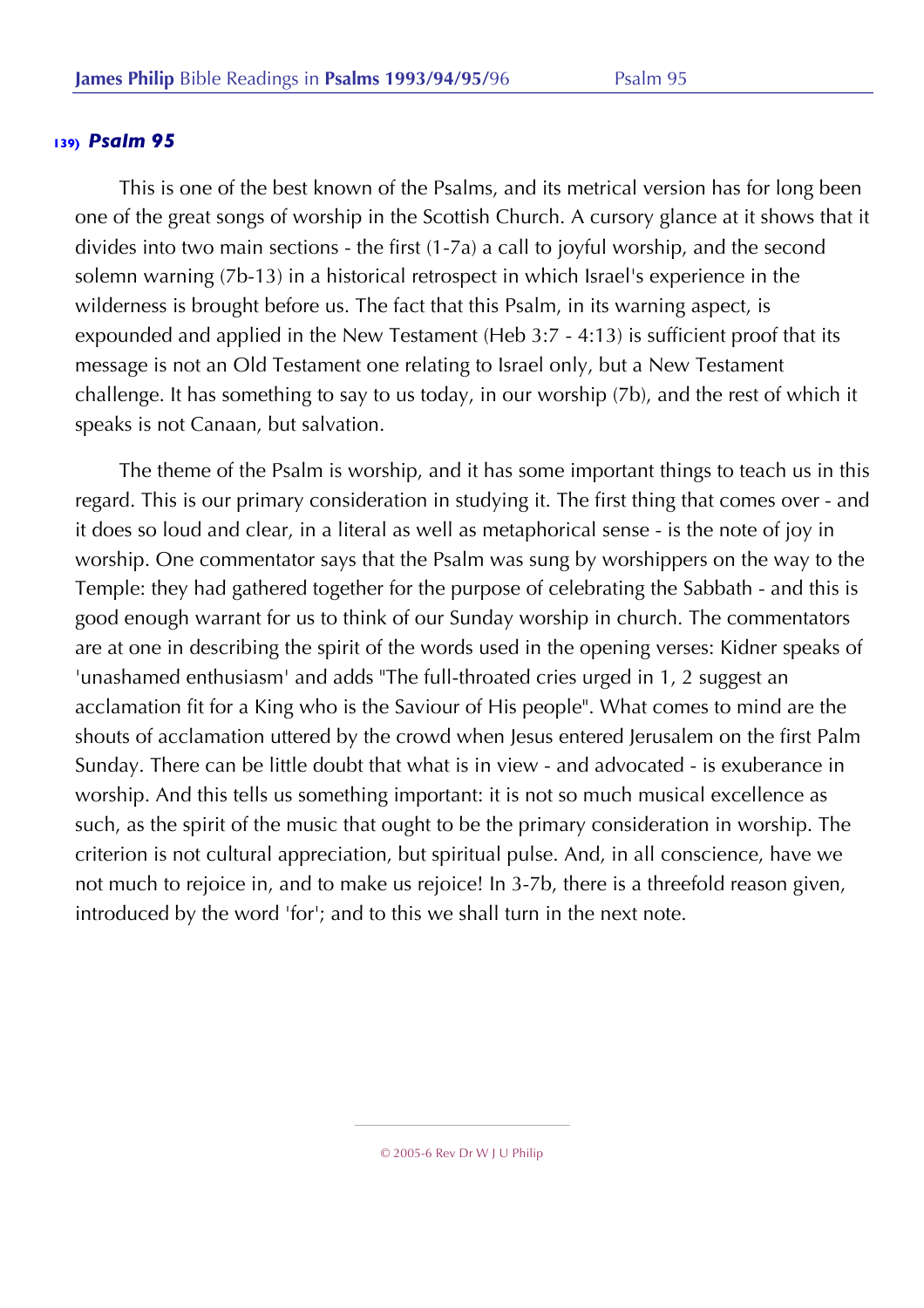This is one of the best known of the Psalms, and its metrical version has for long been one of the great songs of worship in the Scottish Church. A cursory glance at it shows that it divides into two main sections - the first (1-7a) a call to joyful worship, and the second solemn warning (7b-13) in a historical retrospect in which Israel's experience in the wilderness is brought before us. The fact that this Psalm, in its warning aspect, is expounded and applied in the New Testament (Heb 3:7 - 4:13) is sufficient proof that its message is not an Old Testament one relating to Israel only, but a New Testament challenge. It has something to say to us today, in our worship (7b), and the rest of which it speaks is not Canaan, but salvation.

The theme of the Psalm is worship, and it has some important things to teach us in this regard. This is our primary consideration in studying it. The first thing that comes over - and it does so loud and clear, in a literal as well as metaphorical sense - is the note of joy in worship. One commentator says that the Psalm was sung by worshippers on the way to the Temple: they had gathered together for the purpose of celebrating the Sabbath - and this is good enough warrant for us to think of our Sunday worship in church. The commentators are at one in describing the spirit of the words used in the opening verses: Kidner speaks of 'unashamed enthusiasm' and adds "The full-throated cries urged in 1, 2 suggest an acclamation fit for a King who is the Saviour of His people". What comes to mind are the shouts of acclamation uttered by the crowd when Jesus entered Jerusalem on the first Palm Sunday. There can be little doubt that what is in view - and advocated - is exuberance in worship. And this tells us something important: it is not so much musical excellence as such, as the spirit of the music that ought to be the primary consideration in worship. The criterion is not cultural appreciation, but spiritual pulse. And, in all conscience, have we not much to rejoice in, and to make us rejoice! In 3-7b, there is a threefold reason given, introduced by the word 'for'; and to this we shall turn in the next note.

<sup>© 2005-6</sup> Rev Dr W J U Philip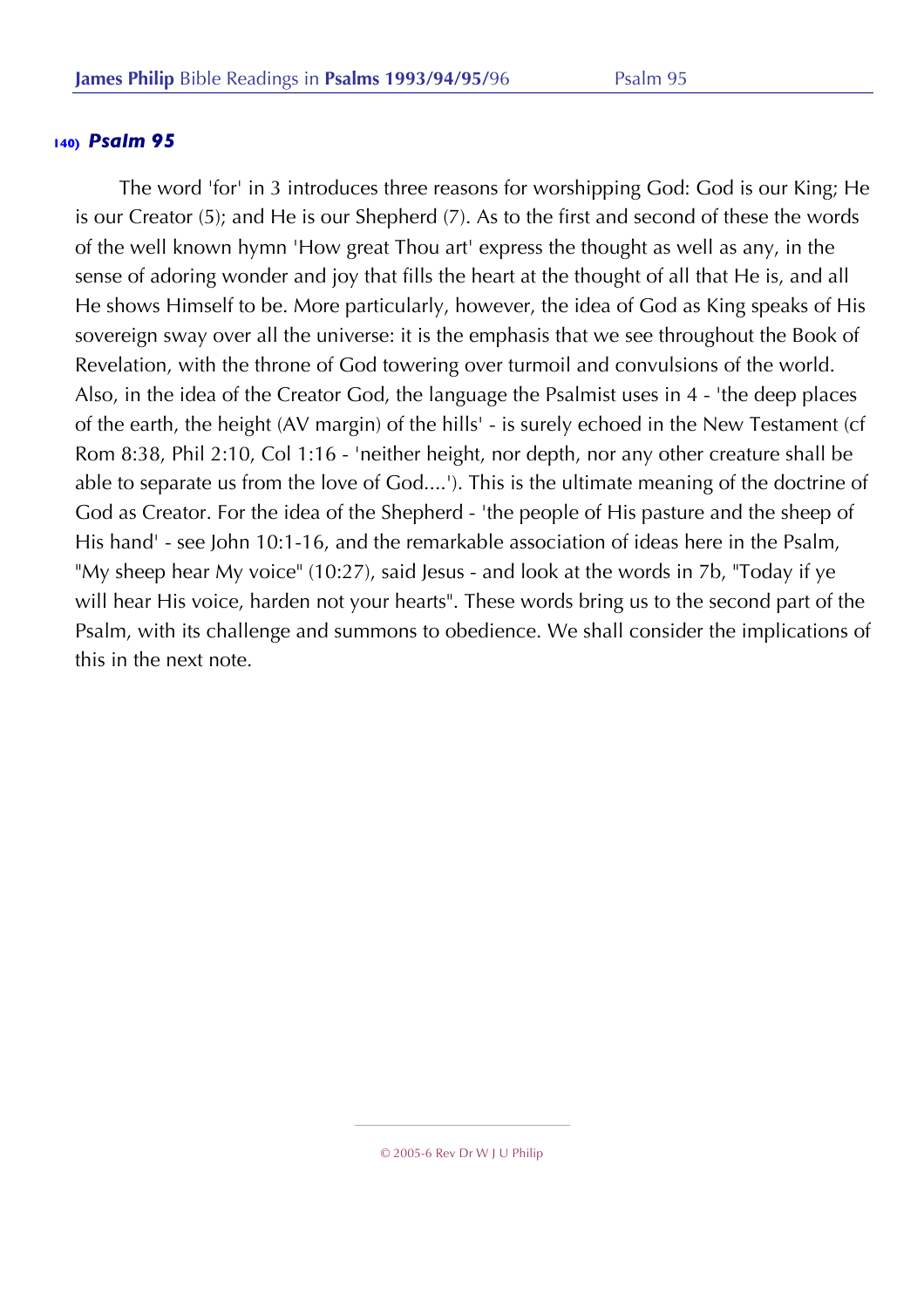The word 'for' in 3 introduces three reasons for worshipping God: God is our King; He is our Creator (5); and He is our Shepherd (7). As to the first and second of these the words of the well known hymn 'How great Thou art' express the thought as well as any, in the sense of adoring wonder and joy that fills the heart at the thought of all that He is, and all He shows Himself to be. More particularly, however, the idea of God as King speaks of His sovereign sway over all the universe: it is the emphasis that we see throughout the Book of Revelation, with the throne of God towering over turmoil and convulsions of the world. Also, in the idea of the Creator God, the language the Psalmist uses in 4 - 'the deep places of the earth, the height (AV margin) of the hills' - is surely echoed in the New Testament (cf Rom 8:38, Phil 2:10, Col 1:16 - 'neither height, nor depth, nor any other creature shall be able to separate us from the love of God....'). This is the ultimate meaning of the doctrine of God as Creator. For the idea of the Shepherd - 'the people of His pasture and the sheep of His hand' - see John 10:1-16, and the remarkable association of ideas here in the Psalm, "My sheep hear My voice" (10:27), said Jesus - and look at the words in 7b, "Today if ye will hear His voice, harden not your hearts". These words bring us to the second part of the Psalm, with its challenge and summons to obedience. We shall consider the implications of this in the next note.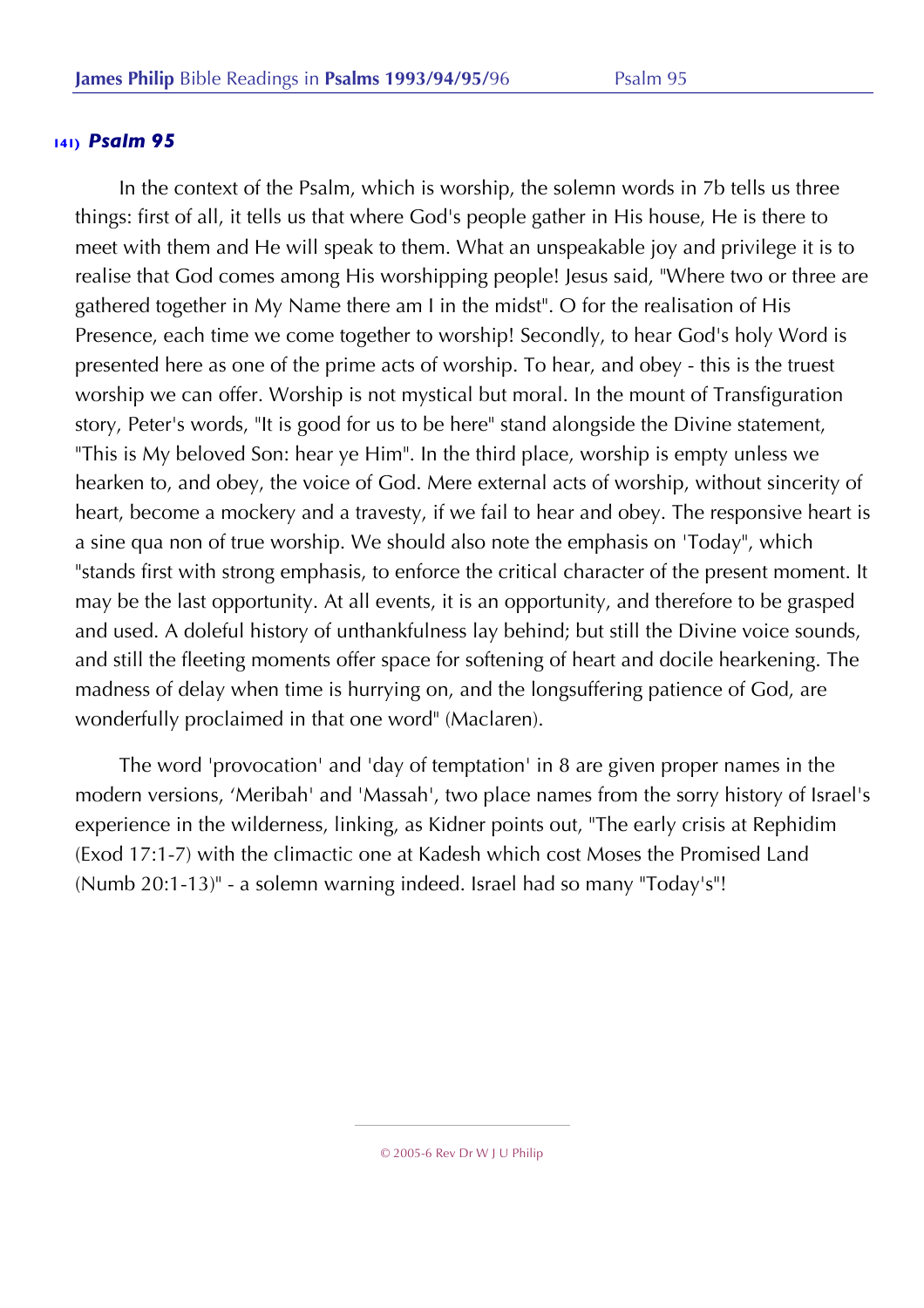In the context of the Psalm, which is worship, the solemn words in 7b tells us three things: first of all, it tells us that where God's people gather in His house, He is there to meet with them and He will speak to them. What an unspeakable joy and privilege it is to realise that God comes among His worshipping people! Jesus said, "Where two or three are gathered together in My Name there am I in the midst". O for the realisation of His Presence, each time we come together to worship! Secondly, to hear God's holy Word is presented here as one of the prime acts of worship. To hear, and obey - this is the truest worship we can offer. Worship is not mystical but moral. In the mount of Transfiguration story, Peter's words, "It is good for us to be here" stand alongside the Divine statement, "This is My beloved Son: hear ye Him". In the third place, worship is empty unless we hearken to, and obey, the voice of God. Mere external acts of worship, without sincerity of heart, become a mockery and a travesty, if we fail to hear and obey. The responsive heart is a sine qua non of true worship. We should also note the emphasis on 'Today", which "stands first with strong emphasis, to enforce the critical character of the present moment. It may be the last opportunity. At all events, it is an opportunity, and therefore to be grasped and used. A doleful history of unthankfulness lay behind; but still the Divine voice sounds, and still the fleeting moments offer space for softening of heart and docile hearkening. The madness of delay when time is hurrying on, and the longsuffering patience of God, are wonderfully proclaimed in that one word" (Maclaren).

The word 'provocation' and 'day of temptation' in 8 are given proper names in the modern versions, 'Meribah' and 'Massah', two place names from the sorry history of Israel's experience in the wilderness, linking, as Kidner points out, "The early crisis at Rephidim (Exod 17:1-7) with the climactic one at Kadesh which cost Moses the Promised Land (Numb 20:1-13)" - a solemn warning indeed. Israel had so many "Today's"!

<sup>© 2005-6</sup> Rev Dr W J U Philip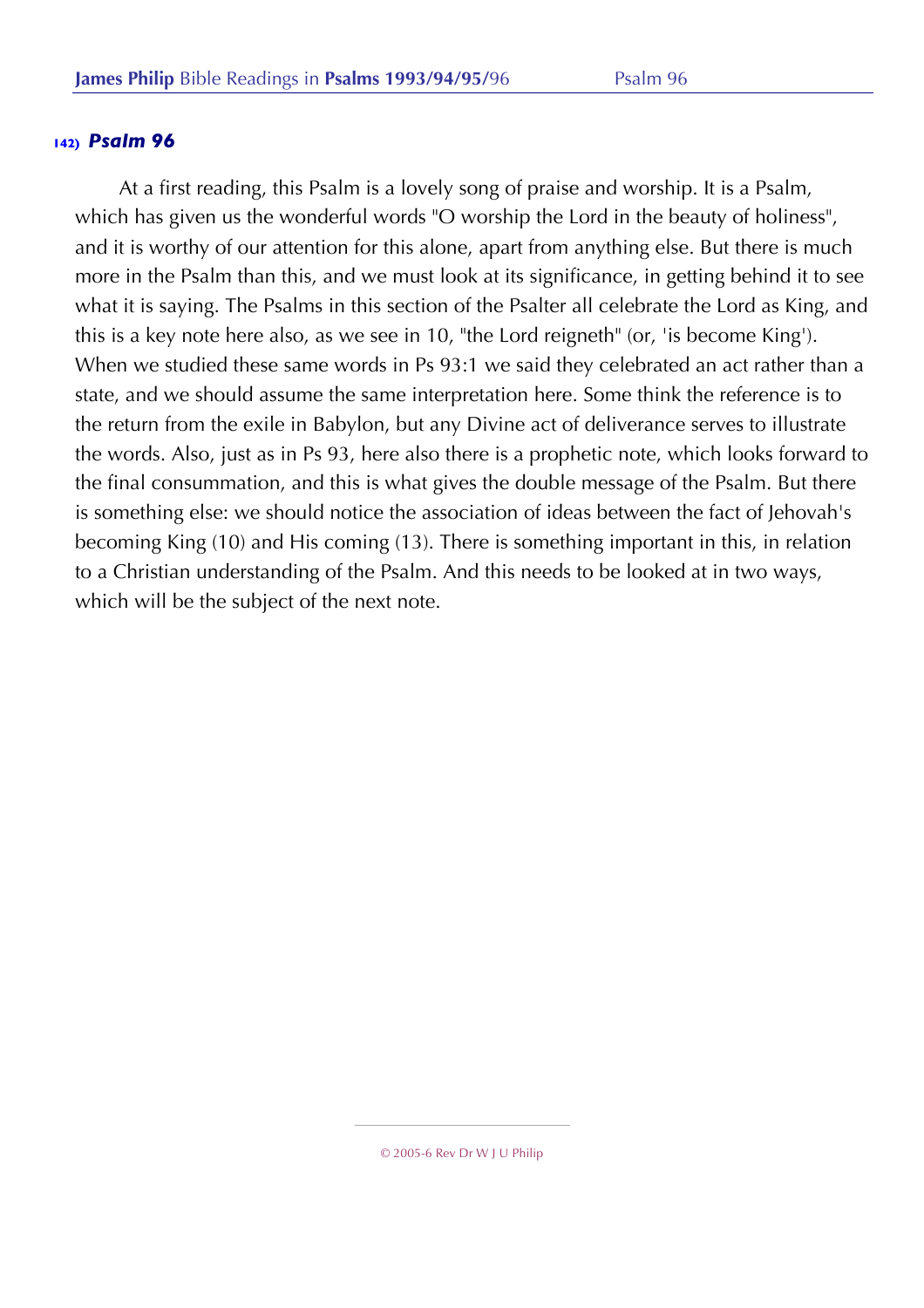At a first reading, this Psalm is a lovely song of praise and worship. It is a Psalm, which has given us the wonderful words "O worship the Lord in the beauty of holiness", and it is worthy of our attention for this alone, apart from anything else. But there is much more in the Psalm than this, and we must look at its significance, in getting behind it to see what it is saying. The Psalms in this section of the Psalter all celebrate the Lord as King, and this is a key note here also, as we see in 10, "the Lord reigneth" (or, 'is become King'). When we studied these same words in Ps 93:1 we said they celebrated an act rather than a state, and we should assume the same interpretation here. Some think the reference is to the return from the exile in Babylon, but any Divine act of deliverance serves to illustrate the words. Also, just as in Ps 93, here also there is a prophetic note, which looks forward to the final consummation, and this is what gives the double message of the Psalm. But there is something else: we should notice the association of ideas between the fact of Jehovah's becoming King (10) and His coming (13). There is something important in this, in relation to a Christian understanding of the Psalm. And this needs to be looked at in two ways, which will be the subject of the next note.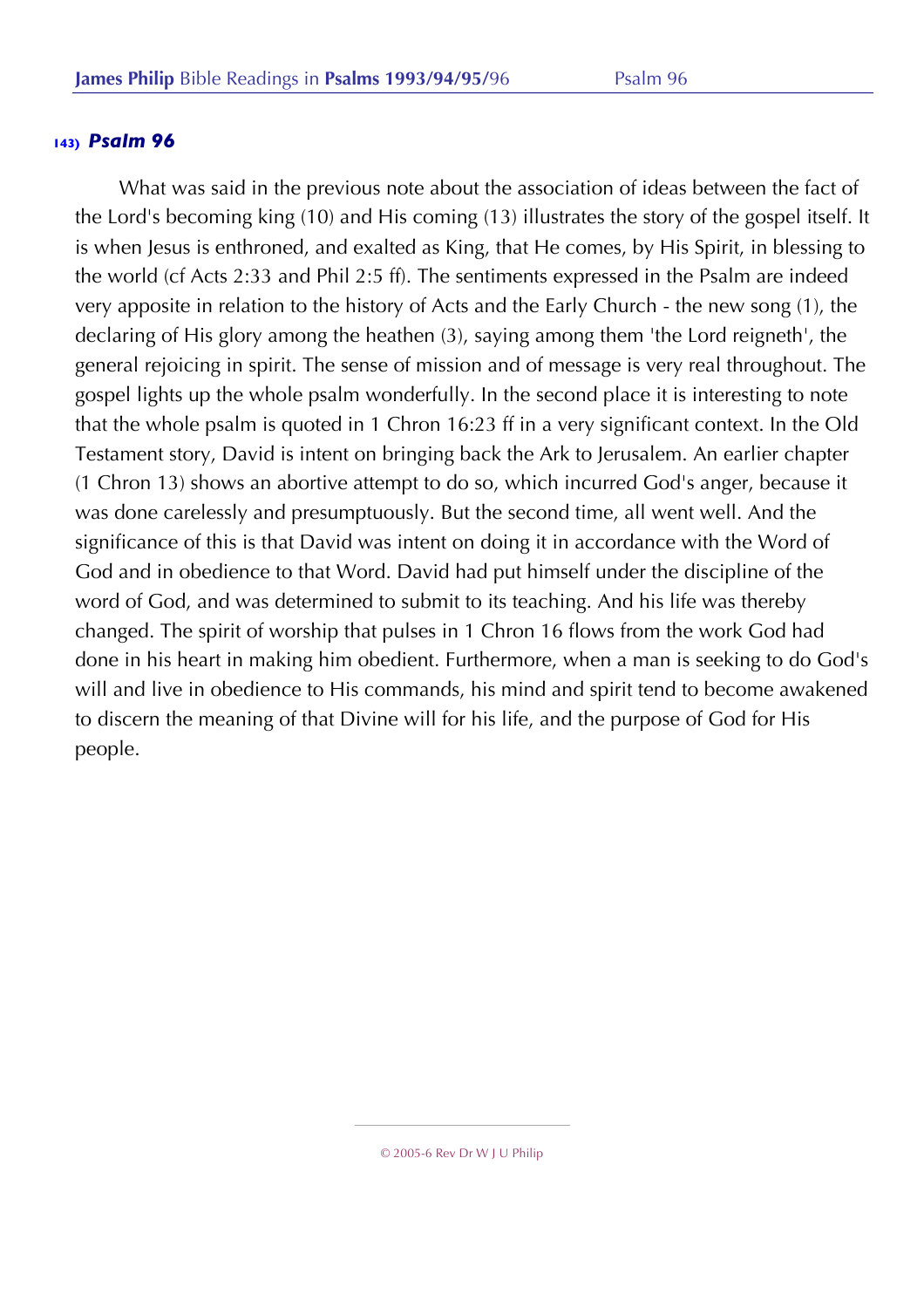What was said in the previous note about the association of ideas between the fact of the Lord's becoming king (10) and His coming (13) illustrates the story of the gospel itself. It is when Jesus is enthroned, and exalted as King, that He comes, by His Spirit, in blessing to the world (cf Acts 2:33 and Phil 2:5 ff). The sentiments expressed in the Psalm are indeed very apposite in relation to the history of Acts and the Early Church - the new song (1), the declaring of His glory among the heathen (3), saying among them 'the Lord reigneth', the general rejoicing in spirit. The sense of mission and of message is very real throughout. The gospel lights up the whole psalm wonderfully. In the second place it is interesting to note that the whole psalm is quoted in 1 Chron 16:23 ff in a very significant context. In the Old Testament story, David is intent on bringing back the Ark to Jerusalem. An earlier chapter (1 Chron 13) shows an abortive attempt to do so, which incurred God's anger, because it was done carelessly and presumptuously. But the second time, all went well. And the significance of this is that David was intent on doing it in accordance with the Word of God and in obedience to that Word. David had put himself under the discipline of the word of God, and was determined to submit to its teaching. And his life was thereby changed. The spirit of worship that pulses in 1 Chron 16 flows from the work God had done in his heart in making him obedient. Furthermore, when a man is seeking to do God's will and live in obedience to His commands, his mind and spirit tend to become awakened to discern the meaning of that Divine will for his life, and the purpose of God for His people.

<sup>© 2005-6</sup> Rev Dr W J U Philip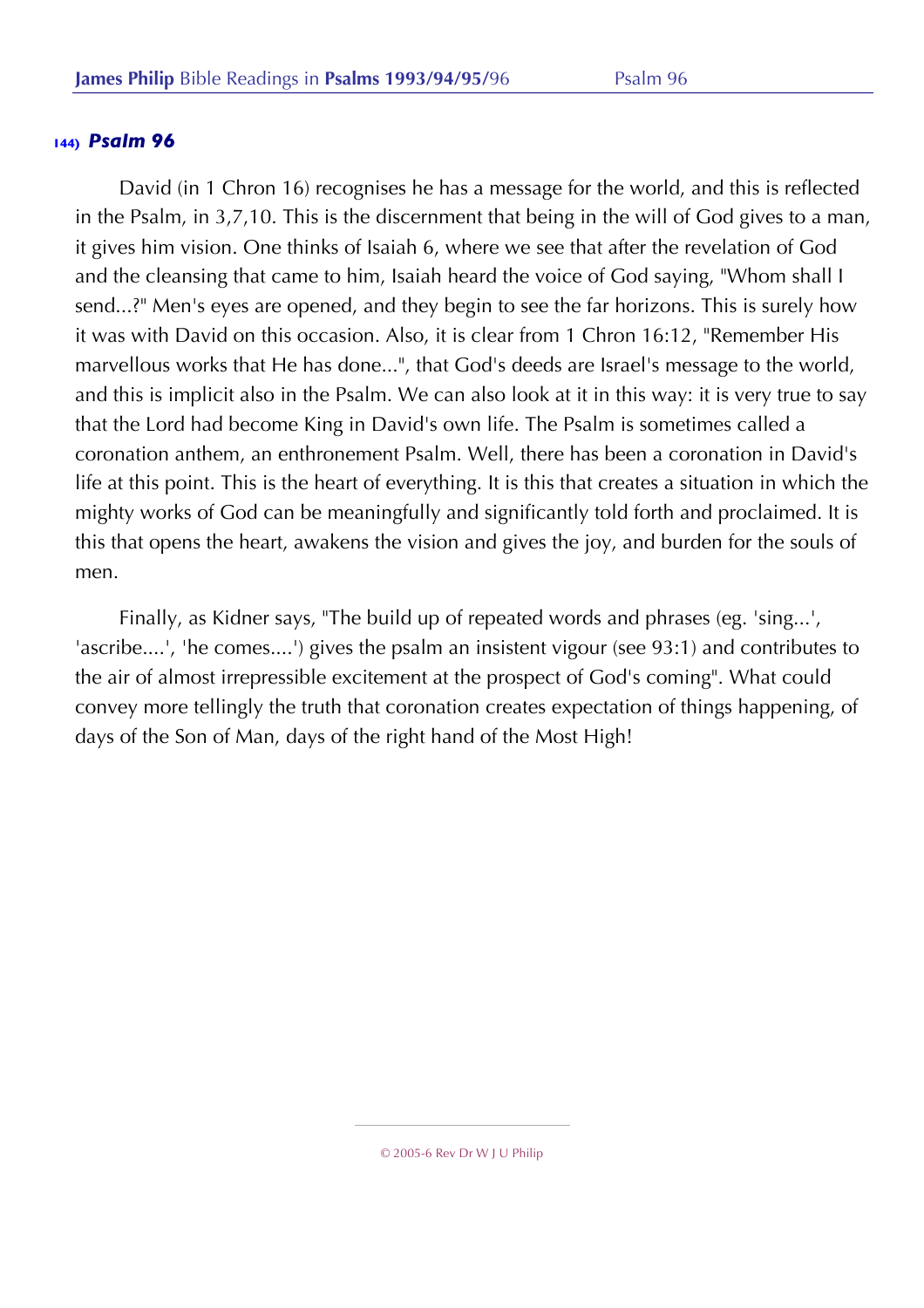David (in 1 Chron 16) recognises he has a message for the world, and this is reflected in the Psalm, in 3,7,10. This is the discernment that being in the will of God gives to a man, it gives him vision. One thinks of Isaiah 6, where we see that after the revelation of God and the cleansing that came to him, Isaiah heard the voice of God saying, "Whom shall I send...?" Men's eyes are opened, and they begin to see the far horizons. This is surely how it was with David on this occasion. Also, it is clear from 1 Chron 16:12, "Remember His marvellous works that He has done...", that God's deeds are Israel's message to the world, and this is implicit also in the Psalm. We can also look at it in this way: it is very true to say that the Lord had become King in David's own life. The Psalm is sometimes called a coronation anthem, an enthronement Psalm. Well, there has been a coronation in David's life at this point. This is the heart of everything. It is this that creates a situation in which the mighty works of God can be meaningfully and significantly told forth and proclaimed. It is this that opens the heart, awakens the vision and gives the joy, and burden for the souls of men.

Finally, as Kidner says, "The build up of repeated words and phrases (eg. 'sing...', 'ascribe....', 'he comes....') gives the psalm an insistent vigour (see 93:1) and contributes to the air of almost irrepressible excitement at the prospect of God's coming". What could convey more tellingly the truth that coronation creates expectation of things happening, of days of the Son of Man, days of the right hand of the Most High!

<sup>© 2005-6</sup> Rev Dr W J U Philip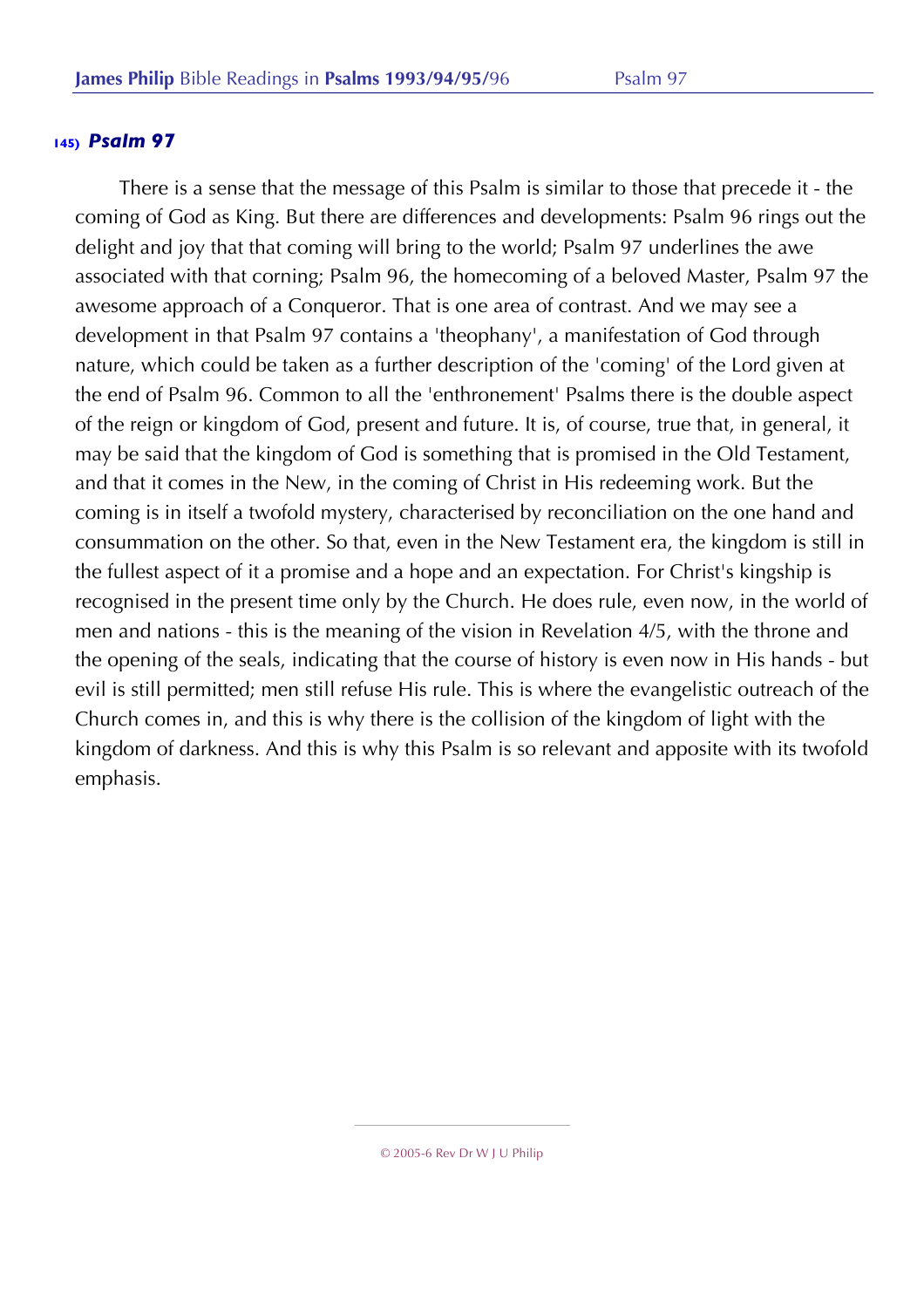There is a sense that the message of this Psalm is similar to those that precede it - the coming of God as King. But there are differences and developments: Psalm 96 rings out the delight and joy that that coming will bring to the world; Psalm 97 underlines the awe associated with that corning; Psalm 96, the homecoming of a beloved Master, Psalm 97 the awesome approach of a Conqueror. That is one area of contrast. And we may see a development in that Psalm 97 contains a 'theophany', a manifestation of God through nature, which could be taken as a further description of the 'coming' of the Lord given at the end of Psalm 96. Common to all the 'enthronement' Psalms there is the double aspect of the reign or kingdom of God, present and future. It is, of course, true that, in general, it may be said that the kingdom of God is something that is promised in the Old Testament, and that it comes in the New, in the coming of Christ in His redeeming work. But the coming is in itself a twofold mystery, characterised by reconciliation on the one hand and consummation on the other. So that, even in the New Testament era, the kingdom is still in the fullest aspect of it a promise and a hope and an expectation. For Christ's kingship is recognised in the present time only by the Church. He does rule, even now, in the world of men and nations - this is the meaning of the vision in Revelation 4/5, with the throne and the opening of the seals, indicating that the course of history is even now in His hands - but evil is still permitted; men still refuse His rule. This is where the evangelistic outreach of the Church comes in, and this is why there is the collision of the kingdom of light with the kingdom of darkness. And this is why this Psalm is so relevant and apposite with its twofold emphasis.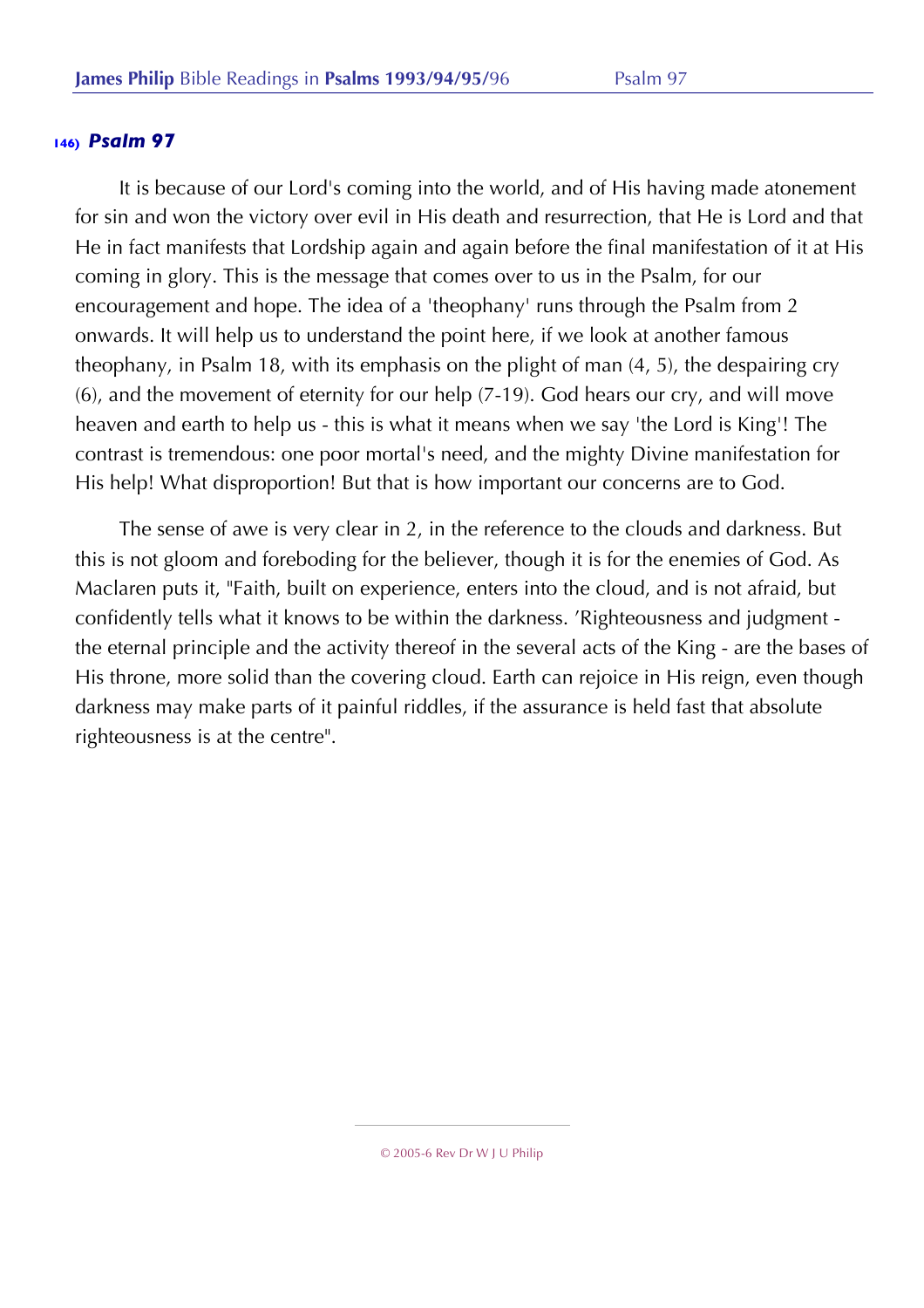It is because of our Lord's coming into the world, and of His having made atonement for sin and won the victory over evil in His death and resurrection, that He is Lord and that He in fact manifests that Lordship again and again before the final manifestation of it at His coming in glory. This is the message that comes over to us in the Psalm, for our encouragement and hope. The idea of a 'theophany' runs through the Psalm from 2 onwards. It will help us to understand the point here, if we look at another famous theophany, in Psalm 18, with its emphasis on the plight of man (4, 5), the despairing cry (6), and the movement of eternity for our help (7-19). God hears our cry, and will move heaven and earth to help us - this is what it means when we say 'the Lord is King'! The contrast is tremendous: one poor mortal's need, and the mighty Divine manifestation for His help! What disproportion! But that is how important our concerns are to God.

The sense of awe is very clear in 2, in the reference to the clouds and darkness. But this is not gloom and foreboding for the believer, though it is for the enemies of God. As Maclaren puts it, "Faith, built on experience, enters into the cloud, and is not afraid, but confidently tells what it knows to be within the darkness. 'Righteousness and judgment the eternal principle and the activity thereof in the several acts of the King - are the bases of His throne, more solid than the covering cloud. Earth can rejoice in His reign, even though darkness may make parts of it painful riddles, if the assurance is held fast that absolute righteousness is at the centre".

<sup>© 2005-6</sup> Rev Dr W J U Philip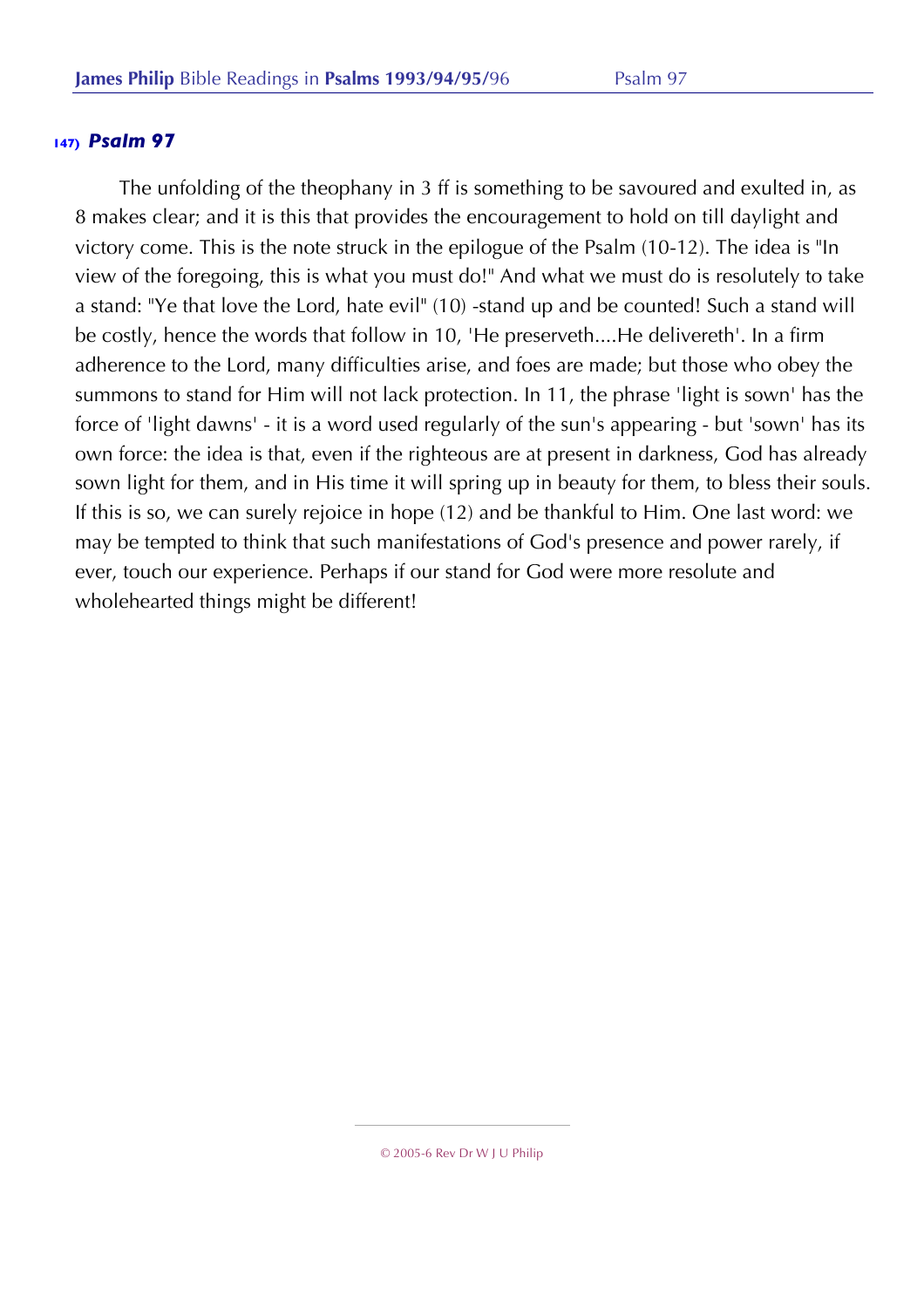The unfolding of the theophany in 3 ff is something to be savoured and exulted in, as 8 makes clear; and it is this that provides the encouragement to hold on till daylight and victory come. This is the note struck in the epilogue of the Psalm (10-12). The idea is "In view of the foregoing, this is what you must do!" And what we must do is resolutely to take a stand: "Ye that love the Lord, hate evil" (10) -stand up and be counted! Such a stand will be costly, hence the words that follow in 10, 'He preserveth....He delivereth'. In a firm adherence to the Lord, many difficulties arise, and foes are made; but those who obey the summons to stand for Him will not lack protection. In 11, the phrase 'light is sown' has the force of 'light dawns' - it is a word used regularly of the sun's appearing - but 'sown' has its own force: the idea is that, even if the righteous are at present in darkness, God has already sown light for them, and in His time it will spring up in beauty for them, to bless their souls. If this is so, we can surely rejoice in hope (12) and be thankful to Him. One last word: we may be tempted to think that such manifestations of God's presence and power rarely, if ever, touch our experience. Perhaps if our stand for God were more resolute and wholehearted things might be different!

© 2005-6 Rev Dr W J U Philip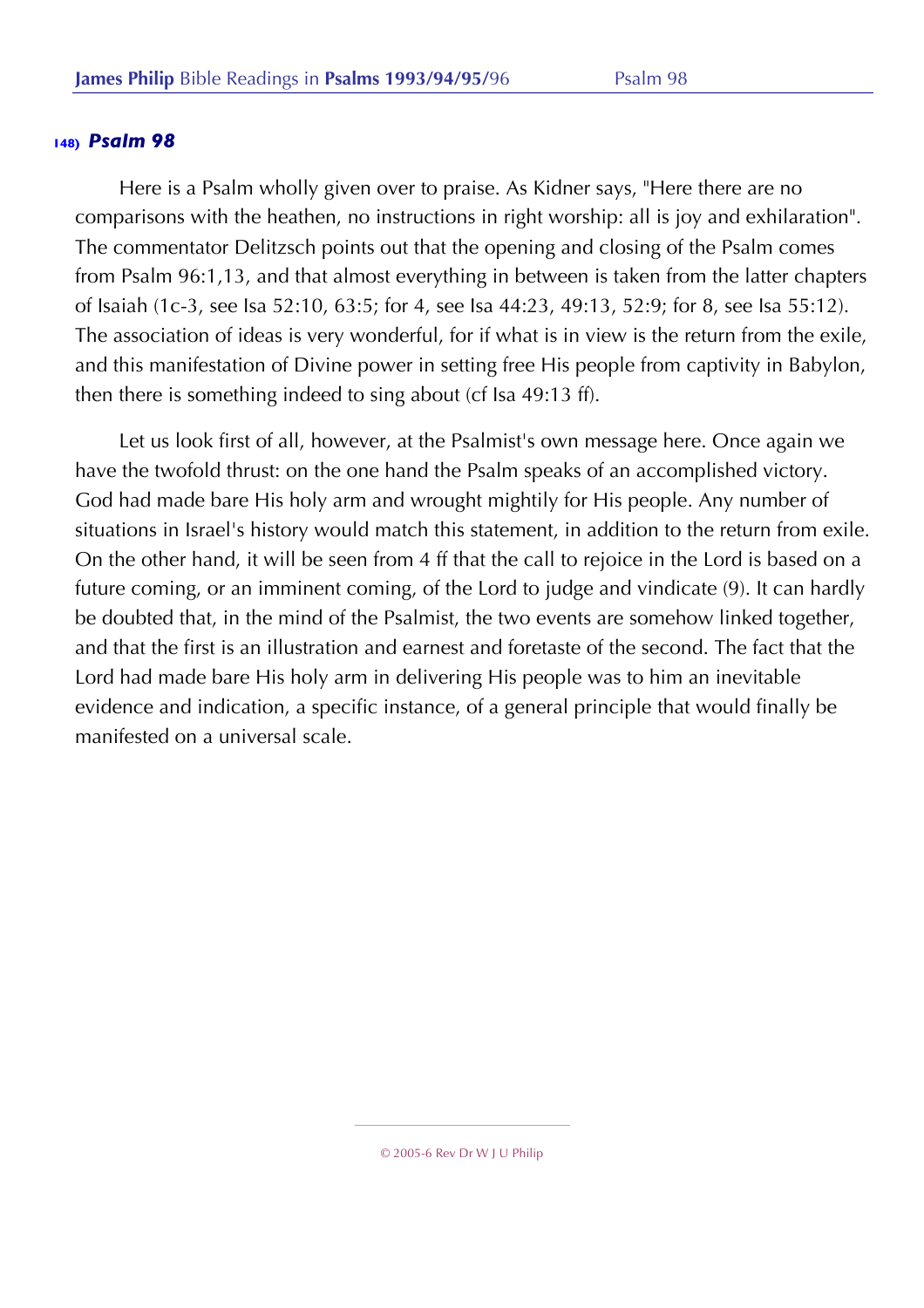Here is a Psalm wholly given over to praise. As Kidner says, "Here there are no comparisons with the heathen, no instructions in right worship: all is joy and exhilaration". The commentator Delitzsch points out that the opening and closing of the Psalm comes from Psalm 96:1,13, and that almost everything in between is taken from the latter chapters of Isaiah (1c-3, see Isa 52:10, 63:5; for 4, see Isa 44:23, 49:13, 52:9; for 8, see Isa 55:12). The association of ideas is very wonderful, for if what is in view is the return from the exile, and this manifestation of Divine power in setting free His people from captivity in Babylon, then there is something indeed to sing about (cf Isa 49:13 ff).

Let us look first of all, however, at the Psalmist's own message here. Once again we have the twofold thrust: on the one hand the Psalm speaks of an accomplished victory. God had made bare His holy arm and wrought mightily for His people. Any number of situations in Israel's history would match this statement, in addition to the return from exile. On the other hand, it will be seen from 4 ff that the call to rejoice in the Lord is based on a future coming, or an imminent coming, of the Lord to judge and vindicate (9). It can hardly be doubted that, in the mind of the Psalmist, the two events are somehow linked together, and that the first is an illustration and earnest and foretaste of the second. The fact that the Lord had made bare His holy arm in delivering His people was to him an inevitable evidence and indication, a specific instance, of a general principle that would finally be manifested on a universal scale.

<sup>© 2005-6</sup> Rev Dr W J U Philip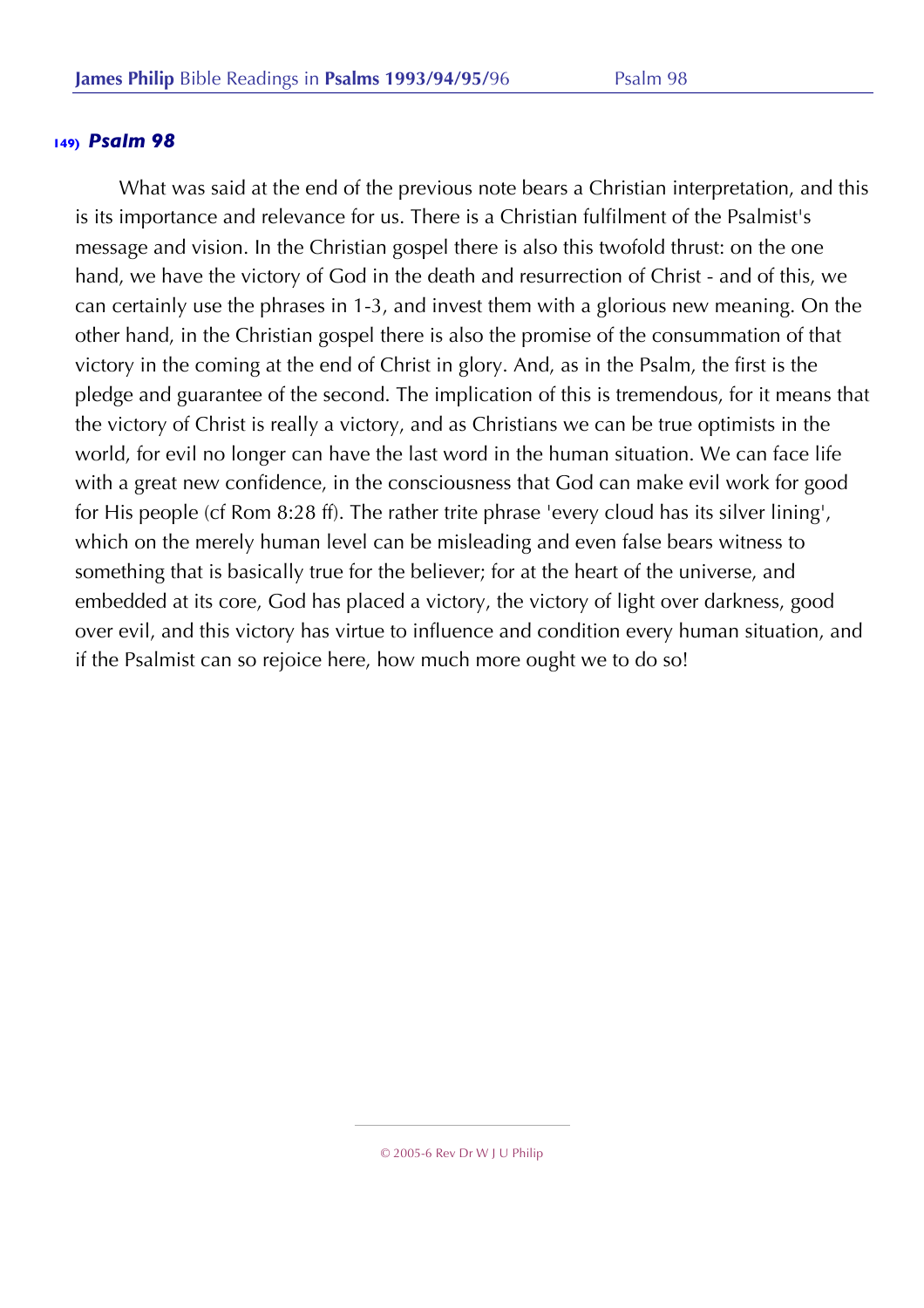What was said at the end of the previous note bears a Christian interpretation, and this is its importance and relevance for us. There is a Christian fulfilment of the Psalmist's message and vision. In the Christian gospel there is also this twofold thrust: on the one hand, we have the victory of God in the death and resurrection of Christ - and of this, we can certainly use the phrases in 1-3, and invest them with a glorious new meaning. On the other hand, in the Christian gospel there is also the promise of the consummation of that victory in the coming at the end of Christ in glory. And, as in the Psalm, the first is the pledge and guarantee of the second. The implication of this is tremendous, for it means that the victory of Christ is really a victory, and as Christians we can be true optimists in the world, for evil no longer can have the last word in the human situation. We can face life with a great new confidence, in the consciousness that God can make evil work for good for His people (cf Rom 8:28 ff). The rather trite phrase 'every cloud has its silver lining', which on the merely human level can be misleading and even false bears witness to something that is basically true for the believer; for at the heart of the universe, and embedded at its core, God has placed a victory, the victory of light over darkness, good over evil, and this victory has virtue to influence and condition every human situation, and if the Psalmist can so rejoice here, how much more ought we to do so!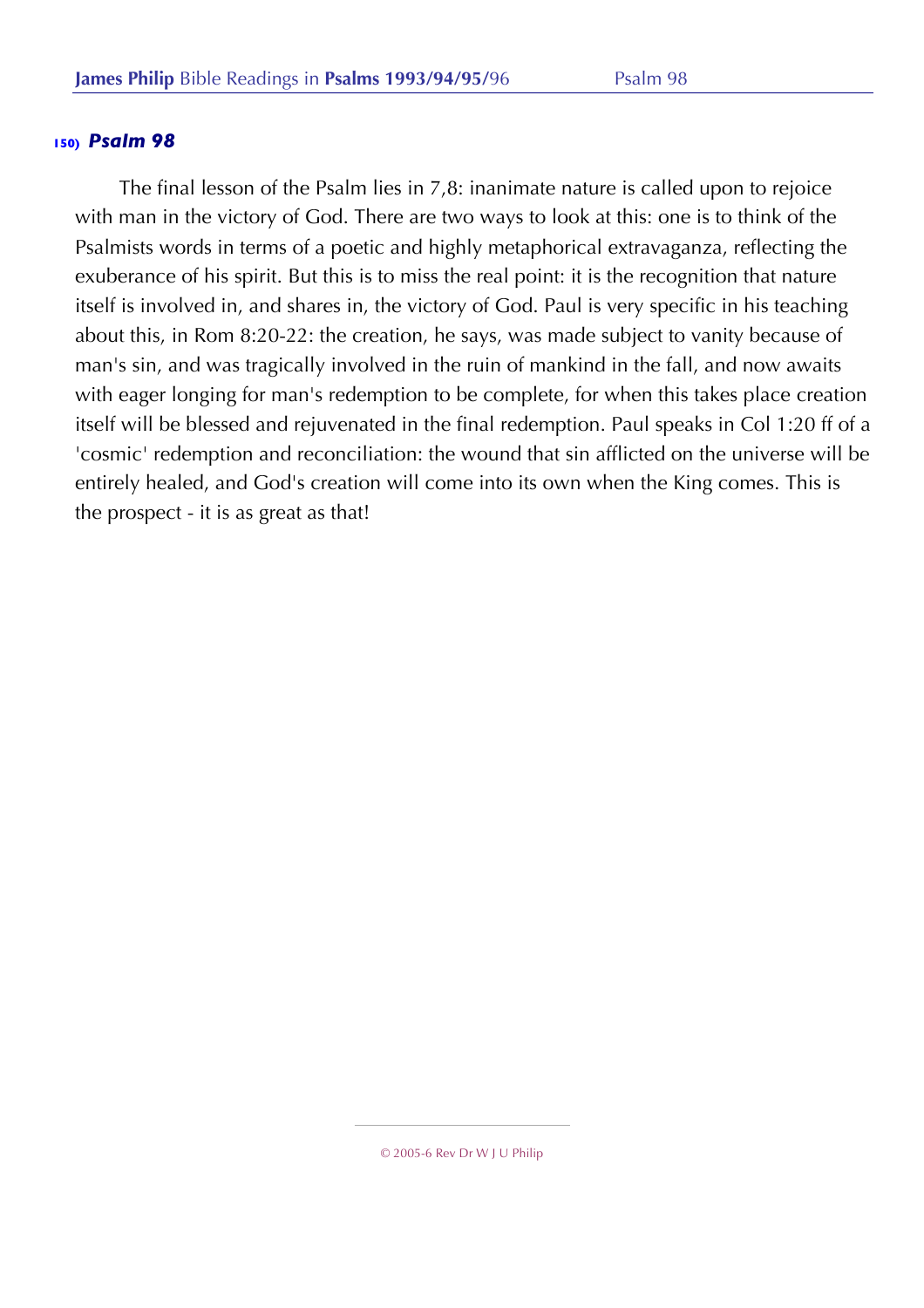The final lesson of the Psalm lies in 7,8: inanimate nature is called upon to rejoice with man in the victory of God. There are two ways to look at this: one is to think of the Psalmists words in terms of a poetic and highly metaphorical extravaganza, reflecting the exuberance of his spirit. But this is to miss the real point: it is the recognition that nature itself is involved in, and shares in, the victory of God. Paul is very specific in his teaching about this, in Rom 8:20-22: the creation, he says, was made subject to vanity because of man's sin, and was tragically involved in the ruin of mankind in the fall, and now awaits with eager longing for man's redemption to be complete, for when this takes place creation itself will be blessed and rejuvenated in the final redemption. Paul speaks in Col 1:20 ff of a 'cosmic' redemption and reconciliation: the wound that sin afflicted on the universe will be entirely healed, and God's creation will come into its own when the King comes. This is the prospect - it is as great as that!

<sup>© 2005-6</sup> Rev Dr W J U Philip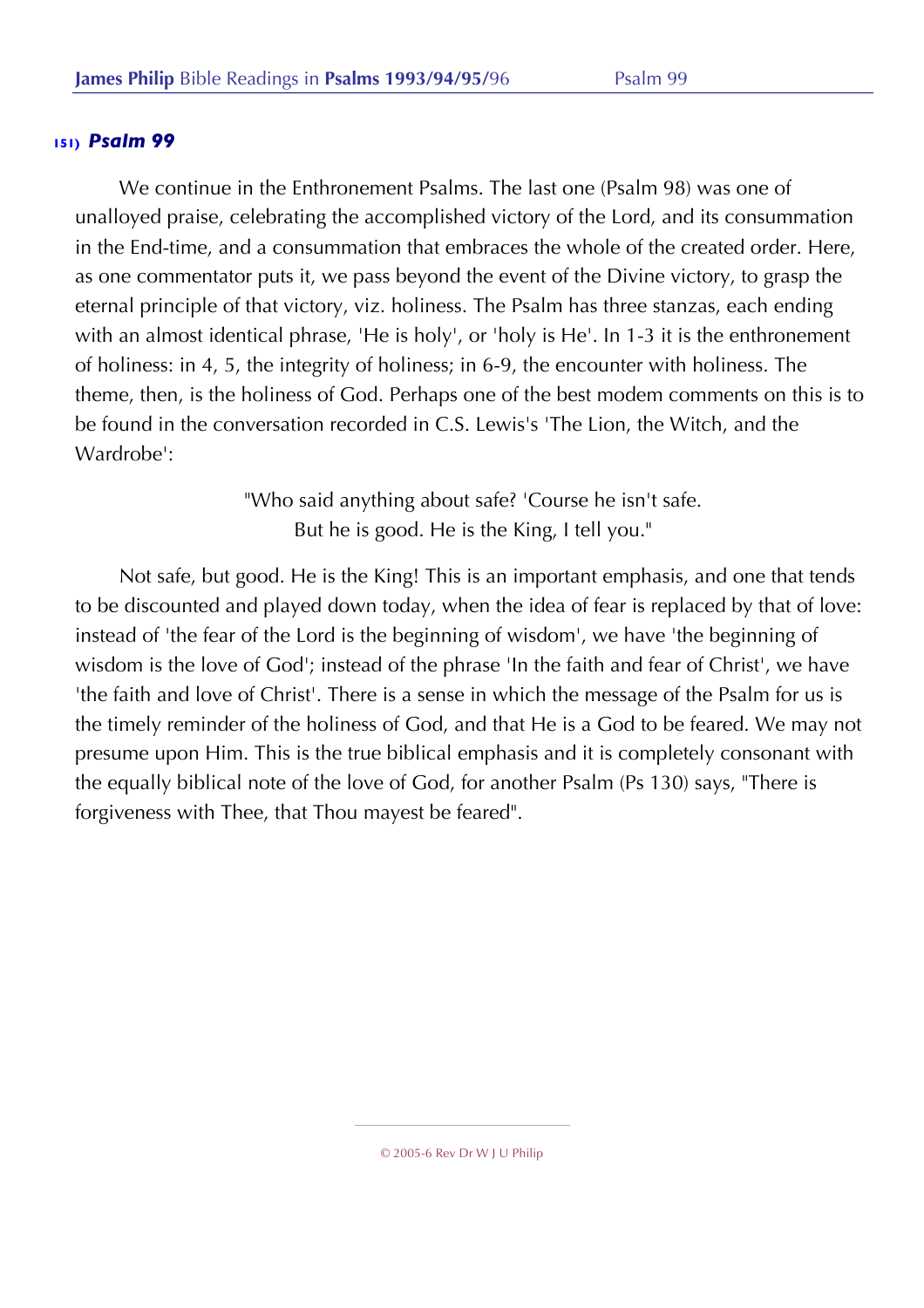We continue in the Enthronement Psalms. The last one (Psalm 98) was one of unalloyed praise, celebrating the accomplished victory of the Lord, and its consummation in the End-time, and a consummation that embraces the whole of the created order. Here, as one commentator puts it, we pass beyond the event of the Divine victory, to grasp the eternal principle of that victory, viz. holiness. The Psalm has three stanzas, each ending with an almost identical phrase, 'He is holy', or 'holy is He'. In 1-3 it is the enthronement of holiness: in 4, 5, the integrity of holiness; in 6-9, the encounter with holiness. The theme, then, is the holiness of God. Perhaps one of the best modem comments on this is to be found in the conversation recorded in C.S. Lewis's 'The Lion, the Witch, and the Wardrobe':

> "Who said anything about safe? 'Course he isn't safe. But he is good. He is the King, I tell you."

Not safe, but good. He is the King! This is an important emphasis, and one that tends to be discounted and played down today, when the idea of fear is replaced by that of love: instead of 'the fear of the Lord is the beginning of wisdom', we have 'the beginning of wisdom is the love of God'; instead of the phrase 'In the faith and fear of Christ', we have 'the faith and love of Christ'. There is a sense in which the message of the Psalm for us is the timely reminder of the holiness of God, and that He is a God to be feared. We may not presume upon Him. This is the true biblical emphasis and it is completely consonant with the equally biblical note of the love of God, for another Psalm (Ps 130) says, "There is forgiveness with Thee, that Thou mayest be feared".

© 2005-6 Rev Dr W J U Philip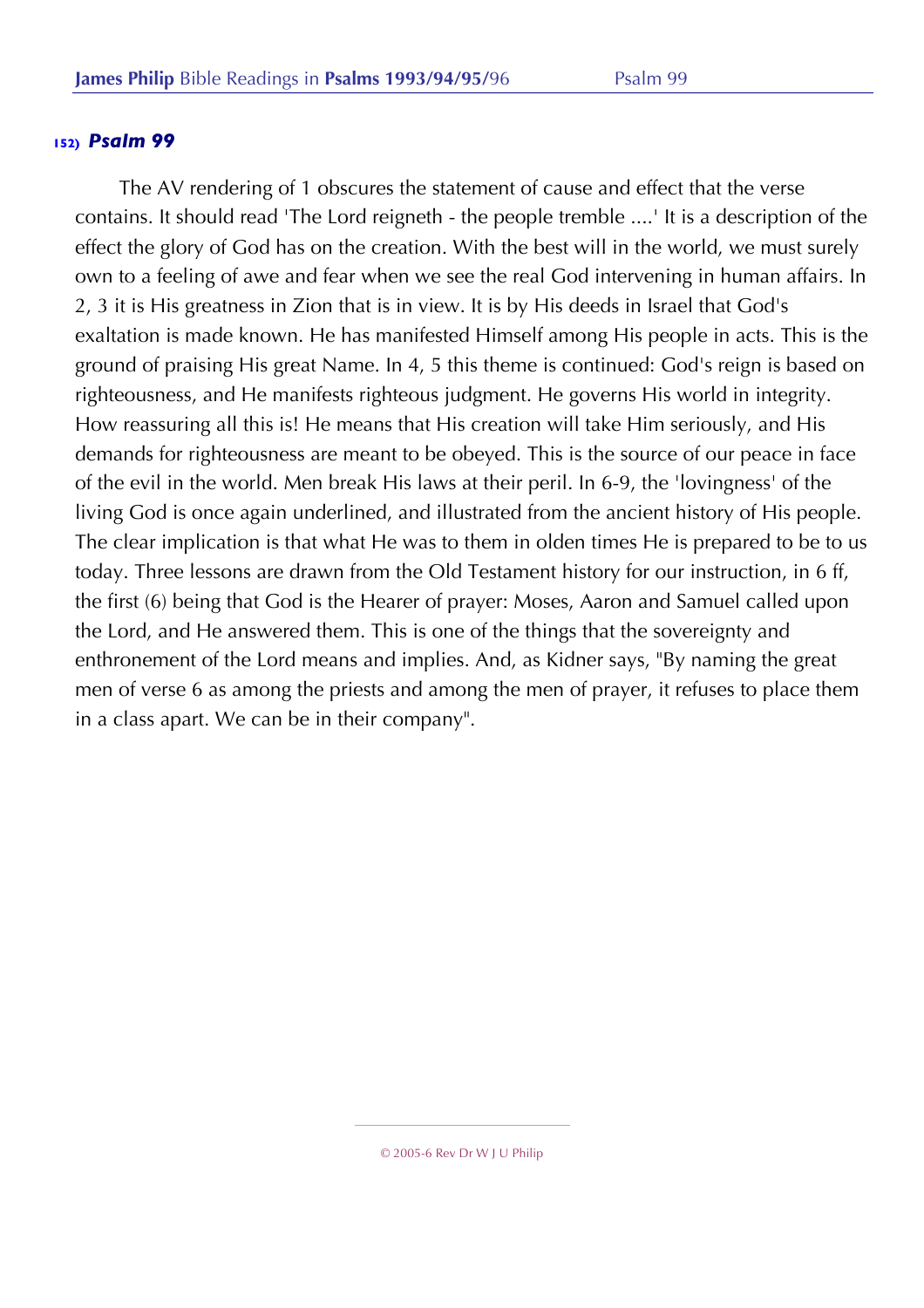The AV rendering of 1 obscures the statement of cause and effect that the verse contains. It should read 'The Lord reigneth - the people tremble ....' It is a description of the effect the glory of God has on the creation. With the best will in the world, we must surely own to a feeling of awe and fear when we see the real God intervening in human affairs. In 2, 3 it is His greatness in Zion that is in view. It is by His deeds in Israel that God's exaltation is made known. He has manifested Himself among His people in acts. This is the ground of praising His great Name. In 4, 5 this theme is continued: God's reign is based on righteousness, and He manifests righteous judgment. He governs His world in integrity. How reassuring all this is! He means that His creation will take Him seriously, and His demands for righteousness are meant to be obeyed. This is the source of our peace in face of the evil in the world. Men break His laws at their peril. In 6-9, the 'lovingness' of the living God is once again underlined, and illustrated from the ancient history of His people. The clear implication is that what He was to them in olden times He is prepared to be to us today. Three lessons are drawn from the Old Testament history for our instruction, in 6 ff, the first (6) being that God is the Hearer of prayer: Moses, Aaron and Samuel called upon the Lord, and He answered them. This is one of the things that the sovereignty and enthronement of the Lord means and implies. And, as Kidner says, "By naming the great men of verse 6 as among the priests and among the men of prayer, it refuses to place them in a class apart. We can be in their company".

<sup>© 2005-6</sup> Rev Dr W J U Philip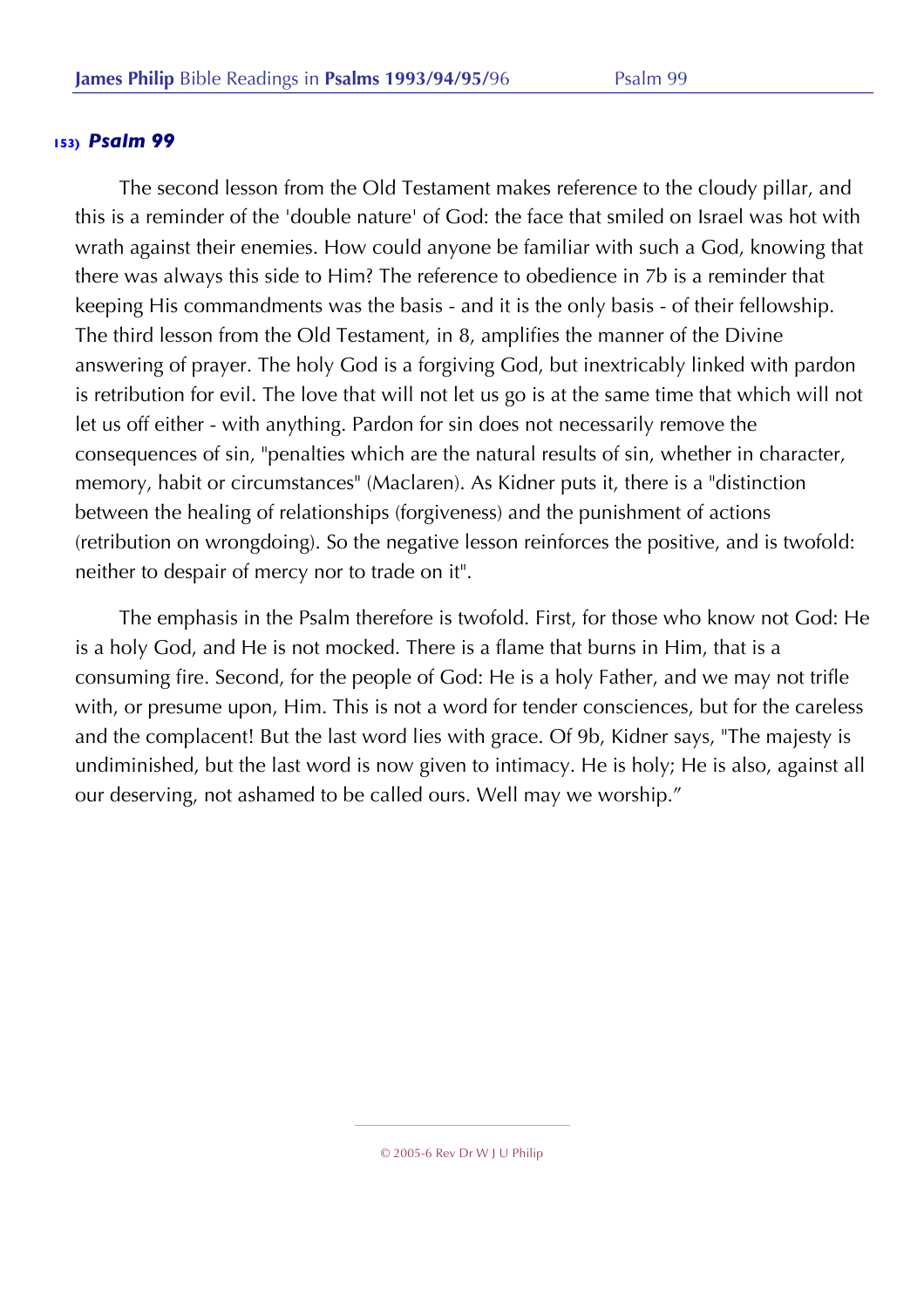The second lesson from the Old Testament makes reference to the cloudy pillar, and this is a reminder of the 'double nature' of God: the face that smiled on Israel was hot with wrath against their enemies. How could anyone be familiar with such a God, knowing that there was always this side to Him? The reference to obedience in 7b is a reminder that keeping His commandments was the basis - and it is the only basis - of their fellowship. The third lesson from the Old Testament, in 8, amplifies the manner of the Divine answering of prayer. The holy God is a forgiving God, but inextricably linked with pardon is retribution for evil. The love that will not let us go is at the same time that which will not let us off either - with anything. Pardon for sin does not necessarily remove the consequences of sin, "penalties which are the natural results of sin, whether in character, memory, habit or circumstances" (Maclaren). As Kidner puts it, there is a "distinction between the healing of relationships (forgiveness) and the punishment of actions (retribution on wrongdoing). So the negative lesson reinforces the positive, and is twofold: neither to despair of mercy nor to trade on it".

The emphasis in the Psalm therefore is twofold. First, for those who know not God: He is a holy God, and He is not mocked. There is a flame that burns in Him, that is a consuming fire. Second, for the people of God: He is a holy Father, and we may not trifle with, or presume upon, Him. This is not a word for tender consciences, but for the careless and the complacent! But the last word lies with grace. Of 9b, Kidner says, "The majesty is undiminished, but the last word is now given to intimacy. He is holy; He is also, against all our deserving, not ashamed to be called ours. Well may we worship."

© 2005-6 Rev Dr W J U Philip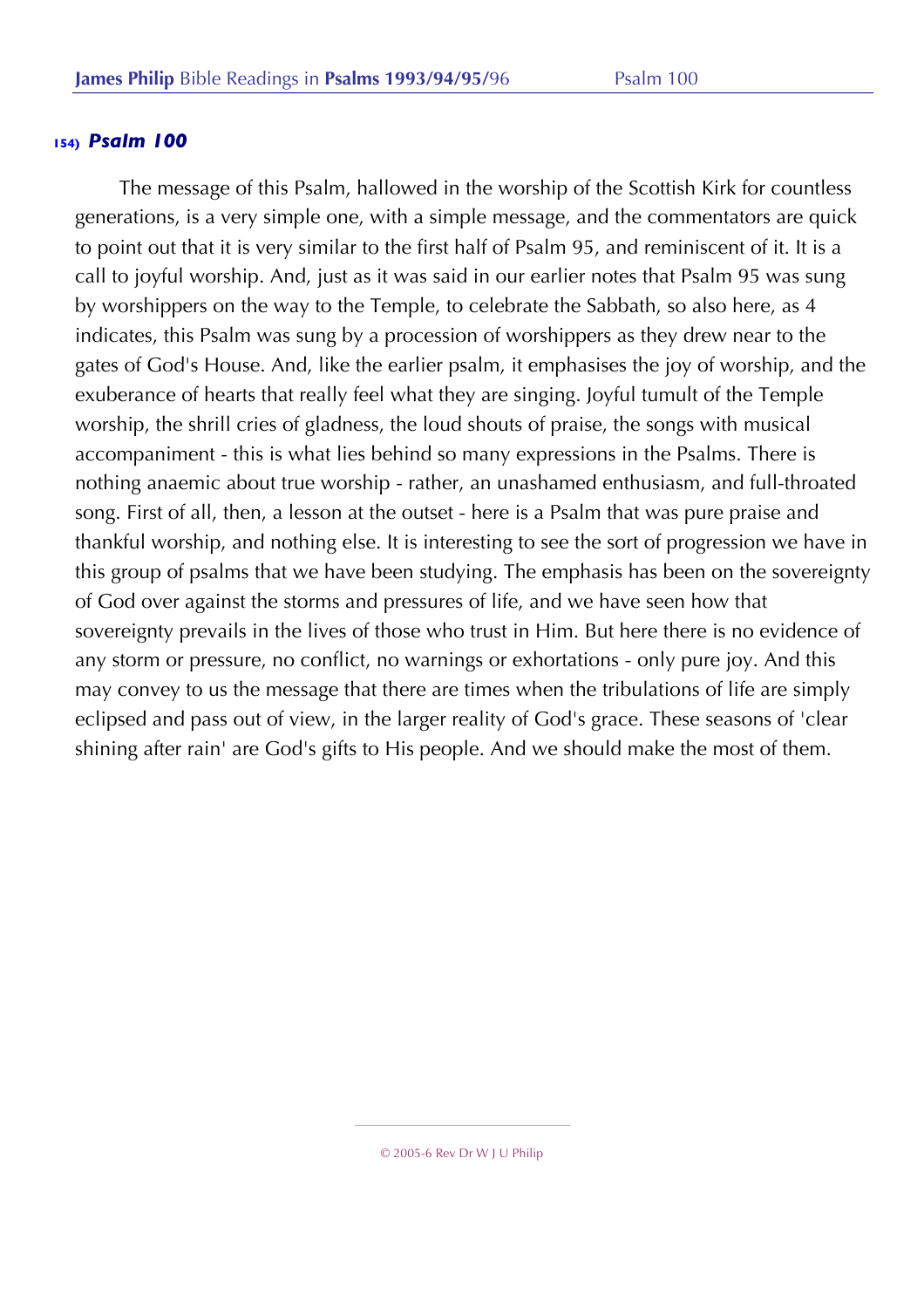The message of this Psalm, hallowed in the worship of the Scottish Kirk for countless generations, is a very simple one, with a simple message, and the commentators are quick to point out that it is very similar to the first half of Psalm 95, and reminiscent of it. It is a call to joyful worship. And, just as it was said in our earlier notes that Psalm 95 was sung by worshippers on the way to the Temple, to celebrate the Sabbath, so also here, as 4 indicates, this Psalm was sung by a procession of worshippers as they drew near to the gates of God's House. And, like the earlier psalm, it emphasises the joy of worship, and the exuberance of hearts that really feel what they are singing. Joyful tumult of the Temple worship, the shrill cries of gladness, the loud shouts of praise, the songs with musical accompaniment - this is what lies behind so many expressions in the Psalms. There is nothing anaemic about true worship - rather, an unashamed enthusiasm, and full-throated song. First of all, then, a lesson at the outset - here is a Psalm that was pure praise and thankful worship, and nothing else. It is interesting to see the sort of progression we have in this group of psalms that we have been studying. The emphasis has been on the sovereignty of God over against the storms and pressures of life, and we have seen how that sovereignty prevails in the lives of those who trust in Him. But here there is no evidence of any storm or pressure, no conflict, no warnings or exhortations - only pure joy. And this may convey to us the message that there are times when the tribulations of life are simply eclipsed and pass out of view, in the larger reality of God's grace. These seasons of 'clear shining after rain' are God's gifts to His people. And we should make the most of them.

<sup>© 2005-6</sup> Rev Dr W J U Philip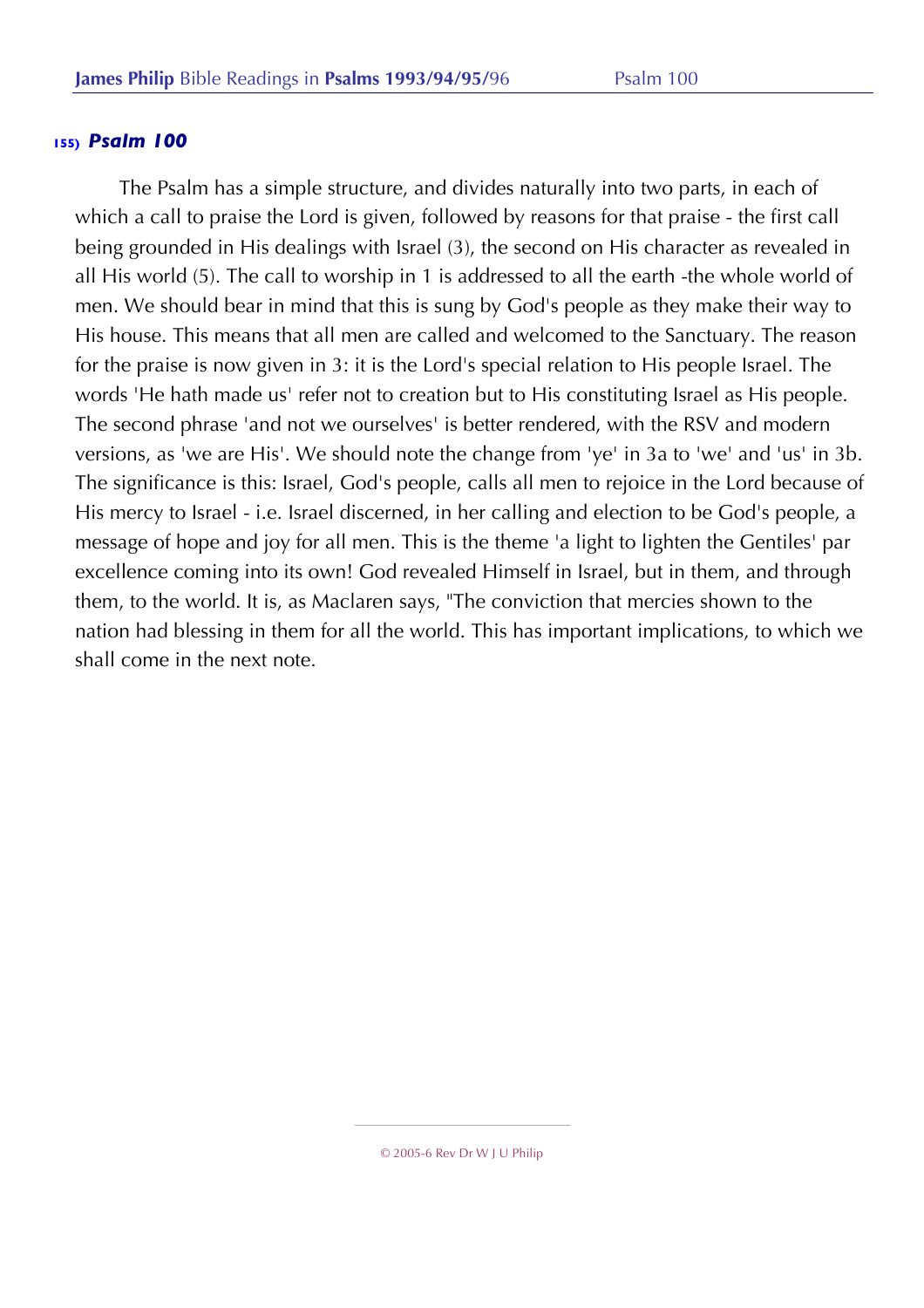The Psalm has a simple structure, and divides naturally into two parts, in each of which a call to praise the Lord is given, followed by reasons for that praise - the first call being grounded in His dealings with Israel (3), the second on His character as revealed in all His world (5). The call to worship in 1 is addressed to all the earth -the whole world of men. We should bear in mind that this is sung by God's people as they make their way to His house. This means that all men are called and welcomed to the Sanctuary. The reason for the praise is now given in 3: it is the Lord's special relation to His people Israel. The words 'He hath made us' refer not to creation but to His constituting Israel as His people. The second phrase 'and not we ourselves' is better rendered, with the RSV and modern versions, as 'we are His'. We should note the change from 'ye' in 3a to 'we' and 'us' in 3b. The significance is this: Israel, God's people, calls all men to rejoice in the Lord because of His mercy to Israel - i.e. Israel discerned, in her calling and election to be God's people, a message of hope and joy for all men. This is the theme 'a light to lighten the Gentiles' par excellence coming into its own! God revealed Himself in Israel, but in them, and through them, to the world. It is, as Maclaren says, "The conviction that mercies shown to the nation had blessing in them for all the world. This has important implications, to which we shall come in the next note.

<sup>© 2005-6</sup> Rev Dr W J U Philip